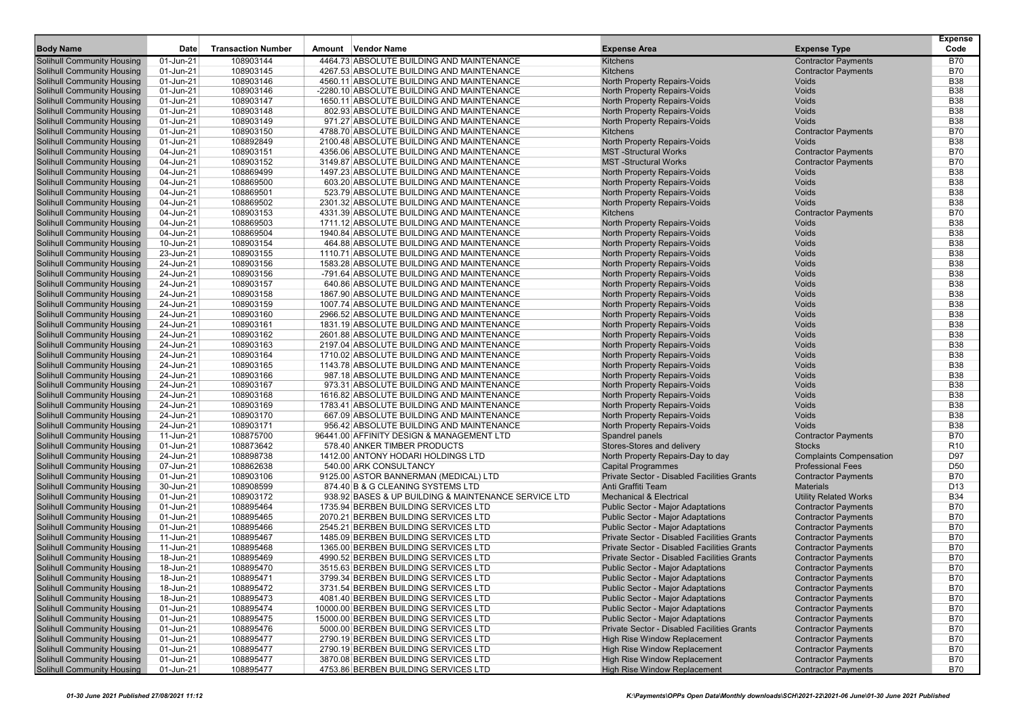|                                                                        |                        |                           |                                                                                        |                                                                          |                                                            | <b>Expense</b>           |
|------------------------------------------------------------------------|------------------------|---------------------------|----------------------------------------------------------------------------------------|--------------------------------------------------------------------------|------------------------------------------------------------|--------------------------|
| <b>Body Name</b>                                                       | Date                   | <b>Transaction Number</b> | Amount Vendor Name                                                                     | <b>Expense Area</b>                                                      | <b>Expense Type</b>                                        | Code                     |
| <b>Solihull Community Housing</b>                                      | 01-Jun-21              | 108903144                 | 4464.73 ABSOLUTE BUILDING AND MAINTENANCE                                              | Kitchens                                                                 | <b>Contractor Payments</b>                                 | <b>B70</b>               |
| <b>Solihull Community Housing</b>                                      | 01-Jun-21              | 108903145                 | 4267.53 ABSOLUTE BUILDING AND MAINTENANCE                                              | Kitchens                                                                 | <b>Contractor Payments</b>                                 | <b>B70</b>               |
| <b>Solihull Community Housing</b>                                      | 01-Jun-21              | 108903146                 | 4560.11 ABSOLUTE BUILDING AND MAINTENANCE                                              | North Property Repairs-Voids                                             | Voids                                                      | <b>B38</b>               |
| <b>Solihull Community Housing</b>                                      | 01-Jun-21              | 108903146                 | -2280.10 ABSOLUTE BUILDING AND MAINTENANCE                                             | North Property Repairs-Voids                                             | Voids                                                      | <b>B38</b>               |
| <b>Solihull Community Housing</b>                                      | 01-Jun-21              | 108903147                 | 1650.11 ABSOLUTE BUILDING AND MAINTENANCE                                              | North Property Repairs-Voids                                             | Voids                                                      | <b>B38</b>               |
| <b>Solihull Community Housing</b>                                      | 01-Jun-21              | 108903148                 | 802.93 ABSOLUTE BUILDING AND MAINTENANCE                                               | North Property Repairs-Voids                                             | Voids<br><b>Voids</b>                                      | <b>B38</b>               |
| <b>Solihull Community Housing</b>                                      | 01-Jun-21              | 108903149<br>108903150    | 971.27 ABSOLUTE BUILDING AND MAINTENANCE                                               | North Property Repairs-Voids                                             |                                                            | <b>B38</b><br><b>B70</b> |
| <b>Solihull Community Housing</b><br><b>Solihull Community Housing</b> | 01-Jun-21<br>01-Jun-21 | 108892849                 | 4788.70 ABSOLUTE BUILDING AND MAINTENANCE<br>2100.48 ABSOLUTE BUILDING AND MAINTENANCE | Kitchens                                                                 | <b>Contractor Payments</b><br>Voids                        | <b>B38</b>               |
| <b>Solihull Community Housing</b>                                      | 04-Jun-21              | 108903151                 | 4356.06 ABSOLUTE BUILDING AND MAINTENANCE                                              | North Property Repairs-Voids<br><b>MST-Structural Works</b>              | <b>Contractor Payments</b>                                 | <b>B70</b>               |
| <b>Solihull Community Housing</b>                                      | 04-Jun-21              | 108903152                 | 3149.87 ABSOLUTE BUILDING AND MAINTENANCE                                              | <b>MST-Structural Works</b>                                              | <b>Contractor Payments</b>                                 | <b>B70</b>               |
| <b>Solihull Community Housing</b>                                      | 04-Jun-21              | 108869499                 | 1497.23 ABSOLUTE BUILDING AND MAINTENANCE                                              | North Property Repairs-Voids                                             | Voids                                                      | <b>B38</b>               |
| <b>Solihull Community Housing</b>                                      | 04-Jun-21              | 108869500                 | 603.20 ABSOLUTE BUILDING AND MAINTENANCE                                               | North Property Repairs-Voids                                             | <b>Voids</b>                                               | <b>B38</b>               |
| <b>Solihull Community Housing</b>                                      | 04-Jun-21              | 108869501                 | 523.79 ABSOLUTE BUILDING AND MAINTENANCE                                               | North Property Repairs-Voids                                             | Voids                                                      | <b>B38</b>               |
| <b>Solihull Community Housing</b>                                      | 04-Jun-21              | 108869502                 | 2301.32 ABSOLUTE BUILDING AND MAINTENANCE                                              | North Property Repairs-Voids                                             | <b>Voids</b>                                               | <b>B38</b>               |
| <b>Solihull Community Housing</b>                                      | 04-Jun-21              | 108903153                 | 4331.39 ABSOLUTE BUILDING AND MAINTENANCE                                              | Kitchens                                                                 | <b>Contractor Payments</b>                                 | <b>B70</b>               |
| <b>Solihull Community Housing</b>                                      | 04-Jun-21              | 108869503                 | 1711.12 ABSOLUTE BUILDING AND MAINTENANCE                                              | North Property Repairs-Voids                                             | Voids                                                      | <b>B38</b>               |
| <b>Solihull Community Housing</b>                                      | 04-Jun-21              | 108869504                 | 1940.84 ABSOLUTE BUILDING AND MAINTENANCE                                              | North Property Repairs-Voids                                             | <b>Voids</b>                                               | <b>B38</b>               |
| <b>Solihull Community Housing</b>                                      | 10-Jun-21              | 108903154                 | 464.88 ABSOLUTE BUILDING AND MAINTENANCE                                               | North Property Repairs-Voids                                             | Voids                                                      | <b>B38</b>               |
| <b>Solihull Community Housing</b>                                      | 23-Jun-21              | 108903155                 | 1110.71 ABSOLUTE BUILDING AND MAINTENANCE                                              | North Property Repairs-Voids                                             | Voids                                                      | <b>B38</b>               |
| <b>Solihull Community Housing</b>                                      | 24-Jun-21              | 108903156                 | 1583.28 ABSOLUTE BUILDING AND MAINTENANCE                                              | North Property Repairs-Voids                                             | Voids                                                      | <b>B38</b>               |
| <b>Solihull Community Housing</b>                                      | 24-Jun-21              | 108903156                 | -791.64 ABSOLUTE BUILDING AND MAINTENANCE                                              | North Property Repairs-Voids                                             | Voids                                                      | <b>B38</b>               |
| <b>Solihull Community Housing</b>                                      | 24-Jun-21              | 108903157                 | 640.86 ABSOLUTE BUILDING AND MAINTENANCE                                               | North Property Repairs-Voids                                             | <b>Voids</b>                                               | <b>B38</b>               |
| <b>Solihull Community Housing</b>                                      | 24-Jun-21              | 108903158                 | 1867.90 ABSOLUTE BUILDING AND MAINTENANCE                                              | North Property Repairs-Voids                                             | Voids                                                      | <b>B38</b>               |
| <b>Solihull Community Housing</b>                                      | 24-Jun-21              | 108903159                 | 1007.74 ABSOLUTE BUILDING AND MAINTENANCE                                              | North Property Repairs-Voids                                             | Voids                                                      | <b>B38</b>               |
| <b>Solihull Community Housing</b>                                      | 24-Jun-21              | 108903160                 | 2966.52 ABSOLUTE BUILDING AND MAINTENANCE                                              | North Property Repairs-Voids                                             | Voids                                                      | <b>B38</b>               |
| <b>Solihull Community Housing</b>                                      | 24-Jun-21              | 108903161                 | 1831.19 ABSOLUTE BUILDING AND MAINTENANCE                                              | North Property Repairs-Voids                                             | Voids                                                      | <b>B38</b>               |
| <b>Solihull Community Housing</b>                                      | 24-Jun-21              | 108903162                 | 2601.88 ABSOLUTE BUILDING AND MAINTENANCE                                              | North Property Repairs-Voids                                             | <b>Voids</b>                                               | <b>B38</b>               |
| <b>Solihull Community Housing</b>                                      | 24-Jun-21              | 108903163                 | 2197.04 ABSOLUTE BUILDING AND MAINTENANCE                                              | <b>North Property Repairs-Voids</b>                                      | Voids                                                      | <b>B38</b>               |
| <b>Solihull Community Housing</b>                                      | 24-Jun-21              | 108903164                 | 1710.02 ABSOLUTE BUILDING AND MAINTENANCE                                              | North Property Repairs-Voids                                             | Voids                                                      | <b>B38</b>               |
| <b>Solihull Community Housing</b>                                      | 24-Jun-21              | 108903165                 | 1143.78 ABSOLUTE BUILDING AND MAINTENANCE                                              | North Property Repairs-Voids                                             | Voids                                                      | <b>B38</b>               |
| <b>Solihull Community Housing</b>                                      | 24-Jun-21              | 108903166                 | 987.18 ABSOLUTE BUILDING AND MAINTENANCE                                               | North Property Repairs-Voids                                             | Voids                                                      | <b>B38</b>               |
| <b>Solihull Community Housing</b>                                      | 24-Jun-21              | 108903167                 | 973.31 ABSOLUTE BUILDING AND MAINTENANCE                                               | North Property Repairs-Voids                                             | Voids                                                      | <b>B38</b>               |
| <b>Solihull Community Housing</b>                                      | 24-Jun-21              | 108903168                 | 1616.82 ABSOLUTE BUILDING AND MAINTENANCE                                              | North Property Repairs-Voids                                             | Voids                                                      | <b>B38</b>               |
| <b>Solihull Community Housing</b>                                      | 24-Jun-21              | 108903169                 | 1783.41 ABSOLUTE BUILDING AND MAINTENANCE                                              | North Property Repairs-Voids                                             | <b>Voids</b>                                               | <b>B38</b>               |
| <b>Solihull Community Housing</b>                                      | 24-Jun-21              | 108903170                 | 667.09 ABSOLUTE BUILDING AND MAINTENANCE                                               | North Property Repairs-Voids                                             | Voids                                                      | <b>B38</b>               |
| <b>Solihull Community Housing</b>                                      | 24-Jun-21              | 108903171                 | 956.42 ABSOLUTE BUILDING AND MAINTENANCE                                               | North Property Repairs-Voids                                             | Voids                                                      | <b>B38</b>               |
| <b>Solihull Community Housing</b>                                      | 11-Jun-21              | 108875700                 | 96441.00 AFFINITY DESIGN & MANAGEMENT LTD                                              | Spandrel panels                                                          | <b>Contractor Payments</b>                                 | <b>B70</b>               |
| <b>Solihull Community Housing</b>                                      | 01-Jun-21              | 108873642                 | 578.40 ANKER TIMBER PRODUCTS                                                           | Stores-Stores and delivery                                               | <b>Stocks</b>                                              | R <sub>10</sub>          |
| <b>Solihull Community Housing</b>                                      | 24-Jun-21<br>07-Jun-21 | 108898738                 | 1412.00 ANTONY HODARI HOLDINGS LTD                                                     | North Property Repairs-Day to day                                        | <b>Complaints Compensation</b><br><b>Professional Fees</b> | D97<br>D <sub>50</sub>   |
| <b>Solihull Community Housing</b>                                      |                        | 108862638                 | 540.00 ARK CONSULTANCY                                                                 | <b>Capital Programmes</b><br>Private Sector - Disabled Facilities Grants |                                                            | <b>B70</b>               |
| <b>Solihull Community Housing</b><br><b>Solihull Community Housing</b> | 01-Jun-21<br>30-Jun-21 | 108903106<br>108908599    | 9125.00 ASTOR BANNERMAN (MEDICAL) LTD<br>874.40 B & G CLEANING SYSTEMS LTD             | Anti Graffiti Team                                                       | <b>Contractor Payments</b><br><b>Materials</b>             | D <sub>13</sub>          |
| <b>Solihull Community Housing</b>                                      | 01-Jun-21              | 108903172                 | 938.92 BASES & UP BUILDING & MAINTENANCE SERVICE LTD                                   | <b>Mechanical &amp; Electrical</b>                                       | <b>Utility Related Works</b>                               | <b>B34</b>               |
| <b>Solihull Community Housing</b>                                      | 01-Jun-21              | 108895464                 | 1735.94 BERBEN BUILDING SERVICES LTD                                                   | <b>Public Sector - Major Adaptations</b>                                 | <b>Contractor Payments</b>                                 | <b>B70</b>               |
| <b>Solihull Community Housing</b>                                      | 01-Jun-21              | 108895465                 | 2070.21 BERBEN BUILDING SERVICES LTD                                                   | <b>Public Sector - Major Adaptations</b>                                 | <b>Contractor Payments</b>                                 | <b>B70</b>               |
| <b>Solihull Community Housing</b>                                      | 01-Jun-21              | 108895466                 | 2545.21 BERBEN BUILDING SERVICES LTD                                                   | <b>Public Sector - Major Adaptations</b>                                 | <b>Contractor Payments</b>                                 | <b>B70</b>               |
| <b>Solihull Community Housing</b>                                      | 11-Jun-21              | 108895467                 | 1485.09 BERBEN BUILDING SERVICES LTD                                                   | <b>Private Sector - Disabled Facilities Grants</b>                       | <b>Contractor Payments</b>                                 | <b>B70</b>               |
| <b>Solihull Community Housing</b>                                      | 11-Jun-21              | 108895468                 | 1365.00 BERBEN BUILDING SERVICES LTD                                                   | Private Sector - Disabled Facilities Grants                              | <b>Contractor Payments</b>                                 | <b>B70</b>               |
| <b>Solihull Community Housing</b>                                      | 18-Jun-21              | 108895469                 | 4990.52 BERBEN BUILDING SERVICES LTD                                                   | Private Sector - Disabled Facilities Grants                              | <b>Contractor Payments</b>                                 | <b>B70</b>               |
| <b>Solihull Community Housing</b>                                      | 18-Jun-21              | 108895470                 | 3515.63 BERBEN BUILDING SERVICES LTD                                                   | Public Sector - Major Adaptations                                        | <b>Contractor Payments</b>                                 | <b>B70</b>               |
| <b>Solihull Community Housing</b>                                      | 18-Jun-21              | 108895471                 | 3799.34 BERBEN BUILDING SERVICES LTD                                                   | <b>Public Sector - Major Adaptations</b>                                 | <b>Contractor Payments</b>                                 | B70                      |
| <b>Solihull Community Housing</b>                                      | 18-Jun-21              | 108895472                 | 3731.54 BERBEN BUILDING SERVICES LTD                                                   | <b>Public Sector - Major Adaptations</b>                                 | <b>Contractor Payments</b>                                 | <b>B70</b>               |
| <b>Solihull Community Housing</b>                                      | 18-Jun-21              | 108895473                 | 4081.40 BERBEN BUILDING SERVICES LTD                                                   | Public Sector - Major Adaptations                                        | <b>Contractor Payments</b>                                 | <b>B70</b>               |
| <b>Solihull Community Housing</b>                                      | 01-Jun-21              | 108895474                 | 10000.00 BERBEN BUILDING SERVICES LTD                                                  | <b>Public Sector - Major Adaptations</b>                                 | <b>Contractor Payments</b>                                 | <b>B70</b>               |
| <b>Solihull Community Housing</b>                                      | 01-Jun-21              | 108895475                 | 15000.00 BERBEN BUILDING SERVICES LTD                                                  | <b>Public Sector - Major Adaptations</b>                                 | <b>Contractor Payments</b>                                 | <b>B70</b>               |
| <b>Solihull Community Housing</b>                                      | 01-Jun-21              | 108895476                 | 5000.00 BERBEN BUILDING SERVICES LTD                                                   | Private Sector - Disabled Facilities Grants                              | <b>Contractor Payments</b>                                 | <b>B70</b>               |
| <b>Solihull Community Housing</b>                                      | 01-Jun-21              | 108895477                 | 2790.19 BERBEN BUILDING SERVICES LTD                                                   | High Rise Window Replacement                                             | <b>Contractor Payments</b>                                 | <b>B70</b>               |
| <b>Solihull Community Housing</b>                                      | 01-Jun-21              | 108895477                 | 2790.19 BERBEN BUILDING SERVICES LTD                                                   | High Rise Window Replacement                                             | <b>Contractor Payments</b>                                 | <b>B70</b>               |
| <b>Solihull Community Housing</b>                                      | 01-Jun-21              | 108895477                 | 3870.08 BERBEN BUILDING SERVICES LTD                                                   | High Rise Window Replacement                                             | <b>Contractor Payments</b>                                 | <b>B70</b>               |
| <b>Solihull Community Housing</b>                                      | 01-Jun-21              | 108895477                 | 4753.86 BERBEN BUILDING SERVICES LTD                                                   | <b>High Rise Window Replacement</b>                                      | <b>Contractor Payments</b>                                 | B70                      |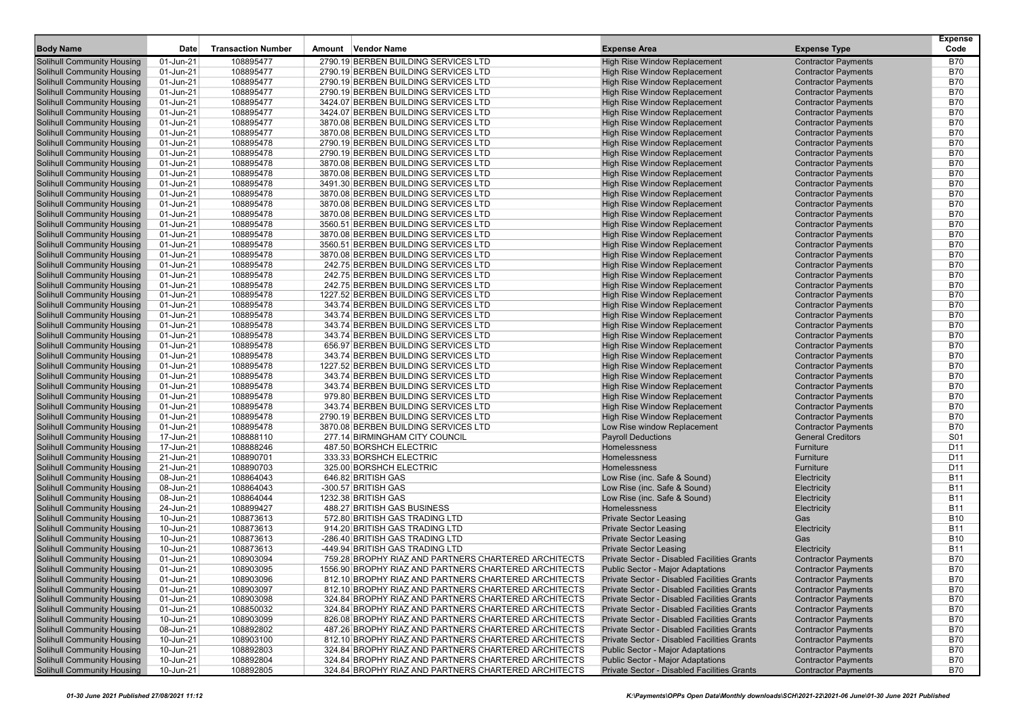| <b>Body Name</b>                                                       | <b>Date</b>            | <b>Transaction Number</b> | Amount Vendor Name                                                                                           | <b>Expense Area</b>                                                                        | <b>Expense Type</b>                                      | <b>Expense</b><br>Code   |
|------------------------------------------------------------------------|------------------------|---------------------------|--------------------------------------------------------------------------------------------------------------|--------------------------------------------------------------------------------------------|----------------------------------------------------------|--------------------------|
|                                                                        | 01-Jun-21              | 108895477                 | 2790.19 BERBEN BUILDING SERVICES LTD                                                                         |                                                                                            |                                                          | B70                      |
| <b>Solihull Community Housing</b><br><b>Solihull Community Housing</b> |                        |                           | 2790.19 BERBEN BUILDING SERVICES LTD                                                                         | High Rise Window Replacement<br><b>High Rise Window Replacement</b>                        | <b>Contractor Payments</b>                               | <b>B70</b>               |
| <b>Solihull Community Housing</b>                                      | 01-Jun-21<br>01-Jun-21 | 108895477<br>108895477    | 2790.19 BERBEN BUILDING SERVICES LTD                                                                         | High Rise Window Replacement                                                               | <b>Contractor Payments</b><br><b>Contractor Payments</b> | <b>B70</b>               |
| <b>Solihull Community Housing</b>                                      | 01-Jun-21              | 108895477                 | 2790.19 BERBEN BUILDING SERVICES LTD                                                                         | High Rise Window Replacement                                                               | <b>Contractor Payments</b>                               | <b>B70</b>               |
| <b>Solihull Community Housing</b>                                      | 01-Jun-21              | 108895477                 | 3424.07 BERBEN BUILDING SERVICES LTD                                                                         | High Rise Window Replacement                                                               | <b>Contractor Payments</b>                               | <b>B70</b>               |
| <b>Solihull Community Housing</b>                                      | 01-Jun-21              | 108895477                 | 3424.07 BERBEN BUILDING SERVICES LTD                                                                         | High Rise Window Replacement                                                               | <b>Contractor Payments</b>                               | <b>B70</b>               |
| <b>Solihull Community Housing</b>                                      | 01-Jun-21              | 108895477                 | 3870.08 BERBEN BUILDING SERVICES LTD                                                                         | High Rise Window Replacement                                                               | <b>Contractor Payments</b>                               | <b>B70</b>               |
| <b>Solihull Community Housing</b>                                      | 01-Jun-21              | 108895477                 | 3870.08 BERBEN BUILDING SERVICES LTD                                                                         | High Rise Window Replacement                                                               | <b>Contractor Payments</b>                               | <b>B70</b>               |
| <b>Solihull Community Housing</b>                                      | 01-Jun-21              | 108895478                 | 2790.19 BERBEN BUILDING SERVICES LTD                                                                         | High Rise Window Replacement                                                               | <b>Contractor Payments</b>                               | <b>B70</b>               |
| <b>Solihull Community Housing</b>                                      | 01-Jun-21              | 108895478                 | 2790.19 BERBEN BUILDING SERVICES LTD                                                                         | High Rise Window Replacement                                                               | <b>Contractor Payments</b>                               | <b>B70</b>               |
| <b>Solihull Community Housing</b>                                      | 01-Jun-21              | 108895478                 | 3870.08 BERBEN BUILDING SERVICES LTD                                                                         | High Rise Window Replacement                                                               | <b>Contractor Payments</b>                               | <b>B70</b>               |
| <b>Solihull Community Housing</b>                                      | 01-Jun-21              | 108895478                 | 3870.08 BERBEN BUILDING SERVICES LTD                                                                         | High Rise Window Replacement                                                               | <b>Contractor Payments</b>                               | <b>B70</b>               |
| <b>Solihull Community Housing</b>                                      | 01-Jun-21              | 108895478                 | 3491.30 BERBEN BUILDING SERVICES LTD                                                                         | <b>High Rise Window Replacement</b>                                                        | <b>Contractor Payments</b>                               | <b>B70</b>               |
| <b>Solihull Community Housing</b>                                      | 01-Jun-21              | 108895478                 | 3870.08 BERBEN BUILDING SERVICES LTD                                                                         | High Rise Window Replacement                                                               | <b>Contractor Payments</b>                               | <b>B70</b>               |
| <b>Solihull Community Housing</b>                                      | 01-Jun-21              | 108895478                 | 3870.08 BERBEN BUILDING SERVICES LTD                                                                         | <b>High Rise Window Replacement</b>                                                        | <b>Contractor Payments</b>                               | <b>B70</b>               |
| <b>Solihull Community Housing</b>                                      | 01-Jun-21              | 108895478                 | 3870.08 BERBEN BUILDING SERVICES LTD                                                                         | High Rise Window Replacement                                                               | <b>Contractor Payments</b>                               | <b>B70</b>               |
| Solihull Community Housing                                             | 01-Jun-21              | 108895478                 | 3560.51 BERBEN BUILDING SERVICES LTD                                                                         | High Rise Window Replacement                                                               | <b>Contractor Payments</b>                               | <b>B70</b>               |
| <b>Solihull Community Housing</b>                                      | 01-Jun-21              | 108895478                 | 3870.08 BERBEN BUILDING SERVICES LTD                                                                         | High Rise Window Replacement                                                               | <b>Contractor Payments</b>                               | <b>B70</b>               |
| <b>Solihull Community Housing</b>                                      | 01-Jun-21              | 108895478                 | 3560.51 BERBEN BUILDING SERVICES LTD                                                                         | High Rise Window Replacement                                                               | <b>Contractor Payments</b>                               | <b>B70</b>               |
| <b>Solihull Community Housing</b>                                      | 01-Jun-21              | 108895478                 | 3870.08 BERBEN BUILDING SERVICES LTD                                                                         | High Rise Window Replacement                                                               | <b>Contractor Payments</b>                               | <b>B70</b>               |
| <b>Solihull Community Housing</b>                                      | 01-Jun-21              | 108895478                 | 242.75 BERBEN BUILDING SERVICES LTD                                                                          | High Rise Window Replacement                                                               | <b>Contractor Payments</b>                               | <b>B70</b>               |
| <b>Solihull Community Housing</b>                                      | 01-Jun-21              | 108895478                 | 242.75 BERBEN BUILDING SERVICES LTD                                                                          | High Rise Window Replacement                                                               | <b>Contractor Payments</b>                               | <b>B70</b>               |
| <b>Solihull Community Housing</b>                                      | 01-Jun-21              | 108895478                 | 242.75 BERBEN BUILDING SERVICES LTD                                                                          | <b>High Rise Window Replacement</b>                                                        | <b>Contractor Payments</b>                               | <b>B70</b>               |
| <b>Solihull Community Housing</b>                                      | 01-Jun-21              | 108895478                 | 1227.52 BERBEN BUILDING SERVICES LTD                                                                         | <b>High Rise Window Replacement</b>                                                        | <b>Contractor Payments</b>                               | <b>B70</b>               |
| <b>Solihull Community Housing</b>                                      | 01-Jun-21              | 108895478                 | 343.74 BERBEN BUILDING SERVICES LTD                                                                          | <b>High Rise Window Replacement</b>                                                        | <b>Contractor Payments</b>                               | <b>B70</b>               |
| <b>Solihull Community Housing</b>                                      | 01-Jun-21              | 108895478                 | 343.74 BERBEN BUILDING SERVICES LTD                                                                          | High Rise Window Replacement                                                               | <b>Contractor Payments</b>                               | <b>B70</b>               |
| Solihull Community Housing                                             | 01-Jun-21              | 108895478                 | 343.74 BERBEN BUILDING SERVICES LTD                                                                          | High Rise Window Replacement                                                               | <b>Contractor Payments</b>                               | <b>B70</b>               |
| <b>Solihull Community Housing</b>                                      | 01-Jun-21              | 108895478                 | 343.74 BERBEN BUILDING SERVICES LTD                                                                          | High Rise Window Replacement                                                               | <b>Contractor Payments</b>                               | <b>B70</b>               |
| <b>Solihull Community Housing</b>                                      | 01-Jun-21              | 108895478                 | 656.97 BERBEN BUILDING SERVICES LTD                                                                          | High Rise Window Replacement                                                               | <b>Contractor Payments</b>                               | <b>B70</b>               |
| <b>Solihull Community Housing</b>                                      | 01-Jun-21              | 108895478                 | 343.74 BERBEN BUILDING SERVICES LTD                                                                          | High Rise Window Replacement                                                               | <b>Contractor Payments</b>                               | <b>B70</b>               |
| <b>Solihull Community Housing</b>                                      | 01-Jun-21              | 108895478                 | 1227.52 BERBEN BUILDING SERVICES LTD                                                                         | <b>High Rise Window Replacement</b>                                                        | <b>Contractor Payments</b>                               | <b>B70</b>               |
| <b>Solihull Community Housing</b>                                      | 01-Jun-21              | 108895478                 | 343.74 BERBEN BUILDING SERVICES LTD                                                                          | <b>High Rise Window Replacement</b>                                                        | <b>Contractor Payments</b>                               | <b>B70</b>               |
| <b>Solihull Community Housing</b>                                      | 01-Jun-21              | 108895478                 | 343.74 BERBEN BUILDING SERVICES LTD                                                                          | High Rise Window Replacement                                                               | <b>Contractor Payments</b>                               | <b>B70</b>               |
| <b>Solihull Community Housing</b>                                      | 01-Jun-21              | 108895478                 | 979.80 BERBEN BUILDING SERVICES LTD                                                                          | High Rise Window Replacement                                                               | <b>Contractor Payments</b>                               | <b>B70</b>               |
| <b>Solihull Community Housing</b>                                      | 01-Jun-21              | 108895478                 | 343.74 BERBEN BUILDING SERVICES LTD                                                                          | High Rise Window Replacement                                                               | <b>Contractor Payments</b>                               | <b>B70</b>               |
| <b>Solihull Community Housing</b>                                      | 01-Jun-21              | 108895478                 | 2790.19 BERBEN BUILDING SERVICES LTD                                                                         | High Rise Window Replacement                                                               | <b>Contractor Payments</b>                               | <b>B70</b>               |
| <b>Solihull Community Housing</b>                                      | 01-Jun-21              | 108895478                 | 3870.08 BERBEN BUILDING SERVICES LTD                                                                         | Low Rise window Replacement                                                                | <b>Contractor Payments</b>                               | <b>B70</b>               |
| <b>Solihull Community Housing</b>                                      | 17-Jun-21              | 108888110                 | 277.14 BIRMINGHAM CITY COUNCIL                                                                               | <b>Payroll Deductions</b>                                                                  | <b>General Creditors</b>                                 | S01                      |
| <b>Solihull Community Housing</b>                                      | 17-Jun-21              | 108888246                 | 487.50 BORSHCH ELECTRIC                                                                                      | Homelessness                                                                               | Furniture                                                | D <sub>11</sub>          |
| <b>Solihull Community Housing</b>                                      | 21-Jun-21              | 108890701                 | 333.33 BORSHCH ELECTRIC                                                                                      | Homelessness                                                                               | Furniture                                                | D11                      |
| <b>Solihull Community Housing</b>                                      | 21-Jun-21              | 108890703                 | 325.00 BORSHCH ELECTRIC                                                                                      | Homelessness                                                                               | Furniture                                                | D11                      |
| Solihull Community Housing                                             | 08-Jun-21              | 108864043                 | 646.82 BRITISH GAS                                                                                           | Low Rise (inc. Safe & Sound)                                                               | Electricity                                              | <b>B11</b>               |
| <b>Solihull Community Housing</b>                                      | 08-Jun-21              | 108864043                 | -300.57 BRITISH GAS                                                                                          | Low Rise (inc. Safe & Sound)                                                               | Electricity                                              | <b>B11</b>               |
| <b>Solihull Community Housing</b>                                      | 08-Jun-21              | 108864044                 | 1232.38 BRITISH GAS                                                                                          | Low Rise (inc. Safe & Sound)                                                               | Electricity                                              | <b>B11</b>               |
| <b>Solihull Community Housing</b>                                      | 24-Jun-21              | 108899427                 | 488.27 BRITISH GAS BUSINESS                                                                                  | Homelessness                                                                               | Electricity                                              | <b>B11</b>               |
| <b>Solihull Community Housing</b>                                      | 10-Jun-21              | 108873613                 | 572.80 BRITISH GAS TRADING LTD                                                                               | <b>Private Sector Leasing</b>                                                              | Gas                                                      | <b>B10</b>               |
| <b>Solihull Community Housing</b>                                      | 10-Jun-21              | 108873613                 | 914.20 BRITISH GAS TRADING LTD                                                                               | <b>Private Sector Leasing</b>                                                              | Electricity                                              | <b>B11</b>               |
| <b>Solihull Community Housing</b>                                      | 10-Jun-21              | 108873613                 | -286.40 BRITISH GAS TRADING LTD                                                                              | <b>Private Sector Leasing</b>                                                              | Gas                                                      | <b>B10</b>               |
| <b>Solihull Community Housing</b>                                      | 10-Jun-21              | 108873613                 | -449.94 BRITISH GAS TRADING LTD                                                                              | <b>Private Sector Leasing</b>                                                              | Electricity                                              | <b>B11</b>               |
| <b>Solihull Community Housing</b>                                      | 01-Jun-21              | 108903094                 | 759.28 BROPHY RIAZ AND PARTNERS CHARTERED ARCHITECTS                                                         | Private Sector - Disabled Facilities Grants                                                | <b>Contractor Payments</b>                               | <b>B70</b>               |
| <b>Solihull Community Housing</b>                                      | 01-Jun-21              | 108903095                 | 1556.90 BROPHY RIAZ AND PARTNERS CHARTERED ARCHITECTS                                                        | <b>Public Sector - Major Adaptations</b>                                                   | <b>Contractor Payments</b>                               | <b>B70</b>               |
| <b>Solihull Community Housing</b><br><b>Solihull Community Housing</b> | 01-Jun-21              | 108903096<br>108903097    | 812.10 BROPHY RIAZ AND PARTNERS CHARTERED ARCHITECTS<br>812.10 BROPHY RIAZ AND PARTNERS CHARTERED ARCHITECTS | Private Sector - Disabled Facilities Grants<br>Private Sector - Disabled Facilities Grants | <b>Contractor Payments</b>                               | <b>B70</b><br><b>B70</b> |
|                                                                        | 01-Jun-21              |                           |                                                                                                              |                                                                                            | <b>Contractor Payments</b><br><b>Contractor Payments</b> |                          |
| <b>Solihull Community Housing</b><br><b>Solihull Community Housing</b> | 01-Jun-21              | 108903098<br>108850032    | 324.84 BROPHY RIAZ AND PARTNERS CHARTERED ARCHITECTS                                                         | Private Sector - Disabled Facilities Grants<br>Private Sector - Disabled Facilities Grants | <b>Contractor Payments</b>                               | <b>B70</b><br><b>B70</b> |
| <b>Solihull Community Housing</b>                                      | 01-Jun-21<br>10-Jun-21 | 108903099                 | 324.84 BROPHY RIAZ AND PARTNERS CHARTERED ARCHITECTS<br>826.08 BROPHY RIAZ AND PARTNERS CHARTERED ARCHITECTS | Private Sector - Disabled Facilities Grants                                                | <b>Contractor Payments</b>                               | <b>B70</b>               |
| <b>Solihull Community Housing</b>                                      | 08-Jun-21              | 108892802                 | 487.26 BROPHY RIAZ AND PARTNERS CHARTERED ARCHITECTS                                                         | Private Sector - Disabled Facilities Grants                                                | <b>Contractor Payments</b>                               | <b>B70</b>               |
| <b>Solihull Community Housing</b>                                      | 10-Jun-21              | 108903100                 | 812.10 BROPHY RIAZ AND PARTNERS CHARTERED ARCHITECTS                                                         | Private Sector - Disabled Facilities Grants                                                | <b>Contractor Payments</b>                               | B70                      |
| <b>Solihull Community Housing</b>                                      | 10-Jun-21              | 108892803                 | 324.84 BROPHY RIAZ AND PARTNERS CHARTERED ARCHITECTS                                                         | <b>Public Sector - Major Adaptations</b>                                                   | <b>Contractor Payments</b>                               | <b>B70</b>               |
| <b>Solihull Community Housing</b>                                      | 10-Jun-21              | 108892804                 | 324.84 BROPHY RIAZ AND PARTNERS CHARTERED ARCHITECTS                                                         | <b>Public Sector - Major Adaptations</b>                                                   | <b>Contractor Payments</b>                               | <b>B70</b>               |
| <b>Solihull Community Housing</b>                                      | 10-Jun-21              | 108892805                 | 324.84 BROPHY RIAZ AND PARTNERS CHARTERED ARCHITECTS                                                         | Private Sector - Disabled Facilities Grants                                                | <b>Contractor Payments</b>                               | <b>B70</b>               |
|                                                                        |                        |                           |                                                                                                              |                                                                                            |                                                          |                          |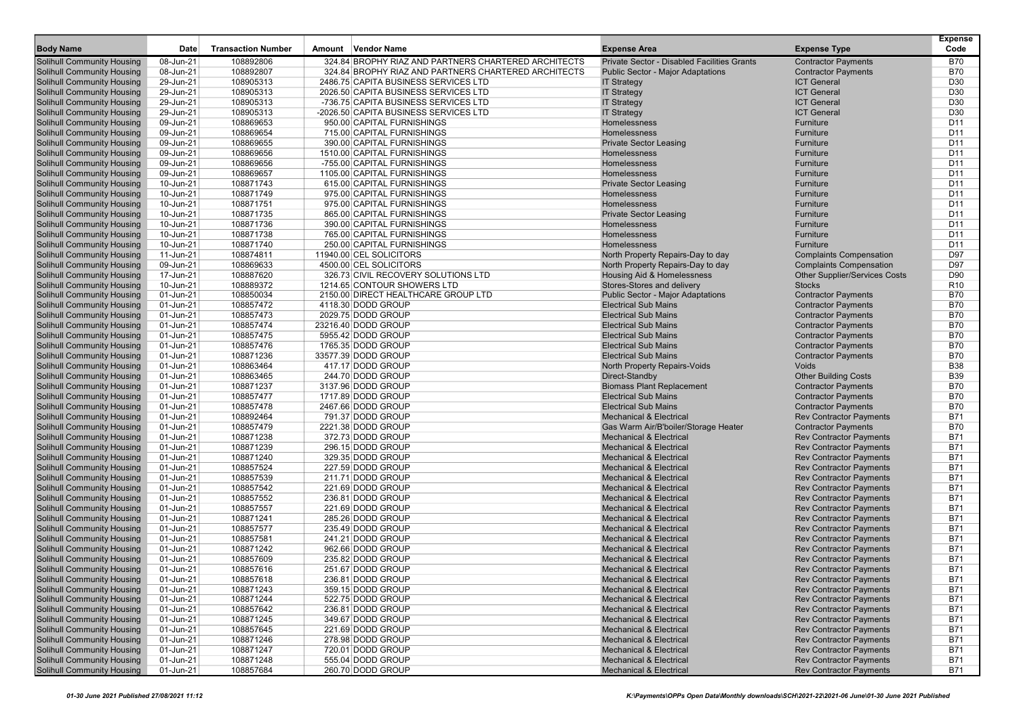| <b>Body Name</b>                                                       | Date                   | <b>Transaction Number</b> | <b>Vendor Name</b><br>Amount                         | <b>Expense Area</b>                                                      | <b>Expense Type</b>                                              | <b>Expense</b><br>Code   |
|------------------------------------------------------------------------|------------------------|---------------------------|------------------------------------------------------|--------------------------------------------------------------------------|------------------------------------------------------------------|--------------------------|
| <b>Solihull Community Housing</b>                                      | 08-Jun-21              | 108892806                 | 324.84 BROPHY RIAZ AND PARTNERS CHARTERED ARCHITECTS | Private Sector - Disabled Facilities Grants                              | <b>Contractor Payments</b>                                       | <b>B70</b>               |
| <b>Solihull Community Housing</b>                                      | 08-Jun-21              | 108892807                 | 324.84 BROPHY RIAZ AND PARTNERS CHARTERED ARCHITECTS | <b>Public Sector - Major Adaptations</b>                                 | <b>Contractor Payments</b>                                       | <b>B70</b>               |
| <b>Solihull Community Housing</b>                                      | 29-Jun-21              | 108905313                 | 2486.75 CAPITA BUSINESS SERVICES LTD                 | <b>IT Strategy</b>                                                       | <b>ICT General</b>                                               | D30                      |
| <b>Solihull Community Housing</b>                                      | 29-Jun-21              | 108905313                 | 2026.50 CAPITA BUSINESS SERVICES LTD                 | <b>IT Strategy</b>                                                       | <b>ICT General</b>                                               | D30                      |
| <b>Solihull Community Housing</b>                                      | 29-Jun-21              | 108905313                 | -736.75 CAPITA BUSINESS SERVICES LTD                 | <b>IT Strategy</b>                                                       | <b>ICT General</b>                                               | D30                      |
| <b>Solihull Community Housing</b>                                      | 29-Jun-21              | 108905313                 | -2026.50 CAPITA BUSINESS SERVICES LTD                | <b>IT Strategy</b>                                                       | <b>ICT General</b>                                               | D30                      |
| <b>Solihull Community Housing</b>                                      | 09-Jun-21              | 108869653                 | 950.00 CAPITAL FURNISHINGS                           | Homelessness                                                             | Furniture                                                        | D <sub>11</sub>          |
| <b>Solihull Community Housing</b>                                      | 09-Jun-21              | 108869654                 | 715.00 CAPITAL FURNISHINGS                           | Homelessness                                                             | Furniture                                                        | D <sub>11</sub>          |
| <b>Solihull Community Housing</b>                                      | 09-Jun-21              | 108869655                 | 390.00 CAPITAL FURNISHINGS                           | <b>Private Sector Leasing</b>                                            | Furniture                                                        | D <sub>11</sub>          |
| <b>Solihull Community Housing</b>                                      | 09-Jun-21              | 108869656                 | 1510.00 CAPITAL FURNISHINGS                          | Homelessness                                                             | Furniture                                                        | D <sub>11</sub>          |
| <b>Solihull Community Housing</b>                                      | 09-Jun-21              | 108869656                 | -755.00 CAPITAL FURNISHINGS                          | Homelessness                                                             | Furniture                                                        | D <sub>11</sub>          |
| <b>Solihull Community Housing</b>                                      | 09-Jun-21              | 108869657                 | 1105.00 CAPITAL FURNISHINGS                          | Homelessness                                                             | Furniture                                                        | D <sub>11</sub>          |
| <b>Solihull Community Housing</b>                                      | 10-Jun-21              | 108871743                 | 615.00 CAPITAL FURNISHINGS                           | <b>Private Sector Leasing</b>                                            | Furniture                                                        | D <sub>11</sub>          |
| <b>Solihull Community Housing</b>                                      | 10-Jun-21              | 108871749                 | 975.00 CAPITAL FURNISHINGS                           | Homelessness                                                             | Furniture                                                        | D <sub>11</sub>          |
| <b>Solihull Community Housing</b>                                      | 10-Jun-21              | 108871751                 | 975.00 CAPITAL FURNISHINGS                           | Homelessness                                                             | Furniture                                                        | D <sub>11</sub>          |
| <b>Solihull Community Housing</b>                                      | 10-Jun-21              | 108871735                 | 865.00 CAPITAL FURNISHINGS                           | <b>Private Sector Leasing</b>                                            | Furniture                                                        | D <sub>11</sub>          |
| <b>Solihull Community Housing</b>                                      | 10-Jun-21              | 108871736                 | 390.00 CAPITAL FURNISHINGS                           | Homelessness                                                             | Furniture                                                        | D <sub>11</sub>          |
| <b>Solihull Community Housing</b>                                      | 10-Jun-21              | 108871738                 | 765.00 CAPITAL FURNISHINGS                           | Homelessness                                                             | Furniture                                                        | D <sub>11</sub>          |
| <b>Solihull Community Housing</b>                                      | 10-Jun-21              | 108871740                 | 250.00 CAPITAL FURNISHINGS                           | Homelessness                                                             | Furniture                                                        | D <sub>11</sub>          |
| <b>Solihull Community Housing</b>                                      | 11-Jun-21              | 108874811                 | 11940.00 CEL SOLICITORS                              | North Property Repairs-Day to day                                        | <b>Complaints Compensation</b>                                   | D97                      |
| <b>Solihull Community Housing</b>                                      | 09-Jun-21              | 108869633                 | 4500.00 CEL SOLICITORS                               | North Property Repairs-Day to day                                        | <b>Complaints Compensation</b>                                   | D97                      |
| <b>Solihull Community Housing</b>                                      | 17-Jun-21              | 108887620                 | 326.73 CIVIL RECOVERY SOLUTIONS LTD                  | Housing Aid & Homelessness                                               | <b>Other Supplier/Services Costs</b>                             | D90                      |
| <b>Solihull Community Housing</b>                                      | 10-Jun-21              | 108889372<br>108850034    | 1214.65 CONTOUR SHOWERS LTD                          | Stores-Stores and delivery                                               | <b>Stocks</b>                                                    | R <sub>10</sub>          |
| <b>Solihull Community Housing</b>                                      | 01-Jun-21              |                           | 2150.00 DIRECT HEALTHCARE GROUP LTD                  | <b>Public Sector - Major Adaptations</b>                                 | <b>Contractor Payments</b>                                       | <b>B70</b><br><b>B70</b> |
| <b>Solihull Community Housing</b><br><b>Solihull Community Housing</b> | 01-Jun-21<br>01-Jun-21 | 108857472<br>108857473    | 4118.30 DODD GROUP<br>2029.75 DODD GROUP             | <b>Electrical Sub Mains</b><br><b>Electrical Sub Mains</b>               | <b>Contractor Payments</b><br><b>Contractor Payments</b>         | <b>B70</b>               |
| <b>Solihull Community Housing</b>                                      | 01-Jun-21              | 108857474                 | 23216.40 DODD GROUP                                  | <b>Electrical Sub Mains</b>                                              | <b>Contractor Payments</b>                                       | <b>B70</b>               |
| <b>Solihull Community Housing</b>                                      | 01-Jun-21              | 108857475                 | 5955.42 DODD GROUP                                   | <b>Electrical Sub Mains</b>                                              | <b>Contractor Payments</b>                                       | <b>B70</b>               |
| <b>Solihull Community Housing</b>                                      | 01-Jun-21              | 108857476                 | 1765.35 DODD GROUP                                   | <b>Electrical Sub Mains</b>                                              | <b>Contractor Payments</b>                                       | <b>B70</b>               |
| <b>Solihull Community Housing</b>                                      | 01-Jun-21              | 108871236                 | 33577.39 DODD GROUP                                  | <b>Electrical Sub Mains</b>                                              | <b>Contractor Payments</b>                                       | <b>B70</b>               |
| <b>Solihull Community Housing</b>                                      | 01-Jun-21              | 108863464                 | 417.17 DODD GROUP                                    | North Property Repairs-Voids                                             | Voids                                                            | <b>B38</b>               |
| <b>Solihull Community Housing</b>                                      | 01-Jun-21              | 108863465                 | 244.70 DODD GROUP                                    | Direct-Standby                                                           | <b>Other Building Costs</b>                                      | <b>B39</b>               |
| <b>Solihull Community Housing</b>                                      | 01-Jun-21              | 108871237                 | 3137.96 DODD GROUP                                   | <b>Biomass Plant Replacement</b>                                         | <b>Contractor Payments</b>                                       | <b>B70</b>               |
| <b>Solihull Community Housing</b>                                      | 01-Jun-21              | 108857477                 | 1717.89 DODD GROUP                                   | <b>Electrical Sub Mains</b>                                              | <b>Contractor Payments</b>                                       | <b>B70</b>               |
| <b>Solihull Community Housing</b>                                      | 01-Jun-21              | 108857478                 | 2467.66 DODD GROUP                                   | <b>Electrical Sub Mains</b>                                              | <b>Contractor Payments</b>                                       | <b>B70</b>               |
| <b>Solihull Community Housing</b>                                      | 01-Jun-21              | 108892464                 | 791.37 DODD GROUP                                    | <b>Mechanical &amp; Electrical</b>                                       | <b>Rev Contractor Payments</b>                                   | <b>B71</b>               |
| <b>Solihull Community Housing</b>                                      | 01-Jun-21              | 108857479                 | 2221.38 DODD GROUP                                   | Gas Warm Air/B'boiler/Storage Heater                                     | <b>Contractor Payments</b>                                       | <b>B70</b>               |
| <b>Solihull Community Housing</b>                                      | 01-Jun-21              | 108871238                 | 372.73 DODD GROUP                                    | <b>Mechanical &amp; Electrical</b>                                       | <b>Rev Contractor Payments</b>                                   | <b>B71</b>               |
| <b>Solihull Community Housing</b>                                      | 01-Jun-21              | 108871239                 | 296.15 DODD GROUP                                    | <b>Mechanical &amp; Electrical</b>                                       | <b>Rev Contractor Payments</b>                                   | <b>B71</b>               |
| <b>Solihull Community Housing</b>                                      | 01-Jun-21              | 108871240                 | 329.35 DODD GROUP                                    | <b>Mechanical &amp; Electrical</b>                                       | <b>Rev Contractor Payments</b>                                   | <b>B71</b>               |
| <b>Solihull Community Housing</b>                                      | 01-Jun-21              | 108857524                 | 227.59 DODD GROUP                                    | <b>Mechanical &amp; Electrical</b>                                       | <b>Rev Contractor Payments</b>                                   | <b>B71</b>               |
| <b>Solihull Community Housing</b>                                      | 01-Jun-21              | 108857539                 | 211.71 DODD GROUP                                    | <b>Mechanical &amp; Electrical</b>                                       | <b>Rev Contractor Payments</b>                                   | <b>B71</b>               |
| <b>Solihull Community Housing</b>                                      | 01-Jun-21              | 108857542                 | 221.69 DODD GROUP                                    | <b>Mechanical &amp; Electrical</b>                                       | <b>Rev Contractor Payments</b>                                   | <b>B71</b>               |
| <b>Solihull Community Housing</b>                                      | 01-Jun-21              | 108857552                 | 236.81 DODD GROUP                                    | <b>Mechanical &amp; Electrical</b>                                       | <b>Rev Contractor Payments</b>                                   | <b>B71</b>               |
| <b>Solihull Community Housing</b>                                      | 01-Jun-21              | 108857557                 | 221.69 DODD GROUP                                    | <b>Mechanical &amp; Electrical</b>                                       | <b>Rev Contractor Payments</b>                                   | <b>B71</b>               |
| <b>Solihull Community Housing</b>                                      | 01-Jun-21              | 108871241                 | 285.26 DODD GROUP                                    | <b>Mechanical &amp; Electrical</b>                                       | <b>Rev Contractor Payments</b>                                   | <b>B71</b>               |
| <b>Solihull Community Housing</b>                                      | 01-Jun-21              | 108857577                 | 235.49 DODD GROUP                                    | <b>Mechanical &amp; Electrical</b>                                       | <b>Rev Contractor Payments</b>                                   | <b>B71</b>               |
| Solihull Community Housing                                             | 01-Jun-21              | 108857581                 | 241.21 DODD GROUP                                    | <b>Mechanical &amp; Electrical</b>                                       | <b>Rev Contractor Payments</b>                                   | <b>B71</b>               |
| <b>Solihull Community Housing</b>                                      | 01-Jun-21              | 108871242                 | 962.66 DODD GROUP                                    | <b>Mechanical &amp; Electrical</b>                                       | <b>Rev Contractor Payments</b>                                   | <b>B71</b>               |
| <b>Solihull Community Housing</b>                                      | 01-Jun-21              | 108857609                 | 235.82 DODD GROUP                                    | <b>Mechanical &amp; Electrical</b>                                       | <b>Rev Contractor Payments</b>                                   | B71                      |
| <b>Solihull Community Housing</b>                                      | 01-Jun-21              | 108857616                 | 251.67 DODD GROUP                                    | <b>Mechanical &amp; Electrical</b>                                       | <b>Rev Contractor Payments</b>                                   | <b>B71</b>               |
| <b>Solihull Community Housing</b>                                      | 01-Jun-21              | 108857618                 | 236.81 DODD GROUP                                    | <b>Mechanical &amp; Electrical</b>                                       | <b>Rev Contractor Payments</b>                                   | <b>B71</b>               |
| <b>Solihull Community Housing</b>                                      | 01-Jun-21              | 108871243                 | 359.15 DODD GROUP                                    | <b>Mechanical &amp; Electrical</b>                                       | <b>Rev Contractor Payments</b>                                   | <b>B71</b>               |
| <b>Solihull Community Housing</b><br><b>Solihull Community Housing</b> | 01-Jun-21              | 108871244                 | 522.75 DODD GROUP                                    | <b>Mechanical &amp; Electrical</b>                                       | <b>Rev Contractor Payments</b>                                   | <b>B71</b>               |
|                                                                        | 01-Jun-21              | 108857642                 | 236.81 DODD GROUP<br>349.67 DODD GROUP               | <b>Mechanical &amp; Electrical</b>                                       | <b>Rev Contractor Payments</b>                                   | <b>B71</b>               |
| <b>Solihull Community Housing</b><br><b>Solihull Community Housing</b> | 01-Jun-21              | 108871245<br>108857645    | 221.69 DODD GROUP                                    | <b>Mechanical &amp; Electrical</b><br><b>Mechanical &amp; Electrical</b> | <b>Rev Contractor Payments</b><br><b>Rev Contractor Payments</b> | <b>B71</b><br><b>B71</b> |
| <b>Solihull Community Housing</b>                                      | 01-Jun-21<br>01-Jun-21 | 108871246                 | 278.98 DODD GROUP                                    | <b>Mechanical &amp; Electrical</b>                                       | <b>Rev Contractor Payments</b>                                   | <b>B71</b>               |
| <b>Solihull Community Housing</b>                                      | 01-Jun-21              | 108871247                 | 720.01 DODD GROUP                                    | <b>Mechanical &amp; Electrical</b>                                       | <b>Rev Contractor Payments</b>                                   | <b>B71</b>               |
| <b>Solihull Community Housing</b>                                      | 01-Jun-21              | 108871248                 | 555.04 DODD GROUP                                    | <b>Mechanical &amp; Electrical</b>                                       | <b>Rev Contractor Payments</b>                                   | B71                      |
| <b>Solihull Community Housing</b>                                      | $01$ -Jun-21           | 108857684                 | 260.70 DODD GROUP                                    | <b>Mechanical &amp; Electrical</b>                                       | <b>Rev Contractor Payments</b>                                   | <b>B71</b>               |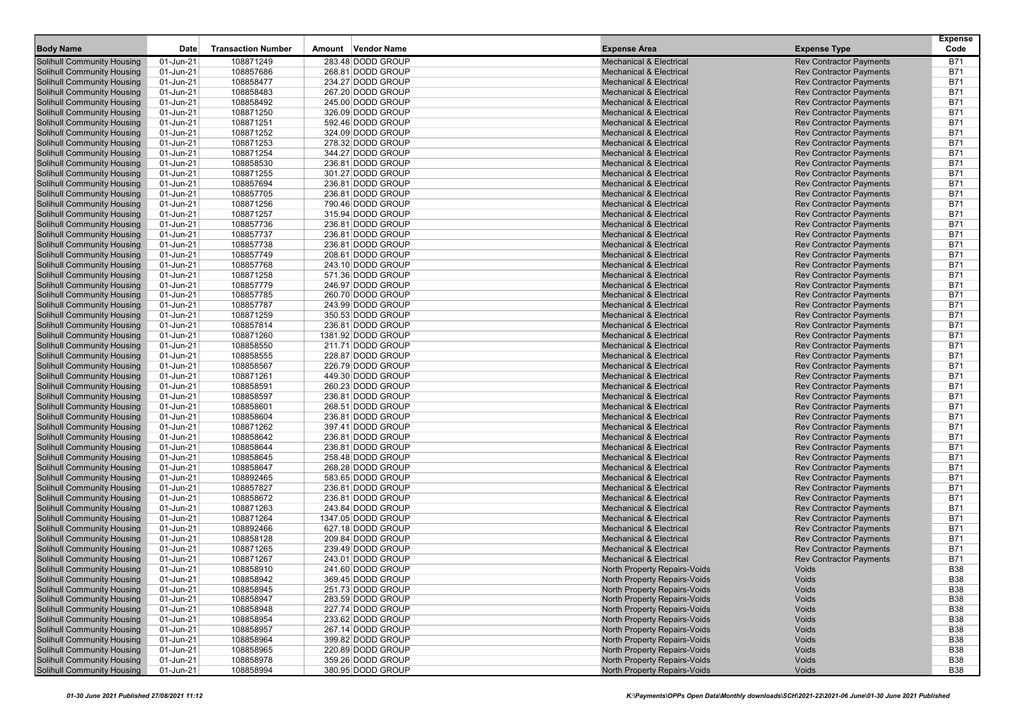| <b>Body Name</b>                                                       | Date                   | <b>Transaction Number</b> | Vendor Name<br>Amount                  | <b>Expense Area</b>                                                      | <b>Expense Type</b>                                              | <b>Expense</b><br>Code   |
|------------------------------------------------------------------------|------------------------|---------------------------|----------------------------------------|--------------------------------------------------------------------------|------------------------------------------------------------------|--------------------------|
|                                                                        |                        |                           |                                        |                                                                          |                                                                  |                          |
| Solihull Community Housing                                             | 01-Jun-21              | 108871249                 | 283.48 DODD GROUP                      | <b>Mechanical &amp; Electrical</b>                                       | <b>Rev Contractor Payments</b>                                   | <b>B71</b>               |
| Solihull Community Housing                                             | 01-Jun-21              | 108857686                 | 268.81 DODD GROUP                      | <b>Mechanical &amp; Electrical</b>                                       | <b>Rev Contractor Payments</b>                                   | <b>B71</b>               |
| <b>Solihull Community Housing</b>                                      | 01-Jun-21              | 108858477                 | 234.27 DODD GROUP                      | <b>Mechanical &amp; Electrical</b>                                       | <b>Rev Contractor Payments</b>                                   | <b>B71</b>               |
| <b>Solihull Community Housing</b>                                      | 01-Jun-21              | 108858483                 | 267.20 DODD GROUP                      | <b>Mechanical &amp; Electrical</b>                                       | <b>Rev Contractor Payments</b>                                   | <b>B71</b>               |
| <b>Solihull Community Housing</b>                                      | 01-Jun-21              | 108858492                 | 245.00 DODD GROUP                      | <b>Mechanical &amp; Electrical</b><br><b>Mechanical &amp; Electrical</b> | <b>Rev Contractor Payments</b>                                   | <b>B71</b><br><b>B71</b> |
| <b>Solihull Community Housing</b>                                      | 01-Jun-21              | 108871250                 | 326.09 DODD GROUP                      |                                                                          | <b>Rev Contractor Payments</b>                                   |                          |
| Solihull Community Housing                                             | 01-Jun-21              | 108871251<br>108871252    | 592.46 DODD GROUP                      | <b>Mechanical &amp; Electrical</b><br><b>Mechanical &amp; Electrical</b> | <b>Rev Contractor Payments</b>                                   | <b>B71</b><br><b>B71</b> |
| <b>Solihull Community Housing</b>                                      | 01-Jun-21              |                           | 324.09 DODD GROUP<br>278.32 DODD GROUP | <b>Mechanical &amp; Electrical</b>                                       | <b>Rev Contractor Payments</b>                                   | <b>B71</b>               |
| <b>Solihull Community Housing</b>                                      | 01-Jun-21              | 108871253<br>108871254    | 344.27 DODD GROUP                      | <b>Mechanical &amp; Electrical</b>                                       | <b>Rev Contractor Payments</b>                                   | <b>B71</b>               |
| <b>Solihull Community Housing</b><br><b>Solihull Community Housing</b> | 01-Jun-21<br>01-Jun-21 | 108858530                 | 236.81 DODD GROUP                      | <b>Mechanical &amp; Electrical</b>                                       | <b>Rev Contractor Payments</b><br><b>Rev Contractor Payments</b> | <b>B71</b>               |
|                                                                        |                        |                           | 301.27 DODD GROUP                      | <b>Mechanical &amp; Electrical</b>                                       |                                                                  | <b>B71</b>               |
| Solihull Community Housing<br><b>Solihull Community Housing</b>        | 01-Jun-21<br>01-Jun-21 | 108871255<br>108857694    | 236.81 DODD GROUP                      | <b>Mechanical &amp; Electrical</b>                                       | <b>Rev Contractor Payments</b><br><b>Rev Contractor Payments</b> | <b>B71</b>               |
| <b>Solihull Community Housing</b>                                      |                        |                           | 236.81 DODD GROUP                      | <b>Mechanical &amp; Electrical</b>                                       |                                                                  | <b>B71</b>               |
| <b>Solihull Community Housing</b>                                      | 01-Jun-21<br>01-Jun-21 | 108857705<br>108871256    | 790.46 DODD GROUP                      | <b>Mechanical &amp; Electrical</b>                                       | <b>Rev Contractor Payments</b><br><b>Rev Contractor Payments</b> | <b>B71</b>               |
|                                                                        |                        | 108871257                 |                                        |                                                                          |                                                                  | <b>B71</b>               |
| <b>Solihull Community Housing</b>                                      | 01-Jun-21              |                           | 315.94 DODD GROUP                      | <b>Mechanical &amp; Electrical</b>                                       | <b>Rev Contractor Payments</b>                                   |                          |
| Solihull Community Housing                                             | 01-Jun-21              | 108857736<br>108857737    | 236.81 DODD GROUP                      | <b>Mechanical &amp; Electrical</b><br><b>Mechanical &amp; Electrical</b> | <b>Rev Contractor Payments</b>                                   | <b>B71</b><br><b>B71</b> |
| <b>Solihull Community Housing</b>                                      | 01-Jun-21              |                           | 236.81 DODD GROUP                      |                                                                          | <b>Rev Contractor Payments</b>                                   |                          |
| <b>Solihull Community Housing</b>                                      | 01-Jun-21              | 108857738                 | 236.81 DODD GROUP                      | <b>Mechanical &amp; Electrical</b>                                       | <b>Rev Contractor Payments</b>                                   | <b>B71</b>               |
| <b>Solihull Community Housing</b>                                      | 01-Jun-21              | 108857749                 | 208.61 DODD GROUP                      | <b>Mechanical &amp; Electrical</b>                                       | <b>Rev Contractor Payments</b>                                   | <b>B71</b>               |
| <b>Solihull Community Housing</b>                                      | 01-Jun-21              | 108857768                 | 243.10 DODD GROUP                      | <b>Mechanical &amp; Electrical</b>                                       | <b>Rev Contractor Payments</b>                                   | <b>B71</b>               |
| Solihull Community Housing                                             | 01-Jun-21              | 108871258                 | 571.36 DODD GROUP                      | <b>Mechanical &amp; Electrical</b>                                       | <b>Rev Contractor Payments</b>                                   | <b>B71</b>               |
| <b>Solihull Community Housing</b>                                      | 01-Jun-21              | 108857779                 | 246.97 DODD GROUP                      | <b>Mechanical &amp; Electrical</b>                                       | <b>Rev Contractor Payments</b>                                   | <b>B71</b>               |
| <b>Solihull Community Housing</b>                                      | 01-Jun-21              | 108857785                 | 260.70 DODD GROUP                      | <b>Mechanical &amp; Electrical</b>                                       | <b>Rev Contractor Payments</b>                                   | <b>B71</b>               |
| <b>Solihull Community Housing</b>                                      | 01-Jun-21              | 108857787                 | 243.99 DODD GROUP                      | <b>Mechanical &amp; Electrical</b>                                       | <b>Rev Contractor Payments</b>                                   | <b>B71</b>               |
| <b>Solihull Community Housing</b>                                      | 01-Jun-21              | 108871259                 | 350.53 DODD GROUP                      | <b>Mechanical &amp; Electrical</b>                                       | <b>Rev Contractor Payments</b>                                   | <b>B71</b>               |
| Solihull Community Housing                                             | 01-Jun-21              | 108857814                 | 236.81 DODD GROUP                      | <b>Mechanical &amp; Electrical</b>                                       | <b>Rev Contractor Payments</b>                                   | <b>B71</b>               |
| <b>Solihull Community Housing</b>                                      | 01-Jun-21              | 108871260                 | 1381.92 DODD GROUP                     | <b>Mechanical &amp; Electrical</b>                                       | <b>Rev Contractor Payments</b>                                   | <b>B71</b>               |
| <b>Solihull Community Housing</b>                                      | 01-Jun-21              | 108858550                 | 211.71 DODD GROUP                      | <b>Mechanical &amp; Electrical</b>                                       | <b>Rev Contractor Payments</b>                                   | <b>B71</b>               |
| <b>Solihull Community Housing</b>                                      | 01-Jun-21              | 108858555                 | 228.87 DODD GROUP                      | <b>Mechanical &amp; Electrical</b>                                       | <b>Rev Contractor Payments</b>                                   | <b>B71</b>               |
| <b>Solihull Community Housing</b>                                      | 01-Jun-21              | 108858567                 | 226.79 DODD GROUP                      | <b>Mechanical &amp; Electrical</b>                                       | <b>Rev Contractor Payments</b>                                   | <b>B71</b>               |
| Solihull Community Housing                                             | 01-Jun-21              | 108871261                 | 449.30 DODD GROUP                      | <b>Mechanical &amp; Electrical</b>                                       | <b>Rev Contractor Payments</b>                                   | <b>B71</b>               |
| <b>Solihull Community Housing</b>                                      | 01-Jun-21              | 108858591                 | 260.23 DODD GROUP                      | <b>Mechanical &amp; Electrical</b>                                       | <b>Rev Contractor Payments</b>                                   | <b>B71</b>               |
| <b>Solihull Community Housing</b>                                      | 01-Jun-21              | 108858597                 | 236.81 DODD GROUP                      | <b>Mechanical &amp; Electrical</b>                                       | <b>Rev Contractor Payments</b>                                   | <b>B71</b>               |
| <b>Solihull Community Housing</b>                                      | 01-Jun-21              | 108858601                 | 268.51 DODD GROUP                      | <b>Mechanical &amp; Electrical</b>                                       | <b>Rev Contractor Payments</b>                                   | <b>B71</b>               |
| <b>Solihull Community Housing</b>                                      | 01-Jun-21              | 108858604                 | 236.81 DODD GROUP                      | <b>Mechanical &amp; Electrical</b>                                       | <b>Rev Contractor Payments</b>                                   | <b>B71</b>               |
| Solihull Community Housing                                             | 01-Jun-21              | 108871262                 | 397.41 DODD GROUP                      | <b>Mechanical &amp; Electrical</b>                                       | <b>Rev Contractor Payments</b>                                   | <b>B71</b>               |
| <b>Solihull Community Housing</b>                                      | 01-Jun-21              | 108858642                 | 236.81 DODD GROUP                      | <b>Mechanical &amp; Electrical</b>                                       | <b>Rev Contractor Payments</b>                                   | <b>B71</b>               |
| <b>Solihull Community Housing</b>                                      | 01-Jun-21              | 108858644                 | 236.81 DODD GROUP                      | <b>Mechanical &amp; Electrical</b>                                       | <b>Rev Contractor Payments</b>                                   | <b>B71</b>               |
| <b>Solihull Community Housing</b>                                      | 01-Jun-21              | 108858645                 | 258.48 DODD GROUP                      | <b>Mechanical &amp; Electrical</b>                                       | <b>Rev Contractor Payments</b>                                   | <b>B71</b>               |
| Solihull Community Housing                                             | 01-Jun-21              | 108858647                 | 268.28 DODD GROUP                      | <b>Mechanical &amp; Electrical</b>                                       | <b>Rev Contractor Payments</b>                                   | <b>B71</b>               |
| Solihull Community Housing                                             | 01-Jun-21              | 108892465                 | 583.65 DODD GROUP                      | <b>Mechanical &amp; Electrical</b>                                       | <b>Rev Contractor Payments</b>                                   | <b>B71</b>               |
| <b>Solihull Community Housing</b>                                      | 01-Jun-21              | 108857827                 | 236.81 DODD GROUP                      | <b>Mechanical &amp; Electrical</b>                                       | <b>Rev Contractor Payments</b>                                   | <b>B71</b>               |
| <b>Solihull Community Housing</b>                                      | 01-Jun-21              | 108858672                 | 236.81 DODD GROUP                      | <b>Mechanical &amp; Electrical</b>                                       | <b>Rev Contractor Payments</b>                                   | <b>B71</b>               |
| <b>Solihull Community Housing</b>                                      | 01-Jun-21              | 108871263                 | 243.84 DODD GROUP                      | <b>Mechanical &amp; Electrical</b>                                       | <b>Rev Contractor Payments</b>                                   | <b>B71</b>               |
| <b>Solihull Community Housing</b>                                      | 01-Jun-21              | 108871264                 | 1347.05 DODD GROUP                     | <b>Mechanical &amp; Electrical</b>                                       | <b>Rev Contractor Payments</b>                                   | <b>B71</b>               |
| Solihull Community Housing                                             | 01-Jun-21              | 108892466                 | 627.18 DODD GROUP                      | <b>Mechanical &amp; Electrical</b>                                       | <b>Rev Contractor Payments</b>                                   | <b>B71</b>               |
| <b>Solihull Community Housing</b>                                      | 01-Jun-21              | 108858128                 | 209.84 DODD GROUP                      | <b>Mechanical &amp; Electrical</b>                                       | <b>Rev Contractor Payments</b>                                   | <b>B71</b>               |
| <b>Solihull Community Housing</b>                                      | 01-Jun-21              | 108871265                 | 239.49 DODD GROUP                      | <b>Mechanical &amp; Electrical</b>                                       | <b>Rev Contractor Payments</b>                                   | <b>B71</b><br><b>B71</b> |
| <b>Solihull Community Housing</b>                                      | 01-Jun-21              | 108871267                 | 243.01 DODD GROUP                      | <b>Mechanical &amp; Electrical</b>                                       | <b>Rev Contractor Payments</b>                                   |                          |
| <b>Solihull Community Housing</b>                                      | 01-Jun-21              | 108858910                 | 241.60 DODD GROUP                      | North Property Repairs-Voids                                             | Voids                                                            | <b>B38</b>               |
| <b>Solihull Community Housing</b>                                      | 01-Jun-21              | 108858942                 | 369.45 DODD GROUP                      | North Property Repairs-Voids                                             | Voids                                                            | <b>B38</b>               |
| <b>Solihull Community Housing</b>                                      | 01-Jun-21              | 108858945                 | 251.73 DODD GROUP                      | North Property Repairs-Voids                                             | Voids                                                            | <b>B38</b>               |
| <b>Solihull Community Housing</b>                                      | 01-Jun-21              | 108858947                 | 283.59 DODD GROUP                      | North Property Repairs-Voids                                             | Voids                                                            | <b>B38</b>               |
| <b>Solihull Community Housing</b>                                      | 01-Jun-21              | 108858948                 | 227.74 DODD GROUP                      | North Property Repairs-Voids                                             | Voids                                                            | <b>B38</b>               |
| <b>Solihull Community Housing</b>                                      | 01-Jun-21              | 108858954                 | 233.62 DODD GROUP                      | North Property Repairs-Voids                                             | Voids                                                            | <b>B38</b>               |
| <b>Solihull Community Housing</b>                                      | 01-Jun-21              | 108858957                 | 267.14 DODD GROUP                      | North Property Repairs-Voids                                             | Voids                                                            | <b>B38</b>               |
| <b>Solihull Community Housing</b>                                      | 01-Jun-21              | 108858964                 | 399.82 DODD GROUP                      | North Property Repairs-Voids                                             | Voids                                                            | <b>B38</b>               |
| <b>Solihull Community Housing</b>                                      | 01-Jun-21              | 108858965                 | 220.89 DODD GROUP                      | North Property Repairs-Voids                                             | Voids                                                            | <b>B38</b>               |
| <b>Solihull Community Housing</b>                                      | 01-Jun-21              | 108858978                 | 359.26 DODD GROUP                      | North Property Repairs-Voids                                             | Voids                                                            | <b>B38</b>               |
| <b>Solihull Community Housing</b>                                      | $01$ -Jun-21           | 108858994                 | 380.95 DODD GROUP                      | North Property Repairs-Voids                                             | Voids                                                            | <b>B38</b>               |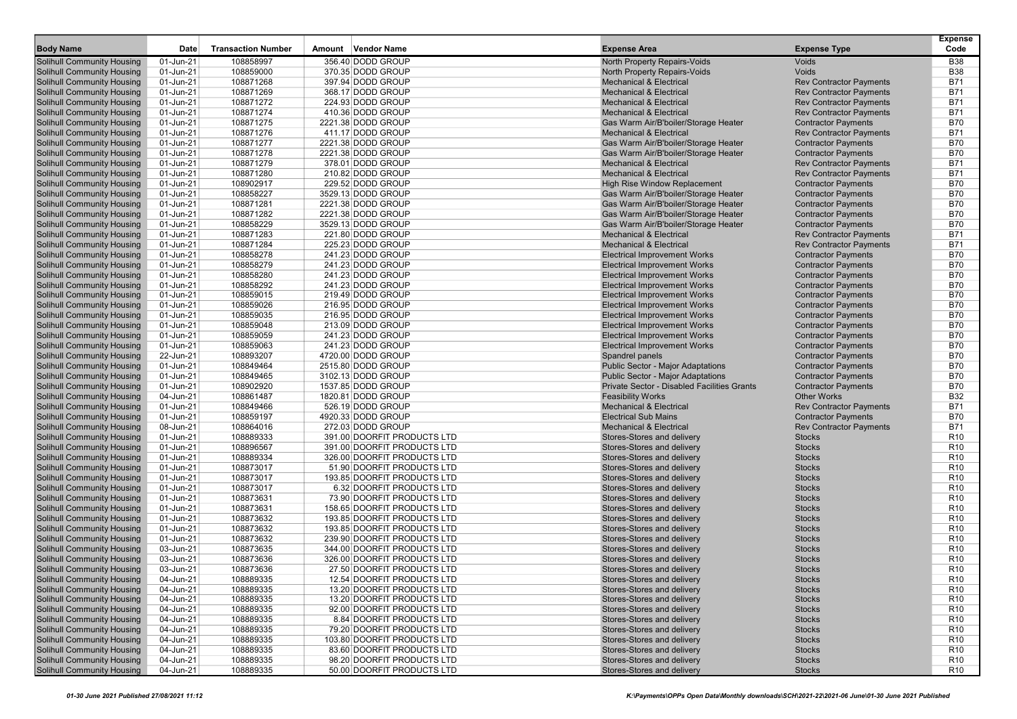| <b>Body Name</b>                                                       | Date                   | <b>Transaction Number</b> | Amount Vendor Name                                      | <b>Expense Area</b>                                                | <b>Expense Type</b>            | <b>Expense</b><br>Code             |
|------------------------------------------------------------------------|------------------------|---------------------------|---------------------------------------------------------|--------------------------------------------------------------------|--------------------------------|------------------------------------|
|                                                                        | 01-Jun-21              | 108858997                 | 356.40 DODD GROUP                                       |                                                                    | Voids                          | <b>B38</b>                         |
| Solihull Community Housing<br>Solihull Community Housing               |                        |                           | 370.35 DODD GROUP                                       | North Property Repairs-Voids                                       | <b>Voids</b>                   | <b>B38</b>                         |
| <b>Solihull Community Housing</b>                                      | 01-Jun-21<br>01-Jun-21 | 108859000<br>108871268    | 397.94 DODD GROUP                                       | North Property Repairs-Voids<br><b>Mechanical &amp; Electrical</b> | <b>Rev Contractor Payments</b> | B71                                |
| <b>Solihull Community Housing</b>                                      | 01-Jun-21              | 108871269                 | 368.17 DODD GROUP                                       | <b>Mechanical &amp; Electrical</b>                                 | <b>Rev Contractor Payments</b> | <b>B71</b>                         |
| <b>Solihull Community Housing</b>                                      | 01-Jun-21              | 108871272                 | 224.93 DODD GROUP                                       | <b>Mechanical &amp; Electrical</b>                                 | <b>Rev Contractor Payments</b> | <b>B71</b>                         |
| <b>Solihull Community Housing</b>                                      | 01-Jun-21              | 108871274                 | 410.36 DODD GROUP                                       | <b>Mechanical &amp; Electrical</b>                                 | <b>Rev Contractor Payments</b> | <b>B71</b>                         |
| <b>Solihull Community Housing</b>                                      | 01-Jun-21              | 108871275                 | 2221.38 DODD GROUP                                      | Gas Warm Air/B'boiler/Storage Heater                               | <b>Contractor Payments</b>     | <b>B70</b>                         |
| <b>Solihull Community Housing</b>                                      | 01-Jun-21              | 108871276                 | 411.17 DODD GROUP                                       | <b>Mechanical &amp; Electrical</b>                                 | <b>Rev Contractor Payments</b> | B71                                |
| <b>Solihull Community Housing</b>                                      | 01-Jun-21              | 108871277                 | 2221.38 DODD GROUP                                      | Gas Warm Air/B'boiler/Storage Heater                               | <b>Contractor Payments</b>     | <b>B70</b>                         |
| <b>Solihull Community Housing</b>                                      | 01-Jun-21              | 108871278                 | 2221.38 DODD GROUP                                      | Gas Warm Air/B'boiler/Storage Heater                               | <b>Contractor Payments</b>     | <b>B70</b>                         |
| <b>Solihull Community Housing</b>                                      | 01-Jun-21              | 108871279                 | 378.01 DODD GROUP                                       | <b>Mechanical &amp; Electrical</b>                                 | <b>Rev Contractor Payments</b> | <b>B71</b>                         |
| <b>Solihull Community Housing</b>                                      | 01-Jun-21              | 108871280                 | 210.82 DODD GROUP                                       | <b>Mechanical &amp; Electrical</b>                                 | <b>Rev Contractor Payments</b> | <b>B71</b>                         |
| <b>Solihull Community Housing</b>                                      | 01-Jun-21              | 108902917                 | 229.52 DODD GROUP                                       | <b>High Rise Window Replacement</b>                                | <b>Contractor Payments</b>     | <b>B70</b>                         |
| <b>Solihull Community Housing</b>                                      | 01-Jun-21              | 108858227                 | 3529.13 DODD GROUP                                      | Gas Warm Air/B'boiler/Storage Heater                               | <b>Contractor Payments</b>     | <b>B70</b>                         |
| <b>Solihull Community Housing</b>                                      | 01-Jun-21              | 108871281                 | 2221.38 DODD GROUP                                      | Gas Warm Air/B'boiler/Storage Heater                               | <b>Contractor Payments</b>     | <b>B70</b>                         |
| <b>Solihull Community Housing</b>                                      | 01-Jun-21              | 108871282                 | 2221.38 DODD GROUP                                      | Gas Warm Air/B'boiler/Storage Heater                               | <b>Contractor Payments</b>     | <b>B70</b>                         |
| Solihull Community Housing                                             | 01-Jun-21              | 108858229                 | 3529.13 DODD GROUP                                      | Gas Warm Air/B'boiler/Storage Heater                               | <b>Contractor Payments</b>     | <b>B70</b>                         |
| <b>Solihull Community Housing</b>                                      | 01-Jun-21              | 108871283                 | 221.80 DODD GROUP                                       | <b>Mechanical &amp; Electrical</b>                                 | <b>Rev Contractor Payments</b> | B71                                |
| <b>Solihull Community Housing</b>                                      | 01-Jun-21              | 108871284                 | 225.23 DODD GROUP                                       | <b>Mechanical &amp; Electrical</b>                                 | <b>Rev Contractor Payments</b> | <b>B71</b>                         |
| <b>Solihull Community Housing</b>                                      | 01-Jun-21              | 108858278                 | 241.23 DODD GROUP                                       | <b>Electrical Improvement Works</b>                                | <b>Contractor Payments</b>     | <b>B70</b>                         |
| <b>Solihull Community Housing</b>                                      | 01-Jun-21              | 108858279                 | 241.23 DODD GROUP                                       | <b>Electrical Improvement Works</b>                                | <b>Contractor Payments</b>     | <b>B70</b>                         |
| Solihull Community Housing                                             | 01-Jun-21              | 108858280                 | 241.23 DODD GROUP                                       | <b>Electrical Improvement Works</b>                                | <b>Contractor Payments</b>     | <b>B70</b>                         |
| <b>Solihull Community Housing</b>                                      | 01-Jun-21              | 108858292                 | 241.23 DODD GROUP                                       | <b>Electrical Improvement Works</b>                                | <b>Contractor Payments</b>     | <b>B70</b>                         |
| <b>Solihull Community Housing</b>                                      | 01-Jun-21              | 108859015                 | 219.49 DODD GROUP                                       | <b>Electrical Improvement Works</b>                                | <b>Contractor Payments</b>     | <b>B70</b>                         |
| <b>Solihull Community Housing</b>                                      | 01-Jun-21              | 108859026                 | 216.95 DODD GROUP                                       | <b>Electrical Improvement Works</b>                                | <b>Contractor Payments</b>     | <b>B70</b>                         |
| <b>Solihull Community Housing</b>                                      | 01-Jun-21              | 108859035                 | 216.95 DODD GROUP                                       | <b>Electrical Improvement Works</b>                                | <b>Contractor Payments</b>     | <b>B70</b>                         |
| Solihull Community Housing                                             | 01-Jun-21              | 108859048                 | 213.09 DODD GROUP                                       | <b>Electrical Improvement Works</b>                                | <b>Contractor Payments</b>     | <b>B70</b>                         |
| <b>Solihull Community Housing</b>                                      | 01-Jun-21              | 108859059                 | 241.23 DODD GROUP                                       | <b>Electrical Improvement Works</b>                                | <b>Contractor Payments</b>     | <b>B70</b>                         |
| <b>Solihull Community Housing</b>                                      | 01-Jun-21              | 108859063                 | 241.23 DODD GROUP                                       | <b>Electrical Improvement Works</b>                                | <b>Contractor Payments</b>     | <b>B70</b>                         |
| <b>Solihull Community Housing</b>                                      | 22-Jun-21              | 108893207                 | 4720.00 DODD GROUP                                      | Spandrel panels                                                    | <b>Contractor Payments</b>     | <b>B70</b>                         |
| <b>Solihull Community Housing</b>                                      | 01-Jun-21              | 108849464                 | 2515.80 DODD GROUP                                      | <b>Public Sector - Major Adaptations</b>                           | <b>Contractor Payments</b>     | <b>B70</b>                         |
| Solihull Community Housing                                             | 01-Jun-21              | 108849465                 | 3102.13 DODD GROUP                                      | <b>Public Sector - Major Adaptations</b>                           | <b>Contractor Payments</b>     | <b>B70</b>                         |
| <b>Solihull Community Housing</b>                                      | 01-Jun-21              | 108902920                 | 1537.85 DODD GROUP                                      | Private Sector - Disabled Facilities Grants                        | <b>Contractor Payments</b>     | <b>B70</b>                         |
| <b>Solihull Community Housing</b>                                      | 04-Jun-21              | 108861487                 | 1820.81 DODD GROUP                                      | <b>Feasibility Works</b>                                           | <b>Other Works</b>             | <b>B32</b>                         |
| <b>Solihull Community Housing</b>                                      | 01-Jun-21              | 108849466                 | 526.19 DODD GROUP                                       | <b>Mechanical &amp; Electrical</b>                                 | <b>Rev Contractor Payments</b> | <b>B71</b>                         |
| <b>Solihull Community Housing</b>                                      | 01-Jun-21              | 108859197                 | 4920.33 DODD GROUP                                      | <b>Electrical Sub Mains</b>                                        | <b>Contractor Payments</b>     | <b>B70</b>                         |
| Solihull Community Housing                                             | 08-Jun-21              | 108864016                 | 272.03 DODD GROUP                                       | <b>Mechanical &amp; Electrical</b>                                 | <b>Rev Contractor Payments</b> | <b>B71</b>                         |
| <b>Solihull Community Housing</b>                                      | 01-Jun-21              | 108889333                 | 391.00 DOORFIT PRODUCTS LTD                             | Stores-Stores and delivery                                         | <b>Stocks</b>                  | R <sub>10</sub>                    |
| <b>Solihull Community Housing</b>                                      | 01-Jun-21              | 108896567                 | 391.00 DOORFIT PRODUCTS LTD                             | Stores-Stores and delivery                                         | <b>Stocks</b>                  | R <sub>10</sub>                    |
| <b>Solihull Community Housing</b>                                      | 01-Jun-21              | 108889334                 | 326.00 DOORFIT PRODUCTS LTD                             | Stores-Stores and delivery                                         | <b>Stocks</b>                  | R <sub>10</sub>                    |
| <b>Solihull Community Housing</b>                                      | 01-Jun-21              | 108873017                 | 51.90 DOORFIT PRODUCTS LTD                              | Stores-Stores and delivery                                         | <b>Stocks</b>                  | R <sub>10</sub>                    |
| Solihull Community Housing                                             | 01-Jun-21              | 108873017<br>108873017    | 193.85 DOORFIT PRODUCTS LTD                             | Stores-Stores and delivery                                         | <b>Stocks</b><br><b>Stocks</b> | R <sub>10</sub><br>R <sub>10</sub> |
| <b>Solihull Community Housing</b><br><b>Solihull Community Housing</b> | 01-Jun-21<br>01-Jun-21 | 108873631                 | 6.32 DOORFIT PRODUCTS LTD<br>73.90 DOORFIT PRODUCTS LTD | Stores-Stores and delivery<br>Stores-Stores and delivery           | <b>Stocks</b>                  | R <sub>10</sub>                    |
| <b>Solihull Community Housing</b>                                      | 01-Jun-21              | 108873631                 | 158.65 DOORFIT PRODUCTS LTD                             | Stores-Stores and delivery                                         | <b>Stocks</b>                  | R <sub>10</sub>                    |
| <b>Solihull Community Housing</b>                                      | 01-Jun-21              | 108873632                 | 193.85 DOORFIT PRODUCTS LTD                             | Stores-Stores and delivery                                         | <b>Stocks</b>                  | R <sub>10</sub>                    |
| Solihull Community Housing                                             | 01-Jun-21              | 108873632                 | 193.85 DOORFIT PRODUCTS LTD                             | Stores-Stores and delivery                                         | <b>Stocks</b>                  | R <sub>10</sub>                    |
| <b>Solihull Community Housing</b>                                      | 01-Jun-21              | 108873632                 | 239.90 DOORFIT PRODUCTS LTD                             | Stores-Stores and delivery                                         | <b>Stocks</b>                  | R <sub>10</sub>                    |
| <b>Solihull Community Housing</b>                                      | 03-Jun-21              | 108873635                 | 344.00 DOORFIT PRODUCTS LTD                             | Stores-Stores and delivery                                         | <b>Stocks</b>                  | R <sub>10</sub>                    |
| <b>Solihull Community Housing</b>                                      | 03-Jun-21              | 108873636                 | 326.00 DOORFIT PRODUCTS LTD                             | Stores-Stores and delivery                                         | <b>Stocks</b>                  | R <sub>10</sub>                    |
| <b>Solihull Community Housing</b>                                      | 03-Jun-21              | 108873636                 | 27.50 DOORFIT PRODUCTS LTD                              | Stores-Stores and delivery                                         | <b>Stocks</b>                  | R <sub>10</sub>                    |
| <b>Solihull Community Housing</b>                                      | 04-Jun-21              | 108889335                 | 12.54 DOORFIT PRODUCTS LTD                              | Stores-Stores and delivery                                         | <b>Stocks</b>                  | R <sub>10</sub>                    |
| <b>Solihull Community Housing</b>                                      | 04-Jun-21              | 108889335                 | 13.20 DOORFIT PRODUCTS LTD                              | Stores-Stores and delivery                                         | <b>Stocks</b>                  | R <sub>10</sub>                    |
| <b>Solihull Community Housing</b>                                      | 04-Jun-21              | 108889335                 | 13.20 DOORFIT PRODUCTS LTD                              | Stores-Stores and delivery                                         | <b>Stocks</b>                  | R <sub>10</sub>                    |
| <b>Solihull Community Housing</b>                                      | 04-Jun-21              | 108889335                 | 92.00 DOORFIT PRODUCTS LTD                              | Stores-Stores and delivery                                         | <b>Stocks</b>                  | R <sub>10</sub>                    |
| <b>Solihull Community Housing</b>                                      | 04-Jun-21              | 108889335                 | 8.84 DOORFIT PRODUCTS LTD                               | Stores-Stores and delivery                                         | <b>Stocks</b>                  | R <sub>10</sub>                    |
| <b>Solihull Community Housing</b>                                      | 04-Jun-21              | 108889335                 | 79.20 DOORFIT PRODUCTS LTD                              | Stores-Stores and delivery                                         | <b>Stocks</b>                  | R <sub>10</sub>                    |
| <b>Solihull Community Housing</b>                                      | 04-Jun-21              | 108889335                 | 103.80 DOORFIT PRODUCTS LTD                             | Stores-Stores and delivery                                         | <b>Stocks</b>                  | R <sub>10</sub>                    |
| <b>Solihull Community Housing</b>                                      | 04-Jun-21              | 108889335                 | 83.60 DOORFIT PRODUCTS LTD                              | Stores-Stores and delivery                                         | <b>Stocks</b>                  | R <sub>10</sub>                    |
| <b>Solihull Community Housing</b>                                      | 04-Jun-21              | 108889335                 | 98.20 DOORFIT PRODUCTS LTD                              | Stores-Stores and delivery                                         | <b>Stocks</b>                  | R <sub>10</sub>                    |
| <b>Solihull Community Housing</b>                                      | 04-Jun-21              | 108889335                 | 50.00 DOORFIT PRODUCTS LTD                              | Stores-Stores and delivery                                         | <b>Stocks</b>                  | <b>R10</b>                         |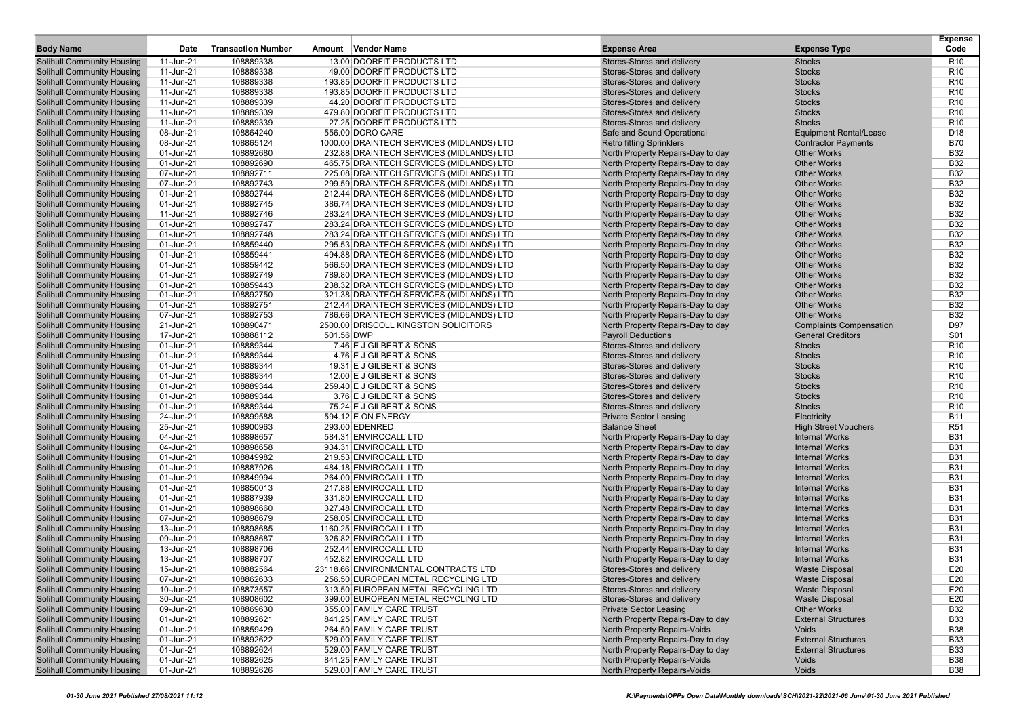|                                                                        | Date                   | <b>Transaction Number</b> | Amount Vendor Name                                                                    |                                                                      |                                                  | <b>Expense</b><br>Code             |
|------------------------------------------------------------------------|------------------------|---------------------------|---------------------------------------------------------------------------------------|----------------------------------------------------------------------|--------------------------------------------------|------------------------------------|
| <b>Body Name</b>                                                       |                        |                           |                                                                                       | <b>Expense Area</b>                                                  | <b>Expense Type</b>                              |                                    |
| <b>Solihull Community Housing</b>                                      | 11-Jun-21              | 108889338                 | 13.00 DOORFIT PRODUCTS LTD                                                            | Stores-Stores and delivery                                           | <b>Stocks</b>                                    | R <sub>10</sub>                    |
| <b>Solihull Community Housing</b>                                      | 11-Jun-21              | 108889338                 | 49.00 DOORFIT PRODUCTS LTD                                                            | Stores-Stores and delivery                                           | <b>Stocks</b>                                    | R <sub>10</sub>                    |
| <b>Solihull Community Housing</b>                                      | 11-Jun-21              | 108889338                 | 193.85 DOORFIT PRODUCTS LTD                                                           | Stores-Stores and delivery                                           | <b>Stocks</b>                                    | R <sub>10</sub>                    |
| <b>Solihull Community Housing</b>                                      | 11-Jun-21              | 108889338                 | 193.85 DOORFIT PRODUCTS LTD                                                           | Stores-Stores and delivery                                           | <b>Stocks</b>                                    | R <sub>10</sub>                    |
| <b>Solihull Community Housing</b><br><b>Solihull Community Housing</b> | 11-Jun-21              | 108889339<br>108889339    | 44.20 DOORFIT PRODUCTS LTD                                                            | Stores-Stores and delivery                                           | <b>Stocks</b>                                    | R <sub>10</sub>                    |
|                                                                        | 11-Jun-21              |                           | 479.80 DOORFIT PRODUCTS LTD                                                           | Stores-Stores and delivery<br>Stores-Stores and delivery             | <b>Stocks</b>                                    | R <sub>10</sub>                    |
| <b>Solihull Community Housing</b>                                      | 11-Jun-21              | 108889339                 | 27.25 DOORFIT PRODUCTS LTD<br>556.00 DORO CARE                                        |                                                                      | <b>Stocks</b>                                    | R <sub>10</sub><br>D <sub>18</sub> |
| <b>Solihull Community Housing</b><br><b>Solihull Community Housing</b> | 08-Jun-21              | 108864240<br>108865124    |                                                                                       | Safe and Sound Operational                                           | <b>Equipment Rental/Lease</b>                    | <b>B70</b>                         |
| <b>Solihull Community Housing</b>                                      | 08-Jun-21<br>01-Jun-21 | 108892680                 | 1000.00 DRAINTECH SERVICES (MIDLANDS) LTD<br>232.88 DRAINTECH SERVICES (MIDLANDS) LTD | <b>Retro fitting Sprinklers</b><br>North Property Repairs-Day to day | <b>Contractor Payments</b><br><b>Other Works</b> | <b>B32</b>                         |
| <b>Solihull Community Housing</b>                                      | 01-Jun-21              | 108892690                 | 465.75 DRAINTECH SERVICES (MIDLANDS) LTD                                              | North Property Repairs-Day to day                                    | <b>Other Works</b>                               | <b>B32</b>                         |
| <b>Solihull Community Housing</b>                                      | 07-Jun-21              | 108892711                 | 225.08 DRAINTECH SERVICES (MIDLANDS) LTD                                              | North Property Repairs-Day to day                                    | <b>Other Works</b>                               | <b>B32</b>                         |
| <b>Solihull Community Housing</b>                                      | 07-Jun-21              | 108892743                 | 299.59 DRAINTECH SERVICES (MIDLANDS) LTD                                              | North Property Repairs-Day to day                                    | <b>Other Works</b>                               | <b>B32</b>                         |
| <b>Solihull Community Housing</b>                                      | 01-Jun-21              | 108892744                 | 212.44 DRAINTECH SERVICES (MIDLANDS) LTD                                              | North Property Repairs-Day to day                                    | <b>Other Works</b>                               | <b>B32</b>                         |
| <b>Solihull Community Housing</b>                                      | 01-Jun-21              | 108892745                 | 386.74 DRAINTECH SERVICES (MIDLANDS) LTD                                              | North Property Repairs-Day to day                                    | <b>Other Works</b>                               | <b>B32</b>                         |
| <b>Solihull Community Housing</b>                                      | 11-Jun-21              | 108892746                 | 283.24 DRAINTECH SERVICES (MIDLANDS) LTD                                              | North Property Repairs-Day to day                                    | <b>Other Works</b>                               | <b>B32</b>                         |
| <b>Solihull Community Housing</b>                                      | 01-Jun-21              | 108892747                 | 283.24 DRAINTECH SERVICES (MIDLANDS) LTD                                              | North Property Repairs-Day to day                                    | <b>Other Works</b>                               | <b>B32</b>                         |
| <b>Solihull Community Housing</b>                                      | 01-Jun-21              | 108892748                 | 283.24 DRAINTECH SERVICES (MIDLANDS) LTD                                              | North Property Repairs-Day to day                                    | <b>Other Works</b>                               | <b>B32</b>                         |
| <b>Solihull Community Housing</b>                                      | 01-Jun-21              | 108859440                 | 295.53 DRAINTECH SERVICES (MIDLANDS) LTD                                              | North Property Repairs-Day to day                                    | <b>Other Works</b>                               | <b>B32</b>                         |
| <b>Solihull Community Housing</b>                                      | 01-Jun-21              | 108859441                 | 494.88 DRAINTECH SERVICES (MIDLANDS) LTD                                              | North Property Repairs-Day to day                                    | <b>Other Works</b>                               | <b>B32</b>                         |
| <b>Solihull Community Housing</b>                                      | 01-Jun-21              | 108859442                 | 566.50 DRAINTECH SERVICES (MIDLANDS) LTD                                              | North Property Repairs-Day to day                                    | <b>Other Works</b>                               | <b>B32</b>                         |
| <b>Solihull Community Housing</b>                                      | 01-Jun-21              | 108892749                 | 789.80 DRAINTECH SERVICES (MIDLANDS) LTD                                              | North Property Repairs-Day to day                                    | <b>Other Works</b>                               | <b>B32</b>                         |
| <b>Solihull Community Housing</b>                                      | 01-Jun-21              | 108859443                 | 238.32 DRAINTECH SERVICES (MIDLANDS) LTD                                              | North Property Repairs-Day to day                                    | <b>Other Works</b>                               | <b>B32</b>                         |
| <b>Solihull Community Housing</b>                                      | 01-Jun-21              | 108892750                 | 321.38 DRAINTECH SERVICES (MIDLANDS) LTD                                              | North Property Repairs-Day to day                                    | <b>Other Works</b>                               | <b>B32</b>                         |
| <b>Solihull Community Housing</b>                                      | 01-Jun-21              | 108892751                 | 212.44 DRAINTECH SERVICES (MIDLANDS) LTD                                              | North Property Repairs-Day to day                                    | <b>Other Works</b>                               | <b>B32</b>                         |
| <b>Solihull Community Housing</b>                                      | 07-Jun-21              | 108892753                 | 786.66 DRAINTECH SERVICES (MIDLANDS) LTD                                              | North Property Repairs-Day to day                                    | <b>Other Works</b>                               | <b>B32</b>                         |
| <b>Solihull Community Housing</b>                                      | 21-Jun-21              | 108890471                 | 2500.00 DRISCOLL KINGSTON SOLICITORS                                                  | North Property Repairs-Day to day                                    | <b>Complaints Compensation</b>                   | D97                                |
| <b>Solihull Community Housing</b>                                      | 17-Jun-21              | 108888112                 | 501.56 DWP                                                                            | <b>Payroll Deductions</b>                                            | <b>General Creditors</b>                         | S01                                |
| <b>Solihull Community Housing</b>                                      | 01-Jun-21              | 108889344                 | 7.46 E J GILBERT & SONS                                                               | Stores-Stores and delivery                                           | <b>Stocks</b>                                    | R <sub>10</sub>                    |
| <b>Solihull Community Housing</b>                                      | 01-Jun-21              | 108889344                 | 4.76 E J GILBERT & SONS                                                               | Stores-Stores and delivery                                           | <b>Stocks</b>                                    | R <sub>10</sub>                    |
| <b>Solihull Community Housing</b>                                      | 01-Jun-21              | 108889344                 | 19.31 E J GILBERT & SONS                                                              | Stores-Stores and delivery                                           | <b>Stocks</b>                                    | R <sub>10</sub>                    |
| <b>Solihull Community Housing</b>                                      | 01-Jun-21              | 108889344                 | 12.00 E J GILBERT & SONS                                                              | Stores-Stores and delivery                                           | <b>Stocks</b>                                    | R <sub>10</sub>                    |
| <b>Solihull Community Housing</b>                                      | 01-Jun-21              | 108889344                 | 259.40 E J GILBERT & SONS                                                             | Stores-Stores and delivery                                           | <b>Stocks</b>                                    | R <sub>10</sub>                    |
| <b>Solihull Community Housing</b>                                      | 01-Jun-21              | 108889344                 | 3.76 E J GILBERT & SONS                                                               | Stores-Stores and delivery                                           | <b>Stocks</b>                                    | R <sub>10</sub>                    |
| <b>Solihull Community Housing</b>                                      | 01-Jun-21              | 108889344                 | 75.24 E J GILBERT & SONS                                                              | Stores-Stores and delivery                                           | <b>Stocks</b>                                    | R <sub>10</sub>                    |
| <b>Solihull Community Housing</b>                                      | 24-Jun-21              | 108899588                 | 594.12 E.ON ENERGY                                                                    | <b>Private Sector Leasing</b>                                        | Electricity                                      | <b>B11</b>                         |
| <b>Solihull Community Housing</b>                                      | 25-Jun-21              | 108900963                 | 293.00 EDENRED                                                                        | <b>Balance Sheet</b>                                                 | <b>High Street Vouchers</b>                      | <b>R51</b>                         |
| <b>Solihull Community Housing</b>                                      | 04-Jun-21              | 108898657                 | 584.31 ENVIROCALL LTD                                                                 | North Property Repairs-Day to day                                    | <b>Internal Works</b>                            | <b>B31</b>                         |
| <b>Solihull Community Housing</b>                                      | 04-Jun-21              | 108898658                 | 934.31 ENVIROCALL LTD                                                                 | North Property Repairs-Day to day                                    | <b>Internal Works</b>                            | <b>B31</b>                         |
| <b>Solihull Community Housing</b>                                      | 01-Jun-21              | 108849982                 | 219.53 ENVIROCALL LTD                                                                 | North Property Repairs-Day to day                                    | <b>Internal Works</b>                            | <b>B31</b>                         |
| <b>Solihull Community Housing</b>                                      | 01-Jun-21              | 108887926                 | 484.18 ENVIROCALL LTD                                                                 | North Property Repairs-Day to day                                    | <b>Internal Works</b>                            | <b>B31</b>                         |
| <b>Solihull Community Housing</b>                                      | 01-Jun-21              | 108849994                 | 264.00 ENVIROCALL LTD                                                                 | North Property Repairs-Day to day                                    | <b>Internal Works</b>                            | <b>B31</b>                         |
| <b>Solihull Community Housing</b>                                      | 01-Jun-21              | 108850013                 | 217.88 ENVIROCALL LTD                                                                 | North Property Repairs-Day to day                                    | <b>Internal Works</b>                            | <b>B31</b>                         |
| <b>Solihull Community Housing</b>                                      | 01-Jun-21              | 108887939                 | 331.80 ENVIROCALL LTD                                                                 | North Property Repairs-Day to day                                    | <b>Internal Works</b>                            | <b>B31</b>                         |
| <b>Solihull Community Housing</b>                                      | 01-Jun-21              | 108898660                 | 327.48 ENVIROCALL LTD                                                                 | North Property Repairs-Day to day                                    | <b>Internal Works</b>                            | <b>B31</b>                         |
| <b>Solihull Community Housing</b>                                      | 07-Jun-21              | 108898679                 | 258.05 ENVIROCALL LTD                                                                 | North Property Repairs-Day to day                                    | <b>Internal Works</b>                            | <b>B31</b>                         |
| <b>Solihull Community Housing</b>                                      | 13-Jun-21              | 108898685                 | 1160.25 ENVIROCALL LTD                                                                | North Property Repairs-Day to day                                    | <b>Internal Works</b>                            | <b>B31</b>                         |
| <b>Solihull Community Housing</b>                                      | 09-Jun-21              | 108898687<br>108898706    | 326.82 ENVIROCALL LTD                                                                 | North Property Repairs-Day to day                                    | <b>Internal Works</b><br><b>Internal Works</b>   | <b>B31</b><br><b>B31</b>           |
| <b>Solihull Community Housing</b>                                      | 13-Jun-21              |                           | 252.44 ENVIROCALL LTD<br>452.82 ENVIROCALL LTD                                        | North Property Repairs-Day to day                                    | <b>Internal Works</b>                            | <b>B31</b>                         |
| <b>Solihull Community Housing</b><br><b>Solihull Community Housing</b> | 13-Jun-21<br>15-Jun-21 | 108898707<br>108882564    | 23118.66 ENVIRONMENTAL CONTRACTS LTD                                                  | North Property Repairs-Day to day<br>Stores-Stores and delivery      | <b>Waste Disposal</b>                            | E20                                |
| <b>Solihull Community Housing</b>                                      | 07-Jun-21              | 108862633                 | 256.50 EUROPEAN METAL RECYCLING LTD                                                   | Stores-Stores and delivery                                           | <b>Waste Disposal</b>                            | E20                                |
| <b>Solihull Community Housing</b>                                      | 10-Jun-21              | 108873557                 | 313.50 EUROPEAN METAL RECYCLING LTD                                                   | Stores-Stores and delivery                                           | <b>Waste Disposal</b>                            | E20                                |
| <b>Solihull Community Housing</b>                                      | 30-Jun-21              | 108908602                 | 399.00 EUROPEAN METAL RECYCLING LTD                                                   | Stores-Stores and delivery                                           | <b>Waste Disposal</b>                            | E20                                |
| <b>Solihull Community Housing</b>                                      | 09-Jun-21              | 108869630                 | 355.00 FAMILY CARE TRUST                                                              | <b>Private Sector Leasing</b>                                        | <b>Other Works</b>                               | <b>B32</b>                         |
| <b>Solihull Community Housing</b>                                      | 01-Jun-21              | 108892621                 | 841.25 FAMILY CARE TRUST                                                              | North Property Repairs-Day to day                                    | <b>External Structures</b>                       | <b>B33</b>                         |
| <b>Solihull Community Housing</b>                                      | 01-Jun-21              | 108859429                 | 264.50 FAMILY CARE TRUST                                                              | North Property Repairs-Voids                                         | Voids                                            | <b>B38</b>                         |
| <b>Solihull Community Housing</b>                                      | 01-Jun-21              | 108892622                 | 529.00 FAMILY CARE TRUST                                                              | North Property Repairs-Day to day                                    | <b>External Structures</b>                       | <b>B33</b>                         |
| <b>Solihull Community Housing</b>                                      | 01-Jun-21              | 108892624                 | 529.00 FAMILY CARE TRUST                                                              | North Property Repairs-Day to day                                    | <b>External Structures</b>                       | <b>B33</b>                         |
| <b>Solihull Community Housing</b>                                      | 01-Jun-21              | 108892625                 | 841.25 FAMILY CARE TRUST                                                              | North Property Repairs-Voids                                         | Voids                                            | <b>B38</b>                         |
| <b>Solihull Community Housing</b>                                      | 01-Jun-21              | 108892626                 | 529.00 FAMILY CARE TRUST                                                              | North Property Repairs-Voids                                         | Voids                                            | <b>B38</b>                         |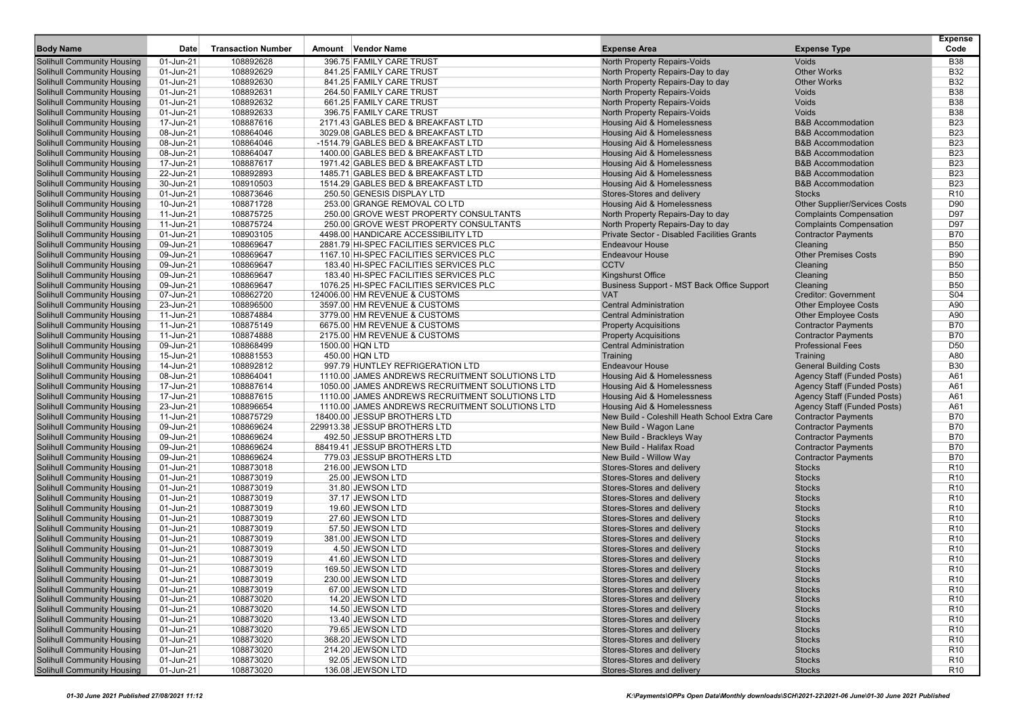|                                                                        |                        |                           |                                                                           |                                                                     |                                                              | <b>Expense</b>                     |
|------------------------------------------------------------------------|------------------------|---------------------------|---------------------------------------------------------------------------|---------------------------------------------------------------------|--------------------------------------------------------------|------------------------------------|
| <b>Body Name</b>                                                       | Date                   | <b>Transaction Number</b> | Amount Vendor Name                                                        | <b>Expense Area</b>                                                 | <b>Expense Type</b>                                          | Code                               |
| <b>Solihull Community Housing</b>                                      | 01-Jun-21              | 108892628                 | 396.75 FAMILY CARE TRUST                                                  | North Property Repairs-Voids                                        | Voids                                                        | <b>B38</b>                         |
| <b>Solihull Community Housing</b>                                      | 01-Jun-21              | 108892629                 | 841.25 FAMILY CARE TRUST                                                  | North Property Repairs-Day to day                                   | <b>Other Works</b>                                           | <b>B32</b>                         |
| <b>Solihull Community Housing</b>                                      | 01-Jun-21              | 108892630                 | 841.25 FAMILY CARE TRUST                                                  | North Property Repairs-Day to day                                   | <b>Other Works</b>                                           | <b>B32</b>                         |
| <b>Solihull Community Housing</b>                                      | 01-Jun-21              | 108892631                 | 264.50 FAMILY CARE TRUST                                                  | North Property Repairs-Voids                                        | Voids                                                        | <b>B38</b>                         |
| <b>Solihull Community Housing</b>                                      | 01-Jun-21              | 108892632                 | 661.25 FAMILY CARE TRUST                                                  | North Property Repairs-Voids                                        | Voids                                                        | <b>B38</b>                         |
| <b>Solihull Community Housing</b>                                      | 01-Jun-21              | 108892633                 | 396.75 FAMILY CARE TRUST                                                  | North Property Repairs-Voids                                        | Voids                                                        | <b>B38</b>                         |
| <b>Solihull Community Housing</b>                                      | 17-Jun-21              | 108887616                 | 2171.43 GABLES BED & BREAKFAST LTD                                        | Housing Aid & Homelessness                                          | <b>B&amp;B Accommodation</b>                                 | <b>B23</b>                         |
| <b>Solihull Community Housing</b>                                      | 08-Jun-21              | 108864046                 | 3029.08 GABLES BED & BREAKFAST LTD                                        | Housing Aid & Homelessness                                          | <b>B&amp;B Accommodation</b>                                 | <b>B23</b>                         |
| <b>Solihull Community Housing</b><br><b>Solihull Community Housing</b> | 08-Jun-21              | 108864046<br>108864047    | -1514.79 GABLES BED & BREAKFAST LTD<br>1400.00 GABLES BED & BREAKFAST LTD | Housing Aid & Homelessness<br><b>Housing Aid &amp; Homelessness</b> | <b>B&amp;B Accommodation</b><br><b>B&amp;B Accommodation</b> | <b>B23</b><br><b>B23</b>           |
| <b>Solihull Community Housing</b>                                      | 08-Jun-21<br>17-Jun-21 | 108887617                 | 1971.42 GABLES BED & BREAKFAST LTD                                        | Housing Aid & Homelessness                                          | <b>B&amp;B Accommodation</b>                                 | <b>B23</b>                         |
| <b>Solihull Community Housing</b>                                      | 22-Jun-21              | 108892893                 | 1485.71 GABLES BED & BREAKFAST LTD                                        | Housing Aid & Homelessness                                          | <b>B&amp;B Accommodation</b>                                 | <b>B23</b>                         |
| <b>Solihull Community Housing</b>                                      | 30-Jun-21              | 108910503                 | 1514.29 GABLES BED & BREAKFAST LTD                                        | Housing Aid & Homelessness                                          | <b>B&amp;B Accommodation</b>                                 | <b>B23</b>                         |
| <b>Solihull Community Housing</b>                                      | 01-Jun-21              | 108873646                 | 250.50 GENESIS DISPLAY LTD                                                | Stores-Stores and delivery                                          | <b>Stocks</b>                                                | R <sub>10</sub>                    |
| <b>Solihull Community Housing</b>                                      | 10-Jun-21              | 108871728                 | 253.00 GRANGE REMOVAL CO LTD                                              | Housing Aid & Homelessness                                          | <b>Other Supplier/Services Costs</b>                         | D90                                |
| <b>Solihull Community Housing</b>                                      | 11-Jun-21              | 108875725                 | 250.00 GROVE WEST PROPERTY CONSULTANTS                                    | North Property Repairs-Day to day                                   | <b>Complaints Compensation</b>                               | D97                                |
| <b>Solihull Community Housing</b>                                      | 11-Jun-21              | 108875724                 | 250.00 GROVE WEST PROPERTY CONSULTANTS                                    | North Property Repairs-Day to day                                   | <b>Complaints Compensation</b>                               | D97                                |
| <b>Solihull Community Housing</b>                                      | 01-Jun-21              | 108903105                 | 4498.00 HANDICARE ACCESSIBILITY LTD                                       | Private Sector - Disabled Facilities Grants                         | <b>Contractor Payments</b>                                   | <b>B70</b>                         |
| <b>Solihull Community Housing</b>                                      | 09-Jun-21              | 108869647                 | 2881.79 HI-SPEC FACILITIES SERVICES PLC                                   | <b>Endeavour House</b>                                              | Cleaning                                                     | <b>B50</b>                         |
| <b>Solihull Community Housing</b>                                      | 09-Jun-21              | 108869647                 | 1167.10 HI-SPEC FACILITIES SERVICES PLC                                   | <b>Endeavour House</b>                                              | <b>Other Premises Costs</b>                                  | <b>B90</b>                         |
| <b>Solihull Community Housing</b>                                      | 09-Jun-21              | 108869647                 | 183.40 HI-SPEC FACILITIES SERVICES PLC                                    | <b>CCTV</b>                                                         | Cleaning                                                     | <b>B50</b>                         |
| <b>Solihull Community Housing</b>                                      | 09-Jun-21              | 108869647                 | 183.40 HI-SPEC FACILITIES SERVICES PLC                                    | <b>Kingshurst Office</b>                                            | Cleaning                                                     | <b>B50</b>                         |
| <b>Solihull Community Housing</b>                                      | 09-Jun-21              | 108869647                 | 1076.25 HI-SPEC FACILITIES SERVICES PLC                                   | Business Support - MST Back Office Support                          | Cleaning                                                     | <b>B50</b>                         |
| <b>Solihull Community Housing</b>                                      | 07-Jun-21              | 108862720                 | 124006.00 HM REVENUE & CUSTOMS                                            | <b>VAT</b>                                                          | <b>Creditor: Government</b>                                  | S04                                |
| <b>Solihull Community Housing</b>                                      | 23-Jun-21              | 108896500                 | 3597.00 HM REVENUE & CUSTOMS                                              | <b>Central Administration</b>                                       | <b>Other Employee Costs</b>                                  | A90                                |
| <b>Solihull Community Housing</b>                                      | 11-Jun-21              | 108874884                 | 3779.00 HM REVENUE & CUSTOMS                                              | <b>Central Administration</b>                                       | <b>Other Employee Costs</b>                                  | A90                                |
| <b>Solihull Community Housing</b>                                      | 11-Jun-21              | 108875149                 | 6675.00 HM REVENUE & CUSTOMS                                              | <b>Property Acquisitions</b>                                        | <b>Contractor Payments</b>                                   | <b>B70</b>                         |
| <b>Solihull Community Housing</b>                                      | 11-Jun-21              | 108874888                 | 2175.00 HM REVENUE & CUSTOMS                                              | <b>Property Acquisitions</b>                                        | <b>Contractor Payments</b>                                   | <b>B70</b>                         |
| <b>Solihull Community Housing</b>                                      | 09-Jun-21              | 108868499                 | 1500.00 HQN LTD                                                           | <b>Central Administration</b>                                       | <b>Professional Fees</b>                                     | D <sub>50</sub>                    |
| <b>Solihull Community Housing</b>                                      | 15-Jun-21              | 108881553                 | 450.00 HQN LTD                                                            | Training                                                            | Training                                                     | A80                                |
| <b>Solihull Community Housing</b>                                      | 14-Jun-21              | 108892812                 | 997.79 HUNTLEY REFRIGERATION LTD                                          | <b>Endeavour House</b>                                              | <b>General Building Costs</b>                                | <b>B30</b>                         |
| <b>Solihull Community Housing</b>                                      | 08-Jun-21              | 108864041                 | 1110.00 JAMES ANDREWS RECRUITMENT SOLUTIONS LTD                           | <b>Housing Aid &amp; Homelessness</b>                               | Agency Staff (Funded Posts)                                  | A61                                |
| <b>Solihull Community Housing</b>                                      | 17-Jun-21              | 108887614                 | 1050.00 JAMES ANDREWS RECRUITMENT SOLUTIONS LTD                           | Housing Aid & Homelessness                                          | <b>Agency Staff (Funded Posts)</b>                           | A61                                |
| <b>Solihull Community Housing</b>                                      | 17-Jun-21              | 108887615                 | 1110.00 JAMES ANDREWS RECRUITMENT SOLUTIONS LTD                           | Housing Aid & Homelessness                                          | <b>Agency Staff (Funded Posts)</b>                           | A61                                |
| <b>Solihull Community Housing</b>                                      | 23-Jun-21              | 108896654                 | 1110.00 JAMES ANDREWS RECRUITMENT SOLUTIONS LTD                           | Housing Aid & Homelessness                                          | Agency Staff (Funded Posts)                                  | A61                                |
| <b>Solihull Community Housing</b>                                      | 11-Jun-21              | 108875729                 | 18400.00 JESSUP BROTHERS LTD                                              | New Build - Coleshill Heath School Extra Care                       | <b>Contractor Payments</b>                                   | <b>B70</b>                         |
| <b>Solihull Community Housing</b>                                      | 09-Jun-21              | 108869624                 | 229913.38 JESSUP BROTHERS LTD                                             | New Build - Wagon Lane                                              | <b>Contractor Payments</b>                                   | <b>B70</b>                         |
| <b>Solihull Community Housing</b>                                      | 09-Jun-21              | 108869624                 | 492.50 JESSUP BROTHERS LTD                                                | New Build - Brackleys Way                                           | <b>Contractor Payments</b>                                   | <b>B70</b>                         |
| <b>Solihull Community Housing</b>                                      | 09-Jun-21              | 108869624                 | 88419.41 JESSUP BROTHERS LTD                                              | New Build - Halifax Road                                            | <b>Contractor Payments</b>                                   | <b>B70</b>                         |
| <b>Solihull Community Housing</b>                                      | 09-Jun-21              | 108869624                 | 779.03 JESSUP BROTHERS LTD                                                | New Build - Willow Way                                              | <b>Contractor Payments</b>                                   | <b>B70</b>                         |
| <b>Solihull Community Housing</b>                                      | 01-Jun-21              | 108873018                 | 216.00 JEWSON LTD                                                         | Stores-Stores and delivery                                          | <b>Stocks</b>                                                | R <sub>10</sub>                    |
| <b>Solihull Community Housing</b>                                      | 01-Jun-21              | 108873019                 | 25.00 JEWSON LTD                                                          | Stores-Stores and delivery                                          | <b>Stocks</b>                                                | R <sub>10</sub>                    |
| <b>Solihull Community Housing</b>                                      | 01-Jun-21              | 108873019                 | 31.80 JEWSON LTD                                                          | Stores-Stores and delivery                                          | <b>Stocks</b>                                                | R <sub>10</sub>                    |
| <b>Solihull Community Housing</b><br><b>Solihull Community Housing</b> | 01-Jun-21<br>01-Jun-21 | 108873019<br>108873019    | 37.17 JEWSON LTD<br>19.60 JEWSON LTD                                      | Stores-Stores and delivery<br>Stores-Stores and delivery            | <b>Stocks</b><br><b>Stocks</b>                               | R <sub>10</sub><br>R <sub>10</sub> |
| <b>Solihull Community Housing</b>                                      | 01-Jun-21              | 108873019                 | 27.60 JEWSON LTD                                                          | Stores-Stores and delivery                                          | <b>Stocks</b>                                                | R <sub>10</sub>                    |
| <b>Solihull Community Housing</b>                                      | 01-Jun-21              | 108873019                 | 57.50 JEWSON LTD                                                          | Stores-Stores and delivery                                          | <b>Stocks</b>                                                | R <sub>10</sub>                    |
| <b>Solihull Community Housing</b>                                      | 01-Jun-21              | 108873019                 | 381.00 JEWSON LTD                                                         | Stores-Stores and delivery                                          | <b>Stocks</b>                                                | R <sub>10</sub>                    |
| <b>Solihull Community Housing</b>                                      | 01-Jun-21              | 108873019                 | 4.50 JEWSON LTD                                                           | Stores-Stores and delivery                                          | <b>Stocks</b>                                                | R <sub>10</sub>                    |
| <b>Solihull Community Housing</b>                                      | 01-Jun-21              | 108873019                 | 41.60 JEWSON LTD                                                          | Stores-Stores and delivery                                          | <b>Stocks</b>                                                | R <sub>10</sub>                    |
| <b>Solihull Community Housing</b>                                      | 01-Jun-21              | 108873019                 | 169.50 JEWSON LTD                                                         | Stores-Stores and delivery                                          | <b>Stocks</b>                                                | R <sub>10</sub>                    |
| <b>Solihull Community Housing</b>                                      | 01-Jun-21              | 108873019                 | 230.00 JEWSON LTD                                                         | Stores-Stores and delivery                                          | Stocks                                                       | R <sub>10</sub>                    |
| <b>Solihull Community Housing</b>                                      | 01-Jun-21              | 108873019                 | 67.00 JEWSON LTD                                                          | Stores-Stores and delivery                                          | <b>Stocks</b>                                                | R <sub>10</sub>                    |
| <b>Solihull Community Housing</b>                                      | 01-Jun-21              | 108873020                 | 14.20 JEWSON LTD                                                          | Stores-Stores and delivery                                          | <b>Stocks</b>                                                | R <sub>10</sub>                    |
| <b>Solihull Community Housing</b>                                      | 01-Jun-21              | 108873020                 | 14.50 JEWSON LTD                                                          | Stores-Stores and delivery                                          | <b>Stocks</b>                                                | R <sub>10</sub>                    |
| <b>Solihull Community Housing</b>                                      | 01-Jun-21              | 108873020                 | 13.40 JEWSON LTD                                                          | Stores-Stores and delivery                                          | <b>Stocks</b>                                                | R <sub>10</sub>                    |
| <b>Solihull Community Housing</b>                                      | 01-Jun-21              | 108873020                 | 79.65 JEWSON LTD                                                          | Stores-Stores and delivery                                          | <b>Stocks</b>                                                | R <sub>10</sub>                    |
| <b>Solihull Community Housing</b>                                      | 01-Jun-21              | 108873020                 | 368.20 JEWSON LTD                                                         | Stores-Stores and delivery                                          | <b>Stocks</b>                                                | R <sub>10</sub>                    |
| <b>Solihull Community Housing</b>                                      | 01-Jun-21              | 108873020                 | 214.20 JEWSON LTD                                                         | Stores-Stores and delivery                                          | <b>Stocks</b>                                                | R <sub>10</sub>                    |
| <b>Solihull Community Housing</b>                                      | 01-Jun-21              | 108873020                 | 92.05 JEWSON LTD                                                          | Stores-Stores and delivery                                          | <b>Stocks</b>                                                | R <sub>10</sub>                    |
| <b>Solihull Community Housing</b>                                      | 01-Jun-21              | 108873020                 | 136.08 JEWSON LTD                                                         | Stores-Stores and delivery                                          | <b>Stocks</b>                                                | <b>R10</b>                         |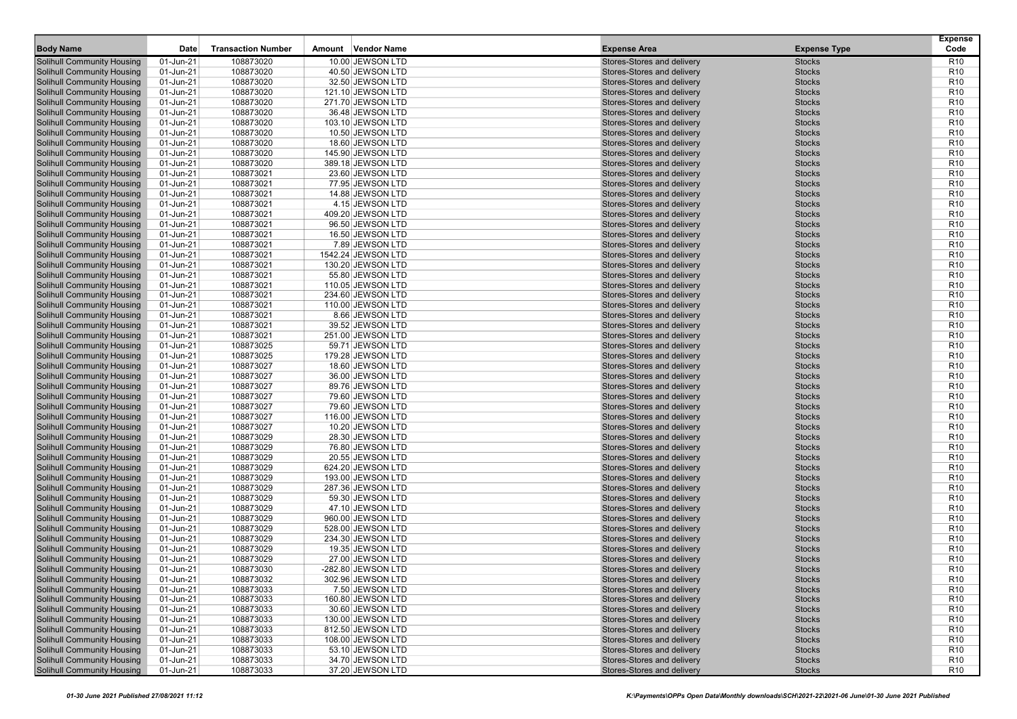| <b>Body Name</b>                                                       | Date                   | <b>Transaction Number</b> | Vendor Name<br>Amount                   | <b>Expense Area</b>                                      | <b>Expense Type</b>            | <b>Expense</b><br>Code             |
|------------------------------------------------------------------------|------------------------|---------------------------|-----------------------------------------|----------------------------------------------------------|--------------------------------|------------------------------------|
| <b>Solihull Community Housing</b>                                      | 01-Jun-21              | 108873020                 | 10.00 JEWSON LTD                        | Stores-Stores and delivery                               | <b>Stocks</b>                  | R <sub>10</sub>                    |
| <b>Solihull Community Housing</b>                                      | 01-Jun-21              | 108873020                 | 40.50 JEWSON LTD                        | Stores-Stores and delivery                               | <b>Stocks</b>                  | R <sub>10</sub>                    |
| <b>Solihull Community Housing</b>                                      | 01-Jun-21              | 108873020                 | 32.50 JEWSON LTD                        | Stores-Stores and delivery                               | <b>Stocks</b>                  | R <sub>10</sub>                    |
| <b>Solihull Community Housing</b>                                      | 01-Jun-21              | 108873020                 | 121.10 JEWSON LTD                       | Stores-Stores and delivery                               | <b>Stocks</b>                  | R <sub>10</sub>                    |
| <b>Solihull Community Housing</b>                                      | 01-Jun-21              | 108873020                 | 271.70 JEWSON LTD                       | Stores-Stores and delivery                               | <b>Stocks</b>                  | R <sub>10</sub>                    |
| <b>Solihull Community Housing</b>                                      | 01-Jun-21              | 108873020                 | 36.48 JEWSON LTD                        | Stores-Stores and delivery                               | <b>Stocks</b>                  | R <sub>10</sub>                    |
| <b>Solihull Community Housing</b>                                      | 01-Jun-21              | 108873020                 | 103.10 JEWSON LTD                       | Stores-Stores and delivery                               | <b>Stocks</b>                  | R <sub>10</sub>                    |
| <b>Solihull Community Housing</b>                                      | 01-Jun-21              | 108873020                 | 10.50 JEWSON LTD                        | Stores-Stores and delivery                               | <b>Stocks</b>                  | R <sub>10</sub>                    |
| <b>Solihull Community Housing</b>                                      | 01-Jun-21              | 108873020                 | 18.60 JEWSON LTD                        | Stores-Stores and delivery                               | <b>Stocks</b>                  | R <sub>10</sub>                    |
| <b>Solihull Community Housing</b>                                      | 01-Jun-21              | 108873020                 | 145.90 JEWSON LTD                       | Stores-Stores and delivery                               | <b>Stocks</b>                  | R <sub>10</sub>                    |
| <b>Solihull Community Housing</b>                                      | 01-Jun-21              | 108873020                 | 389.18 JEWSON LTD                       | Stores-Stores and delivery                               | <b>Stocks</b>                  | R <sub>10</sub>                    |
| <b>Solihull Community Housing</b>                                      | 01-Jun-21              | 108873021                 | 23.60 JEWSON LTD                        | Stores-Stores and delivery                               | <b>Stocks</b>                  | R <sub>10</sub>                    |
| <b>Solihull Community Housing</b>                                      | 01-Jun-21              | 108873021                 | 77.95 JEWSON LTD                        | Stores-Stores and delivery                               | <b>Stocks</b>                  | R <sub>10</sub>                    |
| <b>Solihull Community Housing</b>                                      | 01-Jun-21              | 108873021                 | 14.88 JEWSON LTD                        | Stores-Stores and delivery                               | <b>Stocks</b>                  | R <sub>10</sub>                    |
| <b>Solihull Community Housing</b>                                      | 01-Jun-21              | 108873021<br>108873021    | 4.15 JEWSON LTD                         | Stores-Stores and delivery                               | <b>Stocks</b>                  | R <sub>10</sub><br>R <sub>10</sub> |
| <b>Solihull Community Housing</b><br><b>Solihull Community Housing</b> | 01-Jun-21<br>01-Jun-21 | 108873021                 | 409.20 JEWSON LTD<br>96.50 JEWSON LTD   | Stores-Stores and delivery<br>Stores-Stores and delivery | <b>Stocks</b><br><b>Stocks</b> | R <sub>10</sub>                    |
| <b>Solihull Community Housing</b>                                      | 01-Jun-21              | 108873021                 | 16.50 JEWSON LTD                        | Stores-Stores and delivery                               | <b>Stocks</b>                  | R <sub>10</sub>                    |
| <b>Solihull Community Housing</b>                                      | 01-Jun-21              | 108873021                 | 7.89 JEWSON LTD                         | Stores-Stores and delivery                               | <b>Stocks</b>                  | R <sub>10</sub>                    |
| <b>Solihull Community Housing</b>                                      | 01-Jun-21              | 108873021                 | 1542.24 JEWSON LTD                      | Stores-Stores and delivery                               | <b>Stocks</b>                  | R <sub>10</sub>                    |
| <b>Solihull Community Housing</b>                                      | 01-Jun-21              | 108873021                 | 130.20 JEWSON LTD                       | Stores-Stores and delivery                               | <b>Stocks</b>                  | R <sub>10</sub>                    |
| <b>Solihull Community Housing</b>                                      | 01-Jun-21              | 108873021                 | 55.80 JEWSON LTD                        | Stores-Stores and delivery                               | <b>Stocks</b>                  | R <sub>10</sub>                    |
| <b>Solihull Community Housing</b>                                      | 01-Jun-21              | 108873021                 | 110.05 JEWSON LTD                       | Stores-Stores and delivery                               | <b>Stocks</b>                  | R <sub>10</sub>                    |
| <b>Solihull Community Housing</b>                                      | 01-Jun-21              | 108873021                 | 234.60 JEWSON LTD                       | Stores-Stores and delivery                               | <b>Stocks</b>                  | R <sub>10</sub>                    |
| <b>Solihull Community Housing</b>                                      | 01-Jun-21              | 108873021                 | 110.00 JEWSON LTD                       | Stores-Stores and delivery                               | <b>Stocks</b>                  | R <sub>10</sub>                    |
| <b>Solihull Community Housing</b>                                      | 01-Jun-21              | 108873021                 | 8.66 JEWSON LTD                         | Stores-Stores and delivery                               | <b>Stocks</b>                  | R <sub>10</sub>                    |
| <b>Solihull Community Housing</b>                                      | 01-Jun-21              | 108873021                 | 39.52 JEWSON LTD                        | Stores-Stores and delivery                               | <b>Stocks</b>                  | R <sub>10</sub>                    |
| <b>Solihull Community Housing</b>                                      | 01-Jun-21              | 108873021                 | 251.00 JEWSON LTD                       | Stores-Stores and delivery                               | <b>Stocks</b>                  | R <sub>10</sub>                    |
| <b>Solihull Community Housing</b>                                      | 01-Jun-21              | 108873025                 | 59.71 JEWSON LTD                        | Stores-Stores and delivery                               | <b>Stocks</b>                  | R <sub>10</sub>                    |
| <b>Solihull Community Housing</b>                                      | 01-Jun-21              | 108873025                 | 179.28 JEWSON LTD                       | Stores-Stores and delivery                               | <b>Stocks</b>                  | R <sub>10</sub>                    |
| <b>Solihull Community Housing</b>                                      | 01-Jun-21              | 108873027                 | 18.60 JEWSON LTD                        | Stores-Stores and delivery                               | <b>Stocks</b>                  | R <sub>10</sub>                    |
| <b>Solihull Community Housing</b>                                      | 01-Jun-21              | 108873027                 | 36.00 JEWSON LTD                        | Stores-Stores and delivery                               | <b>Stocks</b>                  | R <sub>10</sub>                    |
| <b>Solihull Community Housing</b>                                      | 01-Jun-21              | 108873027                 | 89.76 JEWSON LTD                        | Stores-Stores and delivery                               | <b>Stocks</b>                  | R <sub>10</sub>                    |
| <b>Solihull Community Housing</b><br><b>Solihull Community Housing</b> | 01-Jun-21<br>01-Jun-21 | 108873027<br>108873027    | 79.60 JEWSON LTD<br>79.60 JEWSON LTD    | Stores-Stores and delivery<br>Stores-Stores and delivery | <b>Stocks</b><br><b>Stocks</b> | R <sub>10</sub><br>R <sub>10</sub> |
| <b>Solihull Community Housing</b>                                      | 01-Jun-21              | 108873027                 | 116.00 JEWSON LTD                       | Stores-Stores and delivery                               | <b>Stocks</b>                  | R <sub>10</sub>                    |
| <b>Solihull Community Housing</b>                                      | 01-Jun-21              | 108873027                 | 10.20 JEWSON LTD                        | Stores-Stores and delivery                               | <b>Stocks</b>                  | R <sub>10</sub>                    |
| <b>Solihull Community Housing</b>                                      | 01-Jun-21              | 108873029                 | 28.30 JEWSON LTD                        | Stores-Stores and delivery                               | <b>Stocks</b>                  | R <sub>10</sub>                    |
| <b>Solihull Community Housing</b>                                      | 01-Jun-21              | 108873029                 | 76.80 JEWSON LTD                        | Stores-Stores and delivery                               | <b>Stocks</b>                  | R <sub>10</sub>                    |
| <b>Solihull Community Housing</b>                                      | 01-Jun-21              | 108873029                 | 20.55 JEWSON LTD                        | Stores-Stores and delivery                               | <b>Stocks</b>                  | R <sub>10</sub>                    |
| <b>Solihull Community Housing</b>                                      | 01-Jun-21              | 108873029                 | 624.20 JEWSON LTD                       | Stores-Stores and delivery                               | <b>Stocks</b>                  | R <sub>10</sub>                    |
| <b>Solihull Community Housing</b>                                      | 01-Jun-21              | 108873029                 | 193.00 JEWSON LTD                       | Stores-Stores and delivery                               | <b>Stocks</b>                  | R <sub>10</sub>                    |
| <b>Solihull Community Housing</b>                                      | 01-Jun-21              | 108873029                 | 287.36 JEWSON LTD                       | Stores-Stores and delivery                               | <b>Stocks</b>                  | R <sub>10</sub>                    |
| <b>Solihull Community Housing</b>                                      | 01-Jun-21              | 108873029                 | 59.30 JEWSON LTD                        | Stores-Stores and delivery                               | <b>Stocks</b>                  | R <sub>10</sub>                    |
| <b>Solihull Community Housing</b>                                      | 01-Jun-21              | 108873029                 | 47.10 JEWSON LTD                        | Stores-Stores and delivery                               | <b>Stocks</b>                  | R <sub>10</sub>                    |
| <b>Solihull Community Housing</b>                                      | 01-Jun-21              | 108873029                 | 960.00 JEWSON LTD                       | Stores-Stores and delivery                               | <b>Stocks</b>                  | R <sub>10</sub>                    |
| <b>Solihull Community Housing</b>                                      | 01-Jun-21              | 108873029                 | 528.00 JEWSON LTD                       | Stores-Stores and delivery                               | <b>Stocks</b>                  | R <sub>10</sub>                    |
| <b>Solihull Community Housing</b>                                      | 01-Jun-21              | 108873029                 | 234.30 JEWSON LTD                       | Stores-Stores and delivery                               | <b>Stocks</b>                  | R <sub>10</sub>                    |
| <b>Solihull Community Housing</b>                                      | 01-Jun-21              | 108873029                 | 19.35 JEWSON LTD                        | Stores-Stores and delivery                               | <b>Stocks</b>                  | R <sub>10</sub>                    |
| <b>Solihull Community Housing</b>                                      | 01-Jun-21              | 108873029                 | 27.00 JEWSON LTD                        | Stores-Stores and delivery                               | <b>Stocks</b>                  | R <sub>10</sub>                    |
| <b>Solihull Community Housing</b><br><b>Solihull Community Housing</b> | 01-Jun-21<br>01-Jun-21 | 108873030                 | -282.80 JEWSON LTD<br>302.96 JEWSON LTD | Stores-Stores and delivery<br>Stores-Stores and delivery | <b>Stocks</b><br><b>Stocks</b> | R <sub>10</sub><br>R <sub>10</sub> |
| <b>Solihull Community Housing</b>                                      | 01-Jun-21              | 108873032<br>108873033    |                                         |                                                          | <b>Stocks</b>                  | R <sub>10</sub>                    |
| <b>Solihull Community Housing</b>                                      | 01-Jun-21              | 108873033                 | 7.50 JEWSON LTD<br>160.80 JEWSON LTD    | Stores-Stores and delivery<br>Stores-Stores and delivery | <b>Stocks</b>                  | R <sub>10</sub>                    |
| <b>Solihull Community Housing</b>                                      | 01-Jun-21              | 108873033                 | 30.60 JEWSON LTD                        | Stores-Stores and delivery                               | <b>Stocks</b>                  | R <sub>10</sub>                    |
| <b>Solihull Community Housing</b>                                      | 01-Jun-21              | 108873033                 | 130.00 JEWSON LTD                       | Stores-Stores and delivery                               | <b>Stocks</b>                  | R <sub>10</sub>                    |
| <b>Solihull Community Housing</b>                                      | 01-Jun-21              | 108873033                 | 812.50 JEWSON LTD                       | Stores-Stores and delivery                               | <b>Stocks</b>                  | R <sub>10</sub>                    |
| <b>Solihull Community Housing</b>                                      | 01-Jun-21              | 108873033                 | 108.00 JEWSON LTD                       | Stores-Stores and delivery                               | <b>Stocks</b>                  | R <sub>10</sub>                    |
| <b>Solihull Community Housing</b>                                      | 01-Jun-21              | 108873033                 | 53.10 JEWSON LTD                        | Stores-Stores and delivery                               | <b>Stocks</b>                  | R <sub>10</sub>                    |
| <b>Solihull Community Housing</b>                                      | 01-Jun-21              | 108873033                 | 34.70 JEWSON LTD                        | Stores-Stores and delivery                               | <b>Stocks</b>                  | R <sub>10</sub>                    |
| <b>Solihull Community Housing</b>                                      | $01$ -Jun-21           | 108873033                 | 37.20 JEWSON LTD                        | Stores-Stores and delivery                               | <b>Stocks</b>                  | <b>R10</b>                         |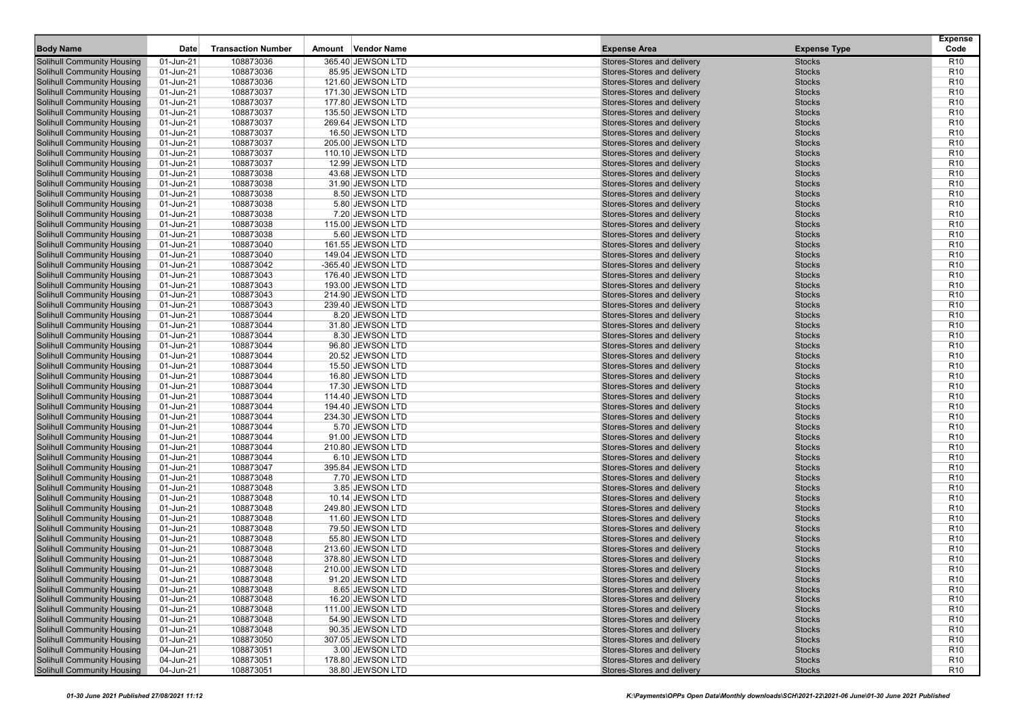| 108873036<br>365.40 JEWSON LTD<br>R <sub>10</sub><br><b>Solihull Community Housing</b><br>01-Jun-21<br>Stores-Stores and delivery<br><b>Stocks</b><br><b>Solihull Community Housing</b><br>01-Jun-21<br>108873036<br>85.95 JEWSON LTD<br>Stores-Stores and delivery<br><b>Stocks</b><br>R <sub>10</sub><br>108873036<br><b>Stocks</b><br>01-Jun-21<br>121.60 JEWSON LTD<br>Stores-Stores and delivery<br>R <sub>10</sub><br><b>Solihull Community Housing</b><br>108873037<br><b>Solihull Community Housing</b><br>01-Jun-21<br>171.30 JEWSON LTD<br>Stores-Stores and delivery<br><b>Stocks</b><br>R <sub>10</sub><br><b>Solihull Community Housing</b><br>01-Jun-21<br>108873037<br>Stores-Stores and delivery<br><b>Stocks</b><br>R <sub>10</sub><br>177.80 JEWSON LTD<br><b>Solihull Community Housing</b><br>01-Jun-21<br>108873037<br>Stores-Stores and delivery<br><b>Stocks</b><br>R <sub>10</sub><br>135.50 JEWSON LTD<br><b>Solihull Community Housing</b><br>01-Jun-21<br>108873037<br>269.64 JEWSON LTD<br>Stores-Stores and delivery<br><b>Stocks</b><br>R <sub>10</sub><br>108873037<br><b>Solihull Community Housing</b><br>01-Jun-21<br>16.50 JEWSON LTD<br>Stores-Stores and delivery<br><b>Stocks</b><br>R <sub>10</sub><br><b>Solihull Community Housing</b><br>108873037<br>01-Jun-21<br>205.00 JEWSON LTD<br>Stores-Stores and delivery<br><b>Stocks</b><br>R <sub>10</sub><br><b>Solihull Community Housing</b><br>01-Jun-21<br>108873037<br>Stores-Stores and delivery<br><b>Stocks</b><br>R <sub>10</sub><br>110.10 JEWSON LTD<br><b>Solihull Community Housing</b><br>01-Jun-21<br>108873037<br>Stores-Stores and delivery<br><b>Stocks</b><br>R <sub>10</sub><br>12.99 JEWSON LTD<br><b>Solihull Community Housing</b><br>01-Jun-21<br>108873038<br>43.68 JEWSON LTD<br>Stores-Stores and delivery<br><b>Stocks</b><br>R <sub>10</sub><br>108873038<br>01-Jun-21<br>31.90 JEWSON LTD<br>Stores-Stores and delivery<br><b>Stocks</b><br>R <sub>10</sub><br><b>Solihull Community Housing</b><br><b>Solihull Community Housing</b><br>01-Jun-21<br>108873038<br>8.50 JEWSON LTD<br>Stores-Stores and delivery<br><b>Stocks</b><br>R <sub>10</sub><br><b>Solihull Community Housing</b><br>01-Jun-21<br>108873038<br>Stores-Stores and delivery<br><b>Stocks</b><br>R <sub>10</sub><br>5.80 JEWSON LTD<br>108873038<br>R <sub>10</sub><br><b>Solihull Community Housing</b><br>01-Jun-21<br>7.20 JEWSON LTD<br>Stores-Stores and delivery<br><b>Stocks</b><br><b>Solihull Community Housing</b><br>01-Jun-21<br>108873038<br>115.00 JEWSON LTD<br>Stores-Stores and delivery<br><b>Stocks</b><br>R <sub>10</sub><br>108873038<br><b>Solihull Community Housing</b><br>01-Jun-21<br>5.60 JEWSON LTD<br>Stores-Stores and delivery<br><b>Stocks</b><br>R <sub>10</sub><br><b>Solihull Community Housing</b><br>01-Jun-21<br>108873040<br>161.55 JEWSON LTD<br>Stores-Stores and delivery<br><b>Stocks</b><br>R <sub>10</sub><br><b>Solihull Community Housing</b><br>01-Jun-21<br>108873040<br>Stores-Stores and delivery<br><b>Stocks</b><br>R <sub>10</sub><br>149.04 JEWSON LTD<br>108873042<br>R <sub>10</sub><br><b>Solihull Community Housing</b><br>01-Jun-21<br>Stores-Stores and delivery<br><b>Stocks</b><br>-365.40 JEWSON LTD<br><b>Solihull Community Housing</b><br>01-Jun-21<br>108873043<br>176.40 JEWSON LTD<br>Stores-Stores and delivery<br><b>Stocks</b><br>R <sub>10</sub><br>108873043<br>01-Jun-21<br>Stores-Stores and delivery<br><b>Stocks</b><br>R <sub>10</sub><br><b>Solihull Community Housing</b><br>193.00 JEWSON LTD<br><b>Solihull Community Housing</b><br>01-Jun-21<br>108873043<br>214.90 JEWSON LTD<br>Stores-Stores and delivery<br><b>Stocks</b><br>R <sub>10</sub><br><b>Solihull Community Housing</b><br>01-Jun-21<br>108873043<br>Stores-Stores and delivery<br><b>Stocks</b><br>R <sub>10</sub><br>239.40 JEWSON LTD<br>108873044<br>R <sub>10</sub><br><b>Solihull Community Housing</b><br>01-Jun-21<br>8.20 JEWSON LTD<br>Stores-Stores and delivery<br><b>Stocks</b><br><b>Solihull Community Housing</b><br>01-Jun-21<br>108873044<br>31.80 JEWSON LTD<br>Stores-Stores and delivery<br><b>Stocks</b><br>R <sub>10</sub><br>108873044<br><b>Solihull Community Housing</b><br>01-Jun-21<br>8.30 JEWSON LTD<br>Stores-Stores and delivery<br><b>Stocks</b><br>R <sub>10</sub><br><b>Solihull Community Housing</b><br>01-Jun-21<br>108873044<br>96.80 JEWSON LTD<br>Stores-Stores and delivery<br><b>Stocks</b><br>R <sub>10</sub><br><b>Solihull Community Housing</b><br>01-Jun-21<br>108873044<br>Stores-Stores and delivery<br><b>Stocks</b><br>R <sub>10</sub><br>20.52 JEWSON LTD<br>108873044<br>R <sub>10</sub><br><b>Solihull Community Housing</b><br>01-Jun-21<br>Stores-Stores and delivery<br><b>Stocks</b><br>15.50 JEWSON LTD<br><b>Solihull Community Housing</b><br>01-Jun-21<br>108873044<br>16.80 JEWSON LTD<br>Stores-Stores and delivery<br><b>Stocks</b><br>R <sub>10</sub><br>108873044<br>01-Jun-21<br>Stores-Stores and delivery<br><b>Stocks</b><br>R <sub>10</sub><br><b>Solihull Community Housing</b><br>17.30 JEWSON LTD<br><b>Solihull Community Housing</b><br>01-Jun-21<br>108873044<br>114.40 JEWSON LTD<br>Stores-Stores and delivery<br><b>Stocks</b><br>R <sub>10</sub><br><b>Solihull Community Housing</b><br>01-Jun-21<br>108873044<br>Stores-Stores and delivery<br><b>Stocks</b><br>R <sub>10</sub><br>194.40 JEWSON LTD<br>108873044<br>R <sub>10</sub><br><b>Solihull Community Housing</b><br>01-Jun-21<br>Stores-Stores and delivery<br><b>Stocks</b><br>234.30 JEWSON LTD<br><b>Solihull Community Housing</b><br>01-Jun-21<br>108873044<br>5.70 JEWSON LTD<br>Stores-Stores and delivery<br><b>Stocks</b><br>R <sub>10</sub><br>108873044<br><b>Solihull Community Housing</b><br>01-Jun-21<br>Stores-Stores and delivery<br><b>Stocks</b><br>R <sub>10</sub><br>91.00 JEWSON LTD<br><b>Solihull Community Housing</b><br>01-Jun-21<br>108873044<br>210.80 JEWSON LTD<br>Stores-Stores and delivery<br><b>Stocks</b><br>R <sub>10</sub><br><b>Solihull Community Housing</b><br>01-Jun-21<br>108873044<br>Stores-Stores and delivery<br><b>Stocks</b><br>R <sub>10</sub><br>6.10 JEWSON LTD<br>108873047<br>R <sub>10</sub><br><b>Solihull Community Housing</b><br>01-Jun-21<br>395.84 JEWSON LTD<br>Stores-Stores and delivery<br><b>Stocks</b><br><b>Solihull Community Housing</b><br>01-Jun-21<br>108873048<br>7.70 JEWSON LTD<br>Stores-Stores and delivery<br><b>Stocks</b><br>R <sub>10</sub><br>108873048<br>01-Jun-21<br>3.85 JEWSON LTD<br>Stores-Stores and delivery<br><b>Stocks</b><br>R <sub>10</sub><br><b>Solihull Community Housing</b><br><b>Solihull Community Housing</b><br>01-Jun-21<br>108873048<br>10.14 JEWSON LTD<br>Stores-Stores and delivery<br><b>Stocks</b><br>R <sub>10</sub><br><b>Solihull Community Housing</b><br>Stores-Stores and delivery<br><b>Stocks</b><br>R <sub>10</sub><br>01-Jun-21<br>108873048<br>249.80 JEWSON LTD<br>108873048<br>R <sub>10</sub><br><b>Solihull Community Housing</b><br>01-Jun-21<br>Stores-Stores and delivery<br><b>Stocks</b><br>11.60 JEWSON LTD<br><b>Solihull Community Housing</b><br>01-Jun-21<br>108873048<br>79.50 JEWSON LTD<br>Stores-Stores and delivery<br><b>Stocks</b><br>R <sub>10</sub><br><b>Solihull Community Housing</b><br>108873048<br>55.80 JEWSON LTD<br>Stores-Stores and delivery<br><b>Stocks</b><br>R <sub>10</sub><br>01-Jun-21<br><b>Solihull Community Housing</b><br>01-Jun-21<br>108873048<br>213.60 JEWSON LTD<br>Stores-Stores and delivery<br><b>Stocks</b><br>R <sub>10</sub><br>R <sub>10</sub><br><b>Solihull Community Housing</b><br>Stores-Stores and delivery<br><b>Stocks</b><br>01-Jun-21<br>108873048<br>378.80 JEWSON LTD<br>108873048<br>R <sub>10</sub><br><b>Solihull Community Housing</b><br>01-Jun-21<br>210.00 JEWSON LTD<br>Stores-Stores and delivery<br><b>Stocks</b><br><b>Solihull Community Housing</b><br>01-Jun-21<br>108873048<br><b>Stocks</b><br>R <sub>10</sub><br>91.20 JEWSON LTD<br>Stores-Stores and delivery<br><b>Solihull Community Housing</b><br>01-Jun-21<br>108873048<br><b>Stocks</b><br>R <sub>10</sub><br>8.65 JEWSON LTD<br>Stores-Stores and delivery<br><b>Solihull Community Housing</b><br>01-Jun-21<br>108873048<br>16.20 JEWSON LTD<br>Stores-Stores and delivery<br><b>Stocks</b><br>R <sub>10</sub><br><b>Solihull Community Housing</b><br>01-Jun-21<br>108873048<br>Stores-Stores and delivery<br><b>Stocks</b><br>R <sub>10</sub><br>111.00 JEWSON LTD<br><b>Solihull Community Housing</b><br>108873048<br>01-Jun-21<br>54.90 JEWSON LTD<br>Stores-Stores and delivery<br><b>Stocks</b><br>R <sub>10</sub><br><b>Solihull Community Housing</b><br>01-Jun-21<br>108873048<br>90.35 JEWSON LTD<br>Stores-Stores and delivery<br><b>Stocks</b><br>R <sub>10</sub><br><b>Solihull Community Housing</b><br>108873050<br>01-Jun-21<br>307.05 JEWSON LTD<br>Stores-Stores and delivery<br><b>Stocks</b><br>R <sub>10</sub><br><b>Solihull Community Housing</b><br>04-Jun-21<br>108873051<br>3.00 JEWSON LTD<br>Stores-Stores and delivery<br><b>Stocks</b><br>R <sub>10</sub><br><b>Solihull Community Housing</b><br>04-Jun-21<br>Stores-Stores and delivery<br><b>Stocks</b><br>R <sub>10</sub><br>108873051<br>178.80 JEWSON LTD<br><b>Solihull Community Housing</b><br>108873051<br>Stores-Stores and delivery<br><b>R10</b><br>$04$ -Jun-21<br>38.80 JEWSON LTD<br><b>Stocks</b> | <b>Body Name</b> | Date | <b>Transaction Number</b> | Vendor Name<br>Amount | <b>Expense Area</b> | <b>Expense Type</b> | <b>Expense</b><br>Code |
|------------------------------------------------------------------------------------------------------------------------------------------------------------------------------------------------------------------------------------------------------------------------------------------------------------------------------------------------------------------------------------------------------------------------------------------------------------------------------------------------------------------------------------------------------------------------------------------------------------------------------------------------------------------------------------------------------------------------------------------------------------------------------------------------------------------------------------------------------------------------------------------------------------------------------------------------------------------------------------------------------------------------------------------------------------------------------------------------------------------------------------------------------------------------------------------------------------------------------------------------------------------------------------------------------------------------------------------------------------------------------------------------------------------------------------------------------------------------------------------------------------------------------------------------------------------------------------------------------------------------------------------------------------------------------------------------------------------------------------------------------------------------------------------------------------------------------------------------------------------------------------------------------------------------------------------------------------------------------------------------------------------------------------------------------------------------------------------------------------------------------------------------------------------------------------------------------------------------------------------------------------------------------------------------------------------------------------------------------------------------------------------------------------------------------------------------------------------------------------------------------------------------------------------------------------------------------------------------------------------------------------------------------------------------------------------------------------------------------------------------------------------------------------------------------------------------------------------------------------------------------------------------------------------------------------------------------------------------------------------------------------------------------------------------------------------------------------------------------------------------------------------------------------------------------------------------------------------------------------------------------------------------------------------------------------------------------------------------------------------------------------------------------------------------------------------------------------------------------------------------------------------------------------------------------------------------------------------------------------------------------------------------------------------------------------------------------------------------------------------------------------------------------------------------------------------------------------------------------------------------------------------------------------------------------------------------------------------------------------------------------------------------------------------------------------------------------------------------------------------------------------------------------------------------------------------------------------------------------------------------------------------------------------------------------------------------------------------------------------------------------------------------------------------------------------------------------------------------------------------------------------------------------------------------------------------------------------------------------------------------------------------------------------------------------------------------------------------------------------------------------------------------------------------------------------------------------------------------------------------------------------------------------------------------------------------------------------------------------------------------------------------------------------------------------------------------------------------------------------------------------------------------------------------------------------------------------------------------------------------------------------------------------------------------------------------------------------------------------------------------------------------------------------------------------------------------------------------------------------------------------------------------------------------------------------------------------------------------------------------------------------------------------------------------------------------------------------------------------------------------------------------------------------------------------------------------------------------------------------------------------------------------------------------------------------------------------------------------------------------------------------------------------------------------------------------------------------------------------------------------------------------------------------------------------------------------------------------------------------------------------------------------------------------------------------------------------------------------------------------------------------------------------------------------------------------------------------------------------------------------------------------------------------------------------------------------------------------------------------------------------------------------------------------------------------------------------------------------------------------------------------------------------------------------------------------------------------------------------------------------------------------------------------------------------------------------------------------------------------------------------------------------------------------------------------------------------------------------------------------------------------------------------------------------------------------------------------------------------------------------------------------------------------------------------------------------------------------------------------------------------------------------------------------------------------------------------------------------------------------------------------------------------------------------------------------------------------------------------------------------------------------------------------------------------------------------------------------------------------------------------------------------------------------------------------------------------------------------------------------------------------------------------------------------------------------------------------------------------------------------------------------------------------------------------------------------------------------------------------------------------------------------------------------------------------------------------------------------------------------------------------------------------------------------------------------------------------------------------------------------------------------------------------------------------------------------------------------------------------------------------------------------------------------------------------------------------------------------------------------------------------------------------------------------------------------------------------------------------------------------------------------------------------------------------------------------------------------------------------------------------------------------------------------------------------------------------------------------------------------------------------------------------------------------------------------------------------------------------------------------------------------------------------------------------------------------------------------------------------------------------------------------------------------------------------------------------------------------------------------------------------------------------------------------------------------------------------------------------|------------------|------|---------------------------|-----------------------|---------------------|---------------------|------------------------|
|                                                                                                                                                                                                                                                                                                                                                                                                                                                                                                                                                                                                                                                                                                                                                                                                                                                                                                                                                                                                                                                                                                                                                                                                                                                                                                                                                                                                                                                                                                                                                                                                                                                                                                                                                                                                                                                                                                                                                                                                                                                                                                                                                                                                                                                                                                                                                                                                                                                                                                                                                                                                                                                                                                                                                                                                                                                                                                                                                                                                                                                                                                                                                                                                                                                                                                                                                                                                                                                                                                                                                                                                                                                                                                                                                                                                                                                                                                                                                                                                                                                                                                                                                                                                                                                                                                                                                                                                                                                                                                                                                                                                                                                                                                                                                                                                                                                                                                                                                                                                                                                                                                                                                                                                                                                                                                                                                                                                                                                                                                                                                                                                                                                                                                                                                                                                                                                                                                                                                                                                                                                                                                                                                                                                                                                                                                                                                                                                                                                                                                                                                                                                                                                                                                                                                                                                                                                                                                                                                                                                                                                                                                                                                                                                                                                                                                                                                                                                                                                                                                                                                                                                                                                                                                                                                                                                                                                                                                                                                                                                                                                                                                                                                                                                                                                                                                                                                                                                                                                                                                                                                                                                                                                                                                                                                                                                                                                                                                                                                                                                                                                                                                                                                                                                                                                                                                                                                                                                                                                                              |                  |      |                           |                       |                     |                     |                        |
|                                                                                                                                                                                                                                                                                                                                                                                                                                                                                                                                                                                                                                                                                                                                                                                                                                                                                                                                                                                                                                                                                                                                                                                                                                                                                                                                                                                                                                                                                                                                                                                                                                                                                                                                                                                                                                                                                                                                                                                                                                                                                                                                                                                                                                                                                                                                                                                                                                                                                                                                                                                                                                                                                                                                                                                                                                                                                                                                                                                                                                                                                                                                                                                                                                                                                                                                                                                                                                                                                                                                                                                                                                                                                                                                                                                                                                                                                                                                                                                                                                                                                                                                                                                                                                                                                                                                                                                                                                                                                                                                                                                                                                                                                                                                                                                                                                                                                                                                                                                                                                                                                                                                                                                                                                                                                                                                                                                                                                                                                                                                                                                                                                                                                                                                                                                                                                                                                                                                                                                                                                                                                                                                                                                                                                                                                                                                                                                                                                                                                                                                                                                                                                                                                                                                                                                                                                                                                                                                                                                                                                                                                                                                                                                                                                                                                                                                                                                                                                                                                                                                                                                                                                                                                                                                                                                                                                                                                                                                                                                                                                                                                                                                                                                                                                                                                                                                                                                                                                                                                                                                                                                                                                                                                                                                                                                                                                                                                                                                                                                                                                                                                                                                                                                                                                                                                                                                                                                                                                                                              |                  |      |                           |                       |                     |                     |                        |
|                                                                                                                                                                                                                                                                                                                                                                                                                                                                                                                                                                                                                                                                                                                                                                                                                                                                                                                                                                                                                                                                                                                                                                                                                                                                                                                                                                                                                                                                                                                                                                                                                                                                                                                                                                                                                                                                                                                                                                                                                                                                                                                                                                                                                                                                                                                                                                                                                                                                                                                                                                                                                                                                                                                                                                                                                                                                                                                                                                                                                                                                                                                                                                                                                                                                                                                                                                                                                                                                                                                                                                                                                                                                                                                                                                                                                                                                                                                                                                                                                                                                                                                                                                                                                                                                                                                                                                                                                                                                                                                                                                                                                                                                                                                                                                                                                                                                                                                                                                                                                                                                                                                                                                                                                                                                                                                                                                                                                                                                                                                                                                                                                                                                                                                                                                                                                                                                                                                                                                                                                                                                                                                                                                                                                                                                                                                                                                                                                                                                                                                                                                                                                                                                                                                                                                                                                                                                                                                                                                                                                                                                                                                                                                                                                                                                                                                                                                                                                                                                                                                                                                                                                                                                                                                                                                                                                                                                                                                                                                                                                                                                                                                                                                                                                                                                                                                                                                                                                                                                                                                                                                                                                                                                                                                                                                                                                                                                                                                                                                                                                                                                                                                                                                                                                                                                                                                                                                                                                                                                              |                  |      |                           |                       |                     |                     |                        |
|                                                                                                                                                                                                                                                                                                                                                                                                                                                                                                                                                                                                                                                                                                                                                                                                                                                                                                                                                                                                                                                                                                                                                                                                                                                                                                                                                                                                                                                                                                                                                                                                                                                                                                                                                                                                                                                                                                                                                                                                                                                                                                                                                                                                                                                                                                                                                                                                                                                                                                                                                                                                                                                                                                                                                                                                                                                                                                                                                                                                                                                                                                                                                                                                                                                                                                                                                                                                                                                                                                                                                                                                                                                                                                                                                                                                                                                                                                                                                                                                                                                                                                                                                                                                                                                                                                                                                                                                                                                                                                                                                                                                                                                                                                                                                                                                                                                                                                                                                                                                                                                                                                                                                                                                                                                                                                                                                                                                                                                                                                                                                                                                                                                                                                                                                                                                                                                                                                                                                                                                                                                                                                                                                                                                                                                                                                                                                                                                                                                                                                                                                                                                                                                                                                                                                                                                                                                                                                                                                                                                                                                                                                                                                                                                                                                                                                                                                                                                                                                                                                                                                                                                                                                                                                                                                                                                                                                                                                                                                                                                                                                                                                                                                                                                                                                                                                                                                                                                                                                                                                                                                                                                                                                                                                                                                                                                                                                                                                                                                                                                                                                                                                                                                                                                                                                                                                                                                                                                                                                                              |                  |      |                           |                       |                     |                     |                        |
|                                                                                                                                                                                                                                                                                                                                                                                                                                                                                                                                                                                                                                                                                                                                                                                                                                                                                                                                                                                                                                                                                                                                                                                                                                                                                                                                                                                                                                                                                                                                                                                                                                                                                                                                                                                                                                                                                                                                                                                                                                                                                                                                                                                                                                                                                                                                                                                                                                                                                                                                                                                                                                                                                                                                                                                                                                                                                                                                                                                                                                                                                                                                                                                                                                                                                                                                                                                                                                                                                                                                                                                                                                                                                                                                                                                                                                                                                                                                                                                                                                                                                                                                                                                                                                                                                                                                                                                                                                                                                                                                                                                                                                                                                                                                                                                                                                                                                                                                                                                                                                                                                                                                                                                                                                                                                                                                                                                                                                                                                                                                                                                                                                                                                                                                                                                                                                                                                                                                                                                                                                                                                                                                                                                                                                                                                                                                                                                                                                                                                                                                                                                                                                                                                                                                                                                                                                                                                                                                                                                                                                                                                                                                                                                                                                                                                                                                                                                                                                                                                                                                                                                                                                                                                                                                                                                                                                                                                                                                                                                                                                                                                                                                                                                                                                                                                                                                                                                                                                                                                                                                                                                                                                                                                                                                                                                                                                                                                                                                                                                                                                                                                                                                                                                                                                                                                                                                                                                                                                                                              |                  |      |                           |                       |                     |                     |                        |
|                                                                                                                                                                                                                                                                                                                                                                                                                                                                                                                                                                                                                                                                                                                                                                                                                                                                                                                                                                                                                                                                                                                                                                                                                                                                                                                                                                                                                                                                                                                                                                                                                                                                                                                                                                                                                                                                                                                                                                                                                                                                                                                                                                                                                                                                                                                                                                                                                                                                                                                                                                                                                                                                                                                                                                                                                                                                                                                                                                                                                                                                                                                                                                                                                                                                                                                                                                                                                                                                                                                                                                                                                                                                                                                                                                                                                                                                                                                                                                                                                                                                                                                                                                                                                                                                                                                                                                                                                                                                                                                                                                                                                                                                                                                                                                                                                                                                                                                                                                                                                                                                                                                                                                                                                                                                                                                                                                                                                                                                                                                                                                                                                                                                                                                                                                                                                                                                                                                                                                                                                                                                                                                                                                                                                                                                                                                                                                                                                                                                                                                                                                                                                                                                                                                                                                                                                                                                                                                                                                                                                                                                                                                                                                                                                                                                                                                                                                                                                                                                                                                                                                                                                                                                                                                                                                                                                                                                                                                                                                                                                                                                                                                                                                                                                                                                                                                                                                                                                                                                                                                                                                                                                                                                                                                                                                                                                                                                                                                                                                                                                                                                                                                                                                                                                                                                                                                                                                                                                                                                              |                  |      |                           |                       |                     |                     |                        |
|                                                                                                                                                                                                                                                                                                                                                                                                                                                                                                                                                                                                                                                                                                                                                                                                                                                                                                                                                                                                                                                                                                                                                                                                                                                                                                                                                                                                                                                                                                                                                                                                                                                                                                                                                                                                                                                                                                                                                                                                                                                                                                                                                                                                                                                                                                                                                                                                                                                                                                                                                                                                                                                                                                                                                                                                                                                                                                                                                                                                                                                                                                                                                                                                                                                                                                                                                                                                                                                                                                                                                                                                                                                                                                                                                                                                                                                                                                                                                                                                                                                                                                                                                                                                                                                                                                                                                                                                                                                                                                                                                                                                                                                                                                                                                                                                                                                                                                                                                                                                                                                                                                                                                                                                                                                                                                                                                                                                                                                                                                                                                                                                                                                                                                                                                                                                                                                                                                                                                                                                                                                                                                                                                                                                                                                                                                                                                                                                                                                                                                                                                                                                                                                                                                                                                                                                                                                                                                                                                                                                                                                                                                                                                                                                                                                                                                                                                                                                                                                                                                                                                                                                                                                                                                                                                                                                                                                                                                                                                                                                                                                                                                                                                                                                                                                                                                                                                                                                                                                                                                                                                                                                                                                                                                                                                                                                                                                                                                                                                                                                                                                                                                                                                                                                                                                                                                                                                                                                                                                                              |                  |      |                           |                       |                     |                     |                        |
|                                                                                                                                                                                                                                                                                                                                                                                                                                                                                                                                                                                                                                                                                                                                                                                                                                                                                                                                                                                                                                                                                                                                                                                                                                                                                                                                                                                                                                                                                                                                                                                                                                                                                                                                                                                                                                                                                                                                                                                                                                                                                                                                                                                                                                                                                                                                                                                                                                                                                                                                                                                                                                                                                                                                                                                                                                                                                                                                                                                                                                                                                                                                                                                                                                                                                                                                                                                                                                                                                                                                                                                                                                                                                                                                                                                                                                                                                                                                                                                                                                                                                                                                                                                                                                                                                                                                                                                                                                                                                                                                                                                                                                                                                                                                                                                                                                                                                                                                                                                                                                                                                                                                                                                                                                                                                                                                                                                                                                                                                                                                                                                                                                                                                                                                                                                                                                                                                                                                                                                                                                                                                                                                                                                                                                                                                                                                                                                                                                                                                                                                                                                                                                                                                                                                                                                                                                                                                                                                                                                                                                                                                                                                                                                                                                                                                                                                                                                                                                                                                                                                                                                                                                                                                                                                                                                                                                                                                                                                                                                                                                                                                                                                                                                                                                                                                                                                                                                                                                                                                                                                                                                                                                                                                                                                                                                                                                                                                                                                                                                                                                                                                                                                                                                                                                                                                                                                                                                                                                                                              |                  |      |                           |                       |                     |                     |                        |
|                                                                                                                                                                                                                                                                                                                                                                                                                                                                                                                                                                                                                                                                                                                                                                                                                                                                                                                                                                                                                                                                                                                                                                                                                                                                                                                                                                                                                                                                                                                                                                                                                                                                                                                                                                                                                                                                                                                                                                                                                                                                                                                                                                                                                                                                                                                                                                                                                                                                                                                                                                                                                                                                                                                                                                                                                                                                                                                                                                                                                                                                                                                                                                                                                                                                                                                                                                                                                                                                                                                                                                                                                                                                                                                                                                                                                                                                                                                                                                                                                                                                                                                                                                                                                                                                                                                                                                                                                                                                                                                                                                                                                                                                                                                                                                                                                                                                                                                                                                                                                                                                                                                                                                                                                                                                                                                                                                                                                                                                                                                                                                                                                                                                                                                                                                                                                                                                                                                                                                                                                                                                                                                                                                                                                                                                                                                                                                                                                                                                                                                                                                                                                                                                                                                                                                                                                                                                                                                                                                                                                                                                                                                                                                                                                                                                                                                                                                                                                                                                                                                                                                                                                                                                                                                                                                                                                                                                                                                                                                                                                                                                                                                                                                                                                                                                                                                                                                                                                                                                                                                                                                                                                                                                                                                                                                                                                                                                                                                                                                                                                                                                                                                                                                                                                                                                                                                                                                                                                                                                              |                  |      |                           |                       |                     |                     |                        |
|                                                                                                                                                                                                                                                                                                                                                                                                                                                                                                                                                                                                                                                                                                                                                                                                                                                                                                                                                                                                                                                                                                                                                                                                                                                                                                                                                                                                                                                                                                                                                                                                                                                                                                                                                                                                                                                                                                                                                                                                                                                                                                                                                                                                                                                                                                                                                                                                                                                                                                                                                                                                                                                                                                                                                                                                                                                                                                                                                                                                                                                                                                                                                                                                                                                                                                                                                                                                                                                                                                                                                                                                                                                                                                                                                                                                                                                                                                                                                                                                                                                                                                                                                                                                                                                                                                                                                                                                                                                                                                                                                                                                                                                                                                                                                                                                                                                                                                                                                                                                                                                                                                                                                                                                                                                                                                                                                                                                                                                                                                                                                                                                                                                                                                                                                                                                                                                                                                                                                                                                                                                                                                                                                                                                                                                                                                                                                                                                                                                                                                                                                                                                                                                                                                                                                                                                                                                                                                                                                                                                                                                                                                                                                                                                                                                                                                                                                                                                                                                                                                                                                                                                                                                                                                                                                                                                                                                                                                                                                                                                                                                                                                                                                                                                                                                                                                                                                                                                                                                                                                                                                                                                                                                                                                                                                                                                                                                                                                                                                                                                                                                                                                                                                                                                                                                                                                                                                                                                                                                                              |                  |      |                           |                       |                     |                     |                        |
|                                                                                                                                                                                                                                                                                                                                                                                                                                                                                                                                                                                                                                                                                                                                                                                                                                                                                                                                                                                                                                                                                                                                                                                                                                                                                                                                                                                                                                                                                                                                                                                                                                                                                                                                                                                                                                                                                                                                                                                                                                                                                                                                                                                                                                                                                                                                                                                                                                                                                                                                                                                                                                                                                                                                                                                                                                                                                                                                                                                                                                                                                                                                                                                                                                                                                                                                                                                                                                                                                                                                                                                                                                                                                                                                                                                                                                                                                                                                                                                                                                                                                                                                                                                                                                                                                                                                                                                                                                                                                                                                                                                                                                                                                                                                                                                                                                                                                                                                                                                                                                                                                                                                                                                                                                                                                                                                                                                                                                                                                                                                                                                                                                                                                                                                                                                                                                                                                                                                                                                                                                                                                                                                                                                                                                                                                                                                                                                                                                                                                                                                                                                                                                                                                                                                                                                                                                                                                                                                                                                                                                                                                                                                                                                                                                                                                                                                                                                                                                                                                                                                                                                                                                                                                                                                                                                                                                                                                                                                                                                                                                                                                                                                                                                                                                                                                                                                                                                                                                                                                                                                                                                                                                                                                                                                                                                                                                                                                                                                                                                                                                                                                                                                                                                                                                                                                                                                                                                                                                                                              |                  |      |                           |                       |                     |                     |                        |
|                                                                                                                                                                                                                                                                                                                                                                                                                                                                                                                                                                                                                                                                                                                                                                                                                                                                                                                                                                                                                                                                                                                                                                                                                                                                                                                                                                                                                                                                                                                                                                                                                                                                                                                                                                                                                                                                                                                                                                                                                                                                                                                                                                                                                                                                                                                                                                                                                                                                                                                                                                                                                                                                                                                                                                                                                                                                                                                                                                                                                                                                                                                                                                                                                                                                                                                                                                                                                                                                                                                                                                                                                                                                                                                                                                                                                                                                                                                                                                                                                                                                                                                                                                                                                                                                                                                                                                                                                                                                                                                                                                                                                                                                                                                                                                                                                                                                                                                                                                                                                                                                                                                                                                                                                                                                                                                                                                                                                                                                                                                                                                                                                                                                                                                                                                                                                                                                                                                                                                                                                                                                                                                                                                                                                                                                                                                                                                                                                                                                                                                                                                                                                                                                                                                                                                                                                                                                                                                                                                                                                                                                                                                                                                                                                                                                                                                                                                                                                                                                                                                                                                                                                                                                                                                                                                                                                                                                                                                                                                                                                                                                                                                                                                                                                                                                                                                                                                                                                                                                                                                                                                                                                                                                                                                                                                                                                                                                                                                                                                                                                                                                                                                                                                                                                                                                                                                                                                                                                                                                              |                  |      |                           |                       |                     |                     |                        |
|                                                                                                                                                                                                                                                                                                                                                                                                                                                                                                                                                                                                                                                                                                                                                                                                                                                                                                                                                                                                                                                                                                                                                                                                                                                                                                                                                                                                                                                                                                                                                                                                                                                                                                                                                                                                                                                                                                                                                                                                                                                                                                                                                                                                                                                                                                                                                                                                                                                                                                                                                                                                                                                                                                                                                                                                                                                                                                                                                                                                                                                                                                                                                                                                                                                                                                                                                                                                                                                                                                                                                                                                                                                                                                                                                                                                                                                                                                                                                                                                                                                                                                                                                                                                                                                                                                                                                                                                                                                                                                                                                                                                                                                                                                                                                                                                                                                                                                                                                                                                                                                                                                                                                                                                                                                                                                                                                                                                                                                                                                                                                                                                                                                                                                                                                                                                                                                                                                                                                                                                                                                                                                                                                                                                                                                                                                                                                                                                                                                                                                                                                                                                                                                                                                                                                                                                                                                                                                                                                                                                                                                                                                                                                                                                                                                                                                                                                                                                                                                                                                                                                                                                                                                                                                                                                                                                                                                                                                                                                                                                                                                                                                                                                                                                                                                                                                                                                                                                                                                                                                                                                                                                                                                                                                                                                                                                                                                                                                                                                                                                                                                                                                                                                                                                                                                                                                                                                                                                                                                                              |                  |      |                           |                       |                     |                     |                        |
|                                                                                                                                                                                                                                                                                                                                                                                                                                                                                                                                                                                                                                                                                                                                                                                                                                                                                                                                                                                                                                                                                                                                                                                                                                                                                                                                                                                                                                                                                                                                                                                                                                                                                                                                                                                                                                                                                                                                                                                                                                                                                                                                                                                                                                                                                                                                                                                                                                                                                                                                                                                                                                                                                                                                                                                                                                                                                                                                                                                                                                                                                                                                                                                                                                                                                                                                                                                                                                                                                                                                                                                                                                                                                                                                                                                                                                                                                                                                                                                                                                                                                                                                                                                                                                                                                                                                                                                                                                                                                                                                                                                                                                                                                                                                                                                                                                                                                                                                                                                                                                                                                                                                                                                                                                                                                                                                                                                                                                                                                                                                                                                                                                                                                                                                                                                                                                                                                                                                                                                                                                                                                                                                                                                                                                                                                                                                                                                                                                                                                                                                                                                                                                                                                                                                                                                                                                                                                                                                                                                                                                                                                                                                                                                                                                                                                                                                                                                                                                                                                                                                                                                                                                                                                                                                                                                                                                                                                                                                                                                                                                                                                                                                                                                                                                                                                                                                                                                                                                                                                                                                                                                                                                                                                                                                                                                                                                                                                                                                                                                                                                                                                                                                                                                                                                                                                                                                                                                                                                                                              |                  |      |                           |                       |                     |                     |                        |
|                                                                                                                                                                                                                                                                                                                                                                                                                                                                                                                                                                                                                                                                                                                                                                                                                                                                                                                                                                                                                                                                                                                                                                                                                                                                                                                                                                                                                                                                                                                                                                                                                                                                                                                                                                                                                                                                                                                                                                                                                                                                                                                                                                                                                                                                                                                                                                                                                                                                                                                                                                                                                                                                                                                                                                                                                                                                                                                                                                                                                                                                                                                                                                                                                                                                                                                                                                                                                                                                                                                                                                                                                                                                                                                                                                                                                                                                                                                                                                                                                                                                                                                                                                                                                                                                                                                                                                                                                                                                                                                                                                                                                                                                                                                                                                                                                                                                                                                                                                                                                                                                                                                                                                                                                                                                                                                                                                                                                                                                                                                                                                                                                                                                                                                                                                                                                                                                                                                                                                                                                                                                                                                                                                                                                                                                                                                                                                                                                                                                                                                                                                                                                                                                                                                                                                                                                                                                                                                                                                                                                                                                                                                                                                                                                                                                                                                                                                                                                                                                                                                                                                                                                                                                                                                                                                                                                                                                                                                                                                                                                                                                                                                                                                                                                                                                                                                                                                                                                                                                                                                                                                                                                                                                                                                                                                                                                                                                                                                                                                                                                                                                                                                                                                                                                                                                                                                                                                                                                                                                              |                  |      |                           |                       |                     |                     |                        |
|                                                                                                                                                                                                                                                                                                                                                                                                                                                                                                                                                                                                                                                                                                                                                                                                                                                                                                                                                                                                                                                                                                                                                                                                                                                                                                                                                                                                                                                                                                                                                                                                                                                                                                                                                                                                                                                                                                                                                                                                                                                                                                                                                                                                                                                                                                                                                                                                                                                                                                                                                                                                                                                                                                                                                                                                                                                                                                                                                                                                                                                                                                                                                                                                                                                                                                                                                                                                                                                                                                                                                                                                                                                                                                                                                                                                                                                                                                                                                                                                                                                                                                                                                                                                                                                                                                                                                                                                                                                                                                                                                                                                                                                                                                                                                                                                                                                                                                                                                                                                                                                                                                                                                                                                                                                                                                                                                                                                                                                                                                                                                                                                                                                                                                                                                                                                                                                                                                                                                                                                                                                                                                                                                                                                                                                                                                                                                                                                                                                                                                                                                                                                                                                                                                                                                                                                                                                                                                                                                                                                                                                                                                                                                                                                                                                                                                                                                                                                                                                                                                                                                                                                                                                                                                                                                                                                                                                                                                                                                                                                                                                                                                                                                                                                                                                                                                                                                                                                                                                                                                                                                                                                                                                                                                                                                                                                                                                                                                                                                                                                                                                                                                                                                                                                                                                                                                                                                                                                                                                                              |                  |      |                           |                       |                     |                     |                        |
|                                                                                                                                                                                                                                                                                                                                                                                                                                                                                                                                                                                                                                                                                                                                                                                                                                                                                                                                                                                                                                                                                                                                                                                                                                                                                                                                                                                                                                                                                                                                                                                                                                                                                                                                                                                                                                                                                                                                                                                                                                                                                                                                                                                                                                                                                                                                                                                                                                                                                                                                                                                                                                                                                                                                                                                                                                                                                                                                                                                                                                                                                                                                                                                                                                                                                                                                                                                                                                                                                                                                                                                                                                                                                                                                                                                                                                                                                                                                                                                                                                                                                                                                                                                                                                                                                                                                                                                                                                                                                                                                                                                                                                                                                                                                                                                                                                                                                                                                                                                                                                                                                                                                                                                                                                                                                                                                                                                                                                                                                                                                                                                                                                                                                                                                                                                                                                                                                                                                                                                                                                                                                                                                                                                                                                                                                                                                                                                                                                                                                                                                                                                                                                                                                                                                                                                                                                                                                                                                                                                                                                                                                                                                                                                                                                                                                                                                                                                                                                                                                                                                                                                                                                                                                                                                                                                                                                                                                                                                                                                                                                                                                                                                                                                                                                                                                                                                                                                                                                                                                                                                                                                                                                                                                                                                                                                                                                                                                                                                                                                                                                                                                                                                                                                                                                                                                                                                                                                                                                                                              |                  |      |                           |                       |                     |                     |                        |
|                                                                                                                                                                                                                                                                                                                                                                                                                                                                                                                                                                                                                                                                                                                                                                                                                                                                                                                                                                                                                                                                                                                                                                                                                                                                                                                                                                                                                                                                                                                                                                                                                                                                                                                                                                                                                                                                                                                                                                                                                                                                                                                                                                                                                                                                                                                                                                                                                                                                                                                                                                                                                                                                                                                                                                                                                                                                                                                                                                                                                                                                                                                                                                                                                                                                                                                                                                                                                                                                                                                                                                                                                                                                                                                                                                                                                                                                                                                                                                                                                                                                                                                                                                                                                                                                                                                                                                                                                                                                                                                                                                                                                                                                                                                                                                                                                                                                                                                                                                                                                                                                                                                                                                                                                                                                                                                                                                                                                                                                                                                                                                                                                                                                                                                                                                                                                                                                                                                                                                                                                                                                                                                                                                                                                                                                                                                                                                                                                                                                                                                                                                                                                                                                                                                                                                                                                                                                                                                                                                                                                                                                                                                                                                                                                                                                                                                                                                                                                                                                                                                                                                                                                                                                                                                                                                                                                                                                                                                                                                                                                                                                                                                                                                                                                                                                                                                                                                                                                                                                                                                                                                                                                                                                                                                                                                                                                                                                                                                                                                                                                                                                                                                                                                                                                                                                                                                                                                                                                                                                              |                  |      |                           |                       |                     |                     |                        |
|                                                                                                                                                                                                                                                                                                                                                                                                                                                                                                                                                                                                                                                                                                                                                                                                                                                                                                                                                                                                                                                                                                                                                                                                                                                                                                                                                                                                                                                                                                                                                                                                                                                                                                                                                                                                                                                                                                                                                                                                                                                                                                                                                                                                                                                                                                                                                                                                                                                                                                                                                                                                                                                                                                                                                                                                                                                                                                                                                                                                                                                                                                                                                                                                                                                                                                                                                                                                                                                                                                                                                                                                                                                                                                                                                                                                                                                                                                                                                                                                                                                                                                                                                                                                                                                                                                                                                                                                                                                                                                                                                                                                                                                                                                                                                                                                                                                                                                                                                                                                                                                                                                                                                                                                                                                                                                                                                                                                                                                                                                                                                                                                                                                                                                                                                                                                                                                                                                                                                                                                                                                                                                                                                                                                                                                                                                                                                                                                                                                                                                                                                                                                                                                                                                                                                                                                                                                                                                                                                                                                                                                                                                                                                                                                                                                                                                                                                                                                                                                                                                                                                                                                                                                                                                                                                                                                                                                                                                                                                                                                                                                                                                                                                                                                                                                                                                                                                                                                                                                                                                                                                                                                                                                                                                                                                                                                                                                                                                                                                                                                                                                                                                                                                                                                                                                                                                                                                                                                                                                                              |                  |      |                           |                       |                     |                     |                        |
|                                                                                                                                                                                                                                                                                                                                                                                                                                                                                                                                                                                                                                                                                                                                                                                                                                                                                                                                                                                                                                                                                                                                                                                                                                                                                                                                                                                                                                                                                                                                                                                                                                                                                                                                                                                                                                                                                                                                                                                                                                                                                                                                                                                                                                                                                                                                                                                                                                                                                                                                                                                                                                                                                                                                                                                                                                                                                                                                                                                                                                                                                                                                                                                                                                                                                                                                                                                                                                                                                                                                                                                                                                                                                                                                                                                                                                                                                                                                                                                                                                                                                                                                                                                                                                                                                                                                                                                                                                                                                                                                                                                                                                                                                                                                                                                                                                                                                                                                                                                                                                                                                                                                                                                                                                                                                                                                                                                                                                                                                                                                                                                                                                                                                                                                                                                                                                                                                                                                                                                                                                                                                                                                                                                                                                                                                                                                                                                                                                                                                                                                                                                                                                                                                                                                                                                                                                                                                                                                                                                                                                                                                                                                                                                                                                                                                                                                                                                                                                                                                                                                                                                                                                                                                                                                                                                                                                                                                                                                                                                                                                                                                                                                                                                                                                                                                                                                                                                                                                                                                                                                                                                                                                                                                                                                                                                                                                                                                                                                                                                                                                                                                                                                                                                                                                                                                                                                                                                                                                                                              |                  |      |                           |                       |                     |                     |                        |
|                                                                                                                                                                                                                                                                                                                                                                                                                                                                                                                                                                                                                                                                                                                                                                                                                                                                                                                                                                                                                                                                                                                                                                                                                                                                                                                                                                                                                                                                                                                                                                                                                                                                                                                                                                                                                                                                                                                                                                                                                                                                                                                                                                                                                                                                                                                                                                                                                                                                                                                                                                                                                                                                                                                                                                                                                                                                                                                                                                                                                                                                                                                                                                                                                                                                                                                                                                                                                                                                                                                                                                                                                                                                                                                                                                                                                                                                                                                                                                                                                                                                                                                                                                                                                                                                                                                                                                                                                                                                                                                                                                                                                                                                                                                                                                                                                                                                                                                                                                                                                                                                                                                                                                                                                                                                                                                                                                                                                                                                                                                                                                                                                                                                                                                                                                                                                                                                                                                                                                                                                                                                                                                                                                                                                                                                                                                                                                                                                                                                                                                                                                                                                                                                                                                                                                                                                                                                                                                                                                                                                                                                                                                                                                                                                                                                                                                                                                                                                                                                                                                                                                                                                                                                                                                                                                                                                                                                                                                                                                                                                                                                                                                                                                                                                                                                                                                                                                                                                                                                                                                                                                                                                                                                                                                                                                                                                                                                                                                                                                                                                                                                                                                                                                                                                                                                                                                                                                                                                                                                              |                  |      |                           |                       |                     |                     |                        |
|                                                                                                                                                                                                                                                                                                                                                                                                                                                                                                                                                                                                                                                                                                                                                                                                                                                                                                                                                                                                                                                                                                                                                                                                                                                                                                                                                                                                                                                                                                                                                                                                                                                                                                                                                                                                                                                                                                                                                                                                                                                                                                                                                                                                                                                                                                                                                                                                                                                                                                                                                                                                                                                                                                                                                                                                                                                                                                                                                                                                                                                                                                                                                                                                                                                                                                                                                                                                                                                                                                                                                                                                                                                                                                                                                                                                                                                                                                                                                                                                                                                                                                                                                                                                                                                                                                                                                                                                                                                                                                                                                                                                                                                                                                                                                                                                                                                                                                                                                                                                                                                                                                                                                                                                                                                                                                                                                                                                                                                                                                                                                                                                                                                                                                                                                                                                                                                                                                                                                                                                                                                                                                                                                                                                                                                                                                                                                                                                                                                                                                                                                                                                                                                                                                                                                                                                                                                                                                                                                                                                                                                                                                                                                                                                                                                                                                                                                                                                                                                                                                                                                                                                                                                                                                                                                                                                                                                                                                                                                                                                                                                                                                                                                                                                                                                                                                                                                                                                                                                                                                                                                                                                                                                                                                                                                                                                                                                                                                                                                                                                                                                                                                                                                                                                                                                                                                                                                                                                                                                                              |                  |      |                           |                       |                     |                     |                        |
|                                                                                                                                                                                                                                                                                                                                                                                                                                                                                                                                                                                                                                                                                                                                                                                                                                                                                                                                                                                                                                                                                                                                                                                                                                                                                                                                                                                                                                                                                                                                                                                                                                                                                                                                                                                                                                                                                                                                                                                                                                                                                                                                                                                                                                                                                                                                                                                                                                                                                                                                                                                                                                                                                                                                                                                                                                                                                                                                                                                                                                                                                                                                                                                                                                                                                                                                                                                                                                                                                                                                                                                                                                                                                                                                                                                                                                                                                                                                                                                                                                                                                                                                                                                                                                                                                                                                                                                                                                                                                                                                                                                                                                                                                                                                                                                                                                                                                                                                                                                                                                                                                                                                                                                                                                                                                                                                                                                                                                                                                                                                                                                                                                                                                                                                                                                                                                                                                                                                                                                                                                                                                                                                                                                                                                                                                                                                                                                                                                                                                                                                                                                                                                                                                                                                                                                                                                                                                                                                                                                                                                                                                                                                                                                                                                                                                                                                                                                                                                                                                                                                                                                                                                                                                                                                                                                                                                                                                                                                                                                                                                                                                                                                                                                                                                                                                                                                                                                                                                                                                                                                                                                                                                                                                                                                                                                                                                                                                                                                                                                                                                                                                                                                                                                                                                                                                                                                                                                                                                                                              |                  |      |                           |                       |                     |                     |                        |
|                                                                                                                                                                                                                                                                                                                                                                                                                                                                                                                                                                                                                                                                                                                                                                                                                                                                                                                                                                                                                                                                                                                                                                                                                                                                                                                                                                                                                                                                                                                                                                                                                                                                                                                                                                                                                                                                                                                                                                                                                                                                                                                                                                                                                                                                                                                                                                                                                                                                                                                                                                                                                                                                                                                                                                                                                                                                                                                                                                                                                                                                                                                                                                                                                                                                                                                                                                                                                                                                                                                                                                                                                                                                                                                                                                                                                                                                                                                                                                                                                                                                                                                                                                                                                                                                                                                                                                                                                                                                                                                                                                                                                                                                                                                                                                                                                                                                                                                                                                                                                                                                                                                                                                                                                                                                                                                                                                                                                                                                                                                                                                                                                                                                                                                                                                                                                                                                                                                                                                                                                                                                                                                                                                                                                                                                                                                                                                                                                                                                                                                                                                                                                                                                                                                                                                                                                                                                                                                                                                                                                                                                                                                                                                                                                                                                                                                                                                                                                                                                                                                                                                                                                                                                                                                                                                                                                                                                                                                                                                                                                                                                                                                                                                                                                                                                                                                                                                                                                                                                                                                                                                                                                                                                                                                                                                                                                                                                                                                                                                                                                                                                                                                                                                                                                                                                                                                                                                                                                                                                              |                  |      |                           |                       |                     |                     |                        |
|                                                                                                                                                                                                                                                                                                                                                                                                                                                                                                                                                                                                                                                                                                                                                                                                                                                                                                                                                                                                                                                                                                                                                                                                                                                                                                                                                                                                                                                                                                                                                                                                                                                                                                                                                                                                                                                                                                                                                                                                                                                                                                                                                                                                                                                                                                                                                                                                                                                                                                                                                                                                                                                                                                                                                                                                                                                                                                                                                                                                                                                                                                                                                                                                                                                                                                                                                                                                                                                                                                                                                                                                                                                                                                                                                                                                                                                                                                                                                                                                                                                                                                                                                                                                                                                                                                                                                                                                                                                                                                                                                                                                                                                                                                                                                                                                                                                                                                                                                                                                                                                                                                                                                                                                                                                                                                                                                                                                                                                                                                                                                                                                                                                                                                                                                                                                                                                                                                                                                                                                                                                                                                                                                                                                                                                                                                                                                                                                                                                                                                                                                                                                                                                                                                                                                                                                                                                                                                                                                                                                                                                                                                                                                                                                                                                                                                                                                                                                                                                                                                                                                                                                                                                                                                                                                                                                                                                                                                                                                                                                                                                                                                                                                                                                                                                                                                                                                                                                                                                                                                                                                                                                                                                                                                                                                                                                                                                                                                                                                                                                                                                                                                                                                                                                                                                                                                                                                                                                                                                                              |                  |      |                           |                       |                     |                     |                        |
|                                                                                                                                                                                                                                                                                                                                                                                                                                                                                                                                                                                                                                                                                                                                                                                                                                                                                                                                                                                                                                                                                                                                                                                                                                                                                                                                                                                                                                                                                                                                                                                                                                                                                                                                                                                                                                                                                                                                                                                                                                                                                                                                                                                                                                                                                                                                                                                                                                                                                                                                                                                                                                                                                                                                                                                                                                                                                                                                                                                                                                                                                                                                                                                                                                                                                                                                                                                                                                                                                                                                                                                                                                                                                                                                                                                                                                                                                                                                                                                                                                                                                                                                                                                                                                                                                                                                                                                                                                                                                                                                                                                                                                                                                                                                                                                                                                                                                                                                                                                                                                                                                                                                                                                                                                                                                                                                                                                                                                                                                                                                                                                                                                                                                                                                                                                                                                                                                                                                                                                                                                                                                                                                                                                                                                                                                                                                                                                                                                                                                                                                                                                                                                                                                                                                                                                                                                                                                                                                                                                                                                                                                                                                                                                                                                                                                                                                                                                                                                                                                                                                                                                                                                                                                                                                                                                                                                                                                                                                                                                                                                                                                                                                                                                                                                                                                                                                                                                                                                                                                                                                                                                                                                                                                                                                                                                                                                                                                                                                                                                                                                                                                                                                                                                                                                                                                                                                                                                                                                                                              |                  |      |                           |                       |                     |                     |                        |
|                                                                                                                                                                                                                                                                                                                                                                                                                                                                                                                                                                                                                                                                                                                                                                                                                                                                                                                                                                                                                                                                                                                                                                                                                                                                                                                                                                                                                                                                                                                                                                                                                                                                                                                                                                                                                                                                                                                                                                                                                                                                                                                                                                                                                                                                                                                                                                                                                                                                                                                                                                                                                                                                                                                                                                                                                                                                                                                                                                                                                                                                                                                                                                                                                                                                                                                                                                                                                                                                                                                                                                                                                                                                                                                                                                                                                                                                                                                                                                                                                                                                                                                                                                                                                                                                                                                                                                                                                                                                                                                                                                                                                                                                                                                                                                                                                                                                                                                                                                                                                                                                                                                                                                                                                                                                                                                                                                                                                                                                                                                                                                                                                                                                                                                                                                                                                                                                                                                                                                                                                                                                                                                                                                                                                                                                                                                                                                                                                                                                                                                                                                                                                                                                                                                                                                                                                                                                                                                                                                                                                                                                                                                                                                                                                                                                                                                                                                                                                                                                                                                                                                                                                                                                                                                                                                                                                                                                                                                                                                                                                                                                                                                                                                                                                                                                                                                                                                                                                                                                                                                                                                                                                                                                                                                                                                                                                                                                                                                                                                                                                                                                                                                                                                                                                                                                                                                                                                                                                                                                              |                  |      |                           |                       |                     |                     |                        |
|                                                                                                                                                                                                                                                                                                                                                                                                                                                                                                                                                                                                                                                                                                                                                                                                                                                                                                                                                                                                                                                                                                                                                                                                                                                                                                                                                                                                                                                                                                                                                                                                                                                                                                                                                                                                                                                                                                                                                                                                                                                                                                                                                                                                                                                                                                                                                                                                                                                                                                                                                                                                                                                                                                                                                                                                                                                                                                                                                                                                                                                                                                                                                                                                                                                                                                                                                                                                                                                                                                                                                                                                                                                                                                                                                                                                                                                                                                                                                                                                                                                                                                                                                                                                                                                                                                                                                                                                                                                                                                                                                                                                                                                                                                                                                                                                                                                                                                                                                                                                                                                                                                                                                                                                                                                                                                                                                                                                                                                                                                                                                                                                                                                                                                                                                                                                                                                                                                                                                                                                                                                                                                                                                                                                                                                                                                                                                                                                                                                                                                                                                                                                                                                                                                                                                                                                                                                                                                                                                                                                                                                                                                                                                                                                                                                                                                                                                                                                                                                                                                                                                                                                                                                                                                                                                                                                                                                                                                                                                                                                                                                                                                                                                                                                                                                                                                                                                                                                                                                                                                                                                                                                                                                                                                                                                                                                                                                                                                                                                                                                                                                                                                                                                                                                                                                                                                                                                                                                                                                                              |                  |      |                           |                       |                     |                     |                        |
|                                                                                                                                                                                                                                                                                                                                                                                                                                                                                                                                                                                                                                                                                                                                                                                                                                                                                                                                                                                                                                                                                                                                                                                                                                                                                                                                                                                                                                                                                                                                                                                                                                                                                                                                                                                                                                                                                                                                                                                                                                                                                                                                                                                                                                                                                                                                                                                                                                                                                                                                                                                                                                                                                                                                                                                                                                                                                                                                                                                                                                                                                                                                                                                                                                                                                                                                                                                                                                                                                                                                                                                                                                                                                                                                                                                                                                                                                                                                                                                                                                                                                                                                                                                                                                                                                                                                                                                                                                                                                                                                                                                                                                                                                                                                                                                                                                                                                                                                                                                                                                                                                                                                                                                                                                                                                                                                                                                                                                                                                                                                                                                                                                                                                                                                                                                                                                                                                                                                                                                                                                                                                                                                                                                                                                                                                                                                                                                                                                                                                                                                                                                                                                                                                                                                                                                                                                                                                                                                                                                                                                                                                                                                                                                                                                                                                                                                                                                                                                                                                                                                                                                                                                                                                                                                                                                                                                                                                                                                                                                                                                                                                                                                                                                                                                                                                                                                                                                                                                                                                                                                                                                                                                                                                                                                                                                                                                                                                                                                                                                                                                                                                                                                                                                                                                                                                                                                                                                                                                                                              |                  |      |                           |                       |                     |                     |                        |
|                                                                                                                                                                                                                                                                                                                                                                                                                                                                                                                                                                                                                                                                                                                                                                                                                                                                                                                                                                                                                                                                                                                                                                                                                                                                                                                                                                                                                                                                                                                                                                                                                                                                                                                                                                                                                                                                                                                                                                                                                                                                                                                                                                                                                                                                                                                                                                                                                                                                                                                                                                                                                                                                                                                                                                                                                                                                                                                                                                                                                                                                                                                                                                                                                                                                                                                                                                                                                                                                                                                                                                                                                                                                                                                                                                                                                                                                                                                                                                                                                                                                                                                                                                                                                                                                                                                                                                                                                                                                                                                                                                                                                                                                                                                                                                                                                                                                                                                                                                                                                                                                                                                                                                                                                                                                                                                                                                                                                                                                                                                                                                                                                                                                                                                                                                                                                                                                                                                                                                                                                                                                                                                                                                                                                                                                                                                                                                                                                                                                                                                                                                                                                                                                                                                                                                                                                                                                                                                                                                                                                                                                                                                                                                                                                                                                                                                                                                                                                                                                                                                                                                                                                                                                                                                                                                                                                                                                                                                                                                                                                                                                                                                                                                                                                                                                                                                                                                                                                                                                                                                                                                                                                                                                                                                                                                                                                                                                                                                                                                                                                                                                                                                                                                                                                                                                                                                                                                                                                                                                              |                  |      |                           |                       |                     |                     |                        |
|                                                                                                                                                                                                                                                                                                                                                                                                                                                                                                                                                                                                                                                                                                                                                                                                                                                                                                                                                                                                                                                                                                                                                                                                                                                                                                                                                                                                                                                                                                                                                                                                                                                                                                                                                                                                                                                                                                                                                                                                                                                                                                                                                                                                                                                                                                                                                                                                                                                                                                                                                                                                                                                                                                                                                                                                                                                                                                                                                                                                                                                                                                                                                                                                                                                                                                                                                                                                                                                                                                                                                                                                                                                                                                                                                                                                                                                                                                                                                                                                                                                                                                                                                                                                                                                                                                                                                                                                                                                                                                                                                                                                                                                                                                                                                                                                                                                                                                                                                                                                                                                                                                                                                                                                                                                                                                                                                                                                                                                                                                                                                                                                                                                                                                                                                                                                                                                                                                                                                                                                                                                                                                                                                                                                                                                                                                                                                                                                                                                                                                                                                                                                                                                                                                                                                                                                                                                                                                                                                                                                                                                                                                                                                                                                                                                                                                                                                                                                                                                                                                                                                                                                                                                                                                                                                                                                                                                                                                                                                                                                                                                                                                                                                                                                                                                                                                                                                                                                                                                                                                                                                                                                                                                                                                                                                                                                                                                                                                                                                                                                                                                                                                                                                                                                                                                                                                                                                                                                                                                                              |                  |      |                           |                       |                     |                     |                        |
|                                                                                                                                                                                                                                                                                                                                                                                                                                                                                                                                                                                                                                                                                                                                                                                                                                                                                                                                                                                                                                                                                                                                                                                                                                                                                                                                                                                                                                                                                                                                                                                                                                                                                                                                                                                                                                                                                                                                                                                                                                                                                                                                                                                                                                                                                                                                                                                                                                                                                                                                                                                                                                                                                                                                                                                                                                                                                                                                                                                                                                                                                                                                                                                                                                                                                                                                                                                                                                                                                                                                                                                                                                                                                                                                                                                                                                                                                                                                                                                                                                                                                                                                                                                                                                                                                                                                                                                                                                                                                                                                                                                                                                                                                                                                                                                                                                                                                                                                                                                                                                                                                                                                                                                                                                                                                                                                                                                                                                                                                                                                                                                                                                                                                                                                                                                                                                                                                                                                                                                                                                                                                                                                                                                                                                                                                                                                                                                                                                                                                                                                                                                                                                                                                                                                                                                                                                                                                                                                                                                                                                                                                                                                                                                                                                                                                                                                                                                                                                                                                                                                                                                                                                                                                                                                                                                                                                                                                                                                                                                                                                                                                                                                                                                                                                                                                                                                                                                                                                                                                                                                                                                                                                                                                                                                                                                                                                                                                                                                                                                                                                                                                                                                                                                                                                                                                                                                                                                                                                                                              |                  |      |                           |                       |                     |                     |                        |
|                                                                                                                                                                                                                                                                                                                                                                                                                                                                                                                                                                                                                                                                                                                                                                                                                                                                                                                                                                                                                                                                                                                                                                                                                                                                                                                                                                                                                                                                                                                                                                                                                                                                                                                                                                                                                                                                                                                                                                                                                                                                                                                                                                                                                                                                                                                                                                                                                                                                                                                                                                                                                                                                                                                                                                                                                                                                                                                                                                                                                                                                                                                                                                                                                                                                                                                                                                                                                                                                                                                                                                                                                                                                                                                                                                                                                                                                                                                                                                                                                                                                                                                                                                                                                                                                                                                                                                                                                                                                                                                                                                                                                                                                                                                                                                                                                                                                                                                                                                                                                                                                                                                                                                                                                                                                                                                                                                                                                                                                                                                                                                                                                                                                                                                                                                                                                                                                                                                                                                                                                                                                                                                                                                                                                                                                                                                                                                                                                                                                                                                                                                                                                                                                                                                                                                                                                                                                                                                                                                                                                                                                                                                                                                                                                                                                                                                                                                                                                                                                                                                                                                                                                                                                                                                                                                                                                                                                                                                                                                                                                                                                                                                                                                                                                                                                                                                                                                                                                                                                                                                                                                                                                                                                                                                                                                                                                                                                                                                                                                                                                                                                                                                                                                                                                                                                                                                                                                                                                                                                              |                  |      |                           |                       |                     |                     |                        |
|                                                                                                                                                                                                                                                                                                                                                                                                                                                                                                                                                                                                                                                                                                                                                                                                                                                                                                                                                                                                                                                                                                                                                                                                                                                                                                                                                                                                                                                                                                                                                                                                                                                                                                                                                                                                                                                                                                                                                                                                                                                                                                                                                                                                                                                                                                                                                                                                                                                                                                                                                                                                                                                                                                                                                                                                                                                                                                                                                                                                                                                                                                                                                                                                                                                                                                                                                                                                                                                                                                                                                                                                                                                                                                                                                                                                                                                                                                                                                                                                                                                                                                                                                                                                                                                                                                                                                                                                                                                                                                                                                                                                                                                                                                                                                                                                                                                                                                                                                                                                                                                                                                                                                                                                                                                                                                                                                                                                                                                                                                                                                                                                                                                                                                                                                                                                                                                                                                                                                                                                                                                                                                                                                                                                                                                                                                                                                                                                                                                                                                                                                                                                                                                                                                                                                                                                                                                                                                                                                                                                                                                                                                                                                                                                                                                                                                                                                                                                                                                                                                                                                                                                                                                                                                                                                                                                                                                                                                                                                                                                                                                                                                                                                                                                                                                                                                                                                                                                                                                                                                                                                                                                                                                                                                                                                                                                                                                                                                                                                                                                                                                                                                                                                                                                                                                                                                                                                                                                                                                                              |                  |      |                           |                       |                     |                     |                        |
|                                                                                                                                                                                                                                                                                                                                                                                                                                                                                                                                                                                                                                                                                                                                                                                                                                                                                                                                                                                                                                                                                                                                                                                                                                                                                                                                                                                                                                                                                                                                                                                                                                                                                                                                                                                                                                                                                                                                                                                                                                                                                                                                                                                                                                                                                                                                                                                                                                                                                                                                                                                                                                                                                                                                                                                                                                                                                                                                                                                                                                                                                                                                                                                                                                                                                                                                                                                                                                                                                                                                                                                                                                                                                                                                                                                                                                                                                                                                                                                                                                                                                                                                                                                                                                                                                                                                                                                                                                                                                                                                                                                                                                                                                                                                                                                                                                                                                                                                                                                                                                                                                                                                                                                                                                                                                                                                                                                                                                                                                                                                                                                                                                                                                                                                                                                                                                                                                                                                                                                                                                                                                                                                                                                                                                                                                                                                                                                                                                                                                                                                                                                                                                                                                                                                                                                                                                                                                                                                                                                                                                                                                                                                                                                                                                                                                                                                                                                                                                                                                                                                                                                                                                                                                                                                                                                                                                                                                                                                                                                                                                                                                                                                                                                                                                                                                                                                                                                                                                                                                                                                                                                                                                                                                                                                                                                                                                                                                                                                                                                                                                                                                                                                                                                                                                                                                                                                                                                                                                                                              |                  |      |                           |                       |                     |                     |                        |
|                                                                                                                                                                                                                                                                                                                                                                                                                                                                                                                                                                                                                                                                                                                                                                                                                                                                                                                                                                                                                                                                                                                                                                                                                                                                                                                                                                                                                                                                                                                                                                                                                                                                                                                                                                                                                                                                                                                                                                                                                                                                                                                                                                                                                                                                                                                                                                                                                                                                                                                                                                                                                                                                                                                                                                                                                                                                                                                                                                                                                                                                                                                                                                                                                                                                                                                                                                                                                                                                                                                                                                                                                                                                                                                                                                                                                                                                                                                                                                                                                                                                                                                                                                                                                                                                                                                                                                                                                                                                                                                                                                                                                                                                                                                                                                                                                                                                                                                                                                                                                                                                                                                                                                                                                                                                                                                                                                                                                                                                                                                                                                                                                                                                                                                                                                                                                                                                                                                                                                                                                                                                                                                                                                                                                                                                                                                                                                                                                                                                                                                                                                                                                                                                                                                                                                                                                                                                                                                                                                                                                                                                                                                                                                                                                                                                                                                                                                                                                                                                                                                                                                                                                                                                                                                                                                                                                                                                                                                                                                                                                                                                                                                                                                                                                                                                                                                                                                                                                                                                                                                                                                                                                                                                                                                                                                                                                                                                                                                                                                                                                                                                                                                                                                                                                                                                                                                                                                                                                                                                              |                  |      |                           |                       |                     |                     |                        |
|                                                                                                                                                                                                                                                                                                                                                                                                                                                                                                                                                                                                                                                                                                                                                                                                                                                                                                                                                                                                                                                                                                                                                                                                                                                                                                                                                                                                                                                                                                                                                                                                                                                                                                                                                                                                                                                                                                                                                                                                                                                                                                                                                                                                                                                                                                                                                                                                                                                                                                                                                                                                                                                                                                                                                                                                                                                                                                                                                                                                                                                                                                                                                                                                                                                                                                                                                                                                                                                                                                                                                                                                                                                                                                                                                                                                                                                                                                                                                                                                                                                                                                                                                                                                                                                                                                                                                                                                                                                                                                                                                                                                                                                                                                                                                                                                                                                                                                                                                                                                                                                                                                                                                                                                                                                                                                                                                                                                                                                                                                                                                                                                                                                                                                                                                                                                                                                                                                                                                                                                                                                                                                                                                                                                                                                                                                                                                                                                                                                                                                                                                                                                                                                                                                                                                                                                                                                                                                                                                                                                                                                                                                                                                                                                                                                                                                                                                                                                                                                                                                                                                                                                                                                                                                                                                                                                                                                                                                                                                                                                                                                                                                                                                                                                                                                                                                                                                                                                                                                                                                                                                                                                                                                                                                                                                                                                                                                                                                                                                                                                                                                                                                                                                                                                                                                                                                                                                                                                                                                                              |                  |      |                           |                       |                     |                     |                        |
|                                                                                                                                                                                                                                                                                                                                                                                                                                                                                                                                                                                                                                                                                                                                                                                                                                                                                                                                                                                                                                                                                                                                                                                                                                                                                                                                                                                                                                                                                                                                                                                                                                                                                                                                                                                                                                                                                                                                                                                                                                                                                                                                                                                                                                                                                                                                                                                                                                                                                                                                                                                                                                                                                                                                                                                                                                                                                                                                                                                                                                                                                                                                                                                                                                                                                                                                                                                                                                                                                                                                                                                                                                                                                                                                                                                                                                                                                                                                                                                                                                                                                                                                                                                                                                                                                                                                                                                                                                                                                                                                                                                                                                                                                                                                                                                                                                                                                                                                                                                                                                                                                                                                                                                                                                                                                                                                                                                                                                                                                                                                                                                                                                                                                                                                                                                                                                                                                                                                                                                                                                                                                                                                                                                                                                                                                                                                                                                                                                                                                                                                                                                                                                                                                                                                                                                                                                                                                                                                                                                                                                                                                                                                                                                                                                                                                                                                                                                                                                                                                                                                                                                                                                                                                                                                                                                                                                                                                                                                                                                                                                                                                                                                                                                                                                                                                                                                                                                                                                                                                                                                                                                                                                                                                                                                                                                                                                                                                                                                                                                                                                                                                                                                                                                                                                                                                                                                                                                                                                                                              |                  |      |                           |                       |                     |                     |                        |
|                                                                                                                                                                                                                                                                                                                                                                                                                                                                                                                                                                                                                                                                                                                                                                                                                                                                                                                                                                                                                                                                                                                                                                                                                                                                                                                                                                                                                                                                                                                                                                                                                                                                                                                                                                                                                                                                                                                                                                                                                                                                                                                                                                                                                                                                                                                                                                                                                                                                                                                                                                                                                                                                                                                                                                                                                                                                                                                                                                                                                                                                                                                                                                                                                                                                                                                                                                                                                                                                                                                                                                                                                                                                                                                                                                                                                                                                                                                                                                                                                                                                                                                                                                                                                                                                                                                                                                                                                                                                                                                                                                                                                                                                                                                                                                                                                                                                                                                                                                                                                                                                                                                                                                                                                                                                                                                                                                                                                                                                                                                                                                                                                                                                                                                                                                                                                                                                                                                                                                                                                                                                                                                                                                                                                                                                                                                                                                                                                                                                                                                                                                                                                                                                                                                                                                                                                                                                                                                                                                                                                                                                                                                                                                                                                                                                                                                                                                                                                                                                                                                                                                                                                                                                                                                                                                                                                                                                                                                                                                                                                                                                                                                                                                                                                                                                                                                                                                                                                                                                                                                                                                                                                                                                                                                                                                                                                                                                                                                                                                                                                                                                                                                                                                                                                                                                                                                                                                                                                                                                              |                  |      |                           |                       |                     |                     |                        |
|                                                                                                                                                                                                                                                                                                                                                                                                                                                                                                                                                                                                                                                                                                                                                                                                                                                                                                                                                                                                                                                                                                                                                                                                                                                                                                                                                                                                                                                                                                                                                                                                                                                                                                                                                                                                                                                                                                                                                                                                                                                                                                                                                                                                                                                                                                                                                                                                                                                                                                                                                                                                                                                                                                                                                                                                                                                                                                                                                                                                                                                                                                                                                                                                                                                                                                                                                                                                                                                                                                                                                                                                                                                                                                                                                                                                                                                                                                                                                                                                                                                                                                                                                                                                                                                                                                                                                                                                                                                                                                                                                                                                                                                                                                                                                                                                                                                                                                                                                                                                                                                                                                                                                                                                                                                                                                                                                                                                                                                                                                                                                                                                                                                                                                                                                                                                                                                                                                                                                                                                                                                                                                                                                                                                                                                                                                                                                                                                                                                                                                                                                                                                                                                                                                                                                                                                                                                                                                                                                                                                                                                                                                                                                                                                                                                                                                                                                                                                                                                                                                                                                                                                                                                                                                                                                                                                                                                                                                                                                                                                                                                                                                                                                                                                                                                                                                                                                                                                                                                                                                                                                                                                                                                                                                                                                                                                                                                                                                                                                                                                                                                                                                                                                                                                                                                                                                                                                                                                                                                                              |                  |      |                           |                       |                     |                     |                        |
|                                                                                                                                                                                                                                                                                                                                                                                                                                                                                                                                                                                                                                                                                                                                                                                                                                                                                                                                                                                                                                                                                                                                                                                                                                                                                                                                                                                                                                                                                                                                                                                                                                                                                                                                                                                                                                                                                                                                                                                                                                                                                                                                                                                                                                                                                                                                                                                                                                                                                                                                                                                                                                                                                                                                                                                                                                                                                                                                                                                                                                                                                                                                                                                                                                                                                                                                                                                                                                                                                                                                                                                                                                                                                                                                                                                                                                                                                                                                                                                                                                                                                                                                                                                                                                                                                                                                                                                                                                                                                                                                                                                                                                                                                                                                                                                                                                                                                                                                                                                                                                                                                                                                                                                                                                                                                                                                                                                                                                                                                                                                                                                                                                                                                                                                                                                                                                                                                                                                                                                                                                                                                                                                                                                                                                                                                                                                                                                                                                                                                                                                                                                                                                                                                                                                                                                                                                                                                                                                                                                                                                                                                                                                                                                                                                                                                                                                                                                                                                                                                                                                                                                                                                                                                                                                                                                                                                                                                                                                                                                                                                                                                                                                                                                                                                                                                                                                                                                                                                                                                                                                                                                                                                                                                                                                                                                                                                                                                                                                                                                                                                                                                                                                                                                                                                                                                                                                                                                                                                                                              |                  |      |                           |                       |                     |                     |                        |
|                                                                                                                                                                                                                                                                                                                                                                                                                                                                                                                                                                                                                                                                                                                                                                                                                                                                                                                                                                                                                                                                                                                                                                                                                                                                                                                                                                                                                                                                                                                                                                                                                                                                                                                                                                                                                                                                                                                                                                                                                                                                                                                                                                                                                                                                                                                                                                                                                                                                                                                                                                                                                                                                                                                                                                                                                                                                                                                                                                                                                                                                                                                                                                                                                                                                                                                                                                                                                                                                                                                                                                                                                                                                                                                                                                                                                                                                                                                                                                                                                                                                                                                                                                                                                                                                                                                                                                                                                                                                                                                                                                                                                                                                                                                                                                                                                                                                                                                                                                                                                                                                                                                                                                                                                                                                                                                                                                                                                                                                                                                                                                                                                                                                                                                                                                                                                                                                                                                                                                                                                                                                                                                                                                                                                                                                                                                                                                                                                                                                                                                                                                                                                                                                                                                                                                                                                                                                                                                                                                                                                                                                                                                                                                                                                                                                                                                                                                                                                                                                                                                                                                                                                                                                                                                                                                                                                                                                                                                                                                                                                                                                                                                                                                                                                                                                                                                                                                                                                                                                                                                                                                                                                                                                                                                                                                                                                                                                                                                                                                                                                                                                                                                                                                                                                                                                                                                                                                                                                                                                              |                  |      |                           |                       |                     |                     |                        |
|                                                                                                                                                                                                                                                                                                                                                                                                                                                                                                                                                                                                                                                                                                                                                                                                                                                                                                                                                                                                                                                                                                                                                                                                                                                                                                                                                                                                                                                                                                                                                                                                                                                                                                                                                                                                                                                                                                                                                                                                                                                                                                                                                                                                                                                                                                                                                                                                                                                                                                                                                                                                                                                                                                                                                                                                                                                                                                                                                                                                                                                                                                                                                                                                                                                                                                                                                                                                                                                                                                                                                                                                                                                                                                                                                                                                                                                                                                                                                                                                                                                                                                                                                                                                                                                                                                                                                                                                                                                                                                                                                                                                                                                                                                                                                                                                                                                                                                                                                                                                                                                                                                                                                                                                                                                                                                                                                                                                                                                                                                                                                                                                                                                                                                                                                                                                                                                                                                                                                                                                                                                                                                                                                                                                                                                                                                                                                                                                                                                                                                                                                                                                                                                                                                                                                                                                                                                                                                                                                                                                                                                                                                                                                                                                                                                                                                                                                                                                                                                                                                                                                                                                                                                                                                                                                                                                                                                                                                                                                                                                                                                                                                                                                                                                                                                                                                                                                                                                                                                                                                                                                                                                                                                                                                                                                                                                                                                                                                                                                                                                                                                                                                                                                                                                                                                                                                                                                                                                                                                                              |                  |      |                           |                       |                     |                     |                        |
|                                                                                                                                                                                                                                                                                                                                                                                                                                                                                                                                                                                                                                                                                                                                                                                                                                                                                                                                                                                                                                                                                                                                                                                                                                                                                                                                                                                                                                                                                                                                                                                                                                                                                                                                                                                                                                                                                                                                                                                                                                                                                                                                                                                                                                                                                                                                                                                                                                                                                                                                                                                                                                                                                                                                                                                                                                                                                                                                                                                                                                                                                                                                                                                                                                                                                                                                                                                                                                                                                                                                                                                                                                                                                                                                                                                                                                                                                                                                                                                                                                                                                                                                                                                                                                                                                                                                                                                                                                                                                                                                                                                                                                                                                                                                                                                                                                                                                                                                                                                                                                                                                                                                                                                                                                                                                                                                                                                                                                                                                                                                                                                                                                                                                                                                                                                                                                                                                                                                                                                                                                                                                                                                                                                                                                                                                                                                                                                                                                                                                                                                                                                                                                                                                                                                                                                                                                                                                                                                                                                                                                                                                                                                                                                                                                                                                                                                                                                                                                                                                                                                                                                                                                                                                                                                                                                                                                                                                                                                                                                                                                                                                                                                                                                                                                                                                                                                                                                                                                                                                                                                                                                                                                                                                                                                                                                                                                                                                                                                                                                                                                                                                                                                                                                                                                                                                                                                                                                                                                                                              |                  |      |                           |                       |                     |                     |                        |
|                                                                                                                                                                                                                                                                                                                                                                                                                                                                                                                                                                                                                                                                                                                                                                                                                                                                                                                                                                                                                                                                                                                                                                                                                                                                                                                                                                                                                                                                                                                                                                                                                                                                                                                                                                                                                                                                                                                                                                                                                                                                                                                                                                                                                                                                                                                                                                                                                                                                                                                                                                                                                                                                                                                                                                                                                                                                                                                                                                                                                                                                                                                                                                                                                                                                                                                                                                                                                                                                                                                                                                                                                                                                                                                                                                                                                                                                                                                                                                                                                                                                                                                                                                                                                                                                                                                                                                                                                                                                                                                                                                                                                                                                                                                                                                                                                                                                                                                                                                                                                                                                                                                                                                                                                                                                                                                                                                                                                                                                                                                                                                                                                                                                                                                                                                                                                                                                                                                                                                                                                                                                                                                                                                                                                                                                                                                                                                                                                                                                                                                                                                                                                                                                                                                                                                                                                                                                                                                                                                                                                                                                                                                                                                                                                                                                                                                                                                                                                                                                                                                                                                                                                                                                                                                                                                                                                                                                                                                                                                                                                                                                                                                                                                                                                                                                                                                                                                                                                                                                                                                                                                                                                                                                                                                                                                                                                                                                                                                                                                                                                                                                                                                                                                                                                                                                                                                                                                                                                                                                              |                  |      |                           |                       |                     |                     |                        |
|                                                                                                                                                                                                                                                                                                                                                                                                                                                                                                                                                                                                                                                                                                                                                                                                                                                                                                                                                                                                                                                                                                                                                                                                                                                                                                                                                                                                                                                                                                                                                                                                                                                                                                                                                                                                                                                                                                                                                                                                                                                                                                                                                                                                                                                                                                                                                                                                                                                                                                                                                                                                                                                                                                                                                                                                                                                                                                                                                                                                                                                                                                                                                                                                                                                                                                                                                                                                                                                                                                                                                                                                                                                                                                                                                                                                                                                                                                                                                                                                                                                                                                                                                                                                                                                                                                                                                                                                                                                                                                                                                                                                                                                                                                                                                                                                                                                                                                                                                                                                                                                                                                                                                                                                                                                                                                                                                                                                                                                                                                                                                                                                                                                                                                                                                                                                                                                                                                                                                                                                                                                                                                                                                                                                                                                                                                                                                                                                                                                                                                                                                                                                                                                                                                                                                                                                                                                                                                                                                                                                                                                                                                                                                                                                                                                                                                                                                                                                                                                                                                                                                                                                                                                                                                                                                                                                                                                                                                                                                                                                                                                                                                                                                                                                                                                                                                                                                                                                                                                                                                                                                                                                                                                                                                                                                                                                                                                                                                                                                                                                                                                                                                                                                                                                                                                                                                                                                                                                                                                                              |                  |      |                           |                       |                     |                     |                        |
|                                                                                                                                                                                                                                                                                                                                                                                                                                                                                                                                                                                                                                                                                                                                                                                                                                                                                                                                                                                                                                                                                                                                                                                                                                                                                                                                                                                                                                                                                                                                                                                                                                                                                                                                                                                                                                                                                                                                                                                                                                                                                                                                                                                                                                                                                                                                                                                                                                                                                                                                                                                                                                                                                                                                                                                                                                                                                                                                                                                                                                                                                                                                                                                                                                                                                                                                                                                                                                                                                                                                                                                                                                                                                                                                                                                                                                                                                                                                                                                                                                                                                                                                                                                                                                                                                                                                                                                                                                                                                                                                                                                                                                                                                                                                                                                                                                                                                                                                                                                                                                                                                                                                                                                                                                                                                                                                                                                                                                                                                                                                                                                                                                                                                                                                                                                                                                                                                                                                                                                                                                                                                                                                                                                                                                                                                                                                                                                                                                                                                                                                                                                                                                                                                                                                                                                                                                                                                                                                                                                                                                                                                                                                                                                                                                                                                                                                                                                                                                                                                                                                                                                                                                                                                                                                                                                                                                                                                                                                                                                                                                                                                                                                                                                                                                                                                                                                                                                                                                                                                                                                                                                                                                                                                                                                                                                                                                                                                                                                                                                                                                                                                                                                                                                                                                                                                                                                                                                                                                                                              |                  |      |                           |                       |                     |                     |                        |
|                                                                                                                                                                                                                                                                                                                                                                                                                                                                                                                                                                                                                                                                                                                                                                                                                                                                                                                                                                                                                                                                                                                                                                                                                                                                                                                                                                                                                                                                                                                                                                                                                                                                                                                                                                                                                                                                                                                                                                                                                                                                                                                                                                                                                                                                                                                                                                                                                                                                                                                                                                                                                                                                                                                                                                                                                                                                                                                                                                                                                                                                                                                                                                                                                                                                                                                                                                                                                                                                                                                                                                                                                                                                                                                                                                                                                                                                                                                                                                                                                                                                                                                                                                                                                                                                                                                                                                                                                                                                                                                                                                                                                                                                                                                                                                                                                                                                                                                                                                                                                                                                                                                                                                                                                                                                                                                                                                                                                                                                                                                                                                                                                                                                                                                                                                                                                                                                                                                                                                                                                                                                                                                                                                                                                                                                                                                                                                                                                                                                                                                                                                                                                                                                                                                                                                                                                                                                                                                                                                                                                                                                                                                                                                                                                                                                                                                                                                                                                                                                                                                                                                                                                                                                                                                                                                                                                                                                                                                                                                                                                                                                                                                                                                                                                                                                                                                                                                                                                                                                                                                                                                                                                                                                                                                                                                                                                                                                                                                                                                                                                                                                                                                                                                                                                                                                                                                                                                                                                                                                              |                  |      |                           |                       |                     |                     |                        |
|                                                                                                                                                                                                                                                                                                                                                                                                                                                                                                                                                                                                                                                                                                                                                                                                                                                                                                                                                                                                                                                                                                                                                                                                                                                                                                                                                                                                                                                                                                                                                                                                                                                                                                                                                                                                                                                                                                                                                                                                                                                                                                                                                                                                                                                                                                                                                                                                                                                                                                                                                                                                                                                                                                                                                                                                                                                                                                                                                                                                                                                                                                                                                                                                                                                                                                                                                                                                                                                                                                                                                                                                                                                                                                                                                                                                                                                                                                                                                                                                                                                                                                                                                                                                                                                                                                                                                                                                                                                                                                                                                                                                                                                                                                                                                                                                                                                                                                                                                                                                                                                                                                                                                                                                                                                                                                                                                                                                                                                                                                                                                                                                                                                                                                                                                                                                                                                                                                                                                                                                                                                                                                                                                                                                                                                                                                                                                                                                                                                                                                                                                                                                                                                                                                                                                                                                                                                                                                                                                                                                                                                                                                                                                                                                                                                                                                                                                                                                                                                                                                                                                                                                                                                                                                                                                                                                                                                                                                                                                                                                                                                                                                                                                                                                                                                                                                                                                                                                                                                                                                                                                                                                                                                                                                                                                                                                                                                                                                                                                                                                                                                                                                                                                                                                                                                                                                                                                                                                                                                                              |                  |      |                           |                       |                     |                     |                        |
|                                                                                                                                                                                                                                                                                                                                                                                                                                                                                                                                                                                                                                                                                                                                                                                                                                                                                                                                                                                                                                                                                                                                                                                                                                                                                                                                                                                                                                                                                                                                                                                                                                                                                                                                                                                                                                                                                                                                                                                                                                                                                                                                                                                                                                                                                                                                                                                                                                                                                                                                                                                                                                                                                                                                                                                                                                                                                                                                                                                                                                                                                                                                                                                                                                                                                                                                                                                                                                                                                                                                                                                                                                                                                                                                                                                                                                                                                                                                                                                                                                                                                                                                                                                                                                                                                                                                                                                                                                                                                                                                                                                                                                                                                                                                                                                                                                                                                                                                                                                                                                                                                                                                                                                                                                                                                                                                                                                                                                                                                                                                                                                                                                                                                                                                                                                                                                                                                                                                                                                                                                                                                                                                                                                                                                                                                                                                                                                                                                                                                                                                                                                                                                                                                                                                                                                                                                                                                                                                                                                                                                                                                                                                                                                                                                                                                                                                                                                                                                                                                                                                                                                                                                                                                                                                                                                                                                                                                                                                                                                                                                                                                                                                                                                                                                                                                                                                                                                                                                                                                                                                                                                                                                                                                                                                                                                                                                                                                                                                                                                                                                                                                                                                                                                                                                                                                                                                                                                                                                                                              |                  |      |                           |                       |                     |                     |                        |
|                                                                                                                                                                                                                                                                                                                                                                                                                                                                                                                                                                                                                                                                                                                                                                                                                                                                                                                                                                                                                                                                                                                                                                                                                                                                                                                                                                                                                                                                                                                                                                                                                                                                                                                                                                                                                                                                                                                                                                                                                                                                                                                                                                                                                                                                                                                                                                                                                                                                                                                                                                                                                                                                                                                                                                                                                                                                                                                                                                                                                                                                                                                                                                                                                                                                                                                                                                                                                                                                                                                                                                                                                                                                                                                                                                                                                                                                                                                                                                                                                                                                                                                                                                                                                                                                                                                                                                                                                                                                                                                                                                                                                                                                                                                                                                                                                                                                                                                                                                                                                                                                                                                                                                                                                                                                                                                                                                                                                                                                                                                                                                                                                                                                                                                                                                                                                                                                                                                                                                                                                                                                                                                                                                                                                                                                                                                                                                                                                                                                                                                                                                                                                                                                                                                                                                                                                                                                                                                                                                                                                                                                                                                                                                                                                                                                                                                                                                                                                                                                                                                                                                                                                                                                                                                                                                                                                                                                                                                                                                                                                                                                                                                                                                                                                                                                                                                                                                                                                                                                                                                                                                                                                                                                                                                                                                                                                                                                                                                                                                                                                                                                                                                                                                                                                                                                                                                                                                                                                                                                              |                  |      |                           |                       |                     |                     |                        |
|                                                                                                                                                                                                                                                                                                                                                                                                                                                                                                                                                                                                                                                                                                                                                                                                                                                                                                                                                                                                                                                                                                                                                                                                                                                                                                                                                                                                                                                                                                                                                                                                                                                                                                                                                                                                                                                                                                                                                                                                                                                                                                                                                                                                                                                                                                                                                                                                                                                                                                                                                                                                                                                                                                                                                                                                                                                                                                                                                                                                                                                                                                                                                                                                                                                                                                                                                                                                                                                                                                                                                                                                                                                                                                                                                                                                                                                                                                                                                                                                                                                                                                                                                                                                                                                                                                                                                                                                                                                                                                                                                                                                                                                                                                                                                                                                                                                                                                                                                                                                                                                                                                                                                                                                                                                                                                                                                                                                                                                                                                                                                                                                                                                                                                                                                                                                                                                                                                                                                                                                                                                                                                                                                                                                                                                                                                                                                                                                                                                                                                                                                                                                                                                                                                                                                                                                                                                                                                                                                                                                                                                                                                                                                                                                                                                                                                                                                                                                                                                                                                                                                                                                                                                                                                                                                                                                                                                                                                                                                                                                                                                                                                                                                                                                                                                                                                                                                                                                                                                                                                                                                                                                                                                                                                                                                                                                                                                                                                                                                                                                                                                                                                                                                                                                                                                                                                                                                                                                                                                                              |                  |      |                           |                       |                     |                     |                        |
|                                                                                                                                                                                                                                                                                                                                                                                                                                                                                                                                                                                                                                                                                                                                                                                                                                                                                                                                                                                                                                                                                                                                                                                                                                                                                                                                                                                                                                                                                                                                                                                                                                                                                                                                                                                                                                                                                                                                                                                                                                                                                                                                                                                                                                                                                                                                                                                                                                                                                                                                                                                                                                                                                                                                                                                                                                                                                                                                                                                                                                                                                                                                                                                                                                                                                                                                                                                                                                                                                                                                                                                                                                                                                                                                                                                                                                                                                                                                                                                                                                                                                                                                                                                                                                                                                                                                                                                                                                                                                                                                                                                                                                                                                                                                                                                                                                                                                                                                                                                                                                                                                                                                                                                                                                                                                                                                                                                                                                                                                                                                                                                                                                                                                                                                                                                                                                                                                                                                                                                                                                                                                                                                                                                                                                                                                                                                                                                                                                                                                                                                                                                                                                                                                                                                                                                                                                                                                                                                                                                                                                                                                                                                                                                                                                                                                                                                                                                                                                                                                                                                                                                                                                                                                                                                                                                                                                                                                                                                                                                                                                                                                                                                                                                                                                                                                                                                                                                                                                                                                                                                                                                                                                                                                                                                                                                                                                                                                                                                                                                                                                                                                                                                                                                                                                                                                                                                                                                                                                                                              |                  |      |                           |                       |                     |                     |                        |
|                                                                                                                                                                                                                                                                                                                                                                                                                                                                                                                                                                                                                                                                                                                                                                                                                                                                                                                                                                                                                                                                                                                                                                                                                                                                                                                                                                                                                                                                                                                                                                                                                                                                                                                                                                                                                                                                                                                                                                                                                                                                                                                                                                                                                                                                                                                                                                                                                                                                                                                                                                                                                                                                                                                                                                                                                                                                                                                                                                                                                                                                                                                                                                                                                                                                                                                                                                                                                                                                                                                                                                                                                                                                                                                                                                                                                                                                                                                                                                                                                                                                                                                                                                                                                                                                                                                                                                                                                                                                                                                                                                                                                                                                                                                                                                                                                                                                                                                                                                                                                                                                                                                                                                                                                                                                                                                                                                                                                                                                                                                                                                                                                                                                                                                                                                                                                                                                                                                                                                                                                                                                                                                                                                                                                                                                                                                                                                                                                                                                                                                                                                                                                                                                                                                                                                                                                                                                                                                                                                                                                                                                                                                                                                                                                                                                                                                                                                                                                                                                                                                                                                                                                                                                                                                                                                                                                                                                                                                                                                                                                                                                                                                                                                                                                                                                                                                                                                                                                                                                                                                                                                                                                                                                                                                                                                                                                                                                                                                                                                                                                                                                                                                                                                                                                                                                                                                                                                                                                                                                              |                  |      |                           |                       |                     |                     |                        |
|                                                                                                                                                                                                                                                                                                                                                                                                                                                                                                                                                                                                                                                                                                                                                                                                                                                                                                                                                                                                                                                                                                                                                                                                                                                                                                                                                                                                                                                                                                                                                                                                                                                                                                                                                                                                                                                                                                                                                                                                                                                                                                                                                                                                                                                                                                                                                                                                                                                                                                                                                                                                                                                                                                                                                                                                                                                                                                                                                                                                                                                                                                                                                                                                                                                                                                                                                                                                                                                                                                                                                                                                                                                                                                                                                                                                                                                                                                                                                                                                                                                                                                                                                                                                                                                                                                                                                                                                                                                                                                                                                                                                                                                                                                                                                                                                                                                                                                                                                                                                                                                                                                                                                                                                                                                                                                                                                                                                                                                                                                                                                                                                                                                                                                                                                                                                                                                                                                                                                                                                                                                                                                                                                                                                                                                                                                                                                                                                                                                                                                                                                                                                                                                                                                                                                                                                                                                                                                                                                                                                                                                                                                                                                                                                                                                                                                                                                                                                                                                                                                                                                                                                                                                                                                                                                                                                                                                                                                                                                                                                                                                                                                                                                                                                                                                                                                                                                                                                                                                                                                                                                                                                                                                                                                                                                                                                                                                                                                                                                                                                                                                                                                                                                                                                                                                                                                                                                                                                                                                                              |                  |      |                           |                       |                     |                     |                        |
|                                                                                                                                                                                                                                                                                                                                                                                                                                                                                                                                                                                                                                                                                                                                                                                                                                                                                                                                                                                                                                                                                                                                                                                                                                                                                                                                                                                                                                                                                                                                                                                                                                                                                                                                                                                                                                                                                                                                                                                                                                                                                                                                                                                                                                                                                                                                                                                                                                                                                                                                                                                                                                                                                                                                                                                                                                                                                                                                                                                                                                                                                                                                                                                                                                                                                                                                                                                                                                                                                                                                                                                                                                                                                                                                                                                                                                                                                                                                                                                                                                                                                                                                                                                                                                                                                                                                                                                                                                                                                                                                                                                                                                                                                                                                                                                                                                                                                                                                                                                                                                                                                                                                                                                                                                                                                                                                                                                                                                                                                                                                                                                                                                                                                                                                                                                                                                                                                                                                                                                                                                                                                                                                                                                                                                                                                                                                                                                                                                                                                                                                                                                                                                                                                                                                                                                                                                                                                                                                                                                                                                                                                                                                                                                                                                                                                                                                                                                                                                                                                                                                                                                                                                                                                                                                                                                                                                                                                                                                                                                                                                                                                                                                                                                                                                                                                                                                                                                                                                                                                                                                                                                                                                                                                                                                                                                                                                                                                                                                                                                                                                                                                                                                                                                                                                                                                                                                                                                                                                                                              |                  |      |                           |                       |                     |                     |                        |
|                                                                                                                                                                                                                                                                                                                                                                                                                                                                                                                                                                                                                                                                                                                                                                                                                                                                                                                                                                                                                                                                                                                                                                                                                                                                                                                                                                                                                                                                                                                                                                                                                                                                                                                                                                                                                                                                                                                                                                                                                                                                                                                                                                                                                                                                                                                                                                                                                                                                                                                                                                                                                                                                                                                                                                                                                                                                                                                                                                                                                                                                                                                                                                                                                                                                                                                                                                                                                                                                                                                                                                                                                                                                                                                                                                                                                                                                                                                                                                                                                                                                                                                                                                                                                                                                                                                                                                                                                                                                                                                                                                                                                                                                                                                                                                                                                                                                                                                                                                                                                                                                                                                                                                                                                                                                                                                                                                                                                                                                                                                                                                                                                                                                                                                                                                                                                                                                                                                                                                                                                                                                                                                                                                                                                                                                                                                                                                                                                                                                                                                                                                                                                                                                                                                                                                                                                                                                                                                                                                                                                                                                                                                                                                                                                                                                                                                                                                                                                                                                                                                                                                                                                                                                                                                                                                                                                                                                                                                                                                                                                                                                                                                                                                                                                                                                                                                                                                                                                                                                                                                                                                                                                                                                                                                                                                                                                                                                                                                                                                                                                                                                                                                                                                                                                                                                                                                                                                                                                                                                              |                  |      |                           |                       |                     |                     |                        |
|                                                                                                                                                                                                                                                                                                                                                                                                                                                                                                                                                                                                                                                                                                                                                                                                                                                                                                                                                                                                                                                                                                                                                                                                                                                                                                                                                                                                                                                                                                                                                                                                                                                                                                                                                                                                                                                                                                                                                                                                                                                                                                                                                                                                                                                                                                                                                                                                                                                                                                                                                                                                                                                                                                                                                                                                                                                                                                                                                                                                                                                                                                                                                                                                                                                                                                                                                                                                                                                                                                                                                                                                                                                                                                                                                                                                                                                                                                                                                                                                                                                                                                                                                                                                                                                                                                                                                                                                                                                                                                                                                                                                                                                                                                                                                                                                                                                                                                                                                                                                                                                                                                                                                                                                                                                                                                                                                                                                                                                                                                                                                                                                                                                                                                                                                                                                                                                                                                                                                                                                                                                                                                                                                                                                                                                                                                                                                                                                                                                                                                                                                                                                                                                                                                                                                                                                                                                                                                                                                                                                                                                                                                                                                                                                                                                                                                                                                                                                                                                                                                                                                                                                                                                                                                                                                                                                                                                                                                                                                                                                                                                                                                                                                                                                                                                                                                                                                                                                                                                                                                                                                                                                                                                                                                                                                                                                                                                                                                                                                                                                                                                                                                                                                                                                                                                                                                                                                                                                                                                                              |                  |      |                           |                       |                     |                     |                        |
|                                                                                                                                                                                                                                                                                                                                                                                                                                                                                                                                                                                                                                                                                                                                                                                                                                                                                                                                                                                                                                                                                                                                                                                                                                                                                                                                                                                                                                                                                                                                                                                                                                                                                                                                                                                                                                                                                                                                                                                                                                                                                                                                                                                                                                                                                                                                                                                                                                                                                                                                                                                                                                                                                                                                                                                                                                                                                                                                                                                                                                                                                                                                                                                                                                                                                                                                                                                                                                                                                                                                                                                                                                                                                                                                                                                                                                                                                                                                                                                                                                                                                                                                                                                                                                                                                                                                                                                                                                                                                                                                                                                                                                                                                                                                                                                                                                                                                                                                                                                                                                                                                                                                                                                                                                                                                                                                                                                                                                                                                                                                                                                                                                                                                                                                                                                                                                                                                                                                                                                                                                                                                                                                                                                                                                                                                                                                                                                                                                                                                                                                                                                                                                                                                                                                                                                                                                                                                                                                                                                                                                                                                                                                                                                                                                                                                                                                                                                                                                                                                                                                                                                                                                                                                                                                                                                                                                                                                                                                                                                                                                                                                                                                                                                                                                                                                                                                                                                                                                                                                                                                                                                                                                                                                                                                                                                                                                                                                                                                                                                                                                                                                                                                                                                                                                                                                                                                                                                                                                                                              |                  |      |                           |                       |                     |                     |                        |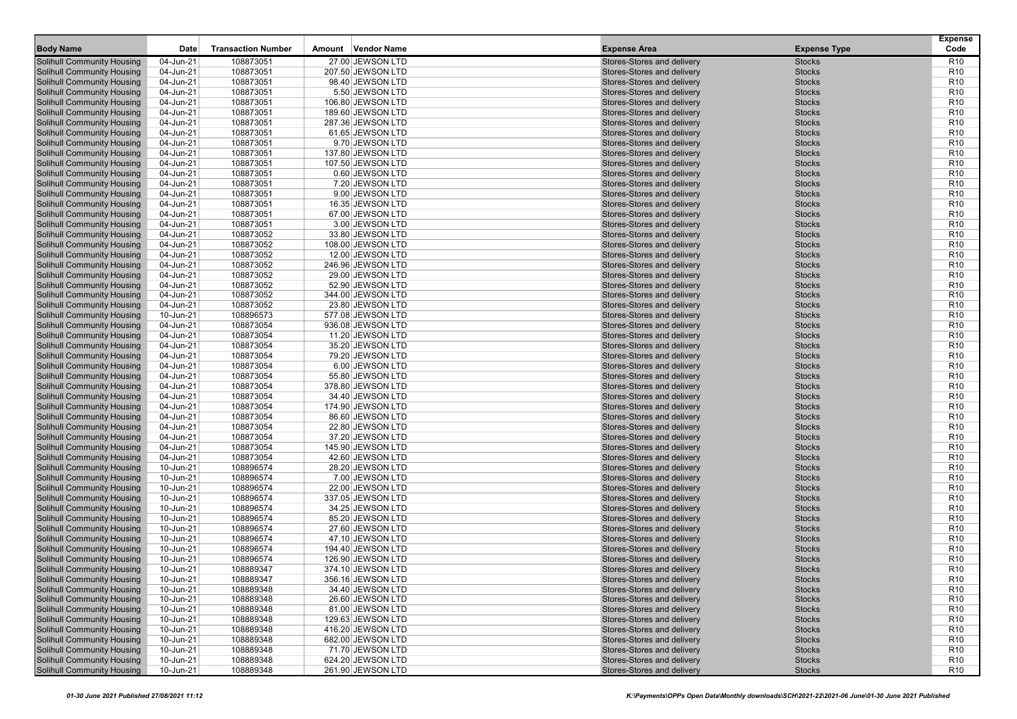|                                                                        |                        |                           |                                      |                                                          |                                | <b>Expense</b>                     |
|------------------------------------------------------------------------|------------------------|---------------------------|--------------------------------------|----------------------------------------------------------|--------------------------------|------------------------------------|
| <b>Body Name</b>                                                       | <b>Date</b>            | <b>Transaction Number</b> | Vendor Name<br>Amount                | <b>Expense Area</b>                                      | <b>Expense Type</b>            | Code                               |
| <b>Solihull Community Housing</b>                                      | 04-Jun-21              | 108873051                 | 27.00 JEWSON LTD                     | Stores-Stores and delivery                               | <b>Stocks</b>                  | R10                                |
| <b>Solihull Community Housing</b>                                      | 04-Jun-21              | 108873051                 | 207.50 JEWSON LTD                    | Stores-Stores and delivery                               | <b>Stocks</b>                  | R <sub>10</sub>                    |
| <b>Solihull Community Housing</b>                                      | 04-Jun-21              | 108873051                 | 98.40 JEWSON LTD                     | Stores-Stores and delivery                               | <b>Stocks</b>                  | R <sub>10</sub>                    |
| <b>Solihull Community Housing</b>                                      | 04-Jun-21              | 108873051                 | 5.50 JEWSON LTD                      | Stores-Stores and delivery                               | <b>Stocks</b>                  | R <sub>10</sub>                    |
| <b>Solihull Community Housing</b>                                      | 04-Jun-21              | 108873051                 | 106.80 JEWSON LTD                    | Stores-Stores and delivery                               | <b>Stocks</b>                  | R <sub>10</sub>                    |
| <b>Solihull Community Housing</b>                                      | 04-Jun-21              | 108873051                 | 189.60 JEWSON LTD                    | Stores-Stores and delivery                               | <b>Stocks</b>                  | R <sub>10</sub>                    |
| <b>Solihull Community Housing</b>                                      | 04-Jun-21              | 108873051                 | 287.36 JEWSON LTD                    | Stores-Stores and delivery                               | <b>Stocks</b>                  | R <sub>10</sub>                    |
| <b>Solihull Community Housing</b>                                      | 04-Jun-21              | 108873051                 | 61.65 JEWSON LTD                     | Stores-Stores and delivery                               | <b>Stocks</b>                  | R <sub>10</sub>                    |
| <b>Solihull Community Housing</b>                                      | 04-Jun-21              | 108873051                 | 9.70 JEWSON LTD                      | Stores-Stores and delivery                               | <b>Stocks</b>                  | R <sub>10</sub>                    |
| <b>Solihull Community Housing</b>                                      | 04-Jun-21              | 108873051                 | 137.80 JEWSON LTD                    | Stores-Stores and delivery                               | <b>Stocks</b>                  | R <sub>10</sub>                    |
| <b>Solihull Community Housing</b>                                      | 04-Jun-21              | 108873051                 | 107.50 JEWSON LTD                    | Stores-Stores and delivery                               | <b>Stocks</b>                  | R <sub>10</sub>                    |
| <b>Solihull Community Housing</b>                                      | 04-Jun-21              | 108873051                 | 0.60 JEWSON LTD                      | Stores-Stores and delivery                               | <b>Stocks</b>                  | R <sub>10</sub>                    |
| <b>Solihull Community Housing</b>                                      | 04-Jun-21              | 108873051                 | 7.20 JEWSON LTD                      | Stores-Stores and delivery                               | <b>Stocks</b>                  | R <sub>10</sub>                    |
| <b>Solihull Community Housing</b>                                      | 04-Jun-21              | 108873051                 | 9.00 JEWSON LTD                      | Stores-Stores and delivery                               | <b>Stocks</b>                  | R <sub>10</sub>                    |
| <b>Solihull Community Housing</b>                                      | 04-Jun-21              | 108873051                 | 16.35 JEWSON LTD                     | Stores-Stores and delivery                               | <b>Stocks</b>                  | R <sub>10</sub>                    |
| <b>Solihull Community Housing</b>                                      | 04-Jun-21              | 108873051                 | 67.00 JEWSON LTD                     | Stores-Stores and delivery                               | <b>Stocks</b>                  | R <sub>10</sub>                    |
| <b>Solihull Community Housing</b>                                      | 04-Jun-21              | 108873051                 | 3.00 JEWSON LTD                      | Stores-Stores and delivery                               | <b>Stocks</b>                  | R <sub>10</sub>                    |
| <b>Solihull Community Housing</b>                                      | 04-Jun-21              | 108873052                 | 33.80 JEWSON LTD                     | Stores-Stores and delivery                               | <b>Stocks</b>                  | R <sub>10</sub>                    |
| <b>Solihull Community Housing</b>                                      | 04-Jun-21              | 108873052                 | 108.00 JEWSON LTD                    | Stores-Stores and delivery                               | <b>Stocks</b>                  | R <sub>10</sub>                    |
| <b>Solihull Community Housing</b>                                      | 04-Jun-21              | 108873052                 | 12.00 JEWSON LTD                     | Stores-Stores and delivery                               | <b>Stocks</b>                  | R <sub>10</sub>                    |
| <b>Solihull Community Housing</b>                                      | 04-Jun-21              | 108873052                 | 246.96 JEWSON LTD                    | Stores-Stores and delivery                               | <b>Stocks</b>                  | R <sub>10</sub>                    |
| <b>Solihull Community Housing</b>                                      | 04-Jun-21              | 108873052                 | 29.00 JEWSON LTD                     | Stores-Stores and delivery                               | <b>Stocks</b>                  | R <sub>10</sub>                    |
| <b>Solihull Community Housing</b>                                      | 04-Jun-21              | 108873052                 | 52.90 JEWSON LTD                     | Stores-Stores and delivery                               | <b>Stocks</b>                  | R <sub>10</sub>                    |
| <b>Solihull Community Housing</b>                                      | 04-Jun-21              | 108873052                 | 344.00 JEWSON LTD                    | Stores-Stores and delivery                               | <b>Stocks</b>                  | R <sub>10</sub>                    |
| <b>Solihull Community Housing</b>                                      | 04-Jun-21              | 108873052                 | 23.80 JEWSON LTD                     | Stores-Stores and delivery                               | <b>Stocks</b>                  | R <sub>10</sub>                    |
| <b>Solihull Community Housing</b>                                      | 10-Jun-21              | 108896573                 | 577.08 JEWSON LTD                    | Stores-Stores and delivery                               | <b>Stocks</b>                  | R <sub>10</sub><br>R <sub>10</sub> |
| <b>Solihull Community Housing</b><br><b>Solihull Community Housing</b> | 04-Jun-21<br>04-Jun-21 | 108873054<br>108873054    | 936.08 JEWSON LTD                    | Stores-Stores and delivery<br>Stores-Stores and delivery | <b>Stocks</b><br><b>Stocks</b> | R <sub>10</sub>                    |
| <b>Solihull Community Housing</b>                                      | 04-Jun-21              | 108873054                 | 11.20 JEWSON LTD<br>35.20 JEWSON LTD | Stores-Stores and delivery                               | <b>Stocks</b>                  | R <sub>10</sub>                    |
| <b>Solihull Community Housing</b>                                      | 04-Jun-21              | 108873054                 | 79.20 JEWSON LTD                     | Stores-Stores and delivery                               | <b>Stocks</b>                  | R <sub>10</sub>                    |
| <b>Solihull Community Housing</b>                                      | 04-Jun-21              | 108873054                 | 6.00 JEWSON LTD                      | Stores-Stores and delivery                               | <b>Stocks</b>                  | R <sub>10</sub>                    |
| <b>Solihull Community Housing</b>                                      | 04-Jun-21              | 108873054                 | 55.80 JEWSON LTD                     | Stores-Stores and delivery                               | <b>Stocks</b>                  | R <sub>10</sub>                    |
| <b>Solihull Community Housing</b>                                      | 04-Jun-21              | 108873054                 | 378.80 JEWSON LTD                    | Stores-Stores and delivery                               | <b>Stocks</b>                  | R <sub>10</sub>                    |
| <b>Solihull Community Housing</b>                                      | 04-Jun-21              | 108873054                 | 34.40 JEWSON LTD                     | Stores-Stores and delivery                               | <b>Stocks</b>                  | R <sub>10</sub>                    |
| <b>Solihull Community Housing</b>                                      | 04-Jun-21              | 108873054                 | 174.90 JEWSON LTD                    | Stores-Stores and delivery                               | <b>Stocks</b>                  | R <sub>10</sub>                    |
| <b>Solihull Community Housing</b>                                      | 04-Jun-21              | 108873054                 | 86.60 JEWSON LTD                     | Stores-Stores and delivery                               | <b>Stocks</b>                  | R <sub>10</sub>                    |
| <b>Solihull Community Housing</b>                                      | 04-Jun-21              | 108873054                 | 22.80 JEWSON LTD                     | Stores-Stores and delivery                               | <b>Stocks</b>                  | R <sub>10</sub>                    |
| <b>Solihull Community Housing</b>                                      | 04-Jun-21              | 108873054                 | 37.20 JEWSON LTD                     | Stores-Stores and delivery                               | <b>Stocks</b>                  | R <sub>10</sub>                    |
| <b>Solihull Community Housing</b>                                      | 04-Jun-21              | 108873054                 | 145.90 JEWSON LTD                    | Stores-Stores and delivery                               | <b>Stocks</b>                  | R <sub>10</sub>                    |
| <b>Solihull Community Housing</b>                                      | 04-Jun-21              | 108873054                 | 42.60 JEWSON LTD                     | Stores-Stores and delivery                               | <b>Stocks</b>                  | R <sub>10</sub>                    |
| <b>Solihull Community Housing</b>                                      | 10-Jun-21              | 108896574                 | 28.20 JEWSON LTD                     | Stores-Stores and delivery                               | <b>Stocks</b>                  | R <sub>10</sub>                    |
| <b>Solihull Community Housing</b>                                      | 10-Jun-21              | 108896574                 | 7.00 JEWSON LTD                      | Stores-Stores and delivery                               | <b>Stocks</b>                  | R <sub>10</sub>                    |
| <b>Solihull Community Housing</b>                                      | 10-Jun-21              | 108896574                 | 22.00 JEWSON LTD                     | Stores-Stores and delivery                               | <b>Stocks</b>                  | R <sub>10</sub>                    |
| <b>Solihull Community Housing</b>                                      | 10-Jun-21              | 108896574                 | 337.05 JEWSON LTD                    | Stores-Stores and delivery                               | <b>Stocks</b>                  | R <sub>10</sub>                    |
| <b>Solihull Community Housing</b>                                      | 10-Jun-21              | 108896574                 | 34.25 JEWSON LTD                     | Stores-Stores and delivery                               | <b>Stocks</b>                  | R <sub>10</sub>                    |
| <b>Solihull Community Housing</b>                                      | 10-Jun-21              | 108896574                 | 85.20 JEWSON LTD                     | Stores-Stores and delivery                               | <b>Stocks</b>                  | R <sub>10</sub>                    |
| <b>Solihull Community Housing</b>                                      | 10-Jun-21              | 108896574                 | 27.60 JEWSON LTD                     | Stores-Stores and delivery                               | <b>Stocks</b>                  | R <sub>10</sub>                    |
| <b>Solihull Community Housing</b>                                      | 10-Jun-21              | 108896574                 | 47.10 JEWSON LTD                     | Stores-Stores and delivery                               | <b>Stocks</b>                  | R <sub>10</sub>                    |
| <b>Solihull Community Housing</b>                                      | 10-Jun-21              | 108896574                 | 194.40 JEWSON LTD                    | Stores-Stores and delivery                               | <b>Stocks</b>                  | R <sub>10</sub>                    |
| <b>Solihull Community Housing</b>                                      | 10-Jun-21              | 108896574                 | 126.90 JEWSON LTD                    | Stores-Stores and delivery                               | <b>Stocks</b>                  | R <sub>10</sub>                    |
| <b>Solihull Community Housing</b>                                      | 10-Jun-21              | 108889347                 | 374.10 JEWSON LTD                    | Stores-Stores and delivery                               | <b>Stocks</b>                  | R <sub>10</sub>                    |
| <b>Solihull Community Housing</b>                                      | 10-Jun-21              | 108889347                 | 356.16 JEWSON LTD                    | Stores-Stores and delivery                               | Stocks                         | R <sub>10</sub>                    |
| <b>Solihull Community Housing</b>                                      | 10-Jun-21              | 108889348                 | 34.40 JEWSON LTD                     | Stores-Stores and delivery                               | <b>Stocks</b>                  | R <sub>10</sub>                    |
| <b>Solihull Community Housing</b>                                      | 10-Jun-21              | 108889348                 | 26.60 JEWSON LTD                     | Stores-Stores and delivery                               | <b>Stocks</b>                  | R <sub>10</sub>                    |
| <b>Solihull Community Housing</b>                                      | 10-Jun-21              | 108889348                 | 81.00 JEWSON LTD                     | Stores-Stores and delivery                               | <b>Stocks</b>                  | R <sub>10</sub>                    |
| <b>Solihull Community Housing</b>                                      | 10-Jun-21              | 108889348                 | 129.63 JEWSON LTD                    | Stores-Stores and delivery                               | <b>Stocks</b>                  | R <sub>10</sub>                    |
| <b>Solihull Community Housing</b>                                      | 10-Jun-21              | 108889348                 | 416.20 JEWSON LTD                    | Stores-Stores and delivery                               | <b>Stocks</b>                  | R <sub>10</sub>                    |
| <b>Solihull Community Housing</b>                                      | 10-Jun-21              | 108889348                 | 682.00 JEWSON LTD                    | Stores-Stores and delivery                               | <b>Stocks</b>                  | R <sub>10</sub>                    |
| <b>Solihull Community Housing</b>                                      | 10-Jun-21              | 108889348                 | 71.70 JEWSON LTD                     | Stores-Stores and delivery                               | <b>Stocks</b>                  | R <sub>10</sub>                    |
| <b>Solihull Community Housing</b>                                      | 10-Jun-21              | 108889348                 | 624.20 JEWSON LTD                    | Stores-Stores and delivery                               | <b>Stocks</b>                  | R <sub>10</sub>                    |
| <b>Solihull Community Housing</b>                                      | $10$ -Jun-21           | 108889348                 | 261.90 JEWSON LTD                    | Stores-Stores and delivery                               | <b>Stocks</b>                  | <b>R10</b>                         |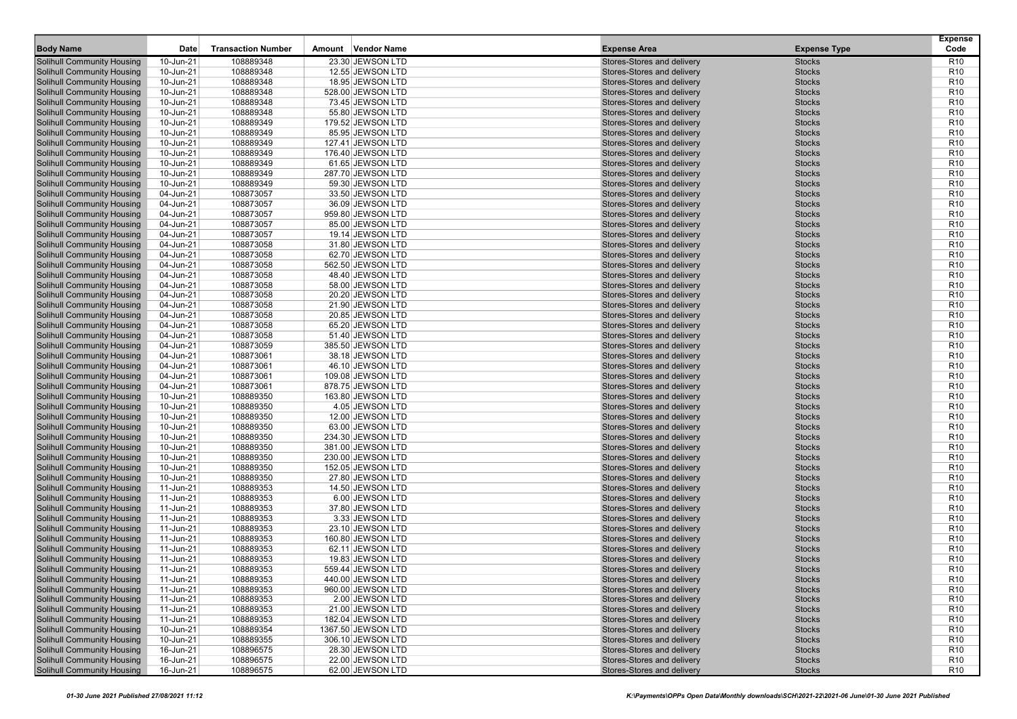| <b>Body Name</b>                                                       | Date                   | <b>Transaction Number</b> | Vendor Name<br>Amount                 | <b>Expense Area</b>                                      | <b>Expense Type</b>            | <b>Expense</b><br>Code             |
|------------------------------------------------------------------------|------------------------|---------------------------|---------------------------------------|----------------------------------------------------------|--------------------------------|------------------------------------|
| <b>Solihull Community Housing</b>                                      | 10-Jun-21              | 108889348                 | 23.30 JEWSON LTD                      | Stores-Stores and delivery                               | <b>Stocks</b>                  | R <sub>10</sub>                    |
| <b>Solihull Community Housing</b>                                      | 10-Jun-21              | 108889348                 | 12.55 JEWSON LTD                      | Stores-Stores and delivery                               | <b>Stocks</b>                  | R <sub>10</sub>                    |
| <b>Solihull Community Housing</b>                                      | 10-Jun-21              | 108889348                 | 18.95 JEWSON LTD                      | Stores-Stores and delivery                               | <b>Stocks</b>                  | R <sub>10</sub>                    |
| <b>Solihull Community Housing</b>                                      | 10-Jun-21              | 108889348                 | 528.00 JEWSON LTD                     | Stores-Stores and delivery                               | <b>Stocks</b>                  | R <sub>10</sub>                    |
| <b>Solihull Community Housing</b>                                      | 10-Jun-21              | 108889348                 | 73.45 JEWSON LTD                      | Stores-Stores and delivery                               | <b>Stocks</b>                  | R <sub>10</sub>                    |
| <b>Solihull Community Housing</b>                                      | 10-Jun-21              | 108889348                 | 55.80 JEWSON LTD                      | Stores-Stores and delivery                               | <b>Stocks</b>                  | R <sub>10</sub>                    |
| <b>Solihull Community Housing</b>                                      | 10-Jun-21              | 108889349                 | 179.52 JEWSON LTD                     | Stores-Stores and delivery                               | <b>Stocks</b>                  | R <sub>10</sub>                    |
| <b>Solihull Community Housing</b>                                      | 10-Jun-21              | 108889349                 | 85.95 JEWSON LTD                      | Stores-Stores and delivery                               | <b>Stocks</b>                  | R <sub>10</sub>                    |
| <b>Solihull Community Housing</b>                                      | 10-Jun-21              | 108889349                 | 127.41 JEWSON LTD                     | Stores-Stores and delivery                               | <b>Stocks</b>                  | R <sub>10</sub>                    |
| <b>Solihull Community Housing</b>                                      | 10-Jun-21              | 108889349                 | 176.40 JEWSON LTD                     | Stores-Stores and delivery                               | <b>Stocks</b>                  | R <sub>10</sub>                    |
| <b>Solihull Community Housing</b>                                      | 10-Jun-21              | 108889349                 | 61.65 JEWSON LTD                      | Stores-Stores and delivery                               | <b>Stocks</b>                  | R <sub>10</sub>                    |
| <b>Solihull Community Housing</b>                                      | 10-Jun-21              | 108889349                 | 287.70 JEWSON LTD                     | Stores-Stores and delivery                               | <b>Stocks</b>                  | R <sub>10</sub>                    |
| <b>Solihull Community Housing</b>                                      | 10-Jun-21              | 108889349                 | 59.30 JEWSON LTD                      | Stores-Stores and delivery                               | <b>Stocks</b>                  | R <sub>10</sub>                    |
| <b>Solihull Community Housing</b>                                      | 04-Jun-21              | 108873057                 | 33.50 JEWSON LTD                      | Stores-Stores and delivery                               | <b>Stocks</b>                  | R <sub>10</sub>                    |
| <b>Solihull Community Housing</b>                                      | 04-Jun-21              | 108873057                 | 36.09 JEWSON LTD                      | Stores-Stores and delivery                               | <b>Stocks</b>                  | R <sub>10</sub>                    |
| <b>Solihull Community Housing</b>                                      | 04-Jun-21              | 108873057                 | 959.80 JEWSON LTD                     | Stores-Stores and delivery                               | <b>Stocks</b>                  | R <sub>10</sub>                    |
| <b>Solihull Community Housing</b>                                      | 04-Jun-21              | 108873057<br>108873057    | 85.00 JEWSON LTD                      | Stores-Stores and delivery                               | <b>Stocks</b>                  | R <sub>10</sub><br>R <sub>10</sub> |
| <b>Solihull Community Housing</b><br><b>Solihull Community Housing</b> | 04-Jun-21              |                           | 19.14 JEWSON LTD                      | Stores-Stores and delivery<br>Stores-Stores and delivery | <b>Stocks</b><br><b>Stocks</b> | R <sub>10</sub>                    |
| <b>Solihull Community Housing</b>                                      | 04-Jun-21<br>04-Jun-21 | 108873058<br>108873058    | 31.80 JEWSON LTD                      | Stores-Stores and delivery                               | <b>Stocks</b>                  | R <sub>10</sub>                    |
| <b>Solihull Community Housing</b>                                      |                        | 108873058                 | 62.70 JEWSON LTD<br>562.50 JEWSON LTD | Stores-Stores and delivery                               | <b>Stocks</b>                  | R <sub>10</sub>                    |
| <b>Solihull Community Housing</b>                                      | 04-Jun-21<br>04-Jun-21 | 108873058                 | 48.40 JEWSON LTD                      | Stores-Stores and delivery                               | <b>Stocks</b>                  | R <sub>10</sub>                    |
| <b>Solihull Community Housing</b>                                      | 04-Jun-21              | 108873058                 | 58.00 JEWSON LTD                      | Stores-Stores and delivery                               | <b>Stocks</b>                  | R <sub>10</sub>                    |
| <b>Solihull Community Housing</b>                                      | 04-Jun-21              | 108873058                 | 20.20 JEWSON LTD                      | Stores-Stores and delivery                               | <b>Stocks</b>                  | R <sub>10</sub>                    |
| <b>Solihull Community Housing</b>                                      | 04-Jun-21              | 108873058                 | 21.90 JEWSON LTD                      | Stores-Stores and delivery                               | <b>Stocks</b>                  | R <sub>10</sub>                    |
| <b>Solihull Community Housing</b>                                      | 04-Jun-21              | 108873058                 | 20.85 JEWSON LTD                      | Stores-Stores and delivery                               | <b>Stocks</b>                  | R <sub>10</sub>                    |
| <b>Solihull Community Housing</b>                                      | 04-Jun-21              | 108873058                 | 65.20 JEWSON LTD                      | Stores-Stores and delivery                               | <b>Stocks</b>                  | R <sub>10</sub>                    |
| <b>Solihull Community Housing</b>                                      | 04-Jun-21              | 108873058                 | 51.40 JEWSON LTD                      | Stores-Stores and delivery                               | <b>Stocks</b>                  | R <sub>10</sub>                    |
| <b>Solihull Community Housing</b>                                      | 04-Jun-21              | 108873059                 | 385.50 JEWSON LTD                     | Stores-Stores and delivery                               | <b>Stocks</b>                  | R <sub>10</sub>                    |
| <b>Solihull Community Housing</b>                                      | 04-Jun-21              | 108873061                 | 38.18 JEWSON LTD                      | Stores-Stores and delivery                               | <b>Stocks</b>                  | R <sub>10</sub>                    |
| <b>Solihull Community Housing</b>                                      | 04-Jun-21              | 108873061                 | 46.10 JEWSON LTD                      | Stores-Stores and delivery                               | <b>Stocks</b>                  | R <sub>10</sub>                    |
| <b>Solihull Community Housing</b>                                      | 04-Jun-21              | 108873061                 | 109.08 JEWSON LTD                     | Stores-Stores and delivery                               | <b>Stocks</b>                  | R <sub>10</sub>                    |
| <b>Solihull Community Housing</b>                                      | 04-Jun-21              | 108873061                 | 878.75 JEWSON LTD                     | Stores-Stores and delivery                               | <b>Stocks</b>                  | R <sub>10</sub>                    |
| <b>Solihull Community Housing</b>                                      | 10-Jun-21              | 108889350                 | 163.80 JEWSON LTD                     | Stores-Stores and delivery                               | <b>Stocks</b>                  | R <sub>10</sub>                    |
| <b>Solihull Community Housing</b>                                      | 10-Jun-21              | 108889350                 | 4.05 JEWSON LTD                       | Stores-Stores and delivery                               | <b>Stocks</b>                  | R <sub>10</sub>                    |
| <b>Solihull Community Housing</b>                                      | 10-Jun-21              | 108889350                 | 12.00 JEWSON LTD                      | Stores-Stores and delivery                               | <b>Stocks</b>                  | R <sub>10</sub>                    |
| <b>Solihull Community Housing</b>                                      | 10-Jun-21              | 108889350                 | 63.00 JEWSON LTD                      | Stores-Stores and delivery                               | <b>Stocks</b>                  | R <sub>10</sub>                    |
| <b>Solihull Community Housing</b>                                      | 10-Jun-21              | 108889350                 | 234.30 JEWSON LTD                     | Stores-Stores and delivery                               | <b>Stocks</b>                  | R <sub>10</sub>                    |
| <b>Solihull Community Housing</b>                                      | 10-Jun-21              | 108889350                 | 381.00 JEWSON LTD                     | Stores-Stores and delivery                               | <b>Stocks</b>                  | R <sub>10</sub>                    |
| <b>Solihull Community Housing</b>                                      | 10-Jun-21              | 108889350                 | 230.00 JEWSON LTD                     | Stores-Stores and delivery                               | <b>Stocks</b>                  | R <sub>10</sub>                    |
| <b>Solihull Community Housing</b>                                      | 10-Jun-21              | 108889350                 | 152.05 JEWSON LTD                     | Stores-Stores and delivery                               | <b>Stocks</b>                  | R <sub>10</sub>                    |
| <b>Solihull Community Housing</b>                                      | 10-Jun-21              | 108889350                 | 27.80 JEWSON LTD                      | Stores-Stores and delivery                               | <b>Stocks</b>                  | R <sub>10</sub>                    |
| <b>Solihull Community Housing</b>                                      | 11-Jun-21              | 108889353                 | 14.50 JEWSON LTD                      | Stores-Stores and delivery                               | <b>Stocks</b>                  | R <sub>10</sub>                    |
| <b>Solihull Community Housing</b>                                      | 11-Jun-21              | 108889353                 | 6.00 JEWSON LTD                       | Stores-Stores and delivery                               | <b>Stocks</b>                  | R <sub>10</sub>                    |
| <b>Solihull Community Housing</b>                                      | 11-Jun-21              | 108889353                 | 37.80 JEWSON LTD                      | Stores-Stores and delivery                               | <b>Stocks</b>                  | R <sub>10</sub>                    |
| <b>Solihull Community Housing</b>                                      | 11-Jun-21              | 108889353                 | 3.33 JEWSON LTD                       | Stores-Stores and delivery                               | <b>Stocks</b>                  | R <sub>10</sub>                    |
| <b>Solihull Community Housing</b>                                      | 11-Jun-21              | 108889353                 | 23.10 JEWSON LTD                      | Stores-Stores and delivery                               | <b>Stocks</b>                  | R <sub>10</sub>                    |
| <b>Solihull Community Housing</b>                                      | 11-Jun-21              | 108889353                 | 160.80 JEWSON LTD                     | Stores-Stores and delivery                               | <b>Stocks</b>                  | R <sub>10</sub>                    |
| <b>Solihull Community Housing</b>                                      | 11-Jun-21              | 108889353                 | 62.11 JEWSON LTD                      | Stores-Stores and delivery                               | <b>Stocks</b>                  | R <sub>10</sub>                    |
| <b>Solihull Community Housing</b>                                      | 11-Jun-21              | 108889353                 | 19.83 JEWSON LTD                      | Stores-Stores and delivery                               | <b>Stocks</b>                  | R <sub>10</sub>                    |
| <b>Solihull Community Housing</b>                                      | 11-Jun-21              | 108889353                 | 559.44 JEWSON LTD                     | Stores-Stores and delivery                               | <b>Stocks</b>                  | R <sub>10</sub>                    |
| <b>Solihull Community Housing</b><br><b>Solihull Community Housing</b> | 11-Jun-21              | 108889353<br>108889353    | 440.00 JEWSON LTD                     | Stores-Stores and delivery                               | <b>Stocks</b><br><b>Stocks</b> | R <sub>10</sub><br>R <sub>10</sub> |
| <b>Solihull Community Housing</b>                                      | 11-Jun-21<br>11-Jun-21 | 108889353                 | 960.00 JEWSON LTD<br>2.00 JEWSON LTD  | Stores-Stores and delivery<br>Stores-Stores and delivery | <b>Stocks</b>                  | R <sub>10</sub>                    |
| <b>Solihull Community Housing</b>                                      | 11-Jun-21              | 108889353                 | 21.00 JEWSON LTD                      | Stores-Stores and delivery                               | <b>Stocks</b>                  | R <sub>10</sub>                    |
| <b>Solihull Community Housing</b>                                      | 11-Jun-21              | 108889353                 | 182.04 JEWSON LTD                     | Stores-Stores and delivery                               | <b>Stocks</b>                  | R <sub>10</sub>                    |
| <b>Solihull Community Housing</b>                                      | 10-Jun-21              | 108889354                 | 1367.50 JEWSON LTD                    | Stores-Stores and delivery                               | <b>Stocks</b>                  | R <sub>10</sub>                    |
| <b>Solihull Community Housing</b>                                      | 10-Jun-21              | 108889355                 | 306.10 JEWSON LTD                     | Stores-Stores and delivery                               | <b>Stocks</b>                  | R <sub>10</sub>                    |
| <b>Solihull Community Housing</b>                                      | 16-Jun-21              | 108896575                 | 28.30 JEWSON LTD                      | Stores-Stores and delivery                               | <b>Stocks</b>                  | R <sub>10</sub>                    |
| <b>Solihull Community Housing</b>                                      | 16-Jun-21              | 108896575                 | 22.00 JEWSON LTD                      | Stores-Stores and delivery                               | <b>Stocks</b>                  | R <sub>10</sub>                    |
| <b>Solihull Community Housing</b>                                      | $16$ -Jun-21           | 108896575                 | 62.00 JEWSON LTD                      | Stores-Stores and delivery                               | <b>Stocks</b>                  | <b>R10</b>                         |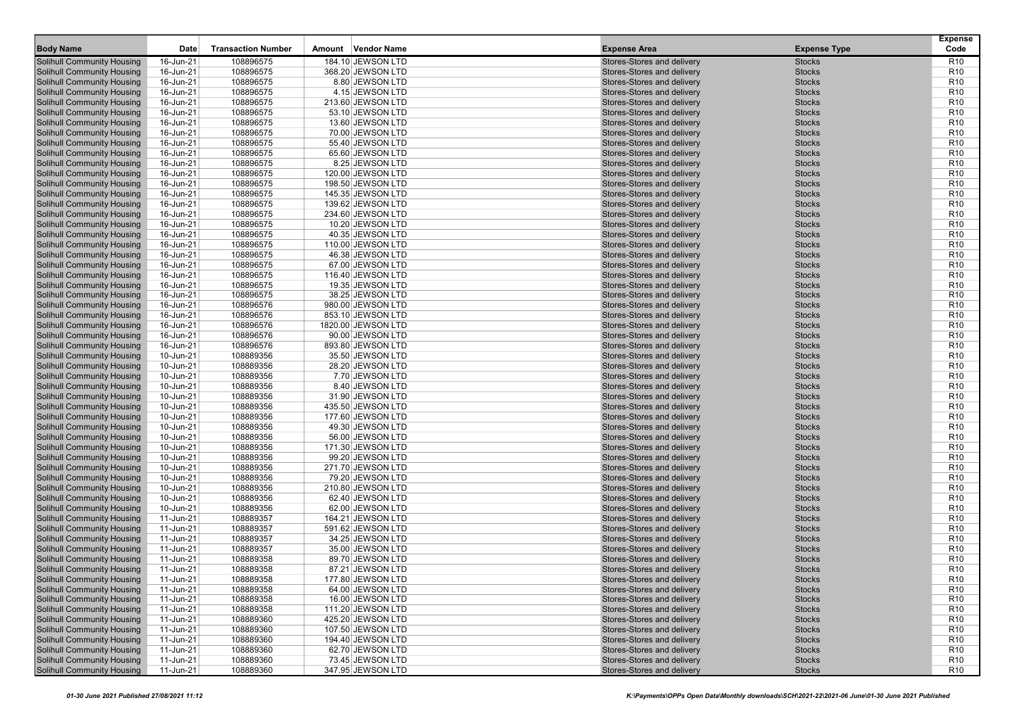| <b>Body Name</b>                                                       | Date                   | <b>Transaction Number</b> | Vendor Name<br>Amount                | <b>Expense Area</b>                                      | <b>Expense Type</b>            | <b>Expense</b><br>Code             |
|------------------------------------------------------------------------|------------------------|---------------------------|--------------------------------------|----------------------------------------------------------|--------------------------------|------------------------------------|
| <b>Solihull Community Housing</b>                                      | 16-Jun-21              | 108896575                 | 184.10 JEWSON LTD                    | Stores-Stores and delivery                               | <b>Stocks</b>                  | R <sub>10</sub>                    |
| <b>Solihull Community Housing</b>                                      | 16-Jun-21              | 108896575                 | 368.20 JEWSON LTD                    | Stores-Stores and delivery                               | <b>Stocks</b>                  | R <sub>10</sub>                    |
| <b>Solihull Community Housing</b>                                      | 16-Jun-21              | 108896575                 | 8.80 JEWSON LTD                      | Stores-Stores and delivery                               | <b>Stocks</b>                  | R <sub>10</sub>                    |
| <b>Solihull Community Housing</b>                                      | 16-Jun-21              | 108896575                 | 4.15 JEWSON LTD                      | Stores-Stores and delivery                               | <b>Stocks</b>                  | R <sub>10</sub>                    |
| <b>Solihull Community Housing</b>                                      | 16-Jun-21              | 108896575                 | 213.60 JEWSON LTD                    | Stores-Stores and delivery                               | <b>Stocks</b>                  | R <sub>10</sub>                    |
| <b>Solihull Community Housing</b>                                      | 16-Jun-21              | 108896575                 | 53.10 JEWSON LTD                     | Stores-Stores and delivery                               | <b>Stocks</b>                  | R <sub>10</sub>                    |
| <b>Solihull Community Housing</b>                                      | 16-Jun-21              | 108896575                 | 13.60 JEWSON LTD                     | Stores-Stores and delivery                               | <b>Stocks</b>                  | R <sub>10</sub>                    |
| <b>Solihull Community Housing</b>                                      | 16-Jun-21              | 108896575                 | 70.00 JEWSON LTD                     | Stores-Stores and delivery                               | <b>Stocks</b>                  | R <sub>10</sub>                    |
| <b>Solihull Community Housing</b>                                      | 16-Jun-21              | 108896575                 | 55.40 JEWSON LTD                     | Stores-Stores and delivery                               | <b>Stocks</b>                  | R <sub>10</sub>                    |
| <b>Solihull Community Housing</b>                                      | 16-Jun-21              | 108896575                 | 65.60 JEWSON LTD                     | Stores-Stores and delivery                               | <b>Stocks</b>                  | R <sub>10</sub>                    |
| <b>Solihull Community Housing</b>                                      | 16-Jun-21              | 108896575                 | 8.25 JEWSON LTD                      | Stores-Stores and delivery                               | <b>Stocks</b>                  | R <sub>10</sub>                    |
| <b>Solihull Community Housing</b>                                      | 16-Jun-21              | 108896575                 | 120.00 JEWSON LTD                    | Stores-Stores and delivery                               | <b>Stocks</b>                  | R <sub>10</sub>                    |
| <b>Solihull Community Housing</b>                                      | 16-Jun-21              | 108896575                 | 198.50 JEWSON LTD                    | Stores-Stores and delivery                               | <b>Stocks</b>                  | R <sub>10</sub>                    |
| <b>Solihull Community Housing</b>                                      | 16-Jun-21              | 108896575                 | 145.35 JEWSON LTD                    | Stores-Stores and delivery                               | <b>Stocks</b>                  | R <sub>10</sub>                    |
| <b>Solihull Community Housing</b>                                      | 16-Jun-21              | 108896575                 | 139.62 JEWSON LTD                    | Stores-Stores and delivery                               | <b>Stocks</b>                  | R <sub>10</sub>                    |
| <b>Solihull Community Housing</b>                                      | 16-Jun-21              | 108896575                 | 234.60 JEWSON LTD                    | Stores-Stores and delivery                               | <b>Stocks</b>                  | R <sub>10</sub>                    |
| <b>Solihull Community Housing</b><br><b>Solihull Community Housing</b> | 16-Jun-21<br>16-Jun-21 | 108896575<br>108896575    | 10.20 JEWSON LTD<br>40.35 JEWSON LTD | Stores-Stores and delivery<br>Stores-Stores and delivery | <b>Stocks</b><br><b>Stocks</b> | R <sub>10</sub><br>R <sub>10</sub> |
| <b>Solihull Community Housing</b>                                      | 16-Jun-21              | 108896575                 | 110.00 JEWSON LTD                    | Stores-Stores and delivery                               | <b>Stocks</b>                  | R <sub>10</sub>                    |
| <b>Solihull Community Housing</b>                                      | 16-Jun-21              | 108896575                 | 46.38 JEWSON LTD                     | Stores-Stores and delivery                               | <b>Stocks</b>                  | R <sub>10</sub>                    |
| <b>Solihull Community Housing</b>                                      | 16-Jun-21              | 108896575                 | 67.00 JEWSON LTD                     | Stores-Stores and delivery                               | <b>Stocks</b>                  | R <sub>10</sub>                    |
| <b>Solihull Community Housing</b>                                      | 16-Jun-21              | 108896575                 | 116.40 JEWSON LTD                    | Stores-Stores and delivery                               | <b>Stocks</b>                  | R <sub>10</sub>                    |
| <b>Solihull Community Housing</b>                                      | 16-Jun-21              | 108896575                 | 19.35 JEWSON LTD                     | Stores-Stores and delivery                               | <b>Stocks</b>                  | R <sub>10</sub>                    |
| <b>Solihull Community Housing</b>                                      | 16-Jun-21              | 108896575                 | 38.25 JEWSON LTD                     | Stores-Stores and delivery                               | <b>Stocks</b>                  | R <sub>10</sub>                    |
| <b>Solihull Community Housing</b>                                      | 16-Jun-21              | 108896576                 | 980.00 JEWSON LTD                    | Stores-Stores and delivery                               | <b>Stocks</b>                  | R <sub>10</sub>                    |
| <b>Solihull Community Housing</b>                                      | 16-Jun-21              | 108896576                 | 853.10 JEWSON LTD                    | Stores-Stores and delivery                               | <b>Stocks</b>                  | R <sub>10</sub>                    |
| <b>Solihull Community Housing</b>                                      | 16-Jun-21              | 108896576                 | 1820.00 JEWSON LTD                   | Stores-Stores and delivery                               | <b>Stocks</b>                  | R <sub>10</sub>                    |
| <b>Solihull Community Housing</b>                                      | 16-Jun-21              | 108896576                 | 90.00 JEWSON LTD                     | Stores-Stores and delivery                               | <b>Stocks</b>                  | R <sub>10</sub>                    |
| <b>Solihull Community Housing</b>                                      | 16-Jun-21              | 108896576                 | 893.80 JEWSON LTD                    | Stores-Stores and delivery                               | <b>Stocks</b>                  | R <sub>10</sub>                    |
| <b>Solihull Community Housing</b>                                      | 10-Jun-21              | 108889356                 | 35.50 JEWSON LTD                     | Stores-Stores and delivery                               | <b>Stocks</b>                  | R <sub>10</sub>                    |
| <b>Solihull Community Housing</b>                                      | 10-Jun-21              | 108889356                 | 28.20 JEWSON LTD                     | Stores-Stores and delivery                               | <b>Stocks</b>                  | R <sub>10</sub>                    |
| <b>Solihull Community Housing</b>                                      | 10-Jun-21              | 108889356                 | 7.70 JEWSON LTD                      | Stores-Stores and delivery                               | <b>Stocks</b>                  | R <sub>10</sub>                    |
| <b>Solihull Community Housing</b>                                      | 10-Jun-21              | 108889356                 | 8.40 JEWSON LTD                      | Stores-Stores and delivery                               | <b>Stocks</b>                  | R <sub>10</sub>                    |
| <b>Solihull Community Housing</b>                                      | 10-Jun-21              | 108889356                 | 31.90 JEWSON LTD                     | Stores-Stores and delivery                               | <b>Stocks</b>                  | R <sub>10</sub>                    |
| <b>Solihull Community Housing</b>                                      | 10-Jun-21              | 108889356                 | 435.50 JEWSON LTD                    | Stores-Stores and delivery                               | <b>Stocks</b>                  | R <sub>10</sub>                    |
| <b>Solihull Community Housing</b>                                      | 10-Jun-21              | 108889356                 | 177.60 JEWSON LTD                    | Stores-Stores and delivery                               | <b>Stocks</b>                  | R <sub>10</sub>                    |
| <b>Solihull Community Housing</b>                                      | 10-Jun-21              | 108889356                 | 49.30 JEWSON LTD                     | Stores-Stores and delivery                               | <b>Stocks</b>                  | R <sub>10</sub>                    |
| <b>Solihull Community Housing</b>                                      | 10-Jun-21              | 108889356                 | 56.00 JEWSON LTD                     | Stores-Stores and delivery                               | <b>Stocks</b>                  | R <sub>10</sub>                    |
| <b>Solihull Community Housing</b>                                      | 10-Jun-21              | 108889356                 | 171.30 JEWSON LTD                    | Stores-Stores and delivery                               | <b>Stocks</b>                  | R <sub>10</sub>                    |
| <b>Solihull Community Housing</b>                                      | 10-Jun-21              | 108889356                 | 99.20 JEWSON LTD                     | Stores-Stores and delivery                               | <b>Stocks</b>                  | R <sub>10</sub>                    |
| <b>Solihull Community Housing</b>                                      | 10-Jun-21              | 108889356                 | 271.70 JEWSON LTD                    | Stores-Stores and delivery                               | <b>Stocks</b>                  | R <sub>10</sub>                    |
| <b>Solihull Community Housing</b>                                      | 10-Jun-21              | 108889356                 | 79.20 JEWSON LTD                     | Stores-Stores and delivery                               | <b>Stocks</b>                  | R <sub>10</sub>                    |
| <b>Solihull Community Housing</b>                                      | 10-Jun-21              | 108889356                 | 210.80 JEWSON LTD                    | Stores-Stores and delivery                               | <b>Stocks</b>                  | R <sub>10</sub>                    |
| <b>Solihull Community Housing</b>                                      | 10-Jun-21              | 108889356                 | 62.40 JEWSON LTD                     | Stores-Stores and delivery                               | <b>Stocks</b>                  | R <sub>10</sub>                    |
| <b>Solihull Community Housing</b>                                      | 10-Jun-21              | 108889356                 | 62.00 JEWSON LTD                     | Stores-Stores and delivery                               | <b>Stocks</b>                  | R <sub>10</sub>                    |
| <b>Solihull Community Housing</b><br><b>Solihull Community Housing</b> | 11-Jun-21              | 108889357                 | 164.21 JEWSON LTD                    | Stores-Stores and delivery                               | <b>Stocks</b>                  | R <sub>10</sub><br>R <sub>10</sub> |
| <b>Solihull Community Housing</b>                                      | 11-Jun-21              | 108889357<br>108889357    | 591.62 JEWSON LTD                    | Stores-Stores and delivery                               | <b>Stocks</b>                  | R <sub>10</sub>                    |
| <b>Solihull Community Housing</b>                                      | 11-Jun-21<br>11-Jun-21 | 108889357                 | 34.25 JEWSON LTD<br>35.00 JEWSON LTD | Stores-Stores and delivery<br>Stores-Stores and delivery | <b>Stocks</b><br><b>Stocks</b> | R <sub>10</sub>                    |
| <b>Solihull Community Housing</b>                                      | 11-Jun-21              | 108889358                 | 89.70 JEWSON LTD                     | Stores-Stores and delivery                               | <b>Stocks</b>                  | R <sub>10</sub>                    |
| <b>Solihull Community Housing</b>                                      | 11-Jun-21              | 108889358                 | 87.21 JEWSON LTD                     | Stores-Stores and delivery                               | <b>Stocks</b>                  | R <sub>10</sub>                    |
| <b>Solihull Community Housing</b>                                      | 11-Jun-21              | 108889358                 | 177.80 JEWSON LTD                    | Stores-Stores and delivery                               | <b>Stocks</b>                  | R <sub>10</sub>                    |
| <b>Solihull Community Housing</b>                                      | 11-Jun-21              | 108889358                 | 64.00 JEWSON LTD                     | Stores-Stores and delivery                               | <b>Stocks</b>                  | R <sub>10</sub>                    |
| <b>Solihull Community Housing</b>                                      | 11-Jun-21              | 108889358                 | 16.00 JEWSON LTD                     | Stores-Stores and delivery                               | <b>Stocks</b>                  | R <sub>10</sub>                    |
| <b>Solihull Community Housing</b>                                      | 11-Jun-21              | 108889358                 | 111.20 JEWSON LTD                    | Stores-Stores and delivery                               | <b>Stocks</b>                  | R <sub>10</sub>                    |
| <b>Solihull Community Housing</b>                                      | 11-Jun-21              | 108889360                 | 425.20 JEWSON LTD                    | Stores-Stores and delivery                               | <b>Stocks</b>                  | R <sub>10</sub>                    |
| <b>Solihull Community Housing</b>                                      | 11-Jun-21              | 108889360                 | 107.50 JEWSON LTD                    | Stores-Stores and delivery                               | <b>Stocks</b>                  | R <sub>10</sub>                    |
| <b>Solihull Community Housing</b>                                      | 11-Jun-21              | 108889360                 | 194.40 JEWSON LTD                    | Stores-Stores and delivery                               | <b>Stocks</b>                  | R <sub>10</sub>                    |
| <b>Solihull Community Housing</b>                                      | 11-Jun-21              | 108889360                 | 62.70 JEWSON LTD                     | Stores-Stores and delivery                               | <b>Stocks</b>                  | R <sub>10</sub>                    |
| <b>Solihull Community Housing</b>                                      | 11-Jun-21              | 108889360                 | 73.45 JEWSON LTD                     | Stores-Stores and delivery                               | <b>Stocks</b>                  | R <sub>10</sub>                    |
| <b>Solihull Community Housing</b>                                      | $11$ -Jun-21           | 108889360                 | 347.95 JEWSON LTD                    | Stores-Stores and delivery                               | <b>Stocks</b>                  | <b>R10</b>                         |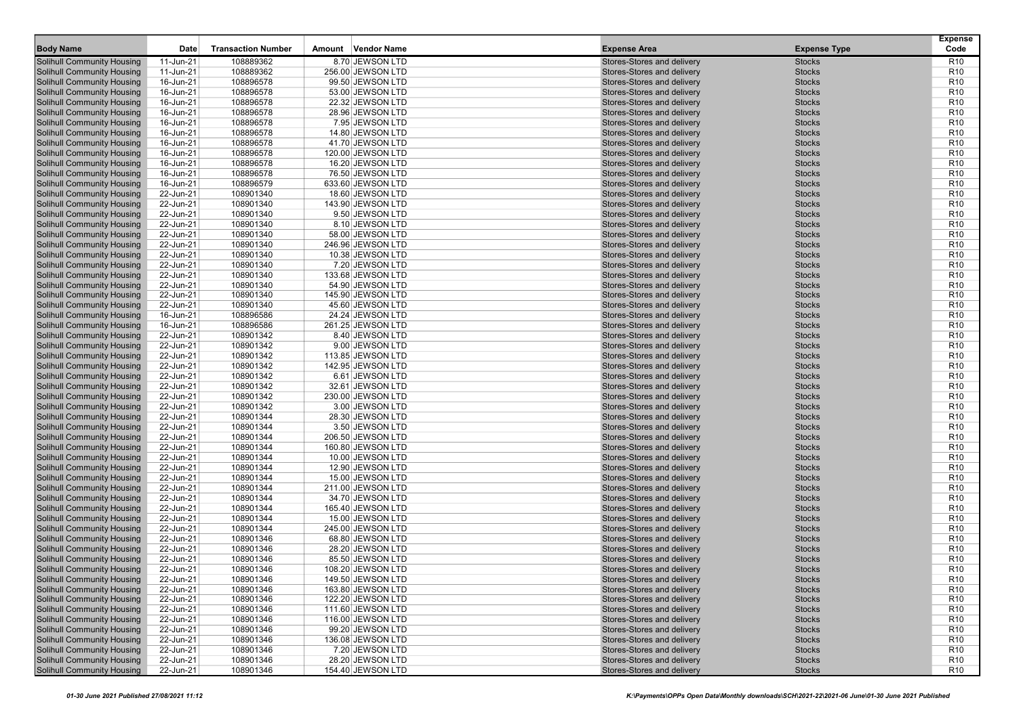| <b>Body Name</b>                                                       | Date                   | <b>Transaction Number</b> | Vendor Name<br>Amount                  | <b>Expense Area</b>                                      | <b>Expense Type</b>            | <b>Expense</b><br>Code             |
|------------------------------------------------------------------------|------------------------|---------------------------|----------------------------------------|----------------------------------------------------------|--------------------------------|------------------------------------|
| <b>Solihull Community Housing</b>                                      | 11-Jun-21              | 108889362                 | 8.70 JEWSON LTD                        | Stores-Stores and delivery                               | <b>Stocks</b>                  | R <sub>10</sub>                    |
| <b>Solihull Community Housing</b>                                      | 11-Jun-21              | 108889362                 | 256.00 JEWSON LTD                      | Stores-Stores and delivery                               | <b>Stocks</b>                  | R <sub>10</sub>                    |
| <b>Solihull Community Housing</b>                                      | 16-Jun-21              | 108896578                 | 99.50 JEWSON LTD                       | Stores-Stores and delivery                               | <b>Stocks</b>                  | R <sub>10</sub>                    |
| <b>Solihull Community Housing</b>                                      | 16-Jun-21              | 108896578                 | 53.00 JEWSON LTD                       | Stores-Stores and delivery                               | <b>Stocks</b>                  | R <sub>10</sub>                    |
| <b>Solihull Community Housing</b>                                      | 16-Jun-21              | 108896578                 | 22.32 JEWSON LTD                       | Stores-Stores and delivery                               | <b>Stocks</b>                  | R <sub>10</sub>                    |
| <b>Solihull Community Housing</b>                                      | 16-Jun-21              | 108896578                 | 28.96 JEWSON LTD                       | Stores-Stores and delivery                               | <b>Stocks</b>                  | R <sub>10</sub>                    |
| <b>Solihull Community Housing</b>                                      | 16-Jun-21              | 108896578                 | 7.95 JEWSON LTD                        | Stores-Stores and delivery                               | <b>Stocks</b>                  | R <sub>10</sub>                    |
| <b>Solihull Community Housing</b>                                      | 16-Jun-21              | 108896578                 | 14.80 JEWSON LTD                       | Stores-Stores and delivery                               | <b>Stocks</b>                  | R <sub>10</sub>                    |
| <b>Solihull Community Housing</b>                                      | 16-Jun-21              | 108896578                 | 41.70 JEWSON LTD                       | Stores-Stores and delivery                               | <b>Stocks</b>                  | R <sub>10</sub>                    |
| <b>Solihull Community Housing</b>                                      | 16-Jun-21              | 108896578                 | 120.00 JEWSON LTD                      | Stores-Stores and delivery                               | <b>Stocks</b>                  | R <sub>10</sub>                    |
| <b>Solihull Community Housing</b>                                      | 16-Jun-21              | 108896578                 | 16.20 JEWSON LTD                       | Stores-Stores and delivery                               | <b>Stocks</b>                  | R <sub>10</sub>                    |
| <b>Solihull Community Housing</b>                                      | 16-Jun-21              | 108896578                 | 76.50 JEWSON LTD                       | Stores-Stores and delivery                               | <b>Stocks</b>                  | R <sub>10</sub>                    |
| <b>Solihull Community Housing</b>                                      | 16-Jun-21              | 108896579                 | 633.60 JEWSON LTD                      | Stores-Stores and delivery                               | <b>Stocks</b>                  | R <sub>10</sub>                    |
| <b>Solihull Community Housing</b>                                      | 22-Jun-21              | 108901340                 | 18.60 JEWSON LTD                       | Stores-Stores and delivery                               | <b>Stocks</b>                  | R <sub>10</sub>                    |
| <b>Solihull Community Housing</b>                                      | 22-Jun-21              | 108901340                 | 143.90 JEWSON LTD                      | Stores-Stores and delivery                               | <b>Stocks</b>                  | R <sub>10</sub>                    |
| <b>Solihull Community Housing</b>                                      | 22-Jun-21              | 108901340                 | 9.50 JEWSON LTD                        | Stores-Stores and delivery                               | <b>Stocks</b>                  | R <sub>10</sub>                    |
| <b>Solihull Community Housing</b>                                      | 22-Jun-21              | 108901340                 | 8.10 JEWSON LTD                        | Stores-Stores and delivery                               | <b>Stocks</b>                  | R <sub>10</sub>                    |
| <b>Solihull Community Housing</b>                                      | 22-Jun-21              | 108901340                 | 58.00 JEWSON LTD                       | Stores-Stores and delivery                               | <b>Stocks</b>                  | R <sub>10</sub>                    |
| <b>Solihull Community Housing</b>                                      | 22-Jun-21              | 108901340                 | 246.96 JEWSON LTD                      | Stores-Stores and delivery                               | <b>Stocks</b>                  | R <sub>10</sub>                    |
| <b>Solihull Community Housing</b>                                      | 22-Jun-21              | 108901340                 | 10.38 JEWSON LTD                       | Stores-Stores and delivery                               | <b>Stocks</b>                  | R <sub>10</sub>                    |
| <b>Solihull Community Housing</b>                                      | 22-Jun-21              | 108901340                 | 7.20 JEWSON LTD                        | Stores-Stores and delivery                               | <b>Stocks</b>                  | R <sub>10</sub>                    |
| <b>Solihull Community Housing</b>                                      | 22-Jun-21              | 108901340                 | 133.68 JEWSON LTD                      | Stores-Stores and delivery                               | <b>Stocks</b>                  | R <sub>10</sub>                    |
| <b>Solihull Community Housing</b>                                      | 22-Jun-21              | 108901340                 | 54.90 JEWSON LTD                       | Stores-Stores and delivery                               | <b>Stocks</b>                  | R <sub>10</sub>                    |
| <b>Solihull Community Housing</b>                                      | 22-Jun-21              | 108901340                 | 145.90 JEWSON LTD                      | Stores-Stores and delivery                               | <b>Stocks</b>                  | R <sub>10</sub>                    |
| <b>Solihull Community Housing</b>                                      | 22-Jun-21              | 108901340                 | 45.60 JEWSON LTD                       | Stores-Stores and delivery                               | <b>Stocks</b>                  | R <sub>10</sub>                    |
| <b>Solihull Community Housing</b>                                      | 16-Jun-21              | 108896586                 | 24.24 JEWSON LTD                       | Stores-Stores and delivery                               | <b>Stocks</b>                  | R <sub>10</sub>                    |
| <b>Solihull Community Housing</b><br><b>Solihull Community Housing</b> | 16-Jun-21              | 108896586                 | 261.25 JEWSON LTD                      | Stores-Stores and delivery                               | <b>Stocks</b>                  | R <sub>10</sub>                    |
|                                                                        | 22-Jun-21              | 108901342                 | 8.40 JEWSON LTD                        | Stores-Stores and delivery                               | <b>Stocks</b>                  | R <sub>10</sub>                    |
| <b>Solihull Community Housing</b><br><b>Solihull Community Housing</b> | 22-Jun-21<br>22-Jun-21 | 108901342<br>108901342    | 9.00 JEWSON LTD                        | Stores-Stores and delivery<br>Stores-Stores and delivery | <b>Stocks</b><br><b>Stocks</b> | R <sub>10</sub><br>R <sub>10</sub> |
| <b>Solihull Community Housing</b>                                      | 22-Jun-21              | 108901342                 | 113.85 JEWSON LTD<br>142.95 JEWSON LTD | Stores-Stores and delivery                               | <b>Stocks</b>                  | R <sub>10</sub>                    |
| <b>Solihull Community Housing</b>                                      | 22-Jun-21              | 108901342                 | 6.61 JEWSON LTD                        | Stores-Stores and delivery                               | <b>Stocks</b>                  | R <sub>10</sub>                    |
| <b>Solihull Community Housing</b>                                      | 22-Jun-21              | 108901342                 | 32.61 JEWSON LTD                       | Stores-Stores and delivery                               | <b>Stocks</b>                  | R <sub>10</sub>                    |
| <b>Solihull Community Housing</b>                                      | 22-Jun-21              | 108901342                 | 230.00 JEWSON LTD                      | Stores-Stores and delivery                               | <b>Stocks</b>                  | R <sub>10</sub>                    |
| <b>Solihull Community Housing</b>                                      | 22-Jun-21              | 108901342                 | 3.00 JEWSON LTD                        | Stores-Stores and delivery                               | <b>Stocks</b>                  | R <sub>10</sub>                    |
| <b>Solihull Community Housing</b>                                      | 22-Jun-21              | 108901344                 | 28.30 JEWSON LTD                       | Stores-Stores and delivery                               | <b>Stocks</b>                  | R <sub>10</sub>                    |
| <b>Solihull Community Housing</b>                                      | 22-Jun-21              | 108901344                 | 3.50 JEWSON LTD                        | Stores-Stores and delivery                               | <b>Stocks</b>                  | R <sub>10</sub>                    |
| <b>Solihull Community Housing</b>                                      | 22-Jun-21              | 108901344                 | 206.50 JEWSON LTD                      | Stores-Stores and delivery                               | <b>Stocks</b>                  | R <sub>10</sub>                    |
| <b>Solihull Community Housing</b>                                      | 22-Jun-21              | 108901344                 | 160.80 JEWSON LTD                      | Stores-Stores and delivery                               | <b>Stocks</b>                  | R <sub>10</sub>                    |
| <b>Solihull Community Housing</b>                                      | 22-Jun-21              | 108901344                 | 10.00 JEWSON LTD                       | Stores-Stores and delivery                               | <b>Stocks</b>                  | R <sub>10</sub>                    |
| <b>Solihull Community Housing</b>                                      | 22-Jun-21              | 108901344                 | 12.90 JEWSON LTD                       | Stores-Stores and delivery                               | <b>Stocks</b>                  | R <sub>10</sub>                    |
| <b>Solihull Community Housing</b>                                      | 22-Jun-21              | 108901344                 | 15.00 JEWSON LTD                       | Stores-Stores and delivery                               | <b>Stocks</b>                  | R <sub>10</sub>                    |
| <b>Solihull Community Housing</b>                                      | 22-Jun-21              | 108901344                 | 211.00 JEWSON LTD                      | Stores-Stores and delivery                               | <b>Stocks</b>                  | R <sub>10</sub>                    |
| <b>Solihull Community Housing</b>                                      | 22-Jun-21              | 108901344                 | 34.70 JEWSON LTD                       | Stores-Stores and delivery                               | <b>Stocks</b>                  | R <sub>10</sub>                    |
| <b>Solihull Community Housing</b>                                      | 22-Jun-21              | 108901344                 | 165.40 JEWSON LTD                      | Stores-Stores and delivery                               | <b>Stocks</b>                  | R <sub>10</sub>                    |
| <b>Solihull Community Housing</b>                                      | 22-Jun-21              | 108901344                 | 15.00 JEWSON LTD                       | Stores-Stores and delivery                               | <b>Stocks</b>                  | R <sub>10</sub>                    |
| <b>Solihull Community Housing</b>                                      | 22-Jun-21              | 108901344                 | 245.00 JEWSON LTD                      | Stores-Stores and delivery                               | <b>Stocks</b>                  | R <sub>10</sub>                    |
| <b>Solihull Community Housing</b>                                      | 22-Jun-21              | 108901346                 | 68.80 JEWSON LTD                       | Stores-Stores and delivery                               | <b>Stocks</b>                  | R <sub>10</sub>                    |
| <b>Solihull Community Housing</b>                                      | 22-Jun-21              | 108901346                 | 28.20 JEWSON LTD                       | Stores-Stores and delivery                               | <b>Stocks</b>                  | R <sub>10</sub>                    |
| <b>Solihull Community Housing</b>                                      | 22-Jun-21              | 108901346                 | 85.50 JEWSON LTD                       | Stores-Stores and delivery                               | <b>Stocks</b>                  | R <sub>10</sub>                    |
| <b>Solihull Community Housing</b>                                      | 22-Jun-21              | 108901346                 | 108.20 JEWSON LTD                      | Stores-Stores and delivery                               | <b>Stocks</b>                  | R <sub>10</sub>                    |
| <b>Solihull Community Housing</b>                                      | 22-Jun-21              | 108901346                 | 149.50 JEWSON LTD                      | Stores-Stores and delivery                               | <b>Stocks</b>                  | R <sub>10</sub>                    |
| <b>Solihull Community Housing</b>                                      | 22-Jun-21              | 108901346                 | 163.80 JEWSON LTD                      | Stores-Stores and delivery                               | <b>Stocks</b>                  | R <sub>10</sub>                    |
| <b>Solihull Community Housing</b>                                      | 22-Jun-21              | 108901346                 | 122.20 JEWSON LTD                      | Stores-Stores and delivery                               | <b>Stocks</b>                  | R <sub>10</sub>                    |
| <b>Solihull Community Housing</b>                                      | 22-Jun-21              | 108901346                 | 111.60 JEWSON LTD                      | Stores-Stores and delivery                               | <b>Stocks</b>                  | R <sub>10</sub>                    |
| <b>Solihull Community Housing</b>                                      | 22-Jun-21              | 108901346                 | 116.00 JEWSON LTD                      | Stores-Stores and delivery                               | <b>Stocks</b>                  | R <sub>10</sub>                    |
| <b>Solihull Community Housing</b>                                      | 22-Jun-21              | 108901346                 | 99.20 JEWSON LTD                       | Stores-Stores and delivery                               | <b>Stocks</b>                  | R <sub>10</sub>                    |
| <b>Solihull Community Housing</b>                                      | 22-Jun-21              | 108901346                 | 136.08 JEWSON LTD                      | Stores-Stores and delivery                               | <b>Stocks</b>                  | R <sub>10</sub>                    |
| <b>Solihull Community Housing</b>                                      | 22-Jun-21              | 108901346                 | 7.20 JEWSON LTD                        | Stores-Stores and delivery<br>Stores-Stores and delivery | <b>Stocks</b>                  | R <sub>10</sub>                    |
| <b>Solihull Community Housing</b><br><b>Solihull Community Housing</b> | 22-Jun-21<br>22-Jun-21 | 108901346<br>108901346    | 28.20 JEWSON LTD<br>154.40 JEWSON LTD  | Stores-Stores and delivery                               | <b>Stocks</b><br><b>Stocks</b> | R <sub>10</sub><br><b>R10</b>      |
|                                                                        |                        |                           |                                        |                                                          |                                |                                    |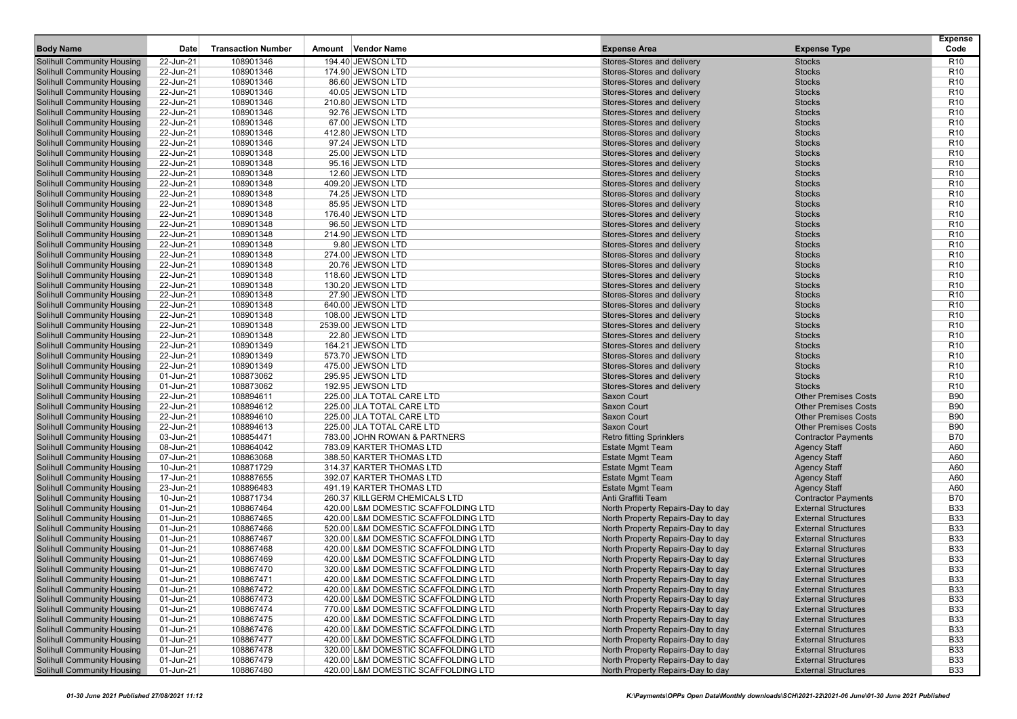| <b>Body Name</b>                                                       | Date                   | <b>Transaction Number</b> | Amount Vendor Name                     | <b>Expense Area</b>                                      | <b>Expense Type</b>            | <b>Expense</b><br>Code             |
|------------------------------------------------------------------------|------------------------|---------------------------|----------------------------------------|----------------------------------------------------------|--------------------------------|------------------------------------|
| <b>Solihull Community Housing</b>                                      | 22-Jun-21              | 108901346                 | 194.40 JEWSON LTD                      | Stores-Stores and delivery                               | <b>Stocks</b>                  | R <sub>10</sub>                    |
| <b>Solihull Community Housing</b>                                      | 22-Jun-21              | 108901346                 | 174.90 JEWSON LTD                      | Stores-Stores and delivery                               | <b>Stocks</b>                  | R <sub>10</sub>                    |
| <b>Solihull Community Housing</b>                                      | 22-Jun-21              | 108901346                 | 86.60 JEWSON LTD                       | Stores-Stores and delivery                               | <b>Stocks</b>                  | R <sub>10</sub>                    |
| <b>Solihull Community Housing</b>                                      | 22-Jun-21              | 108901346                 | 40.05 JEWSON LTD                       | Stores-Stores and delivery                               | <b>Stocks</b>                  | R <sub>10</sub>                    |
| <b>Solihull Community Housing</b>                                      | 22-Jun-21              | 108901346                 | 210.80 JEWSON LTD                      | Stores-Stores and delivery                               | <b>Stocks</b>                  | R <sub>10</sub>                    |
| <b>Solihull Community Housing</b>                                      | 22-Jun-21              | 108901346                 | 92.76 JEWSON LTD                       | Stores-Stores and delivery                               | <b>Stocks</b>                  | R <sub>10</sub>                    |
| <b>Solihull Community Housing</b>                                      | 22-Jun-21              | 108901346                 | 67.00 JEWSON LTD                       | Stores-Stores and delivery                               | <b>Stocks</b>                  | R <sub>10</sub>                    |
| <b>Solihull Community Housing</b>                                      | 22-Jun-21              | 108901346                 | 412.80 JEWSON LTD                      | Stores-Stores and delivery                               | <b>Stocks</b>                  | R <sub>10</sub>                    |
| <b>Solihull Community Housing</b>                                      | 22-Jun-21              | 108901346                 | 97.24 JEWSON LTD                       | Stores-Stores and delivery                               | <b>Stocks</b>                  | R <sub>10</sub>                    |
| <b>Solihull Community Housing</b>                                      | 22-Jun-21              | 108901348                 | 25.00 JEWSON LTD                       | Stores-Stores and delivery                               | <b>Stocks</b>                  | R <sub>10</sub>                    |
| <b>Solihull Community Housing</b>                                      | 22-Jun-21              | 108901348                 | 95.16 JEWSON LTD                       | Stores-Stores and delivery                               | <b>Stocks</b>                  | R <sub>10</sub>                    |
| <b>Solihull Community Housing</b>                                      | 22-Jun-21              | 108901348                 | 12.60 JEWSON LTD                       | Stores-Stores and delivery                               | <b>Stocks</b>                  | R <sub>10</sub>                    |
| <b>Solihull Community Housing</b>                                      | 22-Jun-21              | 108901348                 | 409.20 JEWSON LTD                      | Stores-Stores and delivery                               | <b>Stocks</b>                  | R <sub>10</sub>                    |
| <b>Solihull Community Housing</b>                                      | 22-Jun-21              | 108901348                 | 74.25 JEWSON LTD                       | Stores-Stores and delivery                               | <b>Stocks</b>                  | R <sub>10</sub>                    |
| <b>Solihull Community Housing</b>                                      | 22-Jun-21              | 108901348                 | 85.95 JEWSON LTD                       | Stores-Stores and delivery                               | <b>Stocks</b>                  | R <sub>10</sub>                    |
| <b>Solihull Community Housing</b>                                      | 22-Jun-21              | 108901348                 | 176.40 JEWSON LTD                      | Stores-Stores and delivery                               | <b>Stocks</b>                  | R <sub>10</sub>                    |
| <b>Solihull Community Housing</b>                                      | 22-Jun-21              | 108901348                 | 96.50 JEWSON LTD                       | Stores-Stores and delivery                               | <b>Stocks</b>                  | R <sub>10</sub>                    |
| <b>Solihull Community Housing</b>                                      | 22-Jun-21              | 108901348                 | 214.90 JEWSON LTD                      | Stores-Stores and delivery                               | <b>Stocks</b>                  | R <sub>10</sub>                    |
| <b>Solihull Community Housing</b>                                      | 22-Jun-21              | 108901348                 | 9.80 JEWSON LTD                        | Stores-Stores and delivery                               | <b>Stocks</b>                  | R <sub>10</sub>                    |
| <b>Solihull Community Housing</b>                                      | 22-Jun-21              | 108901348                 | 274.00 JEWSON LTD                      | Stores-Stores and delivery                               | <b>Stocks</b>                  | R <sub>10</sub>                    |
| <b>Solihull Community Housing</b>                                      | 22-Jun-21              | 108901348                 | 20.76 JEWSON LTD                       | Stores-Stores and delivery                               | <b>Stocks</b>                  | R <sub>10</sub>                    |
| <b>Solihull Community Housing</b>                                      | 22-Jun-21              | 108901348                 | 118.60 JEWSON LTD                      | Stores-Stores and delivery                               | <b>Stocks</b>                  | R <sub>10</sub>                    |
| <b>Solihull Community Housing</b>                                      | 22-Jun-21              | 108901348                 | 130.20 JEWSON LTD                      | Stores-Stores and delivery                               | <b>Stocks</b>                  | R <sub>10</sub>                    |
| <b>Solihull Community Housing</b>                                      | 22-Jun-21              | 108901348                 | 27.90 JEWSON LTD                       | Stores-Stores and delivery                               | <b>Stocks</b>                  | R <sub>10</sub>                    |
| <b>Solihull Community Housing</b>                                      | 22-Jun-21              | 108901348                 | 640.00 JEWSON LTD                      | Stores-Stores and delivery                               | <b>Stocks</b>                  | R <sub>10</sub>                    |
| <b>Solihull Community Housing</b>                                      | 22-Jun-21              | 108901348                 | 108.00 JEWSON LTD                      | Stores-Stores and delivery                               | <b>Stocks</b>                  | R <sub>10</sub>                    |
| <b>Solihull Community Housing</b>                                      | 22-Jun-21              | 108901348                 | 2539.00 JEWSON LTD                     | Stores-Stores and delivery                               | <b>Stocks</b>                  | R <sub>10</sub>                    |
| <b>Solihull Community Housing</b>                                      | 22-Jun-21              | 108901348                 | 22.80 JEWSON LTD                       | Stores-Stores and delivery                               | <b>Stocks</b>                  | R <sub>10</sub>                    |
| <b>Solihull Community Housing</b>                                      | 22-Jun-21              | 108901349                 | 164.21 JEWSON LTD                      | Stores-Stores and delivery                               | <b>Stocks</b>                  | R <sub>10</sub>                    |
| <b>Solihull Community Housing</b>                                      | 22-Jun-21              | 108901349                 | 573.70 JEWSON LTD                      | Stores-Stores and delivery                               | <b>Stocks</b>                  | R <sub>10</sub>                    |
| <b>Solihull Community Housing</b>                                      | 22-Jun-21              | 108901349                 | 475.00 JEWSON LTD                      | Stores-Stores and delivery                               | <b>Stocks</b>                  | R <sub>10</sub>                    |
| <b>Solihull Community Housing</b>                                      | 01-Jun-21<br>01-Jun-21 | 108873062<br>108873062    | 295.95 JEWSON LTD<br>192.95 JEWSON LTD | Stores-Stores and delivery<br>Stores-Stores and delivery | <b>Stocks</b><br><b>Stocks</b> | R <sub>10</sub><br>R <sub>10</sub> |
| <b>Solihull Community Housing</b><br><b>Solihull Community Housing</b> | 22-Jun-21              | 108894611                 | 225.00 JLA TOTAL CARE LTD              | Saxon Court                                              | <b>Other Premises Costs</b>    | <b>B90</b>                         |
| <b>Solihull Community Housing</b>                                      | 22-Jun-21              | 108894612                 | 225.00 JLA TOTAL CARE LTD              | Saxon Court                                              | <b>Other Premises Costs</b>    | <b>B90</b>                         |
| <b>Solihull Community Housing</b>                                      | 22-Jun-21              | 108894610                 | 225.00 JLA TOTAL CARE LTD              | Saxon Court                                              | <b>Other Premises Costs</b>    | <b>B90</b>                         |
| <b>Solihull Community Housing</b>                                      | 22-Jun-21              | 108894613                 | 225.00 JLA TOTAL CARE LTD              | Saxon Court                                              | <b>Other Premises Costs</b>    | <b>B90</b>                         |
| <b>Solihull Community Housing</b>                                      | 03-Jun-21              | 108854471                 | 783.00 JOHN ROWAN & PARTNERS           | <b>Retro fitting Sprinklers</b>                          | <b>Contractor Payments</b>     | <b>B70</b>                         |
| <b>Solihull Community Housing</b>                                      | 08-Jun-21              | 108864042                 | 783.09 KARTER THOMAS LTD               | <b>Estate Mgmt Team</b>                                  | <b>Agency Staff</b>            | A60                                |
| <b>Solihull Community Housing</b>                                      | 07-Jun-21              | 108863068                 | 388.50 KARTER THOMAS LTD               | <b>Estate Mgmt Team</b>                                  | <b>Agency Staff</b>            | A60                                |
| <b>Solihull Community Housing</b>                                      | 10-Jun-21              | 108871729                 | 314.37 KARTER THOMAS LTD               | <b>Estate Mgmt Team</b>                                  | <b>Agency Staff</b>            | A60                                |
| <b>Solihull Community Housing</b>                                      | 17-Jun-21              | 108887655                 | 392.07 KARTER THOMAS LTD               | <b>Estate Mgmt Team</b>                                  | <b>Agency Staff</b>            | A60                                |
| <b>Solihull Community Housing</b>                                      | 23-Jun-21              | 108896483                 | 491.19 KARTER THOMAS LTD               | <b>Estate Mgmt Team</b>                                  | <b>Agency Staff</b>            | A60                                |
| <b>Solihull Community Housing</b>                                      | 10-Jun-21              | 108871734                 | 260.37 KILLGERM CHEMICALS LTD          | Anti Graffiti Team                                       | <b>Contractor Payments</b>     | <b>B70</b>                         |
| <b>Solihull Community Housing</b>                                      | 01-Jun-21              | 108867464                 | 420.00 L&M DOMESTIC SCAFFOLDING LTD    | North Property Repairs-Day to day                        | <b>External Structures</b>     | <b>B33</b>                         |
| <b>Solihull Community Housing</b>                                      | 01-Jun-21              | 108867465                 | 420.00 L&M DOMESTIC SCAFFOLDING LTD    | North Property Repairs-Day to day                        | <b>External Structures</b>     | <b>B33</b>                         |
| <b>Solihull Community Housing</b>                                      | 01-Jun-21              | 108867466                 | 520.00 L&M DOMESTIC SCAFFOLDING LTD    | North Property Repairs-Day to day                        | <b>External Structures</b>     | <b>B33</b>                         |
| <b>Solihull Community Housing</b>                                      | 01-Jun-21              | 108867467                 | 320.00 L&M DOMESTIC SCAFFOLDING LTD    | North Property Repairs-Day to day                        | <b>External Structures</b>     | <b>B33</b>                         |
| <b>Solihull Community Housing</b>                                      | 01-Jun-21              | 108867468                 | 420.00 L&M DOMESTIC SCAFFOLDING LTD    | North Property Repairs-Day to day                        | <b>External Structures</b>     | <b>B33</b>                         |
| <b>Solihull Community Housing</b>                                      | 01-Jun-21              | 108867469                 | 420.00 L&M DOMESTIC SCAFFOLDING LTD    | North Property Repairs-Day to day                        | <b>External Structures</b>     | <b>B33</b>                         |
| <b>Solihull Community Housing</b>                                      | 01-Jun-21              | 108867470                 | 320.00 L&M DOMESTIC SCAFFOLDING LTD    | North Property Repairs-Day to day                        | <b>External Structures</b>     | <b>B33</b>                         |
| <b>Solihull Community Housing</b>                                      | 01-Jun-21              | 108867471                 | 420.00 L&M DOMESTIC SCAFFOLDING LTD    | North Property Repairs-Day to day                        | <b>External Structures</b>     | <b>B33</b>                         |
| <b>Solihull Community Housing</b>                                      | 01-Jun-21              | 108867472                 | 420.00 L&M DOMESTIC SCAFFOLDING LTD    | North Property Repairs-Day to day                        | <b>External Structures</b>     | <b>B33</b>                         |
| <b>Solihull Community Housing</b>                                      | 01-Jun-21              | 108867473                 | 420.00 L&M DOMESTIC SCAFFOLDING LTD    | North Property Repairs-Day to day                        | <b>External Structures</b>     | <b>B33</b>                         |
| <b>Solihull Community Housing</b>                                      | 01-Jun-21              | 108867474                 | 770.00 L&M DOMESTIC SCAFFOLDING LTD    | North Property Repairs-Day to day                        | <b>External Structures</b>     | <b>B33</b>                         |
| <b>Solihull Community Housing</b>                                      | 01-Jun-21              | 108867475                 | 420.00 L&M DOMESTIC SCAFFOLDING LTD    | North Property Repairs-Day to day                        | <b>External Structures</b>     | <b>B33</b>                         |
| <b>Solihull Community Housing</b>                                      | 01-Jun-21              | 108867476                 | 420.00 L&M DOMESTIC SCAFFOLDING LTD    | North Property Repairs-Day to day                        | <b>External Structures</b>     | <b>B33</b>                         |
| <b>Solihull Community Housing</b>                                      | 01-Jun-21              | 108867477                 | 420.00 L&M DOMESTIC SCAFFOLDING LTD    | North Property Repairs-Day to day                        | <b>External Structures</b>     | <b>B33</b>                         |
| <b>Solihull Community Housing</b>                                      | 01-Jun-21              | 108867478                 | 320.00 L&M DOMESTIC SCAFFOLDING LTD    | North Property Repairs-Day to day                        | <b>External Structures</b>     | <b>B33</b>                         |
| <b>Solihull Community Housing</b>                                      | 01-Jun-21              | 108867479                 | 420.00 L&M DOMESTIC SCAFFOLDING LTD    | North Property Repairs-Day to day                        | <b>External Structures</b>     | <b>B33</b>                         |
| <b>Solihull Community Housing</b>                                      | 01-Jun-21              | 108867480                 | 420.00 L&M DOMESTIC SCAFFOLDING LTD    | North Property Repairs-Day to day                        | <b>External Structures</b>     | <b>B33</b>                         |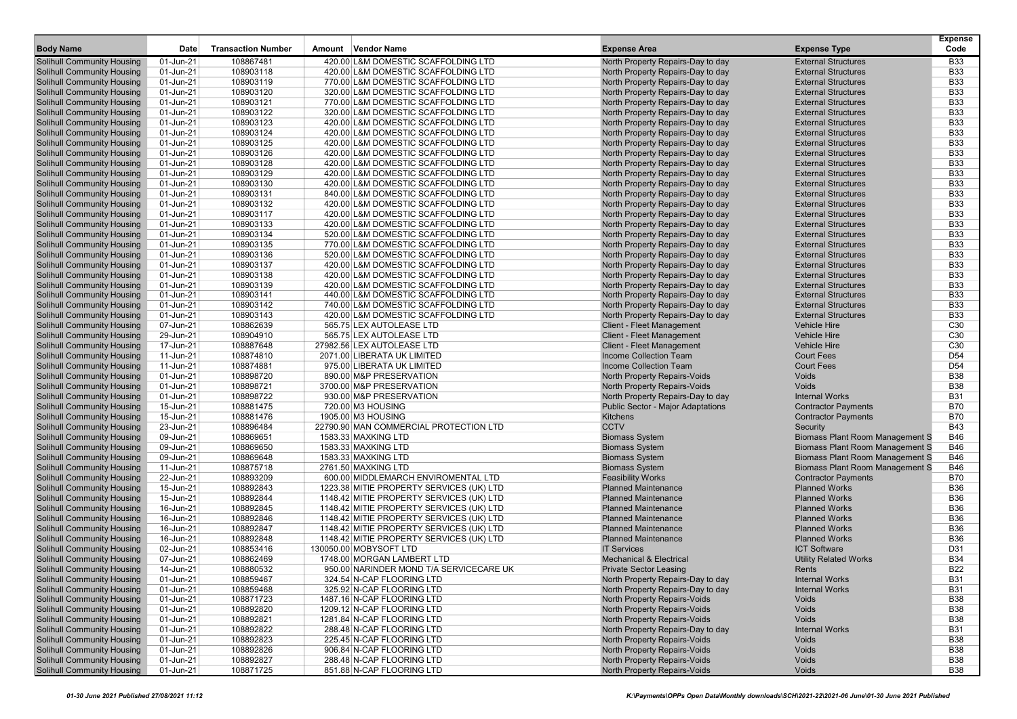|                                                                        |                        |                           |                                                                            |                                                                        |                                                          | <b>Expense</b>           |
|------------------------------------------------------------------------|------------------------|---------------------------|----------------------------------------------------------------------------|------------------------------------------------------------------------|----------------------------------------------------------|--------------------------|
| <b>Body Name</b>                                                       | <b>Date</b>            | <b>Transaction Number</b> | Amount Vendor Name                                                         | <b>Expense Area</b>                                                    | <b>Expense Type</b>                                      | Code                     |
| Solihull Community Housing                                             | 01-Jun-21              | 108867481                 | 420.00 L&M DOMESTIC SCAFFOLDING LTD                                        | North Property Repairs-Day to day                                      | <b>External Structures</b>                               | <b>B33</b>               |
| Solihull Community Housing                                             | 01-Jun-21              | 108903118                 | 420.00 L&M DOMESTIC SCAFFOLDING LTD                                        | North Property Repairs-Day to day                                      | <b>External Structures</b>                               | <b>B33</b>               |
| <b>Solihull Community Housing</b>                                      | 01-Jun-21              | 108903119                 | 770.00 L&M DOMESTIC SCAFFOLDING LTD                                        | North Property Repairs-Day to day                                      | <b>External Structures</b>                               | <b>B33</b>               |
| <b>Solihull Community Housing</b>                                      | 01-Jun-21              | 108903120                 | 320.00 L&M DOMESTIC SCAFFOLDING LTD                                        | North Property Repairs-Day to day                                      | <b>External Structures</b>                               | <b>B33</b>               |
| <b>Solihull Community Housing</b>                                      | 01-Jun-21              | 108903121                 | 770.00 L&M DOMESTIC SCAFFOLDING LTD                                        | North Property Repairs-Day to day                                      | <b>External Structures</b>                               | <b>B33</b>               |
| <b>Solihull Community Housing</b>                                      | 01-Jun-21              | 108903122                 | 320.00 L&M DOMESTIC SCAFFOLDING LTD                                        | North Property Repairs-Day to day                                      | <b>External Structures</b>                               | <b>B33</b>               |
| <b>Solihull Community Housing</b>                                      | 01-Jun-21              | 108903123                 | 420.00 L&M DOMESTIC SCAFFOLDING LTD                                        | North Property Repairs-Day to day                                      | <b>External Structures</b>                               | <b>B33</b>               |
| <b>Solihull Community Housing</b>                                      | 01-Jun-21              | 108903124                 | 420.00 L&M DOMESTIC SCAFFOLDING LTD                                        | North Property Repairs-Day to day                                      | <b>External Structures</b>                               | <b>B33</b>               |
| <b>Solihull Community Housing</b>                                      | 01-Jun-21              | 108903125                 | 420.00 L&M DOMESTIC SCAFFOLDING LTD                                        | North Property Repairs-Day to day                                      | <b>External Structures</b>                               | <b>B33</b>               |
| <b>Solihull Community Housing</b>                                      | 01-Jun-21              | 108903126                 | 420.00 L&M DOMESTIC SCAFFOLDING LTD                                        | North Property Repairs-Day to day                                      | <b>External Structures</b>                               | <b>B33</b><br><b>B33</b> |
| <b>Solihull Community Housing</b>                                      | 01-Jun-21              | 108903128                 | 420.00 L&M DOMESTIC SCAFFOLDING LTD                                        | North Property Repairs-Day to day                                      | <b>External Structures</b>                               |                          |
| <b>Solihull Community Housing</b><br><b>Solihull Community Housing</b> | 01-Jun-21<br>01-Jun-21 | 108903129<br>108903130    | 420.00 L&M DOMESTIC SCAFFOLDING LTD                                        | North Property Repairs-Day to day                                      | <b>External Structures</b><br><b>External Structures</b> | <b>B33</b><br><b>B33</b> |
|                                                                        |                        |                           | 420.00 L&M DOMESTIC SCAFFOLDING LTD                                        | North Property Repairs-Day to day                                      |                                                          |                          |
| <b>Solihull Community Housing</b>                                      | 01-Jun-21              | 108903131<br>108903132    | 840.00 L&M DOMESTIC SCAFFOLDING LTD                                        | North Property Repairs-Day to day                                      | <b>External Structures</b>                               | <b>B33</b><br><b>B33</b> |
| <b>Solihull Community Housing</b>                                      | 01-Jun-21              | 108903117                 | 420.00 L&M DOMESTIC SCAFFOLDING LTD                                        | North Property Repairs-Day to day                                      | <b>External Structures</b><br><b>External Structures</b> | <b>B33</b>               |
| <b>Solihull Community Housing</b>                                      | 01-Jun-21              |                           | 420.00 L&M DOMESTIC SCAFFOLDING LTD                                        | North Property Repairs-Day to day                                      | <b>External Structures</b>                               | <b>B33</b>               |
| Solihull Community Housing                                             | 01-Jun-21              | 108903133<br>108903134    | 420.00 L&M DOMESTIC SCAFFOLDING LTD                                        | North Property Repairs-Day to day                                      | <b>External Structures</b>                               | <b>B33</b>               |
| <b>Solihull Community Housing</b>                                      | 01-Jun-21              |                           | 520.00 L&M DOMESTIC SCAFFOLDING LTD                                        | North Property Repairs-Day to day                                      |                                                          | <b>B33</b>               |
| <b>Solihull Community Housing</b>                                      | 01-Jun-21              | 108903135<br>108903136    | 770.00 L&M DOMESTIC SCAFFOLDING LTD<br>520.00 L&M DOMESTIC SCAFFOLDING LTD | North Property Repairs-Day to day                                      | <b>External Structures</b><br><b>External Structures</b> | <b>B33</b>               |
| <b>Solihull Community Housing</b>                                      | 01-Jun-21              | 108903137                 |                                                                            | North Property Repairs-Day to day                                      | <b>External Structures</b>                               | <b>B33</b>               |
| <b>Solihull Community Housing</b>                                      | 01-Jun-21              |                           | 420.00 L&M DOMESTIC SCAFFOLDING LTD                                        | North Property Repairs-Day to day                                      | <b>External Structures</b>                               | <b>B33</b>               |
| Solihull Community Housing<br><b>Solihull Community Housing</b>        | 01-Jun-21<br>01-Jun-21 | 108903138<br>108903139    | 420.00 L&M DOMESTIC SCAFFOLDING LTD<br>420.00 L&M DOMESTIC SCAFFOLDING LTD | North Property Repairs-Day to day                                      | <b>External Structures</b>                               | <b>B33</b>               |
|                                                                        | 01-Jun-21              | 108903141                 | 440.00 L&M DOMESTIC SCAFFOLDING LTD                                        | North Property Repairs-Day to day                                      | <b>External Structures</b>                               | <b>B33</b>               |
| <b>Solihull Community Housing</b><br><b>Solihull Community Housing</b> | 01-Jun-21              | 108903142                 | 740.00 L&M DOMESTIC SCAFFOLDING LTD                                        | North Property Repairs-Day to day<br>North Property Repairs-Day to day | <b>External Structures</b>                               | <b>B33</b>               |
| <b>Solihull Community Housing</b>                                      | 01-Jun-21              | 108903143                 | 420.00 L&M DOMESTIC SCAFFOLDING LTD                                        | North Property Repairs-Day to day                                      | <b>External Structures</b>                               | <b>B33</b>               |
| Solihull Community Housing                                             | 07-Jun-21              | 108862639                 | 565.75 LEX AUTOLEASE LTD                                                   | <b>Client - Fleet Management</b>                                       | <b>Vehicle Hire</b>                                      | C30                      |
| <b>Solihull Community Housing</b>                                      | 29-Jun-21              | 108904910                 | 565.75 LEX AUTOLEASE LTD                                                   | <b>Client - Fleet Management</b>                                       | <b>Vehicle Hire</b>                                      | C <sub>30</sub>          |
| <b>Solihull Community Housing</b>                                      | 17-Jun-21              | 108887648                 | 27982.56 LEX AUTOLEASE LTD                                                 | <b>Client - Fleet Management</b>                                       | <b>Vehicle Hire</b>                                      | C <sub>30</sub>          |
| <b>Solihull Community Housing</b>                                      | 11-Jun-21              | 108874810                 | 2071.00 LIBERATA UK LIMITED                                                | <b>Income Collection Team</b>                                          | <b>Court Fees</b>                                        | D <sub>54</sub>          |
| <b>Solihull Community Housing</b>                                      | 11-Jun-21              | 108874881                 | 975.00 LIBERATA UK LIMITED                                                 | <b>Income Collection Team</b>                                          | <b>Court Fees</b>                                        | D <sub>54</sub>          |
| Solihull Community Housing                                             | 01-Jun-21              | 108898720                 | 890.00 M&P PRESERVATION                                                    | North Property Repairs-Voids                                           | Voids                                                    | <b>B38</b>               |
| <b>Solihull Community Housing</b>                                      | 01-Jun-21              | 108898721                 | 3700.00 M&P PRESERVATION                                                   | North Property Repairs-Voids                                           | Voids                                                    | <b>B38</b>               |
| <b>Solihull Community Housing</b>                                      | 01-Jun-21              | 108898722                 | 930.00 M&P PRESERVATION                                                    | North Property Repairs-Day to day                                      | <b>Internal Works</b>                                    | <b>B31</b>               |
| <b>Solihull Community Housing</b>                                      | 15-Jun-21              | 108881475                 | 720.00 M3 HOUSING                                                          | <b>Public Sector - Major Adaptations</b>                               | <b>Contractor Payments</b>                               | <b>B70</b>               |
| <b>Solihull Community Housing</b>                                      | 15-Jun-21              | 108881476                 | 1905.00 M3 HOUSING                                                         | Kitchens                                                               | <b>Contractor Payments</b>                               | <b>B70</b>               |
| Solihull Community Housing                                             | 23-Jun-21              | 108896484                 | 22790.90 MAN COMMERCIAL PROTECTION LTD                                     | <b>CCTV</b>                                                            | Security                                                 | <b>B43</b>               |
| <b>Solihull Community Housing</b>                                      | 09-Jun-21              | 108869651                 | 1583.33 MAXKING LTD                                                        | <b>Biomass System</b>                                                  | <b>Biomass Plant Room Management S</b>                   | <b>B46</b>               |
| <b>Solihull Community Housing</b>                                      | 09-Jun-21              | 108869650                 | 1583.33 MAXKING LTD                                                        | <b>Biomass System</b>                                                  | <b>Biomass Plant Room Management S</b>                   | <b>B46</b>               |
| <b>Solihull Community Housing</b>                                      | 09-Jun-21              | 108869648                 | 1583.33 MAXKING LTD                                                        | <b>Biomass System</b>                                                  | <b>Biomass Plant Room Management S</b>                   | <b>B46</b>               |
| <b>Solihull Community Housing</b>                                      | 11-Jun-21              | 108875718                 | 2761.50 MAXKING LTD                                                        | <b>Biomass System</b>                                                  | <b>Biomass Plant Room Management S</b>                   | <b>B46</b>               |
| Solihull Community Housing                                             | 22-Jun-21              | 108893209                 | 600.00 MIDDLEMARCH ENVIROMENTAL LTD                                        | <b>Feasibility Works</b>                                               | <b>Contractor Payments</b>                               | <b>B70</b>               |
| <b>Solihull Community Housing</b>                                      | 15-Jun-21              | 108892843                 | 1223.38 MITIE PROPERTY SERVICES (UK) LTD                                   | <b>Planned Maintenance</b>                                             | <b>Planned Works</b>                                     | <b>B36</b>               |
| <b>Solihull Community Housing</b>                                      | 15-Jun-21              | 108892844                 | 1148.42 MITIE PROPERTY SERVICES (UK) LTD                                   | <b>Planned Maintenance</b>                                             | <b>Planned Works</b>                                     | <b>B36</b>               |
| <b>Solihull Community Housing</b>                                      | 16-Jun-21              | 108892845                 | 1148.42 MITIE PROPERTY SERVICES (UK) LTD                                   | <b>Planned Maintenance</b>                                             | <b>Planned Works</b>                                     | <b>B36</b>               |
| <b>Solihull Community Housing</b>                                      | 16-Jun-21              | 108892846                 | 1148.42 MITIE PROPERTY SERVICES (UK) LTD                                   | <b>Planned Maintenance</b>                                             | <b>Planned Works</b>                                     | <b>B36</b>               |
| Solihull Community Housing                                             | 16-Jun-21              | 108892847                 | 1148.42 MITIE PROPERTY SERVICES (UK) LTD                                   | <b>Planned Maintenance</b>                                             | <b>Planned Works</b>                                     | <b>B36</b>               |
| <b>Solihull Community Housing</b>                                      | 16-Jun-21              | 108892848                 | 1148.42 MITIE PROPERTY SERVICES (UK) LTD                                   | <b>Planned Maintenance</b>                                             | <b>Planned Works</b>                                     | <b>B36</b>               |
| <b>Solihull Community Housing</b>                                      | 02-Jun-21              | 108853416                 | 130050.00 MOBYSOFT LTD                                                     | <b>IT Services</b>                                                     | <b>ICT Software</b>                                      | D31                      |
| <b>Solihull Community Housing</b>                                      | 07-Jun-21              | 108862469                 | 1748.00 MORGAN LAMBERT LTD                                                 | <b>Mechanical &amp; Electrical</b>                                     | <b>Utility Related Works</b>                             | <b>B34</b>               |
| <b>Solihull Community Housing</b>                                      | 14-Jun-21              | 108880532                 | 950.00 NARINDER MOND T/A SERVICECARE UK                                    | <b>Private Sector Leasing</b>                                          | Rents                                                    | <b>B22</b>               |
| <b>Solihull Community Housing</b>                                      | 01-Jun-21              | 108859467                 | 324.54 N-CAP FLOORING LTD                                                  | North Property Repairs-Day to day                                      | <b>Internal Works</b>                                    | <b>B31</b>               |
| <b>Solihull Community Housing</b>                                      | 01-Jun-21              | 108859468                 | 325.92 N-CAP FLOORING LTD                                                  | North Property Repairs-Day to day                                      | <b>Internal Works</b>                                    | <b>B31</b>               |
| <b>Solihull Community Housing</b>                                      | 01-Jun-21              | 108871723                 | 1487.16 N-CAP FLOORING LTD                                                 | North Property Repairs-Voids                                           | Voids                                                    | <b>B38</b>               |
| <b>Solihull Community Housing</b>                                      | 01-Jun-21              | 108892820                 | 1209.12 N-CAP FLOORING LTD                                                 | North Property Repairs-Voids                                           | Voids                                                    | <b>B38</b>               |
| <b>Solihull Community Housing</b>                                      | 01-Jun-21              | 108892821                 | 1281.84 N-CAP FLOORING LTD                                                 | North Property Repairs-Voids                                           | Voids                                                    | <b>B38</b>               |
| <b>Solihull Community Housing</b>                                      | 01-Jun-21              | 108892822                 | 288.48 N-CAP FLOORING LTD                                                  | North Property Repairs-Day to day                                      | <b>Internal Works</b>                                    | <b>B31</b>               |
| <b>Solihull Community Housing</b>                                      | 01-Jun-21              | 108892823                 | 225.45 N-CAP FLOORING LTD                                                  | North Property Repairs-Voids                                           | Voids                                                    | <b>B38</b>               |
| <b>Solihull Community Housing</b>                                      | 01-Jun-21              | 108892826                 | 906.84 N-CAP FLOORING LTD                                                  | North Property Repairs-Voids                                           | Voids                                                    | <b>B38</b>               |
| <b>Solihull Community Housing</b>                                      | 01-Jun-21              | 108892827                 | 288.48 N-CAP FLOORING LTD                                                  | North Property Repairs-Voids                                           | Voids                                                    | <b>B38</b>               |
| <b>Solihull Community Housing</b>                                      | $01$ -Jun-21           | 108871725                 | 851.88 N-CAP FLOORING LTD                                                  | North Property Repairs-Voids                                           | Voids                                                    | <b>B38</b>               |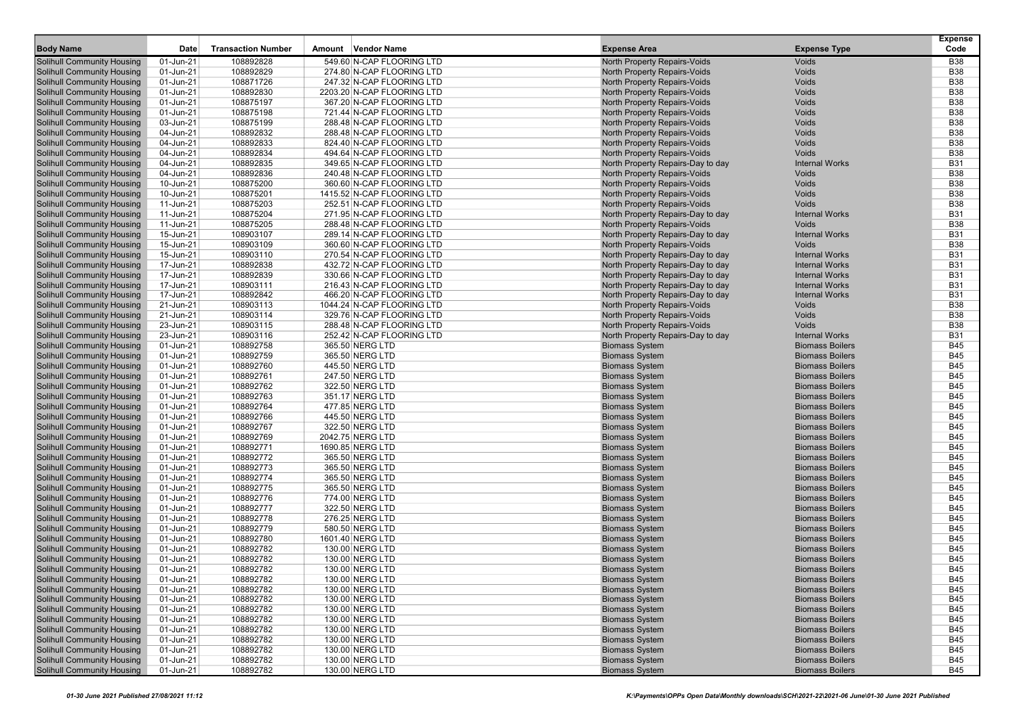| 01-Jun-21<br>108892828<br>549.60 N-CAP FLOORING LTD<br>Voids<br><b>B38</b><br><b>Solihull Community Housing</b><br>North Property Repairs-Voids<br><b>B38</b><br><b>Solihull Community Housing</b><br>01-Jun-21<br>108892829<br>274.80 N-CAP FLOORING LTD<br><b>North Property Repairs-Voids</b><br>Voids<br>108871726<br>Voids<br><b>B38</b><br><b>Solihull Community Housing</b><br>01-Jun-21<br>247.32 N-CAP FLOORING LTD<br>North Property Repairs-Voids<br>108892830<br><b>B38</b><br><b>Solihull Community Housing</b><br>01-Jun-21<br>2203.20 N-CAP FLOORING LTD<br>North Property Repairs-Voids<br>Voids<br>Voids<br><b>B38</b><br><b>Solihull Community Housing</b><br>01-Jun-21<br>108875197<br>367.20 N-CAP FLOORING LTD<br><b>North Property Repairs-Voids</b><br>108875198<br><b>B38</b><br><b>Solihull Community Housing</b><br>01-Jun-21<br>721.44 N-CAP FLOORING LTD<br>North Property Repairs-Voids<br>Voids<br>108875199<br><b>B38</b><br><b>Solihull Community Housing</b><br>03-Jun-21<br>288.48 N-CAP FLOORING LTD<br>North Property Repairs-Voids<br>Voids<br>108892832<br><b>B38</b><br><b>Solihull Community Housing</b><br>04-Jun-21<br>288.48 N-CAP FLOORING LTD<br>North Property Repairs-Voids<br>Voids<br><b>Solihull Community Housing</b><br>108892833<br><b>B38</b><br>04-Jun-21<br>824.40 N-CAP FLOORING LTD<br>North Property Repairs-Voids<br>Voids<br>Voids<br><b>B38</b><br>04-Jun-21<br>108892834<br>494.64 N-CAP FLOORING LTD<br><b>North Property Repairs-Voids</b><br>108892835<br><b>B31</b><br>04-Jun-21<br>349.65 N-CAP FLOORING LTD<br>North Property Repairs-Day to day<br><b>Internal Works</b><br><b>B38</b><br>04-Jun-21<br>108892836<br>240.48 N-CAP FLOORING LTD<br>North Property Repairs-Voids<br>Voids<br>108875200<br><b>B38</b><br>10-Jun-21<br>360.60 N-CAP FLOORING LTD<br>North Property Repairs-Voids<br>Voids<br>108875201<br>Voids<br><b>B38</b><br>10-Jun-21<br>1415.52 N-CAP FLOORING LTD<br>North Property Repairs-Voids<br><b>Voids</b><br><b>B38</b><br>11-Jun-21<br>108875203<br>252.51 N-CAP FLOORING LTD<br><b>North Property Repairs-Voids</b><br>108875204<br><b>Internal Works</b><br><b>B31</b><br>11-Jun-21<br>271.95 N-CAP FLOORING LTD<br>North Property Repairs-Day to day<br>108875205<br><b>B38</b><br>11-Jun-21<br>288.48 N-CAP FLOORING LTD<br>North Property Repairs-Voids<br>Voids<br>108903107<br><b>B31</b><br><b>Solihull Community Housing</b><br>15-Jun-21<br>289.14 N-CAP FLOORING LTD<br>North Property Repairs-Day to day<br><b>Internal Works</b><br><b>Solihull Community Housing</b><br>108903109<br><b>B38</b><br>15-Jun-21<br>360.60 N-CAP FLOORING LTD<br>North Property Repairs-Voids<br>Voids<br><b>B31</b><br><b>Solihull Community Housing</b><br>15-Jun-21<br>108903110<br>270.54 N-CAP FLOORING LTD<br><b>Internal Works</b><br>North Property Repairs-Day to day<br>108892838<br><b>B31</b><br><b>Solihull Community Housing</b><br>17-Jun-21<br>432.72 N-CAP FLOORING LTD<br>North Property Repairs-Day to day<br><b>Internal Works</b><br><b>B31</b><br><b>Solihull Community Housing</b><br>17-Jun-21<br>108892839<br>330.66 N-CAP FLOORING LTD<br>North Property Repairs-Day to day<br><b>Internal Works</b><br>108903111<br><b>B31</b><br><b>Solihull Community Housing</b><br>17-Jun-21<br>216.43 N-CAP FLOORING LTD<br>North Property Repairs-Day to day<br><b>Internal Works</b><br>108892842<br><b>B31</b><br><b>Solihull Community Housing</b><br>17-Jun-21<br>466.20 N-CAP FLOORING LTD<br>North Property Repairs-Day to day<br><b>Internal Works</b><br><b>B38</b><br><b>Solihull Community Housing</b><br>21-Jun-21<br>108903113<br>1044.24 N-CAP FLOORING LTD<br>North Property Repairs-Voids<br>Voids<br>108903114<br>Voids<br><b>B38</b><br><b>Solihull Community Housing</b><br>21-Jun-21<br>329.76 N-CAP FLOORING LTD<br><b>North Property Repairs-Voids</b><br><b>B38</b><br><b>Solihull Community Housing</b><br>23-Jun-21<br>108903115<br>288.48 N-CAP FLOORING LTD<br><b>North Property Repairs-Voids</b><br>Voids<br>108903116<br><b>B31</b><br><b>Solihull Community Housing</b><br>23-Jun-21<br>252.42 N-CAP FLOORING LTD<br>North Property Repairs-Day to day<br><b>Internal Works</b><br><b>Solihull Community Housing</b><br>108892758<br><b>B45</b><br>01-Jun-21<br>365.50 NERG LTD<br><b>Biomass System</b><br><b>Biomass Boilers</b><br><b>B45</b><br><b>Solihull Community Housing</b><br>01-Jun-21<br>108892759<br>365.50 NERG LTD<br><b>Biomass System</b><br><b>Biomass Boilers</b><br>108892760<br><b>Biomass System</b><br><b>Biomass Boilers</b><br><b>B45</b><br><b>Solihull Community Housing</b><br>01-Jun-21<br>445.50 NERG LTD<br><b>B45</b><br><b>Solihull Community Housing</b><br>01-Jun-21<br>108892761<br>247.50 NERG LTD<br><b>Biomass System</b><br><b>Biomass Boilers</b><br>108892762<br><b>Biomass Boilers</b><br><b>B45</b><br><b>Solihull Community Housing</b><br>01-Jun-21<br>322.50 NERG LTD<br><b>Biomass System</b><br>108892763<br><b>Biomass Boilers</b><br><b>B45</b><br><b>Solihull Community Housing</b><br>01-Jun-21<br>351.17 NERG LTD<br><b>Biomass System</b><br><b>B45</b><br><b>Solihull Community Housing</b><br>01-Jun-21<br>108892764<br><b>Biomass System</b><br><b>Biomass Boilers</b><br>477.85 NERG LTD<br>108892766<br><b>Biomass System</b><br><b>Biomass Boilers</b><br><b>B45</b><br><b>Solihull Community Housing</b><br>01-Jun-21<br>445.50 NERG LTD<br><b>B45</b><br><b>Solihull Community Housing</b><br>01-Jun-21<br>108892767<br>322.50 NERG LTD<br><b>Biomass System</b><br><b>Biomass Boilers</b><br>108892769<br><b>Biomass Boilers</b><br><b>B45</b><br><b>Solihull Community Housing</b><br>01-Jun-21<br>2042.75 NERG LTD<br><b>Biomass System</b><br><b>Solihull Community Housing</b><br>108892771<br><b>Biomass Boilers</b><br><b>B45</b><br>01-Jun-21<br>1690.85 NERG LTD<br><b>Biomass System</b><br><b>B45</b><br><b>Solihull Community Housing</b><br>01-Jun-21<br>108892772<br><b>Biomass System</b><br><b>Biomass Boilers</b><br>365.50 NERG LTD<br>108892773<br><b>Biomass Boilers</b><br><b>B45</b><br><b>Solihull Community Housing</b><br>01-Jun-21<br>365.50 NERG LTD<br><b>Biomass System</b><br><b>B45</b><br>01-Jun-21<br>108892774<br>365.50 NERG LTD<br><b>Biomass System</b><br><b>Biomass Boilers</b><br>108892775<br><b>Biomass Boilers</b><br><b>B45</b><br>01-Jun-21<br>365.50 NERG LTD<br><b>Biomass System</b><br>108892776<br><b>Biomass Boilers</b><br><b>B45</b><br>01-Jun-21<br>774.00 NERG LTD<br><b>Biomass System</b><br><b>B45</b><br>01-Jun-21<br>108892777<br><b>Biomass System</b><br><b>Biomass Boilers</b><br>322.50 NERG LTD<br>108892778<br><b>Biomass System</b><br><b>Biomass Boilers</b><br><b>B45</b><br>01-Jun-21<br>276.25 NERG LTD<br>01-Jun-21<br>108892779<br>580.50 NERG LTD<br><b>Biomass System</b><br><b>Biomass Boilers</b><br>B45<br>108892780<br><b>Biomass System</b><br><b>B45</b><br>01-Jun-21<br>1601.40 NERG LTD<br><b>Biomass Boilers</b><br><b>B45</b><br><b>Solihull Community Housing</b><br>01-Jun-21<br>108892782<br>130.00 NERG LTD<br><b>Biomass System</b><br><b>Biomass Boilers</b><br><b>B45</b><br><b>Solihull Community Housing</b><br>01-Jun-21<br>108892782<br><b>Biomass System</b><br><b>Biomass Boilers</b><br>130.00 NERG LTD<br><b>Solihull Community Housing</b><br>108892782<br><b>B45</b><br>01-Jun-21<br>130.00 NERG LTD<br><b>Biomass System</b><br><b>Biomass Boilers</b><br><b>Solihull Community Housing</b><br>01-Jun-21<br>108892782<br>130.00 NERG LTD<br><b>Biomass System</b><br><b>Biomass Boilers</b><br><b>B45</b><br><b>Solihull Community Housing</b><br>01-Jun-21<br>108892782<br>130.00 NERG LTD<br><b>Biomass System</b><br><b>B45</b><br><b>Biomass Boilers</b><br><b>Solihull Community Housing</b><br>108892782<br>130.00 NERG LTD<br><b>Biomass System</b><br><b>Biomass Boilers</b><br><b>B45</b><br>01-Jun-21<br><b>Solihull Community Housing</b><br>01-Jun-21<br>108892782<br>130.00 NERG LTD<br><b>Biomass System</b><br><b>Biomass Boilers</b><br><b>B45</b><br><b>Solihull Community Housing</b><br>108892782<br><b>Biomass System</b><br><b>Biomass Boilers</b><br><b>B45</b><br>01-Jun-21<br>130.00 NERG LTD<br><b>Biomass Boilers</b><br><b>B45</b><br><b>Solihull Community Housing</b><br>01-Jun-21<br>108892782<br>130.00 NERG LTD<br><b>Biomass System</b><br><b>Solihull Community Housing</b><br>01-Jun-21<br>108892782<br><b>Biomass System</b><br><b>Biomass Boilers</b><br><b>B45</b><br>130.00 NERG LTD<br><b>Solihull Community Housing</b><br>108892782<br>130.00 NERG LTD<br><b>Biomass System</b><br><b>Biomass Boilers</b><br>01-Jun-21<br><b>B45</b><br><b>B45</b><br><b>Solihull Community Housing</b><br>01-Jun-21<br>108892782<br><b>Biomass System</b><br><b>Biomass Boilers</b><br>130.00 NERG LTD<br><b>B45</b><br><b>Solihull Community Housing</b><br>01-Jun-21<br>108892782<br>130.00 NERG LTD<br><b>Biomass System</b><br><b>Biomass Boilers</b> | <b>Body Name</b>                  | Date | <b>Transaction Number</b> | Amount Vendor Name | <b>Expense Area</b> | <b>Expense Type</b> | <b>Expense</b><br>Code |
|-------------------------------------------------------------------------------------------------------------------------------------------------------------------------------------------------------------------------------------------------------------------------------------------------------------------------------------------------------------------------------------------------------------------------------------------------------------------------------------------------------------------------------------------------------------------------------------------------------------------------------------------------------------------------------------------------------------------------------------------------------------------------------------------------------------------------------------------------------------------------------------------------------------------------------------------------------------------------------------------------------------------------------------------------------------------------------------------------------------------------------------------------------------------------------------------------------------------------------------------------------------------------------------------------------------------------------------------------------------------------------------------------------------------------------------------------------------------------------------------------------------------------------------------------------------------------------------------------------------------------------------------------------------------------------------------------------------------------------------------------------------------------------------------------------------------------------------------------------------------------------------------------------------------------------------------------------------------------------------------------------------------------------------------------------------------------------------------------------------------------------------------------------------------------------------------------------------------------------------------------------------------------------------------------------------------------------------------------------------------------------------------------------------------------------------------------------------------------------------------------------------------------------------------------------------------------------------------------------------------------------------------------------------------------------------------------------------------------------------------------------------------------------------------------------------------------------------------------------------------------------------------------------------------------------------------------------------------------------------------------------------------------------------------------------------------------------------------------------------------------------------------------------------------------------------------------------------------------------------------------------------------------------------------------------------------------------------------------------------------------------------------------------------------------------------------------------------------------------------------------------------------------------------------------------------------------------------------------------------------------------------------------------------------------------------------------------------------------------------------------------------------------------------------------------------------------------------------------------------------------------------------------------------------------------------------------------------------------------------------------------------------------------------------------------------------------------------------------------------------------------------------------------------------------------------------------------------------------------------------------------------------------------------------------------------------------------------------------------------------------------------------------------------------------------------------------------------------------------------------------------------------------------------------------------------------------------------------------------------------------------------------------------------------------------------------------------------------------------------------------------------------------------------------------------------------------------------------------------------------------------------------------------------------------------------------------------------------------------------------------------------------------------------------------------------------------------------------------------------------------------------------------------------------------------------------------------------------------------------------------------------------------------------------------------------------------------------------------------------------------------------------------------------------------------------------------------------------------------------------------------------------------------------------------------------------------------------------------------------------------------------------------------------------------------------------------------------------------------------------------------------------------------------------------------------------------------------------------------------------------------------------------------------------------------------------------------------------------------------------------------------------------------------------------------------------------------------------------------------------------------------------------------------------------------------------------------------------------------------------------------------------------------------------------------------------------------------------------------------------------------------------------------------------------------------------------------------------------------------------------------------------------------------------------------------------------------------------------------------------------------------------------------------------------------------------------------------------------------------------------------------------------------------------------------------------------------------------------------------------------------------------------------------------------------------------------------------------------------------------------------------------------------------------------------------------------------------------------------------------------------------------------------------------------------------------------------------------------------------------------------------------------------------------------------------------------------------------------------------------------------------------------------------------------------------------------------------------------------------------------------------------------------------------------------------------------------------------------------------------------------------------------------------------------------------------------------------------------------------------------------------------------------------------------------------------------------------------------------------------------------------------------------------------------------------------------------------------------------------------------------------------------------------------------------------------------------------------------------------------------------------------------------------------------------------------------------------------------------------------------------------------------------------------------------------------------------------------------------------------------------------------------------------------------------------------------------------------------------------------------------------------------------------------------------------------------------------------------------------------------------------------------------------------------------------------------------------------------------------------------------------------------------------------------------------------------------------------------------------------------------------------------------------------------------------------------------------------------------------------------------|-----------------------------------|------|---------------------------|--------------------|---------------------|---------------------|------------------------|
|                                                                                                                                                                                                                                                                                                                                                                                                                                                                                                                                                                                                                                                                                                                                                                                                                                                                                                                                                                                                                                                                                                                                                                                                                                                                                                                                                                                                                                                                                                                                                                                                                                                                                                                                                                                                                                                                                                                                                                                                                                                                                                                                                                                                                                                                                                                                                                                                                                                                                                                                                                                                                                                                                                                                                                                                                                                                                                                                                                                                                                                                                                                                                                                                                                                                                                                                                                                                                                                                                                                                                                                                                                                                                                                                                                                                                                                                                                                                                                                                                                                                                                                                                                                                                                                                                                                                                                                                                                                                                                                                                                                                                                                                                                                                                                                                                                                                                                                                                                                                                                                                                                                                                                                                                                                                                                                                                                                                                                                                                                                                                                                                                                                                                                                                                                                                                                                                                                                                                                                                                                                                                                                                                                                                                                                                                                                                                                                                                                                                                                                                                                                                                                                                                                                                                                                                                                                                                                                                                                                                                                                                                                                                                                                                                                                                                                                                                                                                                                                                                                                                                                                                                                                                                                                                                                                                                                                                                                                                                                                                                                                                                                                                                                                                                                                                                                                                                                                                                                                                                                                                                                                                                                                                                                                                                                                                                                                                                                                                                                                                       |                                   |      |                           |                    |                     |                     |                        |
|                                                                                                                                                                                                                                                                                                                                                                                                                                                                                                                                                                                                                                                                                                                                                                                                                                                                                                                                                                                                                                                                                                                                                                                                                                                                                                                                                                                                                                                                                                                                                                                                                                                                                                                                                                                                                                                                                                                                                                                                                                                                                                                                                                                                                                                                                                                                                                                                                                                                                                                                                                                                                                                                                                                                                                                                                                                                                                                                                                                                                                                                                                                                                                                                                                                                                                                                                                                                                                                                                                                                                                                                                                                                                                                                                                                                                                                                                                                                                                                                                                                                                                                                                                                                                                                                                                                                                                                                                                                                                                                                                                                                                                                                                                                                                                                                                                                                                                                                                                                                                                                                                                                                                                                                                                                                                                                                                                                                                                                                                                                                                                                                                                                                                                                                                                                                                                                                                                                                                                                                                                                                                                                                                                                                                                                                                                                                                                                                                                                                                                                                                                                                                                                                                                                                                                                                                                                                                                                                                                                                                                                                                                                                                                                                                                                                                                                                                                                                                                                                                                                                                                                                                                                                                                                                                                                                                                                                                                                                                                                                                                                                                                                                                                                                                                                                                                                                                                                                                                                                                                                                                                                                                                                                                                                                                                                                                                                                                                                                                                                                       |                                   |      |                           |                    |                     |                     |                        |
|                                                                                                                                                                                                                                                                                                                                                                                                                                                                                                                                                                                                                                                                                                                                                                                                                                                                                                                                                                                                                                                                                                                                                                                                                                                                                                                                                                                                                                                                                                                                                                                                                                                                                                                                                                                                                                                                                                                                                                                                                                                                                                                                                                                                                                                                                                                                                                                                                                                                                                                                                                                                                                                                                                                                                                                                                                                                                                                                                                                                                                                                                                                                                                                                                                                                                                                                                                                                                                                                                                                                                                                                                                                                                                                                                                                                                                                                                                                                                                                                                                                                                                                                                                                                                                                                                                                                                                                                                                                                                                                                                                                                                                                                                                                                                                                                                                                                                                                                                                                                                                                                                                                                                                                                                                                                                                                                                                                                                                                                                                                                                                                                                                                                                                                                                                                                                                                                                                                                                                                                                                                                                                                                                                                                                                                                                                                                                                                                                                                                                                                                                                                                                                                                                                                                                                                                                                                                                                                                                                                                                                                                                                                                                                                                                                                                                                                                                                                                                                                                                                                                                                                                                                                                                                                                                                                                                                                                                                                                                                                                                                                                                                                                                                                                                                                                                                                                                                                                                                                                                                                                                                                                                                                                                                                                                                                                                                                                                                                                                                                                       |                                   |      |                           |                    |                     |                     |                        |
|                                                                                                                                                                                                                                                                                                                                                                                                                                                                                                                                                                                                                                                                                                                                                                                                                                                                                                                                                                                                                                                                                                                                                                                                                                                                                                                                                                                                                                                                                                                                                                                                                                                                                                                                                                                                                                                                                                                                                                                                                                                                                                                                                                                                                                                                                                                                                                                                                                                                                                                                                                                                                                                                                                                                                                                                                                                                                                                                                                                                                                                                                                                                                                                                                                                                                                                                                                                                                                                                                                                                                                                                                                                                                                                                                                                                                                                                                                                                                                                                                                                                                                                                                                                                                                                                                                                                                                                                                                                                                                                                                                                                                                                                                                                                                                                                                                                                                                                                                                                                                                                                                                                                                                                                                                                                                                                                                                                                                                                                                                                                                                                                                                                                                                                                                                                                                                                                                                                                                                                                                                                                                                                                                                                                                                                                                                                                                                                                                                                                                                                                                                                                                                                                                                                                                                                                                                                                                                                                                                                                                                                                                                                                                                                                                                                                                                                                                                                                                                                                                                                                                                                                                                                                                                                                                                                                                                                                                                                                                                                                                                                                                                                                                                                                                                                                                                                                                                                                                                                                                                                                                                                                                                                                                                                                                                                                                                                                                                                                                                                                       |                                   |      |                           |                    |                     |                     |                        |
|                                                                                                                                                                                                                                                                                                                                                                                                                                                                                                                                                                                                                                                                                                                                                                                                                                                                                                                                                                                                                                                                                                                                                                                                                                                                                                                                                                                                                                                                                                                                                                                                                                                                                                                                                                                                                                                                                                                                                                                                                                                                                                                                                                                                                                                                                                                                                                                                                                                                                                                                                                                                                                                                                                                                                                                                                                                                                                                                                                                                                                                                                                                                                                                                                                                                                                                                                                                                                                                                                                                                                                                                                                                                                                                                                                                                                                                                                                                                                                                                                                                                                                                                                                                                                                                                                                                                                                                                                                                                                                                                                                                                                                                                                                                                                                                                                                                                                                                                                                                                                                                                                                                                                                                                                                                                                                                                                                                                                                                                                                                                                                                                                                                                                                                                                                                                                                                                                                                                                                                                                                                                                                                                                                                                                                                                                                                                                                                                                                                                                                                                                                                                                                                                                                                                                                                                                                                                                                                                                                                                                                                                                                                                                                                                                                                                                                                                                                                                                                                                                                                                                                                                                                                                                                                                                                                                                                                                                                                                                                                                                                                                                                                                                                                                                                                                                                                                                                                                                                                                                                                                                                                                                                                                                                                                                                                                                                                                                                                                                                                                       |                                   |      |                           |                    |                     |                     |                        |
|                                                                                                                                                                                                                                                                                                                                                                                                                                                                                                                                                                                                                                                                                                                                                                                                                                                                                                                                                                                                                                                                                                                                                                                                                                                                                                                                                                                                                                                                                                                                                                                                                                                                                                                                                                                                                                                                                                                                                                                                                                                                                                                                                                                                                                                                                                                                                                                                                                                                                                                                                                                                                                                                                                                                                                                                                                                                                                                                                                                                                                                                                                                                                                                                                                                                                                                                                                                                                                                                                                                                                                                                                                                                                                                                                                                                                                                                                                                                                                                                                                                                                                                                                                                                                                                                                                                                                                                                                                                                                                                                                                                                                                                                                                                                                                                                                                                                                                                                                                                                                                                                                                                                                                                                                                                                                                                                                                                                                                                                                                                                                                                                                                                                                                                                                                                                                                                                                                                                                                                                                                                                                                                                                                                                                                                                                                                                                                                                                                                                                                                                                                                                                                                                                                                                                                                                                                                                                                                                                                                                                                                                                                                                                                                                                                                                                                                                                                                                                                                                                                                                                                                                                                                                                                                                                                                                                                                                                                                                                                                                                                                                                                                                                                                                                                                                                                                                                                                                                                                                                                                                                                                                                                                                                                                                                                                                                                                                                                                                                                                                       |                                   |      |                           |                    |                     |                     |                        |
|                                                                                                                                                                                                                                                                                                                                                                                                                                                                                                                                                                                                                                                                                                                                                                                                                                                                                                                                                                                                                                                                                                                                                                                                                                                                                                                                                                                                                                                                                                                                                                                                                                                                                                                                                                                                                                                                                                                                                                                                                                                                                                                                                                                                                                                                                                                                                                                                                                                                                                                                                                                                                                                                                                                                                                                                                                                                                                                                                                                                                                                                                                                                                                                                                                                                                                                                                                                                                                                                                                                                                                                                                                                                                                                                                                                                                                                                                                                                                                                                                                                                                                                                                                                                                                                                                                                                                                                                                                                                                                                                                                                                                                                                                                                                                                                                                                                                                                                                                                                                                                                                                                                                                                                                                                                                                                                                                                                                                                                                                                                                                                                                                                                                                                                                                                                                                                                                                                                                                                                                                                                                                                                                                                                                                                                                                                                                                                                                                                                                                                                                                                                                                                                                                                                                                                                                                                                                                                                                                                                                                                                                                                                                                                                                                                                                                                                                                                                                                                                                                                                                                                                                                                                                                                                                                                                                                                                                                                                                                                                                                                                                                                                                                                                                                                                                                                                                                                                                                                                                                                                                                                                                                                                                                                                                                                                                                                                                                                                                                                                                       |                                   |      |                           |                    |                     |                     |                        |
|                                                                                                                                                                                                                                                                                                                                                                                                                                                                                                                                                                                                                                                                                                                                                                                                                                                                                                                                                                                                                                                                                                                                                                                                                                                                                                                                                                                                                                                                                                                                                                                                                                                                                                                                                                                                                                                                                                                                                                                                                                                                                                                                                                                                                                                                                                                                                                                                                                                                                                                                                                                                                                                                                                                                                                                                                                                                                                                                                                                                                                                                                                                                                                                                                                                                                                                                                                                                                                                                                                                                                                                                                                                                                                                                                                                                                                                                                                                                                                                                                                                                                                                                                                                                                                                                                                                                                                                                                                                                                                                                                                                                                                                                                                                                                                                                                                                                                                                                                                                                                                                                                                                                                                                                                                                                                                                                                                                                                                                                                                                                                                                                                                                                                                                                                                                                                                                                                                                                                                                                                                                                                                                                                                                                                                                                                                                                                                                                                                                                                                                                                                                                                                                                                                                                                                                                                                                                                                                                                                                                                                                                                                                                                                                                                                                                                                                                                                                                                                                                                                                                                                                                                                                                                                                                                                                                                                                                                                                                                                                                                                                                                                                                                                                                                                                                                                                                                                                                                                                                                                                                                                                                                                                                                                                                                                                                                                                                                                                                                                                                       |                                   |      |                           |                    |                     |                     |                        |
|                                                                                                                                                                                                                                                                                                                                                                                                                                                                                                                                                                                                                                                                                                                                                                                                                                                                                                                                                                                                                                                                                                                                                                                                                                                                                                                                                                                                                                                                                                                                                                                                                                                                                                                                                                                                                                                                                                                                                                                                                                                                                                                                                                                                                                                                                                                                                                                                                                                                                                                                                                                                                                                                                                                                                                                                                                                                                                                                                                                                                                                                                                                                                                                                                                                                                                                                                                                                                                                                                                                                                                                                                                                                                                                                                                                                                                                                                                                                                                                                                                                                                                                                                                                                                                                                                                                                                                                                                                                                                                                                                                                                                                                                                                                                                                                                                                                                                                                                                                                                                                                                                                                                                                                                                                                                                                                                                                                                                                                                                                                                                                                                                                                                                                                                                                                                                                                                                                                                                                                                                                                                                                                                                                                                                                                                                                                                                                                                                                                                                                                                                                                                                                                                                                                                                                                                                                                                                                                                                                                                                                                                                                                                                                                                                                                                                                                                                                                                                                                                                                                                                                                                                                                                                                                                                                                                                                                                                                                                                                                                                                                                                                                                                                                                                                                                                                                                                                                                                                                                                                                                                                                                                                                                                                                                                                                                                                                                                                                                                                                                       |                                   |      |                           |                    |                     |                     |                        |
|                                                                                                                                                                                                                                                                                                                                                                                                                                                                                                                                                                                                                                                                                                                                                                                                                                                                                                                                                                                                                                                                                                                                                                                                                                                                                                                                                                                                                                                                                                                                                                                                                                                                                                                                                                                                                                                                                                                                                                                                                                                                                                                                                                                                                                                                                                                                                                                                                                                                                                                                                                                                                                                                                                                                                                                                                                                                                                                                                                                                                                                                                                                                                                                                                                                                                                                                                                                                                                                                                                                                                                                                                                                                                                                                                                                                                                                                                                                                                                                                                                                                                                                                                                                                                                                                                                                                                                                                                                                                                                                                                                                                                                                                                                                                                                                                                                                                                                                                                                                                                                                                                                                                                                                                                                                                                                                                                                                                                                                                                                                                                                                                                                                                                                                                                                                                                                                                                                                                                                                                                                                                                                                                                                                                                                                                                                                                                                                                                                                                                                                                                                                                                                                                                                                                                                                                                                                                                                                                                                                                                                                                                                                                                                                                                                                                                                                                                                                                                                                                                                                                                                                                                                                                                                                                                                                                                                                                                                                                                                                                                                                                                                                                                                                                                                                                                                                                                                                                                                                                                                                                                                                                                                                                                                                                                                                                                                                                                                                                                                                                       | <b>Solihull Community Housing</b> |      |                           |                    |                     |                     |                        |
|                                                                                                                                                                                                                                                                                                                                                                                                                                                                                                                                                                                                                                                                                                                                                                                                                                                                                                                                                                                                                                                                                                                                                                                                                                                                                                                                                                                                                                                                                                                                                                                                                                                                                                                                                                                                                                                                                                                                                                                                                                                                                                                                                                                                                                                                                                                                                                                                                                                                                                                                                                                                                                                                                                                                                                                                                                                                                                                                                                                                                                                                                                                                                                                                                                                                                                                                                                                                                                                                                                                                                                                                                                                                                                                                                                                                                                                                                                                                                                                                                                                                                                                                                                                                                                                                                                                                                                                                                                                                                                                                                                                                                                                                                                                                                                                                                                                                                                                                                                                                                                                                                                                                                                                                                                                                                                                                                                                                                                                                                                                                                                                                                                                                                                                                                                                                                                                                                                                                                                                                                                                                                                                                                                                                                                                                                                                                                                                                                                                                                                                                                                                                                                                                                                                                                                                                                                                                                                                                                                                                                                                                                                                                                                                                                                                                                                                                                                                                                                                                                                                                                                                                                                                                                                                                                                                                                                                                                                                                                                                                                                                                                                                                                                                                                                                                                                                                                                                                                                                                                                                                                                                                                                                                                                                                                                                                                                                                                                                                                                                                       | <b>Solihull Community Housing</b> |      |                           |                    |                     |                     |                        |
|                                                                                                                                                                                                                                                                                                                                                                                                                                                                                                                                                                                                                                                                                                                                                                                                                                                                                                                                                                                                                                                                                                                                                                                                                                                                                                                                                                                                                                                                                                                                                                                                                                                                                                                                                                                                                                                                                                                                                                                                                                                                                                                                                                                                                                                                                                                                                                                                                                                                                                                                                                                                                                                                                                                                                                                                                                                                                                                                                                                                                                                                                                                                                                                                                                                                                                                                                                                                                                                                                                                                                                                                                                                                                                                                                                                                                                                                                                                                                                                                                                                                                                                                                                                                                                                                                                                                                                                                                                                                                                                                                                                                                                                                                                                                                                                                                                                                                                                                                                                                                                                                                                                                                                                                                                                                                                                                                                                                                                                                                                                                                                                                                                                                                                                                                                                                                                                                                                                                                                                                                                                                                                                                                                                                                                                                                                                                                                                                                                                                                                                                                                                                                                                                                                                                                                                                                                                                                                                                                                                                                                                                                                                                                                                                                                                                                                                                                                                                                                                                                                                                                                                                                                                                                                                                                                                                                                                                                                                                                                                                                                                                                                                                                                                                                                                                                                                                                                                                                                                                                                                                                                                                                                                                                                                                                                                                                                                                                                                                                                                                       | <b>Solihull Community Housing</b> |      |                           |                    |                     |                     |                        |
|                                                                                                                                                                                                                                                                                                                                                                                                                                                                                                                                                                                                                                                                                                                                                                                                                                                                                                                                                                                                                                                                                                                                                                                                                                                                                                                                                                                                                                                                                                                                                                                                                                                                                                                                                                                                                                                                                                                                                                                                                                                                                                                                                                                                                                                                                                                                                                                                                                                                                                                                                                                                                                                                                                                                                                                                                                                                                                                                                                                                                                                                                                                                                                                                                                                                                                                                                                                                                                                                                                                                                                                                                                                                                                                                                                                                                                                                                                                                                                                                                                                                                                                                                                                                                                                                                                                                                                                                                                                                                                                                                                                                                                                                                                                                                                                                                                                                                                                                                                                                                                                                                                                                                                                                                                                                                                                                                                                                                                                                                                                                                                                                                                                                                                                                                                                                                                                                                                                                                                                                                                                                                                                                                                                                                                                                                                                                                                                                                                                                                                                                                                                                                                                                                                                                                                                                                                                                                                                                                                                                                                                                                                                                                                                                                                                                                                                                                                                                                                                                                                                                                                                                                                                                                                                                                                                                                                                                                                                                                                                                                                                                                                                                                                                                                                                                                                                                                                                                                                                                                                                                                                                                                                                                                                                                                                                                                                                                                                                                                                                                       | <b>Solihull Community Housing</b> |      |                           |                    |                     |                     |                        |
|                                                                                                                                                                                                                                                                                                                                                                                                                                                                                                                                                                                                                                                                                                                                                                                                                                                                                                                                                                                                                                                                                                                                                                                                                                                                                                                                                                                                                                                                                                                                                                                                                                                                                                                                                                                                                                                                                                                                                                                                                                                                                                                                                                                                                                                                                                                                                                                                                                                                                                                                                                                                                                                                                                                                                                                                                                                                                                                                                                                                                                                                                                                                                                                                                                                                                                                                                                                                                                                                                                                                                                                                                                                                                                                                                                                                                                                                                                                                                                                                                                                                                                                                                                                                                                                                                                                                                                                                                                                                                                                                                                                                                                                                                                                                                                                                                                                                                                                                                                                                                                                                                                                                                                                                                                                                                                                                                                                                                                                                                                                                                                                                                                                                                                                                                                                                                                                                                                                                                                                                                                                                                                                                                                                                                                                                                                                                                                                                                                                                                                                                                                                                                                                                                                                                                                                                                                                                                                                                                                                                                                                                                                                                                                                                                                                                                                                                                                                                                                                                                                                                                                                                                                                                                                                                                                                                                                                                                                                                                                                                                                                                                                                                                                                                                                                                                                                                                                                                                                                                                                                                                                                                                                                                                                                                                                                                                                                                                                                                                                                                       | <b>Solihull Community Housing</b> |      |                           |                    |                     |                     |                        |
|                                                                                                                                                                                                                                                                                                                                                                                                                                                                                                                                                                                                                                                                                                                                                                                                                                                                                                                                                                                                                                                                                                                                                                                                                                                                                                                                                                                                                                                                                                                                                                                                                                                                                                                                                                                                                                                                                                                                                                                                                                                                                                                                                                                                                                                                                                                                                                                                                                                                                                                                                                                                                                                                                                                                                                                                                                                                                                                                                                                                                                                                                                                                                                                                                                                                                                                                                                                                                                                                                                                                                                                                                                                                                                                                                                                                                                                                                                                                                                                                                                                                                                                                                                                                                                                                                                                                                                                                                                                                                                                                                                                                                                                                                                                                                                                                                                                                                                                                                                                                                                                                                                                                                                                                                                                                                                                                                                                                                                                                                                                                                                                                                                                                                                                                                                                                                                                                                                                                                                                                                                                                                                                                                                                                                                                                                                                                                                                                                                                                                                                                                                                                                                                                                                                                                                                                                                                                                                                                                                                                                                                                                                                                                                                                                                                                                                                                                                                                                                                                                                                                                                                                                                                                                                                                                                                                                                                                                                                                                                                                                                                                                                                                                                                                                                                                                                                                                                                                                                                                                                                                                                                                                                                                                                                                                                                                                                                                                                                                                                                                       | <b>Solihull Community Housing</b> |      |                           |                    |                     |                     |                        |
|                                                                                                                                                                                                                                                                                                                                                                                                                                                                                                                                                                                                                                                                                                                                                                                                                                                                                                                                                                                                                                                                                                                                                                                                                                                                                                                                                                                                                                                                                                                                                                                                                                                                                                                                                                                                                                                                                                                                                                                                                                                                                                                                                                                                                                                                                                                                                                                                                                                                                                                                                                                                                                                                                                                                                                                                                                                                                                                                                                                                                                                                                                                                                                                                                                                                                                                                                                                                                                                                                                                                                                                                                                                                                                                                                                                                                                                                                                                                                                                                                                                                                                                                                                                                                                                                                                                                                                                                                                                                                                                                                                                                                                                                                                                                                                                                                                                                                                                                                                                                                                                                                                                                                                                                                                                                                                                                                                                                                                                                                                                                                                                                                                                                                                                                                                                                                                                                                                                                                                                                                                                                                                                                                                                                                                                                                                                                                                                                                                                                                                                                                                                                                                                                                                                                                                                                                                                                                                                                                                                                                                                                                                                                                                                                                                                                                                                                                                                                                                                                                                                                                                                                                                                                                                                                                                                                                                                                                                                                                                                                                                                                                                                                                                                                                                                                                                                                                                                                                                                                                                                                                                                                                                                                                                                                                                                                                                                                                                                                                                                                       | <b>Solihull Community Housing</b> |      |                           |                    |                     |                     |                        |
|                                                                                                                                                                                                                                                                                                                                                                                                                                                                                                                                                                                                                                                                                                                                                                                                                                                                                                                                                                                                                                                                                                                                                                                                                                                                                                                                                                                                                                                                                                                                                                                                                                                                                                                                                                                                                                                                                                                                                                                                                                                                                                                                                                                                                                                                                                                                                                                                                                                                                                                                                                                                                                                                                                                                                                                                                                                                                                                                                                                                                                                                                                                                                                                                                                                                                                                                                                                                                                                                                                                                                                                                                                                                                                                                                                                                                                                                                                                                                                                                                                                                                                                                                                                                                                                                                                                                                                                                                                                                                                                                                                                                                                                                                                                                                                                                                                                                                                                                                                                                                                                                                                                                                                                                                                                                                                                                                                                                                                                                                                                                                                                                                                                                                                                                                                                                                                                                                                                                                                                                                                                                                                                                                                                                                                                                                                                                                                                                                                                                                                                                                                                                                                                                                                                                                                                                                                                                                                                                                                                                                                                                                                                                                                                                                                                                                                                                                                                                                                                                                                                                                                                                                                                                                                                                                                                                                                                                                                                                                                                                                                                                                                                                                                                                                                                                                                                                                                                                                                                                                                                                                                                                                                                                                                                                                                                                                                                                                                                                                                                                       | <b>Solihull Community Housing</b> |      |                           |                    |                     |                     |                        |
|                                                                                                                                                                                                                                                                                                                                                                                                                                                                                                                                                                                                                                                                                                                                                                                                                                                                                                                                                                                                                                                                                                                                                                                                                                                                                                                                                                                                                                                                                                                                                                                                                                                                                                                                                                                                                                                                                                                                                                                                                                                                                                                                                                                                                                                                                                                                                                                                                                                                                                                                                                                                                                                                                                                                                                                                                                                                                                                                                                                                                                                                                                                                                                                                                                                                                                                                                                                                                                                                                                                                                                                                                                                                                                                                                                                                                                                                                                                                                                                                                                                                                                                                                                                                                                                                                                                                                                                                                                                                                                                                                                                                                                                                                                                                                                                                                                                                                                                                                                                                                                                                                                                                                                                                                                                                                                                                                                                                                                                                                                                                                                                                                                                                                                                                                                                                                                                                                                                                                                                                                                                                                                                                                                                                                                                                                                                                                                                                                                                                                                                                                                                                                                                                                                                                                                                                                                                                                                                                                                                                                                                                                                                                                                                                                                                                                                                                                                                                                                                                                                                                                                                                                                                                                                                                                                                                                                                                                                                                                                                                                                                                                                                                                                                                                                                                                                                                                                                                                                                                                                                                                                                                                                                                                                                                                                                                                                                                                                                                                                                                       |                                   |      |                           |                    |                     |                     |                        |
|                                                                                                                                                                                                                                                                                                                                                                                                                                                                                                                                                                                                                                                                                                                                                                                                                                                                                                                                                                                                                                                                                                                                                                                                                                                                                                                                                                                                                                                                                                                                                                                                                                                                                                                                                                                                                                                                                                                                                                                                                                                                                                                                                                                                                                                                                                                                                                                                                                                                                                                                                                                                                                                                                                                                                                                                                                                                                                                                                                                                                                                                                                                                                                                                                                                                                                                                                                                                                                                                                                                                                                                                                                                                                                                                                                                                                                                                                                                                                                                                                                                                                                                                                                                                                                                                                                                                                                                                                                                                                                                                                                                                                                                                                                                                                                                                                                                                                                                                                                                                                                                                                                                                                                                                                                                                                                                                                                                                                                                                                                                                                                                                                                                                                                                                                                                                                                                                                                                                                                                                                                                                                                                                                                                                                                                                                                                                                                                                                                                                                                                                                                                                                                                                                                                                                                                                                                                                                                                                                                                                                                                                                                                                                                                                                                                                                                                                                                                                                                                                                                                                                                                                                                                                                                                                                                                                                                                                                                                                                                                                                                                                                                                                                                                                                                                                                                                                                                                                                                                                                                                                                                                                                                                                                                                                                                                                                                                                                                                                                                                                       |                                   |      |                           |                    |                     |                     |                        |
|                                                                                                                                                                                                                                                                                                                                                                                                                                                                                                                                                                                                                                                                                                                                                                                                                                                                                                                                                                                                                                                                                                                                                                                                                                                                                                                                                                                                                                                                                                                                                                                                                                                                                                                                                                                                                                                                                                                                                                                                                                                                                                                                                                                                                                                                                                                                                                                                                                                                                                                                                                                                                                                                                                                                                                                                                                                                                                                                                                                                                                                                                                                                                                                                                                                                                                                                                                                                                                                                                                                                                                                                                                                                                                                                                                                                                                                                                                                                                                                                                                                                                                                                                                                                                                                                                                                                                                                                                                                                                                                                                                                                                                                                                                                                                                                                                                                                                                                                                                                                                                                                                                                                                                                                                                                                                                                                                                                                                                                                                                                                                                                                                                                                                                                                                                                                                                                                                                                                                                                                                                                                                                                                                                                                                                                                                                                                                                                                                                                                                                                                                                                                                                                                                                                                                                                                                                                                                                                                                                                                                                                                                                                                                                                                                                                                                                                                                                                                                                                                                                                                                                                                                                                                                                                                                                                                                                                                                                                                                                                                                                                                                                                                                                                                                                                                                                                                                                                                                                                                                                                                                                                                                                                                                                                                                                                                                                                                                                                                                                                                       |                                   |      |                           |                    |                     |                     |                        |
|                                                                                                                                                                                                                                                                                                                                                                                                                                                                                                                                                                                                                                                                                                                                                                                                                                                                                                                                                                                                                                                                                                                                                                                                                                                                                                                                                                                                                                                                                                                                                                                                                                                                                                                                                                                                                                                                                                                                                                                                                                                                                                                                                                                                                                                                                                                                                                                                                                                                                                                                                                                                                                                                                                                                                                                                                                                                                                                                                                                                                                                                                                                                                                                                                                                                                                                                                                                                                                                                                                                                                                                                                                                                                                                                                                                                                                                                                                                                                                                                                                                                                                                                                                                                                                                                                                                                                                                                                                                                                                                                                                                                                                                                                                                                                                                                                                                                                                                                                                                                                                                                                                                                                                                                                                                                                                                                                                                                                                                                                                                                                                                                                                                                                                                                                                                                                                                                                                                                                                                                                                                                                                                                                                                                                                                                                                                                                                                                                                                                                                                                                                                                                                                                                                                                                                                                                                                                                                                                                                                                                                                                                                                                                                                                                                                                                                                                                                                                                                                                                                                                                                                                                                                                                                                                                                                                                                                                                                                                                                                                                                                                                                                                                                                                                                                                                                                                                                                                                                                                                                                                                                                                                                                                                                                                                                                                                                                                                                                                                                                                       |                                   |      |                           |                    |                     |                     |                        |
|                                                                                                                                                                                                                                                                                                                                                                                                                                                                                                                                                                                                                                                                                                                                                                                                                                                                                                                                                                                                                                                                                                                                                                                                                                                                                                                                                                                                                                                                                                                                                                                                                                                                                                                                                                                                                                                                                                                                                                                                                                                                                                                                                                                                                                                                                                                                                                                                                                                                                                                                                                                                                                                                                                                                                                                                                                                                                                                                                                                                                                                                                                                                                                                                                                                                                                                                                                                                                                                                                                                                                                                                                                                                                                                                                                                                                                                                                                                                                                                                                                                                                                                                                                                                                                                                                                                                                                                                                                                                                                                                                                                                                                                                                                                                                                                                                                                                                                                                                                                                                                                                                                                                                                                                                                                                                                                                                                                                                                                                                                                                                                                                                                                                                                                                                                                                                                                                                                                                                                                                                                                                                                                                                                                                                                                                                                                                                                                                                                                                                                                                                                                                                                                                                                                                                                                                                                                                                                                                                                                                                                                                                                                                                                                                                                                                                                                                                                                                                                                                                                                                                                                                                                                                                                                                                                                                                                                                                                                                                                                                                                                                                                                                                                                                                                                                                                                                                                                                                                                                                                                                                                                                                                                                                                                                                                                                                                                                                                                                                                                                       |                                   |      |                           |                    |                     |                     |                        |
|                                                                                                                                                                                                                                                                                                                                                                                                                                                                                                                                                                                                                                                                                                                                                                                                                                                                                                                                                                                                                                                                                                                                                                                                                                                                                                                                                                                                                                                                                                                                                                                                                                                                                                                                                                                                                                                                                                                                                                                                                                                                                                                                                                                                                                                                                                                                                                                                                                                                                                                                                                                                                                                                                                                                                                                                                                                                                                                                                                                                                                                                                                                                                                                                                                                                                                                                                                                                                                                                                                                                                                                                                                                                                                                                                                                                                                                                                                                                                                                                                                                                                                                                                                                                                                                                                                                                                                                                                                                                                                                                                                                                                                                                                                                                                                                                                                                                                                                                                                                                                                                                                                                                                                                                                                                                                                                                                                                                                                                                                                                                                                                                                                                                                                                                                                                                                                                                                                                                                                                                                                                                                                                                                                                                                                                                                                                                                                                                                                                                                                                                                                                                                                                                                                                                                                                                                                                                                                                                                                                                                                                                                                                                                                                                                                                                                                                                                                                                                                                                                                                                                                                                                                                                                                                                                                                                                                                                                                                                                                                                                                                                                                                                                                                                                                                                                                                                                                                                                                                                                                                                                                                                                                                                                                                                                                                                                                                                                                                                                                                                       |                                   |      |                           |                    |                     |                     |                        |
|                                                                                                                                                                                                                                                                                                                                                                                                                                                                                                                                                                                                                                                                                                                                                                                                                                                                                                                                                                                                                                                                                                                                                                                                                                                                                                                                                                                                                                                                                                                                                                                                                                                                                                                                                                                                                                                                                                                                                                                                                                                                                                                                                                                                                                                                                                                                                                                                                                                                                                                                                                                                                                                                                                                                                                                                                                                                                                                                                                                                                                                                                                                                                                                                                                                                                                                                                                                                                                                                                                                                                                                                                                                                                                                                                                                                                                                                                                                                                                                                                                                                                                                                                                                                                                                                                                                                                                                                                                                                                                                                                                                                                                                                                                                                                                                                                                                                                                                                                                                                                                                                                                                                                                                                                                                                                                                                                                                                                                                                                                                                                                                                                                                                                                                                                                                                                                                                                                                                                                                                                                                                                                                                                                                                                                                                                                                                                                                                                                                                                                                                                                                                                                                                                                                                                                                                                                                                                                                                                                                                                                                                                                                                                                                                                                                                                                                                                                                                                                                                                                                                                                                                                                                                                                                                                                                                                                                                                                                                                                                                                                                                                                                                                                                                                                                                                                                                                                                                                                                                                                                                                                                                                                                                                                                                                                                                                                                                                                                                                                                                       |                                   |      |                           |                    |                     |                     |                        |
|                                                                                                                                                                                                                                                                                                                                                                                                                                                                                                                                                                                                                                                                                                                                                                                                                                                                                                                                                                                                                                                                                                                                                                                                                                                                                                                                                                                                                                                                                                                                                                                                                                                                                                                                                                                                                                                                                                                                                                                                                                                                                                                                                                                                                                                                                                                                                                                                                                                                                                                                                                                                                                                                                                                                                                                                                                                                                                                                                                                                                                                                                                                                                                                                                                                                                                                                                                                                                                                                                                                                                                                                                                                                                                                                                                                                                                                                                                                                                                                                                                                                                                                                                                                                                                                                                                                                                                                                                                                                                                                                                                                                                                                                                                                                                                                                                                                                                                                                                                                                                                                                                                                                                                                                                                                                                                                                                                                                                                                                                                                                                                                                                                                                                                                                                                                                                                                                                                                                                                                                                                                                                                                                                                                                                                                                                                                                                                                                                                                                                                                                                                                                                                                                                                                                                                                                                                                                                                                                                                                                                                                                                                                                                                                                                                                                                                                                                                                                                                                                                                                                                                                                                                                                                                                                                                                                                                                                                                                                                                                                                                                                                                                                                                                                                                                                                                                                                                                                                                                                                                                                                                                                                                                                                                                                                                                                                                                                                                                                                                                                       |                                   |      |                           |                    |                     |                     |                        |
|                                                                                                                                                                                                                                                                                                                                                                                                                                                                                                                                                                                                                                                                                                                                                                                                                                                                                                                                                                                                                                                                                                                                                                                                                                                                                                                                                                                                                                                                                                                                                                                                                                                                                                                                                                                                                                                                                                                                                                                                                                                                                                                                                                                                                                                                                                                                                                                                                                                                                                                                                                                                                                                                                                                                                                                                                                                                                                                                                                                                                                                                                                                                                                                                                                                                                                                                                                                                                                                                                                                                                                                                                                                                                                                                                                                                                                                                                                                                                                                                                                                                                                                                                                                                                                                                                                                                                                                                                                                                                                                                                                                                                                                                                                                                                                                                                                                                                                                                                                                                                                                                                                                                                                                                                                                                                                                                                                                                                                                                                                                                                                                                                                                                                                                                                                                                                                                                                                                                                                                                                                                                                                                                                                                                                                                                                                                                                                                                                                                                                                                                                                                                                                                                                                                                                                                                                                                                                                                                                                                                                                                                                                                                                                                                                                                                                                                                                                                                                                                                                                                                                                                                                                                                                                                                                                                                                                                                                                                                                                                                                                                                                                                                                                                                                                                                                                                                                                                                                                                                                                                                                                                                                                                                                                                                                                                                                                                                                                                                                                                                       |                                   |      |                           |                    |                     |                     |                        |
|                                                                                                                                                                                                                                                                                                                                                                                                                                                                                                                                                                                                                                                                                                                                                                                                                                                                                                                                                                                                                                                                                                                                                                                                                                                                                                                                                                                                                                                                                                                                                                                                                                                                                                                                                                                                                                                                                                                                                                                                                                                                                                                                                                                                                                                                                                                                                                                                                                                                                                                                                                                                                                                                                                                                                                                                                                                                                                                                                                                                                                                                                                                                                                                                                                                                                                                                                                                                                                                                                                                                                                                                                                                                                                                                                                                                                                                                                                                                                                                                                                                                                                                                                                                                                                                                                                                                                                                                                                                                                                                                                                                                                                                                                                                                                                                                                                                                                                                                                                                                                                                                                                                                                                                                                                                                                                                                                                                                                                                                                                                                                                                                                                                                                                                                                                                                                                                                                                                                                                                                                                                                                                                                                                                                                                                                                                                                                                                                                                                                                                                                                                                                                                                                                                                                                                                                                                                                                                                                                                                                                                                                                                                                                                                                                                                                                                                                                                                                                                                                                                                                                                                                                                                                                                                                                                                                                                                                                                                                                                                                                                                                                                                                                                                                                                                                                                                                                                                                                                                                                                                                                                                                                                                                                                                                                                                                                                                                                                                                                                                                       |                                   |      |                           |                    |                     |                     |                        |
|                                                                                                                                                                                                                                                                                                                                                                                                                                                                                                                                                                                                                                                                                                                                                                                                                                                                                                                                                                                                                                                                                                                                                                                                                                                                                                                                                                                                                                                                                                                                                                                                                                                                                                                                                                                                                                                                                                                                                                                                                                                                                                                                                                                                                                                                                                                                                                                                                                                                                                                                                                                                                                                                                                                                                                                                                                                                                                                                                                                                                                                                                                                                                                                                                                                                                                                                                                                                                                                                                                                                                                                                                                                                                                                                                                                                                                                                                                                                                                                                                                                                                                                                                                                                                                                                                                                                                                                                                                                                                                                                                                                                                                                                                                                                                                                                                                                                                                                                                                                                                                                                                                                                                                                                                                                                                                                                                                                                                                                                                                                                                                                                                                                                                                                                                                                                                                                                                                                                                                                                                                                                                                                                                                                                                                                                                                                                                                                                                                                                                                                                                                                                                                                                                                                                                                                                                                                                                                                                                                                                                                                                                                                                                                                                                                                                                                                                                                                                                                                                                                                                                                                                                                                                                                                                                                                                                                                                                                                                                                                                                                                                                                                                                                                                                                                                                                                                                                                                                                                                                                                                                                                                                                                                                                                                                                                                                                                                                                                                                                                                       |                                   |      |                           |                    |                     |                     |                        |
|                                                                                                                                                                                                                                                                                                                                                                                                                                                                                                                                                                                                                                                                                                                                                                                                                                                                                                                                                                                                                                                                                                                                                                                                                                                                                                                                                                                                                                                                                                                                                                                                                                                                                                                                                                                                                                                                                                                                                                                                                                                                                                                                                                                                                                                                                                                                                                                                                                                                                                                                                                                                                                                                                                                                                                                                                                                                                                                                                                                                                                                                                                                                                                                                                                                                                                                                                                                                                                                                                                                                                                                                                                                                                                                                                                                                                                                                                                                                                                                                                                                                                                                                                                                                                                                                                                                                                                                                                                                                                                                                                                                                                                                                                                                                                                                                                                                                                                                                                                                                                                                                                                                                                                                                                                                                                                                                                                                                                                                                                                                                                                                                                                                                                                                                                                                                                                                                                                                                                                                                                                                                                                                                                                                                                                                                                                                                                                                                                                                                                                                                                                                                                                                                                                                                                                                                                                                                                                                                                                                                                                                                                                                                                                                                                                                                                                                                                                                                                                                                                                                                                                                                                                                                                                                                                                                                                                                                                                                                                                                                                                                                                                                                                                                                                                                                                                                                                                                                                                                                                                                                                                                                                                                                                                                                                                                                                                                                                                                                                                                                       |                                   |      |                           |                    |                     |                     |                        |
|                                                                                                                                                                                                                                                                                                                                                                                                                                                                                                                                                                                                                                                                                                                                                                                                                                                                                                                                                                                                                                                                                                                                                                                                                                                                                                                                                                                                                                                                                                                                                                                                                                                                                                                                                                                                                                                                                                                                                                                                                                                                                                                                                                                                                                                                                                                                                                                                                                                                                                                                                                                                                                                                                                                                                                                                                                                                                                                                                                                                                                                                                                                                                                                                                                                                                                                                                                                                                                                                                                                                                                                                                                                                                                                                                                                                                                                                                                                                                                                                                                                                                                                                                                                                                                                                                                                                                                                                                                                                                                                                                                                                                                                                                                                                                                                                                                                                                                                                                                                                                                                                                                                                                                                                                                                                                                                                                                                                                                                                                                                                                                                                                                                                                                                                                                                                                                                                                                                                                                                                                                                                                                                                                                                                                                                                                                                                                                                                                                                                                                                                                                                                                                                                                                                                                                                                                                                                                                                                                                                                                                                                                                                                                                                                                                                                                                                                                                                                                                                                                                                                                                                                                                                                                                                                                                                                                                                                                                                                                                                                                                                                                                                                                                                                                                                                                                                                                                                                                                                                                                                                                                                                                                                                                                                                                                                                                                                                                                                                                                                                       |                                   |      |                           |                    |                     |                     |                        |
|                                                                                                                                                                                                                                                                                                                                                                                                                                                                                                                                                                                                                                                                                                                                                                                                                                                                                                                                                                                                                                                                                                                                                                                                                                                                                                                                                                                                                                                                                                                                                                                                                                                                                                                                                                                                                                                                                                                                                                                                                                                                                                                                                                                                                                                                                                                                                                                                                                                                                                                                                                                                                                                                                                                                                                                                                                                                                                                                                                                                                                                                                                                                                                                                                                                                                                                                                                                                                                                                                                                                                                                                                                                                                                                                                                                                                                                                                                                                                                                                                                                                                                                                                                                                                                                                                                                                                                                                                                                                                                                                                                                                                                                                                                                                                                                                                                                                                                                                                                                                                                                                                                                                                                                                                                                                                                                                                                                                                                                                                                                                                                                                                                                                                                                                                                                                                                                                                                                                                                                                                                                                                                                                                                                                                                                                                                                                                                                                                                                                                                                                                                                                                                                                                                                                                                                                                                                                                                                                                                                                                                                                                                                                                                                                                                                                                                                                                                                                                                                                                                                                                                                                                                                                                                                                                                                                                                                                                                                                                                                                                                                                                                                                                                                                                                                                                                                                                                                                                                                                                                                                                                                                                                                                                                                                                                                                                                                                                                                                                                                                       |                                   |      |                           |                    |                     |                     |                        |
|                                                                                                                                                                                                                                                                                                                                                                                                                                                                                                                                                                                                                                                                                                                                                                                                                                                                                                                                                                                                                                                                                                                                                                                                                                                                                                                                                                                                                                                                                                                                                                                                                                                                                                                                                                                                                                                                                                                                                                                                                                                                                                                                                                                                                                                                                                                                                                                                                                                                                                                                                                                                                                                                                                                                                                                                                                                                                                                                                                                                                                                                                                                                                                                                                                                                                                                                                                                                                                                                                                                                                                                                                                                                                                                                                                                                                                                                                                                                                                                                                                                                                                                                                                                                                                                                                                                                                                                                                                                                                                                                                                                                                                                                                                                                                                                                                                                                                                                                                                                                                                                                                                                                                                                                                                                                                                                                                                                                                                                                                                                                                                                                                                                                                                                                                                                                                                                                                                                                                                                                                                                                                                                                                                                                                                                                                                                                                                                                                                                                                                                                                                                                                                                                                                                                                                                                                                                                                                                                                                                                                                                                                                                                                                                                                                                                                                                                                                                                                                                                                                                                                                                                                                                                                                                                                                                                                                                                                                                                                                                                                                                                                                                                                                                                                                                                                                                                                                                                                                                                                                                                                                                                                                                                                                                                                                                                                                                                                                                                                                                                       |                                   |      |                           |                    |                     |                     |                        |
|                                                                                                                                                                                                                                                                                                                                                                                                                                                                                                                                                                                                                                                                                                                                                                                                                                                                                                                                                                                                                                                                                                                                                                                                                                                                                                                                                                                                                                                                                                                                                                                                                                                                                                                                                                                                                                                                                                                                                                                                                                                                                                                                                                                                                                                                                                                                                                                                                                                                                                                                                                                                                                                                                                                                                                                                                                                                                                                                                                                                                                                                                                                                                                                                                                                                                                                                                                                                                                                                                                                                                                                                                                                                                                                                                                                                                                                                                                                                                                                                                                                                                                                                                                                                                                                                                                                                                                                                                                                                                                                                                                                                                                                                                                                                                                                                                                                                                                                                                                                                                                                                                                                                                                                                                                                                                                                                                                                                                                                                                                                                                                                                                                                                                                                                                                                                                                                                                                                                                                                                                                                                                                                                                                                                                                                                                                                                                                                                                                                                                                                                                                                                                                                                                                                                                                                                                                                                                                                                                                                                                                                                                                                                                                                                                                                                                                                                                                                                                                                                                                                                                                                                                                                                                                                                                                                                                                                                                                                                                                                                                                                                                                                                                                                                                                                                                                                                                                                                                                                                                                                                                                                                                                                                                                                                                                                                                                                                                                                                                                                                       |                                   |      |                           |                    |                     |                     |                        |
|                                                                                                                                                                                                                                                                                                                                                                                                                                                                                                                                                                                                                                                                                                                                                                                                                                                                                                                                                                                                                                                                                                                                                                                                                                                                                                                                                                                                                                                                                                                                                                                                                                                                                                                                                                                                                                                                                                                                                                                                                                                                                                                                                                                                                                                                                                                                                                                                                                                                                                                                                                                                                                                                                                                                                                                                                                                                                                                                                                                                                                                                                                                                                                                                                                                                                                                                                                                                                                                                                                                                                                                                                                                                                                                                                                                                                                                                                                                                                                                                                                                                                                                                                                                                                                                                                                                                                                                                                                                                                                                                                                                                                                                                                                                                                                                                                                                                                                                                                                                                                                                                                                                                                                                                                                                                                                                                                                                                                                                                                                                                                                                                                                                                                                                                                                                                                                                                                                                                                                                                                                                                                                                                                                                                                                                                                                                                                                                                                                                                                                                                                                                                                                                                                                                                                                                                                                                                                                                                                                                                                                                                                                                                                                                                                                                                                                                                                                                                                                                                                                                                                                                                                                                                                                                                                                                                                                                                                                                                                                                                                                                                                                                                                                                                                                                                                                                                                                                                                                                                                                                                                                                                                                                                                                                                                                                                                                                                                                                                                                                                       |                                   |      |                           |                    |                     |                     |                        |
|                                                                                                                                                                                                                                                                                                                                                                                                                                                                                                                                                                                                                                                                                                                                                                                                                                                                                                                                                                                                                                                                                                                                                                                                                                                                                                                                                                                                                                                                                                                                                                                                                                                                                                                                                                                                                                                                                                                                                                                                                                                                                                                                                                                                                                                                                                                                                                                                                                                                                                                                                                                                                                                                                                                                                                                                                                                                                                                                                                                                                                                                                                                                                                                                                                                                                                                                                                                                                                                                                                                                                                                                                                                                                                                                                                                                                                                                                                                                                                                                                                                                                                                                                                                                                                                                                                                                                                                                                                                                                                                                                                                                                                                                                                                                                                                                                                                                                                                                                                                                                                                                                                                                                                                                                                                                                                                                                                                                                                                                                                                                                                                                                                                                                                                                                                                                                                                                                                                                                                                                                                                                                                                                                                                                                                                                                                                                                                                                                                                                                                                                                                                                                                                                                                                                                                                                                                                                                                                                                                                                                                                                                                                                                                                                                                                                                                                                                                                                                                                                                                                                                                                                                                                                                                                                                                                                                                                                                                                                                                                                                                                                                                                                                                                                                                                                                                                                                                                                                                                                                                                                                                                                                                                                                                                                                                                                                                                                                                                                                                                                       |                                   |      |                           |                    |                     |                     |                        |
|                                                                                                                                                                                                                                                                                                                                                                                                                                                                                                                                                                                                                                                                                                                                                                                                                                                                                                                                                                                                                                                                                                                                                                                                                                                                                                                                                                                                                                                                                                                                                                                                                                                                                                                                                                                                                                                                                                                                                                                                                                                                                                                                                                                                                                                                                                                                                                                                                                                                                                                                                                                                                                                                                                                                                                                                                                                                                                                                                                                                                                                                                                                                                                                                                                                                                                                                                                                                                                                                                                                                                                                                                                                                                                                                                                                                                                                                                                                                                                                                                                                                                                                                                                                                                                                                                                                                                                                                                                                                                                                                                                                                                                                                                                                                                                                                                                                                                                                                                                                                                                                                                                                                                                                                                                                                                                                                                                                                                                                                                                                                                                                                                                                                                                                                                                                                                                                                                                                                                                                                                                                                                                                                                                                                                                                                                                                                                                                                                                                                                                                                                                                                                                                                                                                                                                                                                                                                                                                                                                                                                                                                                                                                                                                                                                                                                                                                                                                                                                                                                                                                                                                                                                                                                                                                                                                                                                                                                                                                                                                                                                                                                                                                                                                                                                                                                                                                                                                                                                                                                                                                                                                                                                                                                                                                                                                                                                                                                                                                                                                                       |                                   |      |                           |                    |                     |                     |                        |
|                                                                                                                                                                                                                                                                                                                                                                                                                                                                                                                                                                                                                                                                                                                                                                                                                                                                                                                                                                                                                                                                                                                                                                                                                                                                                                                                                                                                                                                                                                                                                                                                                                                                                                                                                                                                                                                                                                                                                                                                                                                                                                                                                                                                                                                                                                                                                                                                                                                                                                                                                                                                                                                                                                                                                                                                                                                                                                                                                                                                                                                                                                                                                                                                                                                                                                                                                                                                                                                                                                                                                                                                                                                                                                                                                                                                                                                                                                                                                                                                                                                                                                                                                                                                                                                                                                                                                                                                                                                                                                                                                                                                                                                                                                                                                                                                                                                                                                                                                                                                                                                                                                                                                                                                                                                                                                                                                                                                                                                                                                                                                                                                                                                                                                                                                                                                                                                                                                                                                                                                                                                                                                                                                                                                                                                                                                                                                                                                                                                                                                                                                                                                                                                                                                                                                                                                                                                                                                                                                                                                                                                                                                                                                                                                                                                                                                                                                                                                                                                                                                                                                                                                                                                                                                                                                                                                                                                                                                                                                                                                                                                                                                                                                                                                                                                                                                                                                                                                                                                                                                                                                                                                                                                                                                                                                                                                                                                                                                                                                                                                       |                                   |      |                           |                    |                     |                     |                        |
|                                                                                                                                                                                                                                                                                                                                                                                                                                                                                                                                                                                                                                                                                                                                                                                                                                                                                                                                                                                                                                                                                                                                                                                                                                                                                                                                                                                                                                                                                                                                                                                                                                                                                                                                                                                                                                                                                                                                                                                                                                                                                                                                                                                                                                                                                                                                                                                                                                                                                                                                                                                                                                                                                                                                                                                                                                                                                                                                                                                                                                                                                                                                                                                                                                                                                                                                                                                                                                                                                                                                                                                                                                                                                                                                                                                                                                                                                                                                                                                                                                                                                                                                                                                                                                                                                                                                                                                                                                                                                                                                                                                                                                                                                                                                                                                                                                                                                                                                                                                                                                                                                                                                                                                                                                                                                                                                                                                                                                                                                                                                                                                                                                                                                                                                                                                                                                                                                                                                                                                                                                                                                                                                                                                                                                                                                                                                                                                                                                                                                                                                                                                                                                                                                                                                                                                                                                                                                                                                                                                                                                                                                                                                                                                                                                                                                                                                                                                                                                                                                                                                                                                                                                                                                                                                                                                                                                                                                                                                                                                                                                                                                                                                                                                                                                                                                                                                                                                                                                                                                                                                                                                                                                                                                                                                                                                                                                                                                                                                                                                                       |                                   |      |                           |                    |                     |                     |                        |
|                                                                                                                                                                                                                                                                                                                                                                                                                                                                                                                                                                                                                                                                                                                                                                                                                                                                                                                                                                                                                                                                                                                                                                                                                                                                                                                                                                                                                                                                                                                                                                                                                                                                                                                                                                                                                                                                                                                                                                                                                                                                                                                                                                                                                                                                                                                                                                                                                                                                                                                                                                                                                                                                                                                                                                                                                                                                                                                                                                                                                                                                                                                                                                                                                                                                                                                                                                                                                                                                                                                                                                                                                                                                                                                                                                                                                                                                                                                                                                                                                                                                                                                                                                                                                                                                                                                                                                                                                                                                                                                                                                                                                                                                                                                                                                                                                                                                                                                                                                                                                                                                                                                                                                                                                                                                                                                                                                                                                                                                                                                                                                                                                                                                                                                                                                                                                                                                                                                                                                                                                                                                                                                                                                                                                                                                                                                                                                                                                                                                                                                                                                                                                                                                                                                                                                                                                                                                                                                                                                                                                                                                                                                                                                                                                                                                                                                                                                                                                                                                                                                                                                                                                                                                                                                                                                                                                                                                                                                                                                                                                                                                                                                                                                                                                                                                                                                                                                                                                                                                                                                                                                                                                                                                                                                                                                                                                                                                                                                                                                                                       |                                   |      |                           |                    |                     |                     |                        |
|                                                                                                                                                                                                                                                                                                                                                                                                                                                                                                                                                                                                                                                                                                                                                                                                                                                                                                                                                                                                                                                                                                                                                                                                                                                                                                                                                                                                                                                                                                                                                                                                                                                                                                                                                                                                                                                                                                                                                                                                                                                                                                                                                                                                                                                                                                                                                                                                                                                                                                                                                                                                                                                                                                                                                                                                                                                                                                                                                                                                                                                                                                                                                                                                                                                                                                                                                                                                                                                                                                                                                                                                                                                                                                                                                                                                                                                                                                                                                                                                                                                                                                                                                                                                                                                                                                                                                                                                                                                                                                                                                                                                                                                                                                                                                                                                                                                                                                                                                                                                                                                                                                                                                                                                                                                                                                                                                                                                                                                                                                                                                                                                                                                                                                                                                                                                                                                                                                                                                                                                                                                                                                                                                                                                                                                                                                                                                                                                                                                                                                                                                                                                                                                                                                                                                                                                                                                                                                                                                                                                                                                                                                                                                                                                                                                                                                                                                                                                                                                                                                                                                                                                                                                                                                                                                                                                                                                                                                                                                                                                                                                                                                                                                                                                                                                                                                                                                                                                                                                                                                                                                                                                                                                                                                                                                                                                                                                                                                                                                                                                       |                                   |      |                           |                    |                     |                     |                        |
|                                                                                                                                                                                                                                                                                                                                                                                                                                                                                                                                                                                                                                                                                                                                                                                                                                                                                                                                                                                                                                                                                                                                                                                                                                                                                                                                                                                                                                                                                                                                                                                                                                                                                                                                                                                                                                                                                                                                                                                                                                                                                                                                                                                                                                                                                                                                                                                                                                                                                                                                                                                                                                                                                                                                                                                                                                                                                                                                                                                                                                                                                                                                                                                                                                                                                                                                                                                                                                                                                                                                                                                                                                                                                                                                                                                                                                                                                                                                                                                                                                                                                                                                                                                                                                                                                                                                                                                                                                                                                                                                                                                                                                                                                                                                                                                                                                                                                                                                                                                                                                                                                                                                                                                                                                                                                                                                                                                                                                                                                                                                                                                                                                                                                                                                                                                                                                                                                                                                                                                                                                                                                                                                                                                                                                                                                                                                                                                                                                                                                                                                                                                                                                                                                                                                                                                                                                                                                                                                                                                                                                                                                                                                                                                                                                                                                                                                                                                                                                                                                                                                                                                                                                                                                                                                                                                                                                                                                                                                                                                                                                                                                                                                                                                                                                                                                                                                                                                                                                                                                                                                                                                                                                                                                                                                                                                                                                                                                                                                                                                                       | <b>Solihull Community Housing</b> |      |                           |                    |                     |                     |                        |
|                                                                                                                                                                                                                                                                                                                                                                                                                                                                                                                                                                                                                                                                                                                                                                                                                                                                                                                                                                                                                                                                                                                                                                                                                                                                                                                                                                                                                                                                                                                                                                                                                                                                                                                                                                                                                                                                                                                                                                                                                                                                                                                                                                                                                                                                                                                                                                                                                                                                                                                                                                                                                                                                                                                                                                                                                                                                                                                                                                                                                                                                                                                                                                                                                                                                                                                                                                                                                                                                                                                                                                                                                                                                                                                                                                                                                                                                                                                                                                                                                                                                                                                                                                                                                                                                                                                                                                                                                                                                                                                                                                                                                                                                                                                                                                                                                                                                                                                                                                                                                                                                                                                                                                                                                                                                                                                                                                                                                                                                                                                                                                                                                                                                                                                                                                                                                                                                                                                                                                                                                                                                                                                                                                                                                                                                                                                                                                                                                                                                                                                                                                                                                                                                                                                                                                                                                                                                                                                                                                                                                                                                                                                                                                                                                                                                                                                                                                                                                                                                                                                                                                                                                                                                                                                                                                                                                                                                                                                                                                                                                                                                                                                                                                                                                                                                                                                                                                                                                                                                                                                                                                                                                                                                                                                                                                                                                                                                                                                                                                                                       | <b>Solihull Community Housing</b> |      |                           |                    |                     |                     |                        |
|                                                                                                                                                                                                                                                                                                                                                                                                                                                                                                                                                                                                                                                                                                                                                                                                                                                                                                                                                                                                                                                                                                                                                                                                                                                                                                                                                                                                                                                                                                                                                                                                                                                                                                                                                                                                                                                                                                                                                                                                                                                                                                                                                                                                                                                                                                                                                                                                                                                                                                                                                                                                                                                                                                                                                                                                                                                                                                                                                                                                                                                                                                                                                                                                                                                                                                                                                                                                                                                                                                                                                                                                                                                                                                                                                                                                                                                                                                                                                                                                                                                                                                                                                                                                                                                                                                                                                                                                                                                                                                                                                                                                                                                                                                                                                                                                                                                                                                                                                                                                                                                                                                                                                                                                                                                                                                                                                                                                                                                                                                                                                                                                                                                                                                                                                                                                                                                                                                                                                                                                                                                                                                                                                                                                                                                                                                                                                                                                                                                                                                                                                                                                                                                                                                                                                                                                                                                                                                                                                                                                                                                                                                                                                                                                                                                                                                                                                                                                                                                                                                                                                                                                                                                                                                                                                                                                                                                                                                                                                                                                                                                                                                                                                                                                                                                                                                                                                                                                                                                                                                                                                                                                                                                                                                                                                                                                                                                                                                                                                                                                       | <b>Solihull Community Housing</b> |      |                           |                    |                     |                     |                        |
|                                                                                                                                                                                                                                                                                                                                                                                                                                                                                                                                                                                                                                                                                                                                                                                                                                                                                                                                                                                                                                                                                                                                                                                                                                                                                                                                                                                                                                                                                                                                                                                                                                                                                                                                                                                                                                                                                                                                                                                                                                                                                                                                                                                                                                                                                                                                                                                                                                                                                                                                                                                                                                                                                                                                                                                                                                                                                                                                                                                                                                                                                                                                                                                                                                                                                                                                                                                                                                                                                                                                                                                                                                                                                                                                                                                                                                                                                                                                                                                                                                                                                                                                                                                                                                                                                                                                                                                                                                                                                                                                                                                                                                                                                                                                                                                                                                                                                                                                                                                                                                                                                                                                                                                                                                                                                                                                                                                                                                                                                                                                                                                                                                                                                                                                                                                                                                                                                                                                                                                                                                                                                                                                                                                                                                                                                                                                                                                                                                                                                                                                                                                                                                                                                                                                                                                                                                                                                                                                                                                                                                                                                                                                                                                                                                                                                                                                                                                                                                                                                                                                                                                                                                                                                                                                                                                                                                                                                                                                                                                                                                                                                                                                                                                                                                                                                                                                                                                                                                                                                                                                                                                                                                                                                                                                                                                                                                                                                                                                                                                                       | <b>Solihull Community Housing</b> |      |                           |                    |                     |                     |                        |
|                                                                                                                                                                                                                                                                                                                                                                                                                                                                                                                                                                                                                                                                                                                                                                                                                                                                                                                                                                                                                                                                                                                                                                                                                                                                                                                                                                                                                                                                                                                                                                                                                                                                                                                                                                                                                                                                                                                                                                                                                                                                                                                                                                                                                                                                                                                                                                                                                                                                                                                                                                                                                                                                                                                                                                                                                                                                                                                                                                                                                                                                                                                                                                                                                                                                                                                                                                                                                                                                                                                                                                                                                                                                                                                                                                                                                                                                                                                                                                                                                                                                                                                                                                                                                                                                                                                                                                                                                                                                                                                                                                                                                                                                                                                                                                                                                                                                                                                                                                                                                                                                                                                                                                                                                                                                                                                                                                                                                                                                                                                                                                                                                                                                                                                                                                                                                                                                                                                                                                                                                                                                                                                                                                                                                                                                                                                                                                                                                                                                                                                                                                                                                                                                                                                                                                                                                                                                                                                                                                                                                                                                                                                                                                                                                                                                                                                                                                                                                                                                                                                                                                                                                                                                                                                                                                                                                                                                                                                                                                                                                                                                                                                                                                                                                                                                                                                                                                                                                                                                                                                                                                                                                                                                                                                                                                                                                                                                                                                                                                                                       | <b>Solihull Community Housing</b> |      |                           |                    |                     |                     |                        |
|                                                                                                                                                                                                                                                                                                                                                                                                                                                                                                                                                                                                                                                                                                                                                                                                                                                                                                                                                                                                                                                                                                                                                                                                                                                                                                                                                                                                                                                                                                                                                                                                                                                                                                                                                                                                                                                                                                                                                                                                                                                                                                                                                                                                                                                                                                                                                                                                                                                                                                                                                                                                                                                                                                                                                                                                                                                                                                                                                                                                                                                                                                                                                                                                                                                                                                                                                                                                                                                                                                                                                                                                                                                                                                                                                                                                                                                                                                                                                                                                                                                                                                                                                                                                                                                                                                                                                                                                                                                                                                                                                                                                                                                                                                                                                                                                                                                                                                                                                                                                                                                                                                                                                                                                                                                                                                                                                                                                                                                                                                                                                                                                                                                                                                                                                                                                                                                                                                                                                                                                                                                                                                                                                                                                                                                                                                                                                                                                                                                                                                                                                                                                                                                                                                                                                                                                                                                                                                                                                                                                                                                                                                                                                                                                                                                                                                                                                                                                                                                                                                                                                                                                                                                                                                                                                                                                                                                                                                                                                                                                                                                                                                                                                                                                                                                                                                                                                                                                                                                                                                                                                                                                                                                                                                                                                                                                                                                                                                                                                                                                       | <b>Solihull Community Housing</b> |      |                           |                    |                     |                     |                        |
|                                                                                                                                                                                                                                                                                                                                                                                                                                                                                                                                                                                                                                                                                                                                                                                                                                                                                                                                                                                                                                                                                                                                                                                                                                                                                                                                                                                                                                                                                                                                                                                                                                                                                                                                                                                                                                                                                                                                                                                                                                                                                                                                                                                                                                                                                                                                                                                                                                                                                                                                                                                                                                                                                                                                                                                                                                                                                                                                                                                                                                                                                                                                                                                                                                                                                                                                                                                                                                                                                                                                                                                                                                                                                                                                                                                                                                                                                                                                                                                                                                                                                                                                                                                                                                                                                                                                                                                                                                                                                                                                                                                                                                                                                                                                                                                                                                                                                                                                                                                                                                                                                                                                                                                                                                                                                                                                                                                                                                                                                                                                                                                                                                                                                                                                                                                                                                                                                                                                                                                                                                                                                                                                                                                                                                                                                                                                                                                                                                                                                                                                                                                                                                                                                                                                                                                                                                                                                                                                                                                                                                                                                                                                                                                                                                                                                                                                                                                                                                                                                                                                                                                                                                                                                                                                                                                                                                                                                                                                                                                                                                                                                                                                                                                                                                                                                                                                                                                                                                                                                                                                                                                                                                                                                                                                                                                                                                                                                                                                                                                                       | <b>Solihull Community Housing</b> |      |                           |                    |                     |                     |                        |
|                                                                                                                                                                                                                                                                                                                                                                                                                                                                                                                                                                                                                                                                                                                                                                                                                                                                                                                                                                                                                                                                                                                                                                                                                                                                                                                                                                                                                                                                                                                                                                                                                                                                                                                                                                                                                                                                                                                                                                                                                                                                                                                                                                                                                                                                                                                                                                                                                                                                                                                                                                                                                                                                                                                                                                                                                                                                                                                                                                                                                                                                                                                                                                                                                                                                                                                                                                                                                                                                                                                                                                                                                                                                                                                                                                                                                                                                                                                                                                                                                                                                                                                                                                                                                                                                                                                                                                                                                                                                                                                                                                                                                                                                                                                                                                                                                                                                                                                                                                                                                                                                                                                                                                                                                                                                                                                                                                                                                                                                                                                                                                                                                                                                                                                                                                                                                                                                                                                                                                                                                                                                                                                                                                                                                                                                                                                                                                                                                                                                                                                                                                                                                                                                                                                                                                                                                                                                                                                                                                                                                                                                                                                                                                                                                                                                                                                                                                                                                                                                                                                                                                                                                                                                                                                                                                                                                                                                                                                                                                                                                                                                                                                                                                                                                                                                                                                                                                                                                                                                                                                                                                                                                                                                                                                                                                                                                                                                                                                                                                                                       |                                   |      |                           |                    |                     |                     |                        |
|                                                                                                                                                                                                                                                                                                                                                                                                                                                                                                                                                                                                                                                                                                                                                                                                                                                                                                                                                                                                                                                                                                                                                                                                                                                                                                                                                                                                                                                                                                                                                                                                                                                                                                                                                                                                                                                                                                                                                                                                                                                                                                                                                                                                                                                                                                                                                                                                                                                                                                                                                                                                                                                                                                                                                                                                                                                                                                                                                                                                                                                                                                                                                                                                                                                                                                                                                                                                                                                                                                                                                                                                                                                                                                                                                                                                                                                                                                                                                                                                                                                                                                                                                                                                                                                                                                                                                                                                                                                                                                                                                                                                                                                                                                                                                                                                                                                                                                                                                                                                                                                                                                                                                                                                                                                                                                                                                                                                                                                                                                                                                                                                                                                                                                                                                                                                                                                                                                                                                                                                                                                                                                                                                                                                                                                                                                                                                                                                                                                                                                                                                                                                                                                                                                                                                                                                                                                                                                                                                                                                                                                                                                                                                                                                                                                                                                                                                                                                                                                                                                                                                                                                                                                                                                                                                                                                                                                                                                                                                                                                                                                                                                                                                                                                                                                                                                                                                                                                                                                                                                                                                                                                                                                                                                                                                                                                                                                                                                                                                                                                       |                                   |      |                           |                    |                     |                     |                        |
|                                                                                                                                                                                                                                                                                                                                                                                                                                                                                                                                                                                                                                                                                                                                                                                                                                                                                                                                                                                                                                                                                                                                                                                                                                                                                                                                                                                                                                                                                                                                                                                                                                                                                                                                                                                                                                                                                                                                                                                                                                                                                                                                                                                                                                                                                                                                                                                                                                                                                                                                                                                                                                                                                                                                                                                                                                                                                                                                                                                                                                                                                                                                                                                                                                                                                                                                                                                                                                                                                                                                                                                                                                                                                                                                                                                                                                                                                                                                                                                                                                                                                                                                                                                                                                                                                                                                                                                                                                                                                                                                                                                                                                                                                                                                                                                                                                                                                                                                                                                                                                                                                                                                                                                                                                                                                                                                                                                                                                                                                                                                                                                                                                                                                                                                                                                                                                                                                                                                                                                                                                                                                                                                                                                                                                                                                                                                                                                                                                                                                                                                                                                                                                                                                                                                                                                                                                                                                                                                                                                                                                                                                                                                                                                                                                                                                                                                                                                                                                                                                                                                                                                                                                                                                                                                                                                                                                                                                                                                                                                                                                                                                                                                                                                                                                                                                                                                                                                                                                                                                                                                                                                                                                                                                                                                                                                                                                                                                                                                                                                                       |                                   |      |                           |                    |                     |                     |                        |
|                                                                                                                                                                                                                                                                                                                                                                                                                                                                                                                                                                                                                                                                                                                                                                                                                                                                                                                                                                                                                                                                                                                                                                                                                                                                                                                                                                                                                                                                                                                                                                                                                                                                                                                                                                                                                                                                                                                                                                                                                                                                                                                                                                                                                                                                                                                                                                                                                                                                                                                                                                                                                                                                                                                                                                                                                                                                                                                                                                                                                                                                                                                                                                                                                                                                                                                                                                                                                                                                                                                                                                                                                                                                                                                                                                                                                                                                                                                                                                                                                                                                                                                                                                                                                                                                                                                                                                                                                                                                                                                                                                                                                                                                                                                                                                                                                                                                                                                                                                                                                                                                                                                                                                                                                                                                                                                                                                                                                                                                                                                                                                                                                                                                                                                                                                                                                                                                                                                                                                                                                                                                                                                                                                                                                                                                                                                                                                                                                                                                                                                                                                                                                                                                                                                                                                                                                                                                                                                                                                                                                                                                                                                                                                                                                                                                                                                                                                                                                                                                                                                                                                                                                                                                                                                                                                                                                                                                                                                                                                                                                                                                                                                                                                                                                                                                                                                                                                                                                                                                                                                                                                                                                                                                                                                                                                                                                                                                                                                                                                                                       |                                   |      |                           |                    |                     |                     |                        |
|                                                                                                                                                                                                                                                                                                                                                                                                                                                                                                                                                                                                                                                                                                                                                                                                                                                                                                                                                                                                                                                                                                                                                                                                                                                                                                                                                                                                                                                                                                                                                                                                                                                                                                                                                                                                                                                                                                                                                                                                                                                                                                                                                                                                                                                                                                                                                                                                                                                                                                                                                                                                                                                                                                                                                                                                                                                                                                                                                                                                                                                                                                                                                                                                                                                                                                                                                                                                                                                                                                                                                                                                                                                                                                                                                                                                                                                                                                                                                                                                                                                                                                                                                                                                                                                                                                                                                                                                                                                                                                                                                                                                                                                                                                                                                                                                                                                                                                                                                                                                                                                                                                                                                                                                                                                                                                                                                                                                                                                                                                                                                                                                                                                                                                                                                                                                                                                                                                                                                                                                                                                                                                                                                                                                                                                                                                                                                                                                                                                                                                                                                                                                                                                                                                                                                                                                                                                                                                                                                                                                                                                                                                                                                                                                                                                                                                                                                                                                                                                                                                                                                                                                                                                                                                                                                                                                                                                                                                                                                                                                                                                                                                                                                                                                                                                                                                                                                                                                                                                                                                                                                                                                                                                                                                                                                                                                                                                                                                                                                                                                       |                                   |      |                           |                    |                     |                     |                        |
|                                                                                                                                                                                                                                                                                                                                                                                                                                                                                                                                                                                                                                                                                                                                                                                                                                                                                                                                                                                                                                                                                                                                                                                                                                                                                                                                                                                                                                                                                                                                                                                                                                                                                                                                                                                                                                                                                                                                                                                                                                                                                                                                                                                                                                                                                                                                                                                                                                                                                                                                                                                                                                                                                                                                                                                                                                                                                                                                                                                                                                                                                                                                                                                                                                                                                                                                                                                                                                                                                                                                                                                                                                                                                                                                                                                                                                                                                                                                                                                                                                                                                                                                                                                                                                                                                                                                                                                                                                                                                                                                                                                                                                                                                                                                                                                                                                                                                                                                                                                                                                                                                                                                                                                                                                                                                                                                                                                                                                                                                                                                                                                                                                                                                                                                                                                                                                                                                                                                                                                                                                                                                                                                                                                                                                                                                                                                                                                                                                                                                                                                                                                                                                                                                                                                                                                                                                                                                                                                                                                                                                                                                                                                                                                                                                                                                                                                                                                                                                                                                                                                                                                                                                                                                                                                                                                                                                                                                                                                                                                                                                                                                                                                                                                                                                                                                                                                                                                                                                                                                                                                                                                                                                                                                                                                                                                                                                                                                                                                                                                                       |                                   |      |                           |                    |                     |                     |                        |
|                                                                                                                                                                                                                                                                                                                                                                                                                                                                                                                                                                                                                                                                                                                                                                                                                                                                                                                                                                                                                                                                                                                                                                                                                                                                                                                                                                                                                                                                                                                                                                                                                                                                                                                                                                                                                                                                                                                                                                                                                                                                                                                                                                                                                                                                                                                                                                                                                                                                                                                                                                                                                                                                                                                                                                                                                                                                                                                                                                                                                                                                                                                                                                                                                                                                                                                                                                                                                                                                                                                                                                                                                                                                                                                                                                                                                                                                                                                                                                                                                                                                                                                                                                                                                                                                                                                                                                                                                                                                                                                                                                                                                                                                                                                                                                                                                                                                                                                                                                                                                                                                                                                                                                                                                                                                                                                                                                                                                                                                                                                                                                                                                                                                                                                                                                                                                                                                                                                                                                                                                                                                                                                                                                                                                                                                                                                                                                                                                                                                                                                                                                                                                                                                                                                                                                                                                                                                                                                                                                                                                                                                                                                                                                                                                                                                                                                                                                                                                                                                                                                                                                                                                                                                                                                                                                                                                                                                                                                                                                                                                                                                                                                                                                                                                                                                                                                                                                                                                                                                                                                                                                                                                                                                                                                                                                                                                                                                                                                                                                                                       |                                   |      |                           |                    |                     |                     |                        |
|                                                                                                                                                                                                                                                                                                                                                                                                                                                                                                                                                                                                                                                                                                                                                                                                                                                                                                                                                                                                                                                                                                                                                                                                                                                                                                                                                                                                                                                                                                                                                                                                                                                                                                                                                                                                                                                                                                                                                                                                                                                                                                                                                                                                                                                                                                                                                                                                                                                                                                                                                                                                                                                                                                                                                                                                                                                                                                                                                                                                                                                                                                                                                                                                                                                                                                                                                                                                                                                                                                                                                                                                                                                                                                                                                                                                                                                                                                                                                                                                                                                                                                                                                                                                                                                                                                                                                                                                                                                                                                                                                                                                                                                                                                                                                                                                                                                                                                                                                                                                                                                                                                                                                                                                                                                                                                                                                                                                                                                                                                                                                                                                                                                                                                                                                                                                                                                                                                                                                                                                                                                                                                                                                                                                                                                                                                                                                                                                                                                                                                                                                                                                                                                                                                                                                                                                                                                                                                                                                                                                                                                                                                                                                                                                                                                                                                                                                                                                                                                                                                                                                                                                                                                                                                                                                                                                                                                                                                                                                                                                                                                                                                                                                                                                                                                                                                                                                                                                                                                                                                                                                                                                                                                                                                                                                                                                                                                                                                                                                                                                       |                                   |      |                           |                    |                     |                     |                        |
|                                                                                                                                                                                                                                                                                                                                                                                                                                                                                                                                                                                                                                                                                                                                                                                                                                                                                                                                                                                                                                                                                                                                                                                                                                                                                                                                                                                                                                                                                                                                                                                                                                                                                                                                                                                                                                                                                                                                                                                                                                                                                                                                                                                                                                                                                                                                                                                                                                                                                                                                                                                                                                                                                                                                                                                                                                                                                                                                                                                                                                                                                                                                                                                                                                                                                                                                                                                                                                                                                                                                                                                                                                                                                                                                                                                                                                                                                                                                                                                                                                                                                                                                                                                                                                                                                                                                                                                                                                                                                                                                                                                                                                                                                                                                                                                                                                                                                                                                                                                                                                                                                                                                                                                                                                                                                                                                                                                                                                                                                                                                                                                                                                                                                                                                                                                                                                                                                                                                                                                                                                                                                                                                                                                                                                                                                                                                                                                                                                                                                                                                                                                                                                                                                                                                                                                                                                                                                                                                                                                                                                                                                                                                                                                                                                                                                                                                                                                                                                                                                                                                                                                                                                                                                                                                                                                                                                                                                                                                                                                                                                                                                                                                                                                                                                                                                                                                                                                                                                                                                                                                                                                                                                                                                                                                                                                                                                                                                                                                                                                                       |                                   |      |                           |                    |                     |                     |                        |
|                                                                                                                                                                                                                                                                                                                                                                                                                                                                                                                                                                                                                                                                                                                                                                                                                                                                                                                                                                                                                                                                                                                                                                                                                                                                                                                                                                                                                                                                                                                                                                                                                                                                                                                                                                                                                                                                                                                                                                                                                                                                                                                                                                                                                                                                                                                                                                                                                                                                                                                                                                                                                                                                                                                                                                                                                                                                                                                                                                                                                                                                                                                                                                                                                                                                                                                                                                                                                                                                                                                                                                                                                                                                                                                                                                                                                                                                                                                                                                                                                                                                                                                                                                                                                                                                                                                                                                                                                                                                                                                                                                                                                                                                                                                                                                                                                                                                                                                                                                                                                                                                                                                                                                                                                                                                                                                                                                                                                                                                                                                                                                                                                                                                                                                                                                                                                                                                                                                                                                                                                                                                                                                                                                                                                                                                                                                                                                                                                                                                                                                                                                                                                                                                                                                                                                                                                                                                                                                                                                                                                                                                                                                                                                                                                                                                                                                                                                                                                                                                                                                                                                                                                                                                                                                                                                                                                                                                                                                                                                                                                                                                                                                                                                                                                                                                                                                                                                                                                                                                                                                                                                                                                                                                                                                                                                                                                                                                                                                                                                                                       |                                   |      |                           |                    |                     |                     |                        |
|                                                                                                                                                                                                                                                                                                                                                                                                                                                                                                                                                                                                                                                                                                                                                                                                                                                                                                                                                                                                                                                                                                                                                                                                                                                                                                                                                                                                                                                                                                                                                                                                                                                                                                                                                                                                                                                                                                                                                                                                                                                                                                                                                                                                                                                                                                                                                                                                                                                                                                                                                                                                                                                                                                                                                                                                                                                                                                                                                                                                                                                                                                                                                                                                                                                                                                                                                                                                                                                                                                                                                                                                                                                                                                                                                                                                                                                                                                                                                                                                                                                                                                                                                                                                                                                                                                                                                                                                                                                                                                                                                                                                                                                                                                                                                                                                                                                                                                                                                                                                                                                                                                                                                                                                                                                                                                                                                                                                                                                                                                                                                                                                                                                                                                                                                                                                                                                                                                                                                                                                                                                                                                                                                                                                                                                                                                                                                                                                                                                                                                                                                                                                                                                                                                                                                                                                                                                                                                                                                                                                                                                                                                                                                                                                                                                                                                                                                                                                                                                                                                                                                                                                                                                                                                                                                                                                                                                                                                                                                                                                                                                                                                                                                                                                                                                                                                                                                                                                                                                                                                                                                                                                                                                                                                                                                                                                                                                                                                                                                                                                       |                                   |      |                           |                    |                     |                     |                        |
|                                                                                                                                                                                                                                                                                                                                                                                                                                                                                                                                                                                                                                                                                                                                                                                                                                                                                                                                                                                                                                                                                                                                                                                                                                                                                                                                                                                                                                                                                                                                                                                                                                                                                                                                                                                                                                                                                                                                                                                                                                                                                                                                                                                                                                                                                                                                                                                                                                                                                                                                                                                                                                                                                                                                                                                                                                                                                                                                                                                                                                                                                                                                                                                                                                                                                                                                                                                                                                                                                                                                                                                                                                                                                                                                                                                                                                                                                                                                                                                                                                                                                                                                                                                                                                                                                                                                                                                                                                                                                                                                                                                                                                                                                                                                                                                                                                                                                                                                                                                                                                                                                                                                                                                                                                                                                                                                                                                                                                                                                                                                                                                                                                                                                                                                                                                                                                                                                                                                                                                                                                                                                                                                                                                                                                                                                                                                                                                                                                                                                                                                                                                                                                                                                                                                                                                                                                                                                                                                                                                                                                                                                                                                                                                                                                                                                                                                                                                                                                                                                                                                                                                                                                                                                                                                                                                                                                                                                                                                                                                                                                                                                                                                                                                                                                                                                                                                                                                                                                                                                                                                                                                                                                                                                                                                                                                                                                                                                                                                                                                                       |                                   |      |                           |                    |                     |                     |                        |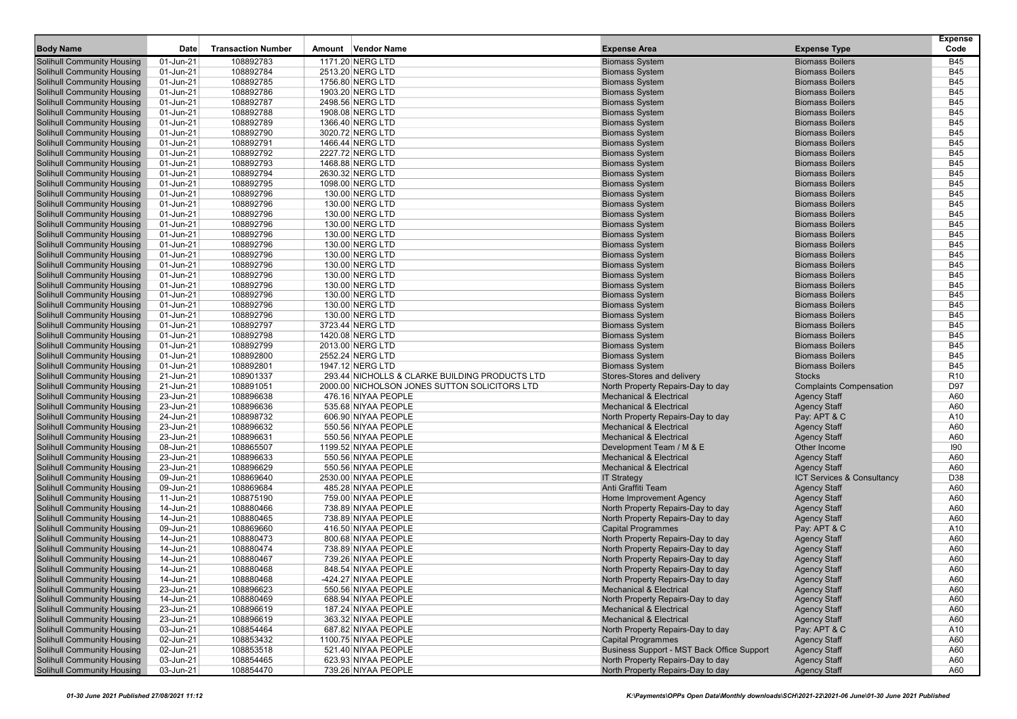|                                   |           |                           |                                                |                                            |                                | <b>Expense</b>  |
|-----------------------------------|-----------|---------------------------|------------------------------------------------|--------------------------------------------|--------------------------------|-----------------|
| <b>Body Name</b>                  | Date      | <b>Transaction Number</b> | Amount Vendor Name                             | <b>Expense Area</b>                        | <b>Expense Type</b>            | Code            |
| <b>Solihull Community Housing</b> | 01-Jun-21 | 108892783                 | 1171.20 NERG LTD                               | <b>Biomass System</b>                      | <b>Biomass Boilers</b>         | <b>B45</b>      |
| <b>Solihull Community Housing</b> | 01-Jun-21 | 108892784                 | 2513.20 NERG LTD                               | <b>Biomass System</b>                      | <b>Biomass Boilers</b>         | <b>B45</b>      |
| <b>Solihull Community Housing</b> | 01-Jun-21 | 108892785                 | 1756.80 NERG LTD                               | <b>Biomass System</b>                      | <b>Biomass Boilers</b>         | <b>B45</b>      |
| <b>Solihull Community Housing</b> | 01-Jun-21 | 108892786                 | 1903.20 NERG LTD                               | <b>Biomass System</b>                      | <b>Biomass Boilers</b>         | <b>B45</b>      |
| <b>Solihull Community Housing</b> | 01-Jun-21 | 108892787                 | 2498.56 NERG LTD                               | <b>Biomass System</b>                      | <b>Biomass Boilers</b>         | <b>B45</b>      |
| <b>Solihull Community Housing</b> | 01-Jun-21 | 108892788                 | 1908.08 NERG LTD                               | <b>Biomass System</b>                      | <b>Biomass Boilers</b>         | <b>B45</b>      |
| <b>Solihull Community Housing</b> | 01-Jun-21 | 108892789                 | 1366.40 NERG LTD                               | <b>Biomass System</b>                      | <b>Biomass Boilers</b>         | <b>B45</b>      |
| <b>Solihull Community Housing</b> | 01-Jun-21 | 108892790                 | 3020.72 NERG LTD                               | <b>Biomass System</b>                      | <b>Biomass Boilers</b>         | <b>B45</b>      |
| <b>Solihull Community Housing</b> | 01-Jun-21 | 108892791                 | 1466.44 NERG LTD                               | <b>Biomass System</b>                      | <b>Biomass Boilers</b>         | <b>B45</b>      |
| <b>Solihull Community Housing</b> | 01-Jun-21 | 108892792                 | 2227.72 NERG LTD                               | <b>Biomass System</b>                      | <b>Biomass Boilers</b>         | <b>B45</b>      |
| <b>Solihull Community Housing</b> | 01-Jun-21 | 108892793                 | 1468.88 NERG LTD                               | <b>Biomass System</b>                      | <b>Biomass Boilers</b>         | <b>B45</b>      |
| <b>Solihull Community Housing</b> | 01-Jun-21 | 108892794                 | 2630.32 NERG LTD                               | <b>Biomass System</b>                      | <b>Biomass Boilers</b>         | <b>B45</b>      |
| <b>Solihull Community Housing</b> | 01-Jun-21 | 108892795                 | 1098.00 NERG LTD                               | <b>Biomass System</b>                      | <b>Biomass Boilers</b>         | <b>B45</b>      |
| <b>Solihull Community Housing</b> | 01-Jun-21 | 108892796                 | 130.00 NERG LTD                                | <b>Biomass System</b>                      | <b>Biomass Boilers</b>         | <b>B45</b>      |
| <b>Solihull Community Housing</b> | 01-Jun-21 | 108892796                 | 130.00 NERG LTD                                | <b>Biomass System</b>                      | <b>Biomass Boilers</b>         | <b>B45</b>      |
| <b>Solihull Community Housing</b> | 01-Jun-21 | 108892796                 | 130.00 NERG LTD                                | <b>Biomass System</b>                      | <b>Biomass Boilers</b>         | <b>B45</b>      |
| <b>Solihull Community Housing</b> | 01-Jun-21 | 108892796                 | 130.00 NERG LTD                                | <b>Biomass System</b>                      | <b>Biomass Boilers</b>         | <b>B45</b>      |
| <b>Solihull Community Housing</b> | 01-Jun-21 | 108892796                 | 130.00 NERG LTD                                | <b>Biomass System</b>                      | <b>Biomass Boilers</b>         | <b>B45</b>      |
| <b>Solihull Community Housing</b> | 01-Jun-21 | 108892796                 | 130.00 NERG LTD                                | <b>Biomass System</b>                      | <b>Biomass Boilers</b>         | <b>B45</b>      |
| <b>Solihull Community Housing</b> | 01-Jun-21 | 108892796                 | 130.00 NERG LTD                                | <b>Biomass System</b>                      | <b>Biomass Boilers</b>         | <b>B45</b>      |
| <b>Solihull Community Housing</b> | 01-Jun-21 | 108892796                 | 130.00 NERG LTD                                | <b>Biomass System</b>                      | <b>Biomass Boilers</b>         | <b>B45</b>      |
| <b>Solihull Community Housing</b> | 01-Jun-21 | 108892796                 | 130.00 NERG LTD                                | <b>Biomass System</b>                      | <b>Biomass Boilers</b>         | <b>B45</b>      |
| <b>Solihull Community Housing</b> | 01-Jun-21 | 108892796                 | 130.00 NERG LTD                                | <b>Biomass System</b>                      | <b>Biomass Boilers</b>         | <b>B45</b>      |
| <b>Solihull Community Housing</b> | 01-Jun-21 | 108892796                 | 130.00 NERG LTD                                | <b>Biomass System</b>                      | <b>Biomass Boilers</b>         | <b>B45</b>      |
| <b>Solihull Community Housing</b> | 01-Jun-21 | 108892796                 | 130.00 NERG LTD                                | <b>Biomass System</b>                      | <b>Biomass Boilers</b>         | <b>B45</b>      |
| <b>Solihull Community Housing</b> | 01-Jun-21 | 108892796                 | 130.00 NERG LTD                                | <b>Biomass System</b>                      | <b>Biomass Boilers</b>         | <b>B45</b>      |
| <b>Solihull Community Housing</b> | 01-Jun-21 | 108892797                 | 3723.44 NERG LTD                               | <b>Biomass System</b>                      | <b>Biomass Boilers</b>         | <b>B45</b>      |
| <b>Solihull Community Housing</b> | 01-Jun-21 | 108892798                 | 1420.08 NERG LTD                               | <b>Biomass System</b>                      | <b>Biomass Boilers</b>         | <b>B45</b>      |
| <b>Solihull Community Housing</b> | 01-Jun-21 | 108892799                 | 2013.00 NERG LTD                               | <b>Biomass System</b>                      | <b>Biomass Boilers</b>         | <b>B45</b>      |
| <b>Solihull Community Housing</b> | 01-Jun-21 | 108892800                 | 2552.24 NERG LTD                               | <b>Biomass System</b>                      | <b>Biomass Boilers</b>         | <b>B45</b>      |
| <b>Solihull Community Housing</b> | 01-Jun-21 | 108892801                 | 1947.12 NERG LTD                               | <b>Biomass System</b>                      | <b>Biomass Boilers</b>         | <b>B45</b>      |
| <b>Solihull Community Housing</b> | 21-Jun-21 | 108901337                 | 293.44 NICHOLLS & CLARKE BUILDING PRODUCTS LTD | Stores-Stores and delivery                 | <b>Stocks</b>                  | R <sub>10</sub> |
| <b>Solihull Community Housing</b> | 21-Jun-21 | 108891051                 | 2000.00 NICHOLSON JONES SUTTON SOLICITORS LTD  | North Property Repairs-Day to day          | <b>Complaints Compensation</b> | D97             |
| <b>Solihull Community Housing</b> | 23-Jun-21 | 108896638                 | 476.16 NIYAA PEOPLE                            | <b>Mechanical &amp; Electrical</b>         | <b>Agency Staff</b>            | A60             |
| <b>Solihull Community Housing</b> | 23-Jun-21 | 108896636                 | 535.68 NIYAA PEOPLE                            | <b>Mechanical &amp; Electrical</b>         | <b>Agency Staff</b>            | A60             |
| <b>Solihull Community Housing</b> | 24-Jun-21 | 108898732                 | 606.90 NIYAA PEOPLE                            | North Property Repairs-Day to day          | Pay: APT & C                   | A10             |
| <b>Solihull Community Housing</b> | 23-Jun-21 | 108896632                 | 550.56 NIYAA PEOPLE                            | <b>Mechanical &amp; Electrical</b>         | <b>Agency Staff</b>            | A60             |
| <b>Solihull Community Housing</b> | 23-Jun-21 | 108896631                 | 550.56 NIYAA PEOPLE                            | <b>Mechanical &amp; Electrical</b>         | <b>Agency Staff</b>            | A60             |
| <b>Solihull Community Housing</b> | 08-Jun-21 | 108865507                 | 1199.52 NIYAA PEOPLE                           | Development Team / M & E                   | Other Income                   | 190             |
| <b>Solihull Community Housing</b> | 23-Jun-21 | 108896633                 | 550.56 NIYAA PEOPLE                            | <b>Mechanical &amp; Electrical</b>         | <b>Agency Staff</b>            | A60             |
| <b>Solihull Community Housing</b> | 23-Jun-21 | 108896629                 | 550.56 NIYAA PEOPLE                            | <b>Mechanical &amp; Electrical</b>         | <b>Agency Staff</b>            | A60             |
| <b>Solihull Community Housing</b> | 09-Jun-21 | 108869640                 | 2530.00 NIYAA PEOPLE                           | <b>IT Strategy</b>                         | ICT Services & Consultancy     | D38             |
| <b>Solihull Community Housing</b> | 09-Jun-21 | 108869684                 | 485.28 NIYAA PEOPLE                            | Anti Graffiti Team                         | <b>Agency Staff</b>            | A60             |
| <b>Solihull Community Housing</b> | 11-Jun-21 | 108875190                 | 759.00 NIYAA PEOPLE                            | Home Improvement Agency                    | <b>Agency Staff</b>            | A60             |
| <b>Solihull Community Housing</b> | 14-Jun-21 | 108880466                 | 738.89 NIYAA PEOPLE                            | North Property Repairs-Day to day          | <b>Agency Staff</b>            | A60             |
| <b>Solihull Community Housing</b> | 14-Jun-21 | 108880465                 | 738.89 NIYAA PEOPLE                            | North Property Repairs-Day to day          | <b>Agency Staff</b>            | A60             |
| <b>Solihull Community Housing</b> | 09-Jun-21 | 108869660                 | 416.50 NIYAA PEOPLE                            | <b>Capital Programmes</b>                  | Pay: APT & C                   | A10             |
| <b>Solihull Community Housing</b> | 14-Jun-21 | 108880473                 | 800.68 NIYAA PEOPLE                            | North Property Repairs-Day to day          | <b>Agency Staff</b>            | A60             |
| <b>Solihull Community Housing</b> | 14-Jun-21 | 108880474                 | 738.89 NIYAA PEOPLE                            | North Property Repairs-Day to day          | <b>Agency Staff</b>            | A60             |
| <b>Solihull Community Housing</b> | 14-Jun-21 | 108880467                 | 739.26 NIYAA PEOPLE                            | North Property Repairs-Day to day          | <b>Agency Staff</b>            | A60             |
| <b>Solihull Community Housing</b> | 14-Jun-21 | 108880468                 | 848.54 NIYAA PEOPLE                            | North Property Repairs-Day to day          | <b>Agency Staff</b>            | A60             |
| <b>Solihull Community Housing</b> | 14-Jun-21 | 108880468                 | -424.27 NIYAA PEOPLE                           | North Property Repairs-Day to day          | <b>Agency Staff</b>            | A60             |
| <b>Solihull Community Housing</b> | 23-Jun-21 | 108896623                 | 550.56 NIYAA PEOPLE                            | <b>Mechanical &amp; Electrical</b>         | <b>Agency Staff</b>            | A60             |
| <b>Solihull Community Housing</b> | 14-Jun-21 | 108880469                 | 688.94 NIYAA PEOPLE                            | North Property Repairs-Day to day          | <b>Agency Staff</b>            | A60             |
| <b>Solihull Community Housing</b> | 23-Jun-21 | 108896619                 | 187.24 NIYAA PEOPLE                            | <b>Mechanical &amp; Electrical</b>         | <b>Agency Staff</b>            | A60             |
| <b>Solihull Community Housing</b> | 23-Jun-21 | 108896619                 | 363.32 NIYAA PEOPLE                            | <b>Mechanical &amp; Electrical</b>         | <b>Agency Staff</b>            | A60             |
| <b>Solihull Community Housing</b> | 03-Jun-21 | 108854464                 | 687.82 NIYAA PEOPLE                            | North Property Repairs-Day to day          | Pay: APT & C                   | A10             |
| <b>Solihull Community Housing</b> | 02-Jun-21 | 108853432                 | 1100.75 NIYAA PEOPLE                           | <b>Capital Programmes</b>                  | <b>Agency Staff</b>            | A60             |
| <b>Solihull Community Housing</b> | 02-Jun-21 | 108853518                 | 521.40 NIYAA PEOPLE                            | Business Support - MST Back Office Support | <b>Agency Staff</b>            | A60             |
| <b>Solihull Community Housing</b> | 03-Jun-21 | 108854465                 | 623.93 NIYAA PEOPLE                            | North Property Repairs-Day to day          | <b>Agency Staff</b>            | A60             |
| <b>Solihull Community Housing</b> | 03-Jun-21 | 108854470                 | 739.26 NIYAA PEOPLE                            | North Property Repairs-Day to day          | <b>Agency Staff</b>            | A60             |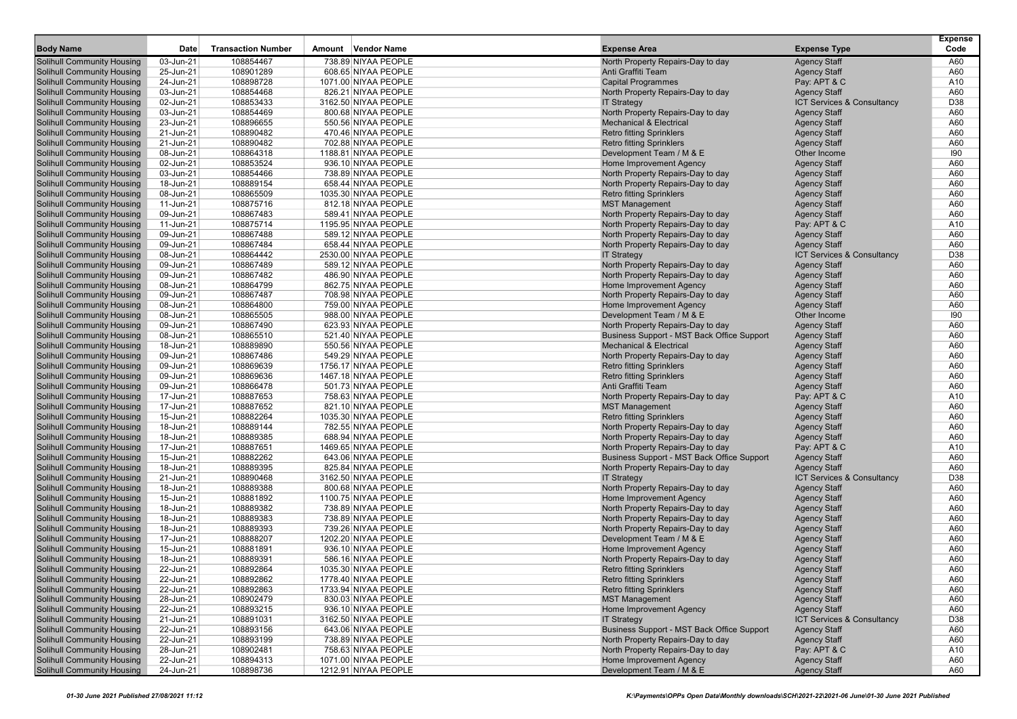| <b>Body Name</b>                                                       | Date                   | <b>Transaction Number</b> | Amount Vendor Name                          | <b>Expense Area</b>                                                    | <b>Expense Type</b>                        | <b>Expense</b><br>Code |
|------------------------------------------------------------------------|------------------------|---------------------------|---------------------------------------------|------------------------------------------------------------------------|--------------------------------------------|------------------------|
| <b>Solihull Community Housing</b>                                      | 03-Jun-21              | 108854467                 | 738.89 NIYAA PEOPLE                         | North Property Repairs-Day to day                                      | <b>Agency Staff</b>                        | A60                    |
| <b>Solihull Community Housing</b>                                      | 25-Jun-21              | 108901289                 | 608.65 NIYAA PEOPLE                         | Anti Graffiti Team                                                     | <b>Agency Staff</b>                        | A60                    |
| <b>Solihull Community Housing</b>                                      | 24-Jun-21              | 108898728                 | 1071.00 NIYAA PEOPLE                        | <b>Capital Programmes</b>                                              | Pay: APT & C                               | A10                    |
| <b>Solihull Community Housing</b>                                      | 03-Jun-21              | 108854468                 | 826.21 NIYAA PEOPLE                         | North Property Repairs-Day to day                                      | <b>Agency Staff</b>                        | A60                    |
| <b>Solihull Community Housing</b>                                      | 02-Jun-21              | 108853433                 | 3162.50 NIYAA PEOPLE                        | <b>IT Strategy</b>                                                     | ICT Services & Consultancy                 | D38                    |
| <b>Solihull Community Housing</b>                                      | 03-Jun-21              | 108854469                 | 800.68 NIYAA PEOPLE                         | North Property Repairs-Day to day                                      | <b>Agency Staff</b>                        | A60                    |
| <b>Solihull Community Housing</b>                                      | 23-Jun-21              | 108896655                 | 550.56 NIYAA PEOPLE                         | <b>Mechanical &amp; Electrical</b>                                     | <b>Agency Staff</b>                        | A60                    |
| <b>Solihull Community Housing</b>                                      | 21-Jun-21              | 108890482                 | 470.46 NIYAA PEOPLE                         | <b>Retro fitting Sprinklers</b>                                        | <b>Agency Staff</b>                        | A60                    |
| <b>Solihull Community Housing</b>                                      | 21-Jun-21              | 108890482                 | 702.88 NIYAA PEOPLE                         | <b>Retro fitting Sprinklers</b>                                        | <b>Agency Staff</b>                        | A60                    |
| <b>Solihull Community Housing</b>                                      | 08-Jun-21              | 108864318                 | 1188.81 NIYAA PEOPLE                        | Development Team / M & E                                               | Other Income                               | 190                    |
| <b>Solihull Community Housing</b>                                      | 02-Jun-21              | 108853524                 | 936.10 NIYAA PEOPLE                         | Home Improvement Agency                                                | <b>Agency Staff</b>                        | A60                    |
| <b>Solihull Community Housing</b>                                      | 03-Jun-21              | 108854466                 | 738.89 NIYAA PEOPLE                         | North Property Repairs-Day to day                                      | <b>Agency Staff</b>                        | A60                    |
| <b>Solihull Community Housing</b>                                      | 18-Jun-21              | 108889154                 | 658.44 NIYAA PEOPLE                         | North Property Repairs-Day to day                                      | <b>Agency Staff</b>                        | A60                    |
| <b>Solihull Community Housing</b>                                      | 08-Jun-21              | 108865509                 | 1035.30 NIYAA PEOPLE                        | <b>Retro fitting Sprinklers</b>                                        | <b>Agency Staff</b>                        | A60                    |
| <b>Solihull Community Housing</b>                                      | 11-Jun-21              | 108875716                 | 812.18 NIYAA PEOPLE                         | <b>MST Management</b>                                                  | <b>Agency Staff</b>                        | A60                    |
| <b>Solihull Community Housing</b>                                      | 09-Jun-21              | 108867483                 | 589.41 NIYAA PEOPLE                         | North Property Repairs-Day to day                                      | <b>Agency Staff</b>                        | A60                    |
| <b>Solihull Community Housing</b>                                      | 11-Jun-21              | 108875714                 | 1195.95 NIYAA PEOPLE                        | North Property Repairs-Day to day                                      | Pay: APT & C                               | A10                    |
| <b>Solihull Community Housing</b>                                      | 09-Jun-21              | 108867488                 | 589.12 NIYAA PEOPLE                         | North Property Repairs-Day to day                                      | <b>Agency Staff</b>                        | A60                    |
| <b>Solihull Community Housing</b>                                      | 09-Jun-21              | 108867484                 | 658.44 NIYAA PEOPLE                         | North Property Repairs-Day to day                                      | <b>Agency Staff</b>                        | A60                    |
| <b>Solihull Community Housing</b>                                      | 08-Jun-21              | 108864442                 | 2530.00 NIYAA PEOPLE                        | <b>IT Strategy</b>                                                     | ICT Services & Consultancy                 | D38                    |
| <b>Solihull Community Housing</b>                                      | 09-Jun-21              | 108867489                 | 589.12 NIYAA PEOPLE                         | North Property Repairs-Day to day                                      | <b>Agency Staff</b>                        | A60                    |
| <b>Solihull Community Housing</b>                                      | 09-Jun-21              | 108867482                 | 486.90 NIYAA PEOPLE                         | North Property Repairs-Day to day                                      | <b>Agency Staff</b>                        | A60                    |
| <b>Solihull Community Housing</b>                                      | 08-Jun-21              | 108864799                 | 862.75 NIYAA PEOPLE                         | Home Improvement Agency                                                | <b>Agency Staff</b>                        | A60                    |
| <b>Solihull Community Housing</b>                                      | 09-Jun-21              | 108867487                 | 708.98 NIYAA PEOPLE                         | North Property Repairs-Day to day                                      | <b>Agency Staff</b>                        | A60                    |
| <b>Solihull Community Housing</b>                                      | 08-Jun-21              | 108864800                 | 759.00 NIYAA PEOPLE                         | Home Improvement Agency                                                | <b>Agency Staff</b>                        | A60                    |
| <b>Solihull Community Housing</b>                                      | 08-Jun-21              | 108865505                 | 988.00 NIYAA PEOPLE                         | Development Team / M & E                                               | Other Income                               | 190                    |
| <b>Solihull Community Housing</b>                                      | 09-Jun-21              | 108867490                 | 623.93 NIYAA PEOPLE                         | North Property Repairs-Day to day                                      | <b>Agency Staff</b>                        | A60                    |
| <b>Solihull Community Housing</b>                                      | 08-Jun-21              | 108865510                 | 521.40 NIYAA PEOPLE                         | Business Support - MST Back Office Support                             | <b>Agency Staff</b>                        | A60                    |
| <b>Solihull Community Housing</b>                                      | 18-Jun-21              | 108889890                 | 550.56 NIYAA PEOPLE                         | <b>Mechanical &amp; Electrical</b>                                     | <b>Agency Staff</b>                        | A60                    |
| <b>Solihull Community Housing</b>                                      | 09-Jun-21              | 108867486                 | 549.29 NIYAA PEOPLE                         | North Property Repairs-Day to day                                      | <b>Agency Staff</b>                        | A60                    |
| <b>Solihull Community Housing</b>                                      | 09-Jun-21              | 108869639                 | 1756.17 NIYAA PEOPLE                        | <b>Retro fitting Sprinklers</b>                                        | <b>Agency Staff</b>                        | A60                    |
| <b>Solihull Community Housing</b>                                      | 09-Jun-21              | 108869636                 | 1467.18 NIYAA PEOPLE                        | <b>Retro fitting Sprinklers</b>                                        | <b>Agency Staff</b>                        | A60                    |
| <b>Solihull Community Housing</b>                                      | 09-Jun-21              | 108866478                 | 501.73 NIYAA PEOPLE                         | Anti Graffiti Team                                                     | <b>Agency Staff</b>                        | A60                    |
| <b>Solihull Community Housing</b>                                      | 17-Jun-21              | 108887653                 | 758.63 NIYAA PEOPLE                         | North Property Repairs-Day to day                                      | Pay: APT & C                               | A10                    |
| <b>Solihull Community Housing</b>                                      | 17-Jun-21              | 108887652                 | 821.10 NIYAA PEOPLE                         | <b>MST Management</b>                                                  | <b>Agency Staff</b>                        | A60                    |
| <b>Solihull Community Housing</b>                                      | 15-Jun-21              | 108882264                 | 1035.30 NIYAA PEOPLE                        | <b>Retro fitting Sprinklers</b>                                        | <b>Agency Staff</b>                        | A60                    |
| <b>Solihull Community Housing</b>                                      | 18-Jun-21              | 108889144                 | 782.55 NIYAA PEOPLE                         | North Property Repairs-Day to day                                      | <b>Agency Staff</b>                        | A60                    |
| <b>Solihull Community Housing</b>                                      | 18-Jun-21              | 108889385                 | 688.94 NIYAA PEOPLE                         | North Property Repairs-Day to day                                      | <b>Agency Staff</b>                        | A60                    |
| <b>Solihull Community Housing</b>                                      | 17-Jun-21              | 108887651                 | 1469.65 NIYAA PEOPLE                        | North Property Repairs-Day to day                                      | Pay: APT & C                               | A10                    |
| <b>Solihull Community Housing</b>                                      | 15-Jun-21              | 108882262                 | 643.06 NIYAA PEOPLE                         | Business Support - MST Back Office Support                             | <b>Agency Staff</b>                        | A60                    |
| <b>Solihull Community Housing</b>                                      | 18-Jun-21              | 108889395                 | 825.84 NIYAA PEOPLE                         | North Property Repairs-Day to day                                      | <b>Agency Staff</b>                        | A60                    |
| <b>Solihull Community Housing</b>                                      | 21-Jun-21              | 108890468                 | 3162.50 NIYAA PEOPLE                        | <b>IT Strategy</b><br>North Property Repairs-Day to day                | ICT Services & Consultancy                 | D38                    |
| <b>Solihull Community Housing</b>                                      | 18-Jun-21              | 108889388                 | 800.68 NIYAA PEOPLE                         |                                                                        | <b>Agency Staff</b>                        | A60                    |
| <b>Solihull Community Housing</b><br><b>Solihull Community Housing</b> | 15-Jun-21              | 108881892<br>108889382    | 1100.75 NIYAA PEOPLE<br>738.89 NIYAA PEOPLE | Home Improvement Agency                                                | <b>Agency Staff</b>                        | A60<br>A60             |
| <b>Solihull Community Housing</b>                                      | 18-Jun-21              | 108889383                 |                                             | North Property Repairs-Day to day                                      | <b>Agency Staff</b>                        | A60                    |
| <b>Solihull Community Housing</b>                                      | 18-Jun-21<br>18-Jun-21 | 108889393                 | 738.89 NIYAA PEOPLE<br>739.26 NIYAA PEOPLE  | North Property Repairs-Day to day<br>North Property Repairs-Day to day | <b>Agency Staff</b>                        | A60                    |
| <b>Solihull Community Housing</b>                                      | 17-Jun-21              | 108888207                 | 1202.20 NIYAA PEOPLE                        | Development Team / M & E                                               | <b>Agency Staff</b>                        | A60                    |
| <b>Solihull Community Housing</b>                                      | 15-Jun-21              | 108881891                 | 936.10 NIYAA PEOPLE                         | Home Improvement Agency                                                | <b>Agency Staff</b><br><b>Agency Staff</b> | A60                    |
| <b>Solihull Community Housing</b>                                      | 18-Jun-21              | 108889391                 | 586.16 NIYAA PEOPLE                         | North Property Repairs-Day to day                                      | <b>Agency Staff</b>                        | A60                    |
| <b>Solihull Community Housing</b>                                      | 22-Jun-21              | 108892864                 | 1035.30 NIYAA PEOPLE                        | <b>Retro fitting Sprinklers</b>                                        | <b>Agency Staff</b>                        | A60                    |
| <b>Solihull Community Housing</b>                                      | 22-Jun-21              | 108892862                 | 1778.40 NIYAA PEOPLE                        | Retro fitting Sprinklers                                               | <b>Agency Staff</b>                        | A60                    |
| <b>Solihull Community Housing</b>                                      | 22-Jun-21              | 108892863                 | 1733.94 NIYAA PEOPLE                        | <b>Retro fitting Sprinklers</b>                                        | <b>Agency Staff</b>                        | A60                    |
| <b>Solihull Community Housing</b>                                      | 28-Jun-21              | 108902479                 | 830.03 NIYAA PEOPLE                         | <b>MST Management</b>                                                  | <b>Agency Staff</b>                        | A60                    |
| <b>Solihull Community Housing</b>                                      | 22-Jun-21              | 108893215                 | 936.10 NIYAA PEOPLE                         | Home Improvement Agency                                                | <b>Agency Staff</b>                        | A60                    |
| <b>Solihull Community Housing</b>                                      | 21-Jun-21              | 108891031                 | 3162.50 NIYAA PEOPLE                        | <b>IT Strategy</b>                                                     | ICT Services & Consultancy                 | D38                    |
| <b>Solihull Community Housing</b>                                      | 22-Jun-21              | 108893156                 | 643.06 NIYAA PEOPLE                         | Business Support - MST Back Office Support                             | <b>Agency Staff</b>                        | A60                    |
| <b>Solihull Community Housing</b>                                      | 22-Jun-21              | 108893199                 | 738.89 NIYAA PEOPLE                         | North Property Repairs-Day to day                                      | <b>Agency Staff</b>                        | A60                    |
| <b>Solihull Community Housing</b>                                      | 28-Jun-21              | 108902481                 | 758.63 NIYAA PEOPLE                         | North Property Repairs-Day to day                                      | Pay: APT & C                               | A10                    |
| <b>Solihull Community Housing</b>                                      | 22-Jun-21              | 108894313                 | 1071.00 NIYAA PEOPLE                        | Home Improvement Agency                                                | <b>Agency Staff</b>                        | A60                    |
| <b>Solihull Community Housing</b>                                      | 24-Jun-21              | 108898736                 | 1212.91 NIYAA PEOPLE                        | Development Team / M & E                                               | <b>Agency Staff</b>                        | A60                    |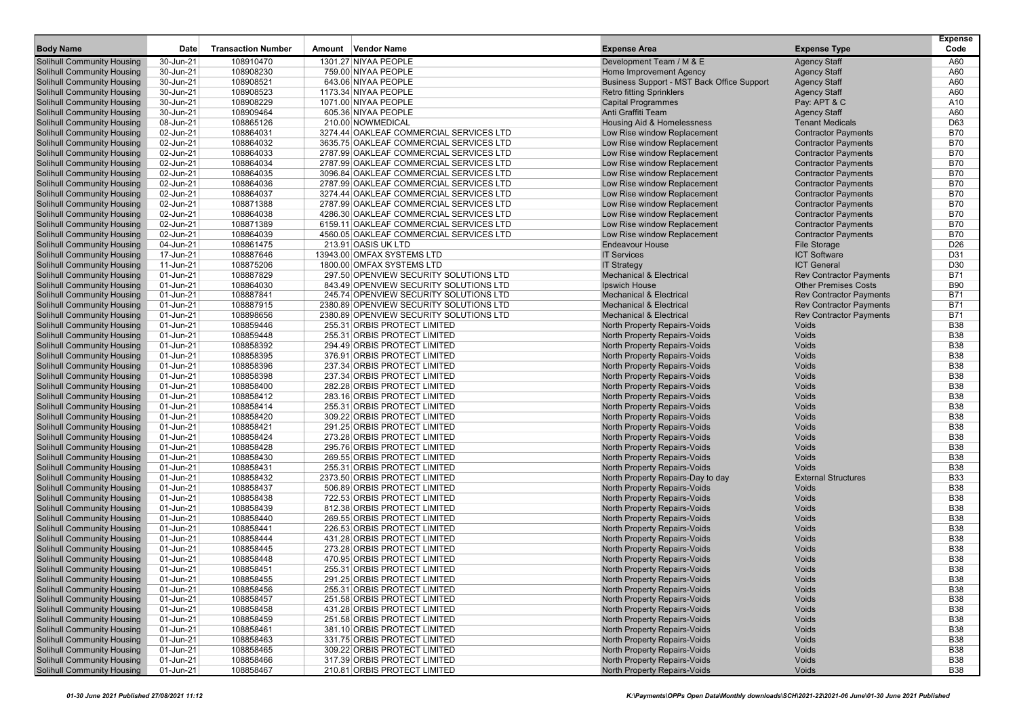| <b>Body Name</b>                                                       | Date                   | <b>Transaction Number</b> | Amount Vendor Name                                           | <b>Expense Area</b>                                                   | <b>Expense Type</b>                        | <b>Expense</b><br>Code   |
|------------------------------------------------------------------------|------------------------|---------------------------|--------------------------------------------------------------|-----------------------------------------------------------------------|--------------------------------------------|--------------------------|
|                                                                        |                        |                           |                                                              |                                                                       |                                            |                          |
| <b>Solihull Community Housing</b>                                      | 30-Jun-21              | 108910470                 | 1301.27 NIYAA PEOPLE                                         | Development Team / M & E                                              | <b>Agency Staff</b>                        | A60                      |
| <b>Solihull Community Housing</b><br><b>Solihull Community Housing</b> | 30-Jun-21<br>30-Jun-21 | 108908230<br>108908521    | 759.00 NIYAA PEOPLE<br>643.06 NIYAA PEOPLE                   | Home Improvement Agency<br>Business Support - MST Back Office Support | <b>Agency Staff</b><br><b>Agency Staff</b> | A60<br>A60               |
| <b>Solihull Community Housing</b>                                      | 30-Jun-21              | 108908523                 | 1173.34 NIYAA PEOPLE                                         | <b>Retro fitting Sprinklers</b>                                       | <b>Agency Staff</b>                        | A60                      |
| <b>Solihull Community Housing</b>                                      | 30-Jun-21              | 108908229                 | 1071.00 NIYAA PEOPLE                                         | <b>Capital Programmes</b>                                             | Pay: APT & C                               | A10                      |
| <b>Solihull Community Housing</b>                                      | 30-Jun-21              | 108909464                 | 605.36 NIYAA PEOPLE                                          | Anti Graffiti Team                                                    | <b>Agency Staff</b>                        | A60                      |
| <b>Solihull Community Housing</b>                                      | 08-Jun-21              | 108865126                 | 210.00 NOWMEDICAL                                            | Housing Aid & Homelessness                                            | <b>Tenant Medicals</b>                     | D63                      |
| <b>Solihull Community Housing</b>                                      | 02-Jun-21              | 108864031                 | 3274.44 OAKLEAF COMMERCIAL SERVICES LTD                      | Low Rise window Replacement                                           | <b>Contractor Payments</b>                 | <b>B70</b>               |
| <b>Solihull Community Housing</b>                                      | 02-Jun-21              | 108864032                 | 3635.75 OAKLEAF COMMERCIAL SERVICES LTD                      | Low Rise window Replacement                                           | <b>Contractor Payments</b>                 | <b>B70</b>               |
| <b>Solihull Community Housing</b>                                      | 02-Jun-21              | 108864033                 | 2787.99 OAKLEAF COMMERCIAL SERVICES LTD                      | Low Rise window Replacement                                           | <b>Contractor Payments</b>                 | <b>B70</b>               |
| <b>Solihull Community Housing</b>                                      | 02-Jun-21              | 108864034                 | 2787.99 OAKLEAF COMMERCIAL SERVICES LTD                      | Low Rise window Replacement                                           | <b>Contractor Payments</b>                 | <b>B70</b>               |
| <b>Solihull Community Housing</b>                                      | 02-Jun-21              | 108864035                 | 3096.84 OAKLEAF COMMERCIAL SERVICES LTD                      | Low Rise window Replacement                                           | <b>Contractor Payments</b>                 | <b>B70</b>               |
| <b>Solihull Community Housing</b>                                      | 02-Jun-21              | 108864036                 | 2787.99 OAKLEAF COMMERCIAL SERVICES LTD                      | Low Rise window Replacement                                           | <b>Contractor Payments</b>                 | <b>B70</b>               |
| <b>Solihull Community Housing</b>                                      | 02-Jun-21              | 108864037                 | 3274.44 OAKLEAF COMMERCIAL SERVICES LTD                      | Low Rise window Replacement                                           | <b>Contractor Payments</b>                 | <b>B70</b>               |
| <b>Solihull Community Housing</b>                                      | 02-Jun-21              | 108871388                 | 2787.99 OAKLEAF COMMERCIAL SERVICES LTD                      | Low Rise window Replacement                                           | <b>Contractor Payments</b>                 | <b>B70</b>               |
| <b>Solihull Community Housing</b>                                      | 02-Jun-21              | 108864038                 | 4286.30 OAKLEAF COMMERCIAL SERVICES LTD                      | Low Rise window Replacement                                           | <b>Contractor Payments</b>                 | <b>B70</b>               |
| <b>Solihull Community Housing</b>                                      | 02-Jun-21              | 108871389                 | 6159.11 OAKLEAF COMMERCIAL SERVICES LTD                      | Low Rise window Replacement                                           | <b>Contractor Payments</b>                 | <b>B70</b>               |
| <b>Solihull Community Housing</b>                                      | 02-Jun-21              | 108864039                 | 4560.05 OAKLEAF COMMERCIAL SERVICES LTD                      | Low Rise window Replacement                                           | <b>Contractor Payments</b>                 | <b>B70</b>               |
| <b>Solihull Community Housing</b>                                      | 04-Jun-21              | 108861475                 | 213.91 OASIS UK LTD                                          | <b>Endeavour House</b>                                                | <b>File Storage</b>                        | D <sub>26</sub>          |
| <b>Solihull Community Housing</b>                                      | 17-Jun-21              | 108887646                 | 13943.00 OMFAX SYSTEMS LTD                                   | <b>IT Services</b>                                                    | <b>ICT Software</b>                        | D31                      |
| <b>Solihull Community Housing</b>                                      | 11-Jun-21              | 108875206                 | 1800.00 OMFAX SYSTEMS LTD                                    | <b>IT Strategy</b>                                                    | <b>ICT General</b>                         | D30                      |
| <b>Solihull Community Housing</b>                                      | 01-Jun-21              | 108887829                 | 297.50 OPENVIEW SECURITY SOLUTIONS LTD                       | <b>Mechanical &amp; Electrical</b>                                    | <b>Rev Contractor Payments</b>             | <b>B71</b>               |
| <b>Solihull Community Housing</b>                                      | 01-Jun-21              | 108864030                 | 843.49 OPENVIEW SECURITY SOLUTIONS LTD                       | Ipswich House                                                         | <b>Other Premises Costs</b>                | <b>B90</b>               |
| <b>Solihull Community Housing</b>                                      | 01-Jun-21              | 108887841                 | 245.74 OPENVIEW SECURITY SOLUTIONS LTD                       | <b>Mechanical &amp; Electrical</b>                                    | <b>Rev Contractor Payments</b>             | <b>B71</b>               |
| <b>Solihull Community Housing</b>                                      | 01-Jun-21              | 108887915                 | 2380.89 OPENVIEW SECURITY SOLUTIONS LTD                      | <b>Mechanical &amp; Electrical</b>                                    | <b>Rev Contractor Payments</b>             | <b>B71</b>               |
| <b>Solihull Community Housing</b>                                      | 01-Jun-21              | 108898656                 | 2380.89 OPENVIEW SECURITY SOLUTIONS LTD                      | <b>Mechanical &amp; Electrical</b>                                    | <b>Rev Contractor Payments</b>             | <b>B71</b>               |
| <b>Solihull Community Housing</b>                                      | 01-Jun-21              | 108859446                 | 255.31 ORBIS PROTECT LIMITED                                 | <b>North Property Repairs-Voids</b>                                   | Voids                                      | <b>B38</b>               |
| <b>Solihull Community Housing</b>                                      | 01-Jun-21              | 108859448                 | 255.31 ORBIS PROTECT LIMITED                                 | <b>North Property Repairs-Voids</b>                                   | Voids                                      | <b>B38</b>               |
| <b>Solihull Community Housing</b>                                      | 01-Jun-21              | 108858392                 | 294.49 ORBIS PROTECT LIMITED                                 | <b>North Property Repairs-Voids</b>                                   | Voids                                      | <b>B38</b>               |
| <b>Solihull Community Housing</b>                                      | 01-Jun-21              | 108858395                 | 376.91 ORBIS PROTECT LIMITED                                 | North Property Repairs-Voids                                          | Voids                                      | <b>B38</b>               |
| <b>Solihull Community Housing</b>                                      | 01-Jun-21              | 108858396                 | 237.34 ORBIS PROTECT LIMITED                                 | <b>North Property Repairs-Voids</b>                                   | Voids                                      | <b>B38</b>               |
| <b>Solihull Community Housing</b>                                      | 01-Jun-21              | 108858398                 | 237.34 ORBIS PROTECT LIMITED                                 | North Property Repairs-Voids                                          | Voids                                      | <b>B38</b>               |
| <b>Solihull Community Housing</b>                                      | 01-Jun-21              | 108858400<br>108858412    | 282.28 ORBIS PROTECT LIMITED                                 | North Property Repairs-Voids                                          | Voids<br>Voids                             | <b>B38</b><br><b>B38</b> |
| <b>Solihull Community Housing</b><br><b>Solihull Community Housing</b> | 01-Jun-21<br>01-Jun-21 | 108858414                 | 283.16 ORBIS PROTECT LIMITED<br>255.31 ORBIS PROTECT LIMITED | <b>North Property Repairs-Voids</b><br>North Property Repairs-Voids   | Voids                                      | <b>B38</b>               |
| <b>Solihull Community Housing</b>                                      | 01-Jun-21              | 108858420                 | 309.22 ORBIS PROTECT LIMITED                                 | North Property Repairs-Voids                                          | Voids                                      | <b>B38</b>               |
| <b>Solihull Community Housing</b>                                      | 01-Jun-21              | 108858421                 | 291.25 ORBIS PROTECT LIMITED                                 | North Property Repairs-Voids                                          | Voids                                      | <b>B38</b>               |
| <b>Solihull Community Housing</b>                                      | 01-Jun-21              | 108858424                 | 273.28 ORBIS PROTECT LIMITED                                 | <b>North Property Repairs-Voids</b>                                   | Voids                                      | <b>B38</b>               |
| <b>Solihull Community Housing</b>                                      | 01-Jun-21              | 108858428                 | 295.76 ORBIS PROTECT LIMITED                                 | <b>North Property Repairs-Voids</b>                                   | Voids                                      | <b>B38</b>               |
| <b>Solihull Community Housing</b>                                      | 01-Jun-21              | 108858430                 | 269.55 ORBIS PROTECT LIMITED                                 | North Property Repairs-Voids                                          | Voids                                      | <b>B38</b>               |
| <b>Solihull Community Housing</b>                                      | 01-Jun-21              | 108858431                 | 255.31 ORBIS PROTECT LIMITED                                 | <b>North Property Repairs-Voids</b>                                   | Voids                                      | <b>B38</b>               |
| <b>Solihull Community Housing</b>                                      | 01-Jun-21              | 108858432                 | 2373.50 ORBIS PROTECT LIMITED                                | North Property Repairs-Day to day                                     | <b>External Structures</b>                 | <b>B33</b>               |
| <b>Solihull Community Housing</b>                                      | 01-Jun-21              | 108858437                 | 506.89 ORBIS PROTECT LIMITED                                 | North Property Repairs-Voids                                          | Voids                                      | <b>B38</b>               |
| <b>Solihull Community Housing</b>                                      | 01-Jun-21              | 108858438                 | 722.53 ORBIS PROTECT LIMITED                                 | <b>North Property Repairs-Voids</b>                                   | Voids                                      | <b>B38</b>               |
| <b>Solihull Community Housing</b>                                      | 01-Jun-21              | 108858439                 | 812.38 ORBIS PROTECT LIMITED                                 | North Property Repairs-Voids                                          | Voids                                      | <b>B38</b>               |
| <b>Solihull Community Housing</b>                                      | 01-Jun-21              | 108858440                 | 269.55 ORBIS PROTECT LIMITED                                 | North Property Repairs-Voids                                          | Voids                                      | <b>B38</b>               |
| <b>Solihull Community Housing</b>                                      | 01-Jun-21              | 108858441                 | 226.53 ORBIS PROTECT LIMITED                                 | North Property Repairs-Voids                                          | Voids                                      | <b>B38</b>               |
| <b>Solihull Community Housing</b>                                      | 01-Jun-21              | 108858444                 | 431.28 ORBIS PROTECT LIMITED                                 | North Property Repairs-Voids                                          | Voids                                      | <b>B38</b>               |
| <b>Solihull Community Housing</b>                                      | 01-Jun-21              | 108858445                 | 273.28 ORBIS PROTECT LIMITED                                 | North Property Repairs-Voids                                          | Voids                                      | <b>B38</b>               |
| <b>Solihull Community Housing</b>                                      | 01-Jun-21              | 108858448                 | 470.95 ORBIS PROTECT LIMITED                                 | <b>North Property Repairs-Voids</b>                                   | Voids                                      | <b>B38</b>               |
| <b>Solihull Community Housing</b>                                      | 01-Jun-21              | 108858451                 | 255.31 ORBIS PROTECT LIMITED                                 | North Property Repairs-Voids                                          | Voids                                      | <b>B38</b>               |
| <b>Solihull Community Housing</b>                                      | 01-Jun-21              | 108858455                 | 291.25 ORBIS PROTECT LIMITED                                 | North Property Repairs-Voids                                          | Voids                                      | <b>B38</b>               |
| <b>Solihull Community Housing</b>                                      | 01-Jun-21              | 108858456                 | 255.31 ORBIS PROTECT LIMITED                                 | North Property Repairs-Voids                                          | Voids                                      | <b>B38</b>               |
| <b>Solihull Community Housing</b>                                      | 01-Jun-21              | 108858457                 | 251.58 ORBIS PROTECT LIMITED                                 | North Property Repairs-Voids                                          | Voids                                      | <b>B38</b>               |
| <b>Solihull Community Housing</b>                                      | 01-Jun-21              | 108858458                 | 431.28 ORBIS PROTECT LIMITED                                 | North Property Repairs-Voids                                          | Voids                                      | <b>B38</b>               |
| <b>Solihull Community Housing</b>                                      | 01-Jun-21              | 108858459                 | 251.58 ORBIS PROTECT LIMITED                                 | North Property Repairs-Voids                                          | Voids                                      | <b>B38</b>               |
| <b>Solihull Community Housing</b>                                      | 01-Jun-21              | 108858461                 | 381.10 ORBIS PROTECT LIMITED                                 | North Property Repairs-Voids                                          | Voids                                      | <b>B38</b>               |
| <b>Solihull Community Housing</b>                                      | 01-Jun-21              | 108858463                 | 331.75 ORBIS PROTECT LIMITED                                 | North Property Repairs-Voids                                          | Voids                                      | <b>B38</b>               |
| <b>Solihull Community Housing</b>                                      | 01-Jun-21              | 108858465                 | 309.22 ORBIS PROTECT LIMITED                                 | North Property Repairs-Voids                                          | Voids                                      | <b>B38</b>               |
| <b>Solihull Community Housing</b>                                      | 01-Jun-21              | 108858466                 | 317.39 ORBIS PROTECT LIMITED                                 | North Property Repairs-Voids                                          | Voids                                      | <b>B38</b>               |
| <b>Solihull Community Housing</b>                                      | 01-Jun-21              | 108858467                 | 210.81 ORBIS PROTECT LIMITED                                 | North Property Repairs-Voids                                          | Voids                                      | <b>B38</b>               |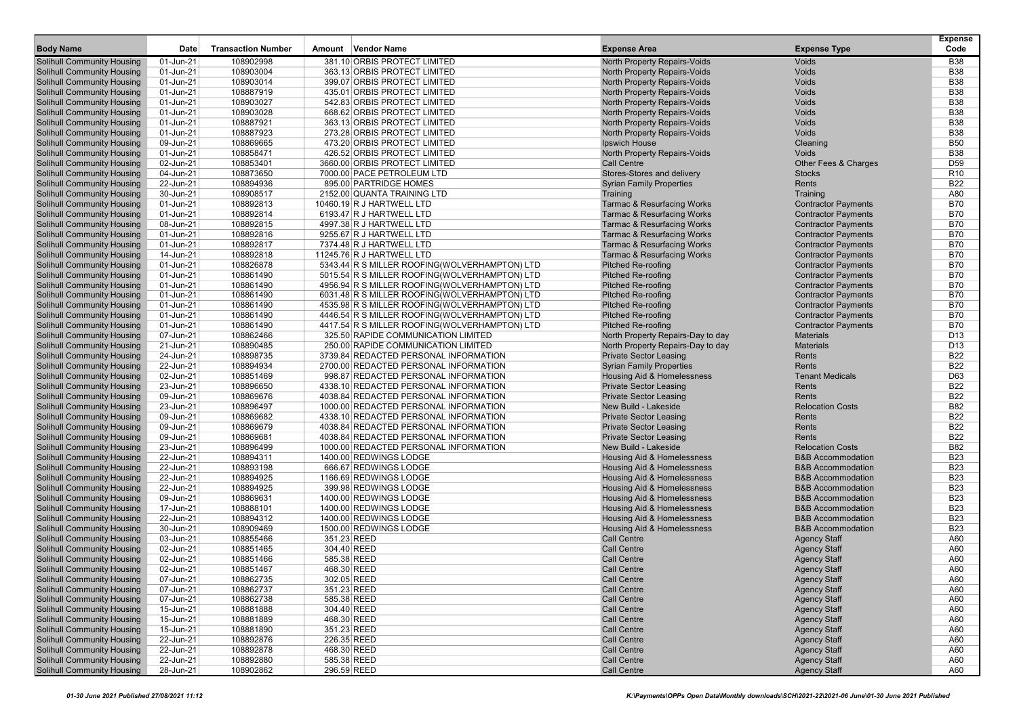| 381.10 ORBIS PROTECT LIMITED<br><b>Solihull Community Housing</b><br>01-Jun-21<br>108902998<br>North Property Repairs-Voids<br>Voids<br><b>B38</b><br>01-Jun-21<br><b>B38</b><br><b>Solihull Community Housing</b><br>108903004<br>363.13 ORBIS PROTECT LIMITED<br>North Property Repairs-Voids<br>Voids<br><b>Solihull Community Housing</b><br>01-Jun-21<br>108903014<br>399.07 ORBIS PROTECT LIMITED<br>North Property Repairs-Voids<br>Voids<br><b>B38</b><br>Voids<br><b>B38</b><br><b>Solihull Community Housing</b><br>01-Jun-21<br>108887919<br>435.01 ORBIS PROTECT LIMITED<br>North Property Repairs-Voids<br><b>B38</b><br><b>Solihull Community Housing</b><br>01-Jun-21<br>108903027<br>542.83 ORBIS PROTECT LIMITED<br>North Property Repairs-Voids<br>Voids<br><b>Solihull Community Housing</b><br>01-Jun-21<br>108903028<br>668.62 ORBIS PROTECT LIMITED<br>North Property Repairs-Voids<br>Voids<br><b>B38</b><br>108887921<br>Voids<br><b>B38</b><br><b>Solihull Community Housing</b><br>01-Jun-21<br>363.13 ORBIS PROTECT LIMITED<br>North Property Repairs-Voids<br><b>Solihull Community Housing</b><br>01-Jun-21<br>108887923<br>273.28 ORBIS PROTECT LIMITED<br>North Property Repairs-Voids<br>Voids<br><b>B38</b><br>108869665<br><b>B50</b><br><b>Solihull Community Housing</b><br>09-Jun-21<br>473.20 ORBIS PROTECT LIMITED<br>Ipswich House<br>Cleaning<br>108858471<br><b>B38</b><br><b>Solihull Community Housing</b><br>01-Jun-21<br>426.52 ORBIS PROTECT LIMITED<br>North Property Repairs-Voids<br>Voids<br><b>Solihull Community Housing</b><br>02-Jun-21<br>108853401<br>3660.00 ORBIS PROTECT LIMITED<br><b>Call Centre</b><br>Other Fees & Charges<br>D <sub>59</sub><br>108873650<br><b>Solihull Community Housing</b><br>04-Jun-21<br>7000.00 PACE PETROLEUM LTD<br>Stores-Stores and delivery<br><b>Stocks</b><br>R <sub>10</sub><br><b>Solihull Community Housing</b><br>22-Jun-21<br>108894936<br>895.00 PARTRIDGE HOMES<br><b>Syrian Family Properties</b><br>Rents<br><b>B22</b><br><b>Solihull Community Housing</b><br>30-Jun-21<br>108908517<br>2152.00 QUANTA TRAINING LTD<br>Training<br>A80<br>Training<br>108892813<br><b>B70</b><br><b>Solihull Community Housing</b><br>01-Jun-21<br>10460.19 R J HARTWELL LTD<br><b>Tarmac &amp; Resurfacing Works</b><br><b>Contractor Payments</b><br>108892814<br><b>Tarmac &amp; Resurfacing Works</b><br><b>B70</b><br><b>Solihull Community Housing</b><br>01-Jun-21<br>6193.47 R J HARTWELL LTD<br><b>Contractor Payments</b><br><b>B70</b><br>Solihull Community Housing<br>08-Jun-21<br>108892815<br>4997.38 R J HARTWELL LTD<br><b>Tarmac &amp; Resurfacing Works</b><br><b>Contractor Payments</b><br><b>Solihull Community Housing</b><br>01-Jun-21<br>108892816<br>9255.67 R J HARTWELL LTD<br><b>Tarmac &amp; Resurfacing Works</b><br><b>Contractor Payments</b><br><b>B70</b><br><b>Solihull Community Housing</b><br>01-Jun-21<br>108892817<br>7374.48 R J HARTWELL LTD<br><b>Tarmac &amp; Resurfacing Works</b><br><b>Contractor Payments</b><br><b>B70</b><br><b>B70</b><br><b>Solihull Community Housing</b><br>14-Jun-21<br>108892818<br>11245.76 R J HARTWELL LTD<br><b>Tarmac &amp; Resurfacing Works</b><br><b>Contractor Payments</b><br>108826878<br><b>B70</b><br><b>Solihull Community Housing</b><br>01-Jun-21<br>5343.44 R S MILLER ROOFING(WOLVERHAMPTON) LTD<br><b>Pitched Re-roofing</b><br><b>Contractor Payments</b><br><b>B70</b><br>Solihull Community Housing<br>01-Jun-21<br>108861490<br>5015.54 R S MILLER ROOFING(WOLVERHAMPTON) LTD<br><b>Pitched Re-roofing</b><br><b>Contractor Payments</b><br><b>Solihull Community Housing</b><br>01-Jun-21<br>108861490<br>4956.94 R S MILLER ROOFING(WOLVERHAMPTON) LTD<br><b>Pitched Re-roofing</b><br><b>Contractor Payments</b><br><b>B70</b><br><b>Solihull Community Housing</b><br>01-Jun-21<br>108861490<br>6031.48 R S MILLER ROOFING(WOLVERHAMPTON) LTD<br><b>Pitched Re-roofing</b><br><b>Contractor Payments</b><br><b>B70</b><br><b>B70</b><br><b>Solihull Community Housing</b><br>01-Jun-21<br>108861490<br>4535.98 R S MILLER ROOFING(WOLVERHAMPTON) LTD<br><b>Pitched Re-roofing</b><br><b>Contractor Payments</b><br>108861490<br><b>B70</b><br><b>Solihull Community Housing</b><br>01-Jun-21<br>4446.54 R S MILLER ROOFING(WOLVERHAMPTON) LTD<br><b>Pitched Re-roofing</b><br><b>Contractor Payments</b><br><b>B70</b><br><b>Solihull Community Housing</b><br>01-Jun-21<br>108861490<br><b>Pitched Re-roofing</b><br>4417.54 R S MILLER ROOFING(WOLVERHAMPTON) LTD<br><b>Contractor Payments</b><br><b>Solihull Community Housing</b><br>07-Jun-21<br>108862466<br>North Property Repairs-Day to day<br><b>Materials</b><br>D <sub>13</sub><br>325.50 RAPIDE COMMUNICATION LIMITED<br><b>Solihull Community Housing</b><br>21-Jun-21<br>108890485<br>250.00 RAPIDE COMMUNICATION LIMITED<br>North Property Repairs-Day to day<br><b>Materials</b><br>D <sub>13</sub><br><b>B22</b><br><b>Solihull Community Housing</b><br>24-Jun-21<br>108898735<br>3739.84 REDACTED PERSONAL INFORMATION<br>Private Sector Leasing<br>Rents<br>108894934<br><b>B22</b><br><b>Solihull Community Housing</b><br>22-Jun-21<br>2700.00 REDACTED PERSONAL INFORMATION<br><b>Syrian Family Properties</b><br>Rents<br>D63<br><b>Solihull Community Housing</b><br>02-Jun-21<br>108851469<br>998.87 REDACTED PERSONAL INFORMATION<br>Housing Aid & Homelessness<br><b>Tenant Medicals</b><br><b>Solihull Community Housing</b><br>23-Jun-21<br>108896650<br>4338.10 REDACTED PERSONAL INFORMATION<br><b>Private Sector Leasing</b><br>Rents<br><b>B22</b><br><b>B22</b><br><b>Solihull Community Housing</b><br>09-Jun-21<br>108869676<br>4038.84 REDACTED PERSONAL INFORMATION<br><b>Private Sector Leasing</b><br>Rents<br><b>B82</b><br><b>Solihull Community Housing</b><br>23-Jun-21<br>108896497<br>1000.00 REDACTED PERSONAL INFORMATION<br>New Build - Lakeside<br><b>Relocation Costs</b><br>108869682<br><b>B22</b><br><b>Solihull Community Housing</b><br>09-Jun-21<br>4338.10 REDACTED PERSONAL INFORMATION<br><b>Private Sector Leasing</b><br>Rents<br><b>B22</b><br><b>Solihull Community Housing</b><br>09-Jun-21<br>108869679<br>4038.84 REDACTED PERSONAL INFORMATION<br><b>Private Sector Leasing</b><br>Rents<br><b>B22</b><br><b>Solihull Community Housing</b><br>09-Jun-21<br>108869681<br>4038.84 REDACTED PERSONAL INFORMATION<br><b>Private Sector Leasing</b><br>Rents<br><b>B82</b><br><b>Solihull Community Housing</b><br>23-Jun-21<br>108896499<br>1000.00 REDACTED PERSONAL INFORMATION<br>New Build - Lakeside<br><b>Relocation Costs</b><br><b>B23</b><br><b>Solihull Community Housing</b><br>22-Jun-21<br>108894311<br>1400.00 REDWINGS LODGE<br>Housing Aid & Homelessness<br><b>B&amp;B Accommodation</b><br>108893198<br><b>B23</b><br><b>Solihull Community Housing</b><br>22-Jun-21<br>666.67 REDWINGS LODGE<br>Housing Aid & Homelessness<br><b>B&amp;B Accommodation</b><br><b>Solihull Community Housing</b><br>22-Jun-21<br>108894925<br>1166.69 REDWINGS LODGE<br>Housing Aid & Homelessness<br><b>B&amp;B Accommodation</b><br><b>B23</b><br><b>B23</b><br><b>Solihull Community Housing</b><br>22-Jun-21<br>108894925<br>399.98 REDWINGS LODGE<br>Housing Aid & Homelessness<br><b>B&amp;B Accommodation</b><br><b>B23</b><br><b>Solihull Community Housing</b><br>09-Jun-21<br>108869631<br>1400.00 REDWINGS LODGE<br>Housing Aid & Homelessness<br><b>B&amp;B Accommodation</b><br>108888101<br><b>B23</b><br><b>Solihull Community Housing</b><br>17-Jun-21<br>1400.00 REDWINGS LODGE<br>Housing Aid & Homelessness<br><b>B&amp;B Accommodation</b><br>108894312<br><b>B23</b><br><b>Solihull Community Housing</b><br>22-Jun-21<br>1400.00 REDWINGS LODGE<br>Housing Aid & Homelessness<br><b>B&amp;B Accommodation</b><br><b>Solihull Community Housing</b><br>30-Jun-21<br>108909469<br>1500.00 REDWINGS LODGE<br>Housing Aid & Homelessness<br><b>B&amp;B Accommodation</b><br><b>B23</b><br>108855466<br>351.23 REED<br><b>Call Centre</b><br><b>Solihull Community Housing</b><br>03-Jun-21<br><b>Agency Staff</b><br>A60<br><b>Solihull Community Housing</b><br>02-Jun-21<br>108851465<br>304.40 REED<br><b>Call Centre</b><br><b>Agency Staff</b><br>A60<br><b>Call Centre</b><br>A60<br><b>Solihull Community Housing</b><br>02-Jun-21<br>108851466<br>585.38 REED<br><b>Agency Staff</b><br>A60<br><b>Solihull Community Housing</b><br>02-Jun-21<br>108851467<br>468.30 REED<br><b>Call Centre</b><br><b>Agency Staff</b><br>Agency Staff<br>A60<br><b>Solihull Community Housing</b><br>07-Jun-21<br>108862735<br>302.05 REED<br>Call Centre<br><b>Solihull Community Housing</b><br>108862737<br>351.23 REED<br>Call Centre<br><b>Agency Staff</b><br>A60<br>07-Jun-21<br><b>Solihull Community Housing</b><br><b>Agency Staff</b><br>07-Jun-21<br>108862738<br>585.38 REED<br><b>Call Centre</b><br>A60<br><b>Solihull Community Housing</b><br>108881888<br>Call Centre<br><b>Agency Staff</b><br>15-Jun-21<br>304.40 REED<br>A60<br><b>Solihull Community Housing</b><br>108881889<br>Call Centre<br>15-Jun-21<br>468.30 REED<br><b>Agency Staff</b><br>A60<br><b>Solihull Community Housing</b><br><b>Agency Staff</b><br>15-Jun-21<br>108881890<br>351.23 REED<br>Call Centre<br>A60<br><b>Solihull Community Housing</b><br>22-Jun-21<br>108892876<br>226.35 REED<br><b>Call Centre</b><br><b>Agency Staff</b><br>A60<br><b>Solihull Community Housing</b><br>22-Jun-21<br>108892878<br>468.30 REED<br><b>Call Centre</b><br><b>Agency Staff</b><br>A60<br><b>Solihull Community Housing</b><br>108892880<br><b>Call Centre</b><br><b>Agency Staff</b><br>A60<br>22-Jun-21<br>585.38 REED<br>28-Jun-21 |                                   |      |                           |                    |                     |                     | <b>Expense</b> |
|-----------------------------------------------------------------------------------------------------------------------------------------------------------------------------------------------------------------------------------------------------------------------------------------------------------------------------------------------------------------------------------------------------------------------------------------------------------------------------------------------------------------------------------------------------------------------------------------------------------------------------------------------------------------------------------------------------------------------------------------------------------------------------------------------------------------------------------------------------------------------------------------------------------------------------------------------------------------------------------------------------------------------------------------------------------------------------------------------------------------------------------------------------------------------------------------------------------------------------------------------------------------------------------------------------------------------------------------------------------------------------------------------------------------------------------------------------------------------------------------------------------------------------------------------------------------------------------------------------------------------------------------------------------------------------------------------------------------------------------------------------------------------------------------------------------------------------------------------------------------------------------------------------------------------------------------------------------------------------------------------------------------------------------------------------------------------------------------------------------------------------------------------------------------------------------------------------------------------------------------------------------------------------------------------------------------------------------------------------------------------------------------------------------------------------------------------------------------------------------------------------------------------------------------------------------------------------------------------------------------------------------------------------------------------------------------------------------------------------------------------------------------------------------------------------------------------------------------------------------------------------------------------------------------------------------------------------------------------------------------------------------------------------------------------------------------------------------------------------------------------------------------------------------------------------------------------------------------------------------------------------------------------------------------------------------------------------------------------------------------------------------------------------------------------------------------------------------------------------------------------------------------------------------------------------------------------------------------------------------------------------------------------------------------------------------------------------------------------------------------------------------------------------------------------------------------------------------------------------------------------------------------------------------------------------------------------------------------------------------------------------------------------------------------------------------------------------------------------------------------------------------------------------------------------------------------------------------------------------------------------------------------------------------------------------------------------------------------------------------------------------------------------------------------------------------------------------------------------------------------------------------------------------------------------------------------------------------------------------------------------------------------------------------------------------------------------------------------------------------------------------------------------------------------------------------------------------------------------------------------------------------------------------------------------------------------------------------------------------------------------------------------------------------------------------------------------------------------------------------------------------------------------------------------------------------------------------------------------------------------------------------------------------------------------------------------------------------------------------------------------------------------------------------------------------------------------------------------------------------------------------------------------------------------------------------------------------------------------------------------------------------------------------------------------------------------------------------------------------------------------------------------------------------------------------------------------------------------------------------------------------------------------------------------------------------------------------------------------------------------------------------------------------------------------------------------------------------------------------------------------------------------------------------------------------------------------------------------------------------------------------------------------------------------------------------------------------------------------------------------------------------------------------------------------------------------------------------------------------------------------------------------------------------------------------------------------------------------------------------------------------------------------------------------------------------------------------------------------------------------------------------------------------------------------------------------------------------------------------------------------------------------------------------------------------------------------------------------------------------------------------------------------------------------------------------------------------------------------------------------------------------------------------------------------------------------------------------------------------------------------------------------------------------------------------------------------------------------------------------------------------------------------------------------------------------------------------------------------------------------------------------------------------------------------------------------------------------------------------------------------------------------------------------------------------------------------------------------------------------------------------------------------------------------------------------------------------------------------------------------------------------------------------------------------------------------------------------------------------------------------------------------------------------------------------------------------------------------------------------------------------------------------------------------------------------------------------------------------------------------------------------------------------------------------------------------------------------------------------------------------------------------------------------------------------------------------------------------------------------------------------------------------------------------------------------------------------------------------------------------------------------------------------------------------------------------------------------------------------------------------------------------------------------------------------------------------------------------------------------------------------------------------------------------------------------------------------------------------------------------------------------------------------------------------------------------------------------------------------------------------------------------------------------------------------------------------------------------------------------------------------------------------------------------------------------------------------------------------------------------------------------------------------------------------------------------------------------------------------------------------------------------------------------------------------------------------------------------------------------------------------------------------------------------------------------------------------------------------------------------------------------|-----------------------------------|------|---------------------------|--------------------|---------------------|---------------------|----------------|
|                                                                                                                                                                                                                                                                                                                                                                                                                                                                                                                                                                                                                                                                                                                                                                                                                                                                                                                                                                                                                                                                                                                                                                                                                                                                                                                                                                                                                                                                                                                                                                                                                                                                                                                                                                                                                                                                                                                                                                                                                                                                                                                                                                                                                                                                                                                                                                                                                                                                                                                                                                                                                                                                                                                                                                                                                                                                                                                                                                                                                                                                                                                                                                                                                                                                                                                                                                                                                                                                                                                                                                                                                                                                                                                                                                                                                                                                                                                                                                                                                                                                                                                                                                                                                                                                                                                                                                                                                                                                                                                                                                                                                                                                                                                                                                                                                                                                                                                                                                                                                                                                                                                                                                                                                                                                                                                                                                                                                                                                                                                                                                                                                                                                                                                                                                                                                                                                                                                                                                                                                                                                                                                                                                                                                                                                                                                                                                                                                                                                                                                                                                                                                                                                                                                                                                                                                                                                                                                                                                                                                                                                                                                                                                                                                                                                                                                                                                                                                                                                                                                                                                                                                                                                                                                                                                                                                                                                                                                                                                                                                                                                                                                                                                                                                                                                                                                                                                                                                                                                                                                                                                                                                                                                                                                                                                                                                                                                                                                                                                                                                                                                                                                                                                                                                                                                                                                                                                                                                                                                                                                                                                                                                                                                                                                                                           | <b>Body Name</b>                  | Date | <b>Transaction Number</b> | Amount Vendor Name | <b>Expense Area</b> | <b>Expense Type</b> | Code           |
|                                                                                                                                                                                                                                                                                                                                                                                                                                                                                                                                                                                                                                                                                                                                                                                                                                                                                                                                                                                                                                                                                                                                                                                                                                                                                                                                                                                                                                                                                                                                                                                                                                                                                                                                                                                                                                                                                                                                                                                                                                                                                                                                                                                                                                                                                                                                                                                                                                                                                                                                                                                                                                                                                                                                                                                                                                                                                                                                                                                                                                                                                                                                                                                                                                                                                                                                                                                                                                                                                                                                                                                                                                                                                                                                                                                                                                                                                                                                                                                                                                                                                                                                                                                                                                                                                                                                                                                                                                                                                                                                                                                                                                                                                                                                                                                                                                                                                                                                                                                                                                                                                                                                                                                                                                                                                                                                                                                                                                                                                                                                                                                                                                                                                                                                                                                                                                                                                                                                                                                                                                                                                                                                                                                                                                                                                                                                                                                                                                                                                                                                                                                                                                                                                                                                                                                                                                                                                                                                                                                                                                                                                                                                                                                                                                                                                                                                                                                                                                                                                                                                                                                                                                                                                                                                                                                                                                                                                                                                                                                                                                                                                                                                                                                                                                                                                                                                                                                                                                                                                                                                                                                                                                                                                                                                                                                                                                                                                                                                                                                                                                                                                                                                                                                                                                                                                                                                                                                                                                                                                                                                                                                                                                                                                                                                                           |                                   |      |                           |                    |                     |                     |                |
|                                                                                                                                                                                                                                                                                                                                                                                                                                                                                                                                                                                                                                                                                                                                                                                                                                                                                                                                                                                                                                                                                                                                                                                                                                                                                                                                                                                                                                                                                                                                                                                                                                                                                                                                                                                                                                                                                                                                                                                                                                                                                                                                                                                                                                                                                                                                                                                                                                                                                                                                                                                                                                                                                                                                                                                                                                                                                                                                                                                                                                                                                                                                                                                                                                                                                                                                                                                                                                                                                                                                                                                                                                                                                                                                                                                                                                                                                                                                                                                                                                                                                                                                                                                                                                                                                                                                                                                                                                                                                                                                                                                                                                                                                                                                                                                                                                                                                                                                                                                                                                                                                                                                                                                                                                                                                                                                                                                                                                                                                                                                                                                                                                                                                                                                                                                                                                                                                                                                                                                                                                                                                                                                                                                                                                                                                                                                                                                                                                                                                                                                                                                                                                                                                                                                                                                                                                                                                                                                                                                                                                                                                                                                                                                                                                                                                                                                                                                                                                                                                                                                                                                                                                                                                                                                                                                                                                                                                                                                                                                                                                                                                                                                                                                                                                                                                                                                                                                                                                                                                                                                                                                                                                                                                                                                                                                                                                                                                                                                                                                                                                                                                                                                                                                                                                                                                                                                                                                                                                                                                                                                                                                                                                                                                                                                                           |                                   |      |                           |                    |                     |                     |                |
|                                                                                                                                                                                                                                                                                                                                                                                                                                                                                                                                                                                                                                                                                                                                                                                                                                                                                                                                                                                                                                                                                                                                                                                                                                                                                                                                                                                                                                                                                                                                                                                                                                                                                                                                                                                                                                                                                                                                                                                                                                                                                                                                                                                                                                                                                                                                                                                                                                                                                                                                                                                                                                                                                                                                                                                                                                                                                                                                                                                                                                                                                                                                                                                                                                                                                                                                                                                                                                                                                                                                                                                                                                                                                                                                                                                                                                                                                                                                                                                                                                                                                                                                                                                                                                                                                                                                                                                                                                                                                                                                                                                                                                                                                                                                                                                                                                                                                                                                                                                                                                                                                                                                                                                                                                                                                                                                                                                                                                                                                                                                                                                                                                                                                                                                                                                                                                                                                                                                                                                                                                                                                                                                                                                                                                                                                                                                                                                                                                                                                                                                                                                                                                                                                                                                                                                                                                                                                                                                                                                                                                                                                                                                                                                                                                                                                                                                                                                                                                                                                                                                                                                                                                                                                                                                                                                                                                                                                                                                                                                                                                                                                                                                                                                                                                                                                                                                                                                                                                                                                                                                                                                                                                                                                                                                                                                                                                                                                                                                                                                                                                                                                                                                                                                                                                                                                                                                                                                                                                                                                                                                                                                                                                                                                                                                                           |                                   |      |                           |                    |                     |                     |                |
|                                                                                                                                                                                                                                                                                                                                                                                                                                                                                                                                                                                                                                                                                                                                                                                                                                                                                                                                                                                                                                                                                                                                                                                                                                                                                                                                                                                                                                                                                                                                                                                                                                                                                                                                                                                                                                                                                                                                                                                                                                                                                                                                                                                                                                                                                                                                                                                                                                                                                                                                                                                                                                                                                                                                                                                                                                                                                                                                                                                                                                                                                                                                                                                                                                                                                                                                                                                                                                                                                                                                                                                                                                                                                                                                                                                                                                                                                                                                                                                                                                                                                                                                                                                                                                                                                                                                                                                                                                                                                                                                                                                                                                                                                                                                                                                                                                                                                                                                                                                                                                                                                                                                                                                                                                                                                                                                                                                                                                                                                                                                                                                                                                                                                                                                                                                                                                                                                                                                                                                                                                                                                                                                                                                                                                                                                                                                                                                                                                                                                                                                                                                                                                                                                                                                                                                                                                                                                                                                                                                                                                                                                                                                                                                                                                                                                                                                                                                                                                                                                                                                                                                                                                                                                                                                                                                                                                                                                                                                                                                                                                                                                                                                                                                                                                                                                                                                                                                                                                                                                                                                                                                                                                                                                                                                                                                                                                                                                                                                                                                                                                                                                                                                                                                                                                                                                                                                                                                                                                                                                                                                                                                                                                                                                                                                                           |                                   |      |                           |                    |                     |                     |                |
|                                                                                                                                                                                                                                                                                                                                                                                                                                                                                                                                                                                                                                                                                                                                                                                                                                                                                                                                                                                                                                                                                                                                                                                                                                                                                                                                                                                                                                                                                                                                                                                                                                                                                                                                                                                                                                                                                                                                                                                                                                                                                                                                                                                                                                                                                                                                                                                                                                                                                                                                                                                                                                                                                                                                                                                                                                                                                                                                                                                                                                                                                                                                                                                                                                                                                                                                                                                                                                                                                                                                                                                                                                                                                                                                                                                                                                                                                                                                                                                                                                                                                                                                                                                                                                                                                                                                                                                                                                                                                                                                                                                                                                                                                                                                                                                                                                                                                                                                                                                                                                                                                                                                                                                                                                                                                                                                                                                                                                                                                                                                                                                                                                                                                                                                                                                                                                                                                                                                                                                                                                                                                                                                                                                                                                                                                                                                                                                                                                                                                                                                                                                                                                                                                                                                                                                                                                                                                                                                                                                                                                                                                                                                                                                                                                                                                                                                                                                                                                                                                                                                                                                                                                                                                                                                                                                                                                                                                                                                                                                                                                                                                                                                                                                                                                                                                                                                                                                                                                                                                                                                                                                                                                                                                                                                                                                                                                                                                                                                                                                                                                                                                                                                                                                                                                                                                                                                                                                                                                                                                                                                                                                                                                                                                                                                                           |                                   |      |                           |                    |                     |                     |                |
|                                                                                                                                                                                                                                                                                                                                                                                                                                                                                                                                                                                                                                                                                                                                                                                                                                                                                                                                                                                                                                                                                                                                                                                                                                                                                                                                                                                                                                                                                                                                                                                                                                                                                                                                                                                                                                                                                                                                                                                                                                                                                                                                                                                                                                                                                                                                                                                                                                                                                                                                                                                                                                                                                                                                                                                                                                                                                                                                                                                                                                                                                                                                                                                                                                                                                                                                                                                                                                                                                                                                                                                                                                                                                                                                                                                                                                                                                                                                                                                                                                                                                                                                                                                                                                                                                                                                                                                                                                                                                                                                                                                                                                                                                                                                                                                                                                                                                                                                                                                                                                                                                                                                                                                                                                                                                                                                                                                                                                                                                                                                                                                                                                                                                                                                                                                                                                                                                                                                                                                                                                                                                                                                                                                                                                                                                                                                                                                                                                                                                                                                                                                                                                                                                                                                                                                                                                                                                                                                                                                                                                                                                                                                                                                                                                                                                                                                                                                                                                                                                                                                                                                                                                                                                                                                                                                                                                                                                                                                                                                                                                                                                                                                                                                                                                                                                                                                                                                                                                                                                                                                                                                                                                                                                                                                                                                                                                                                                                                                                                                                                                                                                                                                                                                                                                                                                                                                                                                                                                                                                                                                                                                                                                                                                                                                                           |                                   |      |                           |                    |                     |                     |                |
|                                                                                                                                                                                                                                                                                                                                                                                                                                                                                                                                                                                                                                                                                                                                                                                                                                                                                                                                                                                                                                                                                                                                                                                                                                                                                                                                                                                                                                                                                                                                                                                                                                                                                                                                                                                                                                                                                                                                                                                                                                                                                                                                                                                                                                                                                                                                                                                                                                                                                                                                                                                                                                                                                                                                                                                                                                                                                                                                                                                                                                                                                                                                                                                                                                                                                                                                                                                                                                                                                                                                                                                                                                                                                                                                                                                                                                                                                                                                                                                                                                                                                                                                                                                                                                                                                                                                                                                                                                                                                                                                                                                                                                                                                                                                                                                                                                                                                                                                                                                                                                                                                                                                                                                                                                                                                                                                                                                                                                                                                                                                                                                                                                                                                                                                                                                                                                                                                                                                                                                                                                                                                                                                                                                                                                                                                                                                                                                                                                                                                                                                                                                                                                                                                                                                                                                                                                                                                                                                                                                                                                                                                                                                                                                                                                                                                                                                                                                                                                                                                                                                                                                                                                                                                                                                                                                                                                                                                                                                                                                                                                                                                                                                                                                                                                                                                                                                                                                                                                                                                                                                                                                                                                                                                                                                                                                                                                                                                                                                                                                                                                                                                                                                                                                                                                                                                                                                                                                                                                                                                                                                                                                                                                                                                                                                                           |                                   |      |                           |                    |                     |                     |                |
|                                                                                                                                                                                                                                                                                                                                                                                                                                                                                                                                                                                                                                                                                                                                                                                                                                                                                                                                                                                                                                                                                                                                                                                                                                                                                                                                                                                                                                                                                                                                                                                                                                                                                                                                                                                                                                                                                                                                                                                                                                                                                                                                                                                                                                                                                                                                                                                                                                                                                                                                                                                                                                                                                                                                                                                                                                                                                                                                                                                                                                                                                                                                                                                                                                                                                                                                                                                                                                                                                                                                                                                                                                                                                                                                                                                                                                                                                                                                                                                                                                                                                                                                                                                                                                                                                                                                                                                                                                                                                                                                                                                                                                                                                                                                                                                                                                                                                                                                                                                                                                                                                                                                                                                                                                                                                                                                                                                                                                                                                                                                                                                                                                                                                                                                                                                                                                                                                                                                                                                                                                                                                                                                                                                                                                                                                                                                                                                                                                                                                                                                                                                                                                                                                                                                                                                                                                                                                                                                                                                                                                                                                                                                                                                                                                                                                                                                                                                                                                                                                                                                                                                                                                                                                                                                                                                                                                                                                                                                                                                                                                                                                                                                                                                                                                                                                                                                                                                                                                                                                                                                                                                                                                                                                                                                                                                                                                                                                                                                                                                                                                                                                                                                                                                                                                                                                                                                                                                                                                                                                                                                                                                                                                                                                                                                                           |                                   |      |                           |                    |                     |                     |                |
|                                                                                                                                                                                                                                                                                                                                                                                                                                                                                                                                                                                                                                                                                                                                                                                                                                                                                                                                                                                                                                                                                                                                                                                                                                                                                                                                                                                                                                                                                                                                                                                                                                                                                                                                                                                                                                                                                                                                                                                                                                                                                                                                                                                                                                                                                                                                                                                                                                                                                                                                                                                                                                                                                                                                                                                                                                                                                                                                                                                                                                                                                                                                                                                                                                                                                                                                                                                                                                                                                                                                                                                                                                                                                                                                                                                                                                                                                                                                                                                                                                                                                                                                                                                                                                                                                                                                                                                                                                                                                                                                                                                                                                                                                                                                                                                                                                                                                                                                                                                                                                                                                                                                                                                                                                                                                                                                                                                                                                                                                                                                                                                                                                                                                                                                                                                                                                                                                                                                                                                                                                                                                                                                                                                                                                                                                                                                                                                                                                                                                                                                                                                                                                                                                                                                                                                                                                                                                                                                                                                                                                                                                                                                                                                                                                                                                                                                                                                                                                                                                                                                                                                                                                                                                                                                                                                                                                                                                                                                                                                                                                                                                                                                                                                                                                                                                                                                                                                                                                                                                                                                                                                                                                                                                                                                                                                                                                                                                                                                                                                                                                                                                                                                                                                                                                                                                                                                                                                                                                                                                                                                                                                                                                                                                                                                                           |                                   |      |                           |                    |                     |                     |                |
|                                                                                                                                                                                                                                                                                                                                                                                                                                                                                                                                                                                                                                                                                                                                                                                                                                                                                                                                                                                                                                                                                                                                                                                                                                                                                                                                                                                                                                                                                                                                                                                                                                                                                                                                                                                                                                                                                                                                                                                                                                                                                                                                                                                                                                                                                                                                                                                                                                                                                                                                                                                                                                                                                                                                                                                                                                                                                                                                                                                                                                                                                                                                                                                                                                                                                                                                                                                                                                                                                                                                                                                                                                                                                                                                                                                                                                                                                                                                                                                                                                                                                                                                                                                                                                                                                                                                                                                                                                                                                                                                                                                                                                                                                                                                                                                                                                                                                                                                                                                                                                                                                                                                                                                                                                                                                                                                                                                                                                                                                                                                                                                                                                                                                                                                                                                                                                                                                                                                                                                                                                                                                                                                                                                                                                                                                                                                                                                                                                                                                                                                                                                                                                                                                                                                                                                                                                                                                                                                                                                                                                                                                                                                                                                                                                                                                                                                                                                                                                                                                                                                                                                                                                                                                                                                                                                                                                                                                                                                                                                                                                                                                                                                                                                                                                                                                                                                                                                                                                                                                                                                                                                                                                                                                                                                                                                                                                                                                                                                                                                                                                                                                                                                                                                                                                                                                                                                                                                                                                                                                                                                                                                                                                                                                                                                                           |                                   |      |                           |                    |                     |                     |                |
|                                                                                                                                                                                                                                                                                                                                                                                                                                                                                                                                                                                                                                                                                                                                                                                                                                                                                                                                                                                                                                                                                                                                                                                                                                                                                                                                                                                                                                                                                                                                                                                                                                                                                                                                                                                                                                                                                                                                                                                                                                                                                                                                                                                                                                                                                                                                                                                                                                                                                                                                                                                                                                                                                                                                                                                                                                                                                                                                                                                                                                                                                                                                                                                                                                                                                                                                                                                                                                                                                                                                                                                                                                                                                                                                                                                                                                                                                                                                                                                                                                                                                                                                                                                                                                                                                                                                                                                                                                                                                                                                                                                                                                                                                                                                                                                                                                                                                                                                                                                                                                                                                                                                                                                                                                                                                                                                                                                                                                                                                                                                                                                                                                                                                                                                                                                                                                                                                                                                                                                                                                                                                                                                                                                                                                                                                                                                                                                                                                                                                                                                                                                                                                                                                                                                                                                                                                                                                                                                                                                                                                                                                                                                                                                                                                                                                                                                                                                                                                                                                                                                                                                                                                                                                                                                                                                                                                                                                                                                                                                                                                                                                                                                                                                                                                                                                                                                                                                                                                                                                                                                                                                                                                                                                                                                                                                                                                                                                                                                                                                                                                                                                                                                                                                                                                                                                                                                                                                                                                                                                                                                                                                                                                                                                                                                                           |                                   |      |                           |                    |                     |                     |                |
|                                                                                                                                                                                                                                                                                                                                                                                                                                                                                                                                                                                                                                                                                                                                                                                                                                                                                                                                                                                                                                                                                                                                                                                                                                                                                                                                                                                                                                                                                                                                                                                                                                                                                                                                                                                                                                                                                                                                                                                                                                                                                                                                                                                                                                                                                                                                                                                                                                                                                                                                                                                                                                                                                                                                                                                                                                                                                                                                                                                                                                                                                                                                                                                                                                                                                                                                                                                                                                                                                                                                                                                                                                                                                                                                                                                                                                                                                                                                                                                                                                                                                                                                                                                                                                                                                                                                                                                                                                                                                                                                                                                                                                                                                                                                                                                                                                                                                                                                                                                                                                                                                                                                                                                                                                                                                                                                                                                                                                                                                                                                                                                                                                                                                                                                                                                                                                                                                                                                                                                                                                                                                                                                                                                                                                                                                                                                                                                                                                                                                                                                                                                                                                                                                                                                                                                                                                                                                                                                                                                                                                                                                                                                                                                                                                                                                                                                                                                                                                                                                                                                                                                                                                                                                                                                                                                                                                                                                                                                                                                                                                                                                                                                                                                                                                                                                                                                                                                                                                                                                                                                                                                                                                                                                                                                                                                                                                                                                                                                                                                                                                                                                                                                                                                                                                                                                                                                                                                                                                                                                                                                                                                                                                                                                                                                                           |                                   |      |                           |                    |                     |                     |                |
|                                                                                                                                                                                                                                                                                                                                                                                                                                                                                                                                                                                                                                                                                                                                                                                                                                                                                                                                                                                                                                                                                                                                                                                                                                                                                                                                                                                                                                                                                                                                                                                                                                                                                                                                                                                                                                                                                                                                                                                                                                                                                                                                                                                                                                                                                                                                                                                                                                                                                                                                                                                                                                                                                                                                                                                                                                                                                                                                                                                                                                                                                                                                                                                                                                                                                                                                                                                                                                                                                                                                                                                                                                                                                                                                                                                                                                                                                                                                                                                                                                                                                                                                                                                                                                                                                                                                                                                                                                                                                                                                                                                                                                                                                                                                                                                                                                                                                                                                                                                                                                                                                                                                                                                                                                                                                                                                                                                                                                                                                                                                                                                                                                                                                                                                                                                                                                                                                                                                                                                                                                                                                                                                                                                                                                                                                                                                                                                                                                                                                                                                                                                                                                                                                                                                                                                                                                                                                                                                                                                                                                                                                                                                                                                                                                                                                                                                                                                                                                                                                                                                                                                                                                                                                                                                                                                                                                                                                                                                                                                                                                                                                                                                                                                                                                                                                                                                                                                                                                                                                                                                                                                                                                                                                                                                                                                                                                                                                                                                                                                                                                                                                                                                                                                                                                                                                                                                                                                                                                                                                                                                                                                                                                                                                                                                                           |                                   |      |                           |                    |                     |                     |                |
|                                                                                                                                                                                                                                                                                                                                                                                                                                                                                                                                                                                                                                                                                                                                                                                                                                                                                                                                                                                                                                                                                                                                                                                                                                                                                                                                                                                                                                                                                                                                                                                                                                                                                                                                                                                                                                                                                                                                                                                                                                                                                                                                                                                                                                                                                                                                                                                                                                                                                                                                                                                                                                                                                                                                                                                                                                                                                                                                                                                                                                                                                                                                                                                                                                                                                                                                                                                                                                                                                                                                                                                                                                                                                                                                                                                                                                                                                                                                                                                                                                                                                                                                                                                                                                                                                                                                                                                                                                                                                                                                                                                                                                                                                                                                                                                                                                                                                                                                                                                                                                                                                                                                                                                                                                                                                                                                                                                                                                                                                                                                                                                                                                                                                                                                                                                                                                                                                                                                                                                                                                                                                                                                                                                                                                                                                                                                                                                                                                                                                                                                                                                                                                                                                                                                                                                                                                                                                                                                                                                                                                                                                                                                                                                                                                                                                                                                                                                                                                                                                                                                                                                                                                                                                                                                                                                                                                                                                                                                                                                                                                                                                                                                                                                                                                                                                                                                                                                                                                                                                                                                                                                                                                                                                                                                                                                                                                                                                                                                                                                                                                                                                                                                                                                                                                                                                                                                                                                                                                                                                                                                                                                                                                                                                                                                                           |                                   |      |                           |                    |                     |                     |                |
|                                                                                                                                                                                                                                                                                                                                                                                                                                                                                                                                                                                                                                                                                                                                                                                                                                                                                                                                                                                                                                                                                                                                                                                                                                                                                                                                                                                                                                                                                                                                                                                                                                                                                                                                                                                                                                                                                                                                                                                                                                                                                                                                                                                                                                                                                                                                                                                                                                                                                                                                                                                                                                                                                                                                                                                                                                                                                                                                                                                                                                                                                                                                                                                                                                                                                                                                                                                                                                                                                                                                                                                                                                                                                                                                                                                                                                                                                                                                                                                                                                                                                                                                                                                                                                                                                                                                                                                                                                                                                                                                                                                                                                                                                                                                                                                                                                                                                                                                                                                                                                                                                                                                                                                                                                                                                                                                                                                                                                                                                                                                                                                                                                                                                                                                                                                                                                                                                                                                                                                                                                                                                                                                                                                                                                                                                                                                                                                                                                                                                                                                                                                                                                                                                                                                                                                                                                                                                                                                                                                                                                                                                                                                                                                                                                                                                                                                                                                                                                                                                                                                                                                                                                                                                                                                                                                                                                                                                                                                                                                                                                                                                                                                                                                                                                                                                                                                                                                                                                                                                                                                                                                                                                                                                                                                                                                                                                                                                                                                                                                                                                                                                                                                                                                                                                                                                                                                                                                                                                                                                                                                                                                                                                                                                                                                                           |                                   |      |                           |                    |                     |                     |                |
|                                                                                                                                                                                                                                                                                                                                                                                                                                                                                                                                                                                                                                                                                                                                                                                                                                                                                                                                                                                                                                                                                                                                                                                                                                                                                                                                                                                                                                                                                                                                                                                                                                                                                                                                                                                                                                                                                                                                                                                                                                                                                                                                                                                                                                                                                                                                                                                                                                                                                                                                                                                                                                                                                                                                                                                                                                                                                                                                                                                                                                                                                                                                                                                                                                                                                                                                                                                                                                                                                                                                                                                                                                                                                                                                                                                                                                                                                                                                                                                                                                                                                                                                                                                                                                                                                                                                                                                                                                                                                                                                                                                                                                                                                                                                                                                                                                                                                                                                                                                                                                                                                                                                                                                                                                                                                                                                                                                                                                                                                                                                                                                                                                                                                                                                                                                                                                                                                                                                                                                                                                                                                                                                                                                                                                                                                                                                                                                                                                                                                                                                                                                                                                                                                                                                                                                                                                                                                                                                                                                                                                                                                                                                                                                                                                                                                                                                                                                                                                                                                                                                                                                                                                                                                                                                                                                                                                                                                                                                                                                                                                                                                                                                                                                                                                                                                                                                                                                                                                                                                                                                                                                                                                                                                                                                                                                                                                                                                                                                                                                                                                                                                                                                                                                                                                                                                                                                                                                                                                                                                                                                                                                                                                                                                                                                                           |                                   |      |                           |                    |                     |                     |                |
|                                                                                                                                                                                                                                                                                                                                                                                                                                                                                                                                                                                                                                                                                                                                                                                                                                                                                                                                                                                                                                                                                                                                                                                                                                                                                                                                                                                                                                                                                                                                                                                                                                                                                                                                                                                                                                                                                                                                                                                                                                                                                                                                                                                                                                                                                                                                                                                                                                                                                                                                                                                                                                                                                                                                                                                                                                                                                                                                                                                                                                                                                                                                                                                                                                                                                                                                                                                                                                                                                                                                                                                                                                                                                                                                                                                                                                                                                                                                                                                                                                                                                                                                                                                                                                                                                                                                                                                                                                                                                                                                                                                                                                                                                                                                                                                                                                                                                                                                                                                                                                                                                                                                                                                                                                                                                                                                                                                                                                                                                                                                                                                                                                                                                                                                                                                                                                                                                                                                                                                                                                                                                                                                                                                                                                                                                                                                                                                                                                                                                                                                                                                                                                                                                                                                                                                                                                                                                                                                                                                                                                                                                                                                                                                                                                                                                                                                                                                                                                                                                                                                                                                                                                                                                                                                                                                                                                                                                                                                                                                                                                                                                                                                                                                                                                                                                                                                                                                                                                                                                                                                                                                                                                                                                                                                                                                                                                                                                                                                                                                                                                                                                                                                                                                                                                                                                                                                                                                                                                                                                                                                                                                                                                                                                                                                                           |                                   |      |                           |                    |                     |                     |                |
|                                                                                                                                                                                                                                                                                                                                                                                                                                                                                                                                                                                                                                                                                                                                                                                                                                                                                                                                                                                                                                                                                                                                                                                                                                                                                                                                                                                                                                                                                                                                                                                                                                                                                                                                                                                                                                                                                                                                                                                                                                                                                                                                                                                                                                                                                                                                                                                                                                                                                                                                                                                                                                                                                                                                                                                                                                                                                                                                                                                                                                                                                                                                                                                                                                                                                                                                                                                                                                                                                                                                                                                                                                                                                                                                                                                                                                                                                                                                                                                                                                                                                                                                                                                                                                                                                                                                                                                                                                                                                                                                                                                                                                                                                                                                                                                                                                                                                                                                                                                                                                                                                                                                                                                                                                                                                                                                                                                                                                                                                                                                                                                                                                                                                                                                                                                                                                                                                                                                                                                                                                                                                                                                                                                                                                                                                                                                                                                                                                                                                                                                                                                                                                                                                                                                                                                                                                                                                                                                                                                                                                                                                                                                                                                                                                                                                                                                                                                                                                                                                                                                                                                                                                                                                                                                                                                                                                                                                                                                                                                                                                                                                                                                                                                                                                                                                                                                                                                                                                                                                                                                                                                                                                                                                                                                                                                                                                                                                                                                                                                                                                                                                                                                                                                                                                                                                                                                                                                                                                                                                                                                                                                                                                                                                                                                                           |                                   |      |                           |                    |                     |                     |                |
|                                                                                                                                                                                                                                                                                                                                                                                                                                                                                                                                                                                                                                                                                                                                                                                                                                                                                                                                                                                                                                                                                                                                                                                                                                                                                                                                                                                                                                                                                                                                                                                                                                                                                                                                                                                                                                                                                                                                                                                                                                                                                                                                                                                                                                                                                                                                                                                                                                                                                                                                                                                                                                                                                                                                                                                                                                                                                                                                                                                                                                                                                                                                                                                                                                                                                                                                                                                                                                                                                                                                                                                                                                                                                                                                                                                                                                                                                                                                                                                                                                                                                                                                                                                                                                                                                                                                                                                                                                                                                                                                                                                                                                                                                                                                                                                                                                                                                                                                                                                                                                                                                                                                                                                                                                                                                                                                                                                                                                                                                                                                                                                                                                                                                                                                                                                                                                                                                                                                                                                                                                                                                                                                                                                                                                                                                                                                                                                                                                                                                                                                                                                                                                                                                                                                                                                                                                                                                                                                                                                                                                                                                                                                                                                                                                                                                                                                                                                                                                                                                                                                                                                                                                                                                                                                                                                                                                                                                                                                                                                                                                                                                                                                                                                                                                                                                                                                                                                                                                                                                                                                                                                                                                                                                                                                                                                                                                                                                                                                                                                                                                                                                                                                                                                                                                                                                                                                                                                                                                                                                                                                                                                                                                                                                                                                                           |                                   |      |                           |                    |                     |                     |                |
|                                                                                                                                                                                                                                                                                                                                                                                                                                                                                                                                                                                                                                                                                                                                                                                                                                                                                                                                                                                                                                                                                                                                                                                                                                                                                                                                                                                                                                                                                                                                                                                                                                                                                                                                                                                                                                                                                                                                                                                                                                                                                                                                                                                                                                                                                                                                                                                                                                                                                                                                                                                                                                                                                                                                                                                                                                                                                                                                                                                                                                                                                                                                                                                                                                                                                                                                                                                                                                                                                                                                                                                                                                                                                                                                                                                                                                                                                                                                                                                                                                                                                                                                                                                                                                                                                                                                                                                                                                                                                                                                                                                                                                                                                                                                                                                                                                                                                                                                                                                                                                                                                                                                                                                                                                                                                                                                                                                                                                                                                                                                                                                                                                                                                                                                                                                                                                                                                                                                                                                                                                                                                                                                                                                                                                                                                                                                                                                                                                                                                                                                                                                                                                                                                                                                                                                                                                                                                                                                                                                                                                                                                                                                                                                                                                                                                                                                                                                                                                                                                                                                                                                                                                                                                                                                                                                                                                                                                                                                                                                                                                                                                                                                                                                                                                                                                                                                                                                                                                                                                                                                                                                                                                                                                                                                                                                                                                                                                                                                                                                                                                                                                                                                                                                                                                                                                                                                                                                                                                                                                                                                                                                                                                                                                                                                                           |                                   |      |                           |                    |                     |                     |                |
|                                                                                                                                                                                                                                                                                                                                                                                                                                                                                                                                                                                                                                                                                                                                                                                                                                                                                                                                                                                                                                                                                                                                                                                                                                                                                                                                                                                                                                                                                                                                                                                                                                                                                                                                                                                                                                                                                                                                                                                                                                                                                                                                                                                                                                                                                                                                                                                                                                                                                                                                                                                                                                                                                                                                                                                                                                                                                                                                                                                                                                                                                                                                                                                                                                                                                                                                                                                                                                                                                                                                                                                                                                                                                                                                                                                                                                                                                                                                                                                                                                                                                                                                                                                                                                                                                                                                                                                                                                                                                                                                                                                                                                                                                                                                                                                                                                                                                                                                                                                                                                                                                                                                                                                                                                                                                                                                                                                                                                                                                                                                                                                                                                                                                                                                                                                                                                                                                                                                                                                                                                                                                                                                                                                                                                                                                                                                                                                                                                                                                                                                                                                                                                                                                                                                                                                                                                                                                                                                                                                                                                                                                                                                                                                                                                                                                                                                                                                                                                                                                                                                                                                                                                                                                                                                                                                                                                                                                                                                                                                                                                                                                                                                                                                                                                                                                                                                                                                                                                                                                                                                                                                                                                                                                                                                                                                                                                                                                                                                                                                                                                                                                                                                                                                                                                                                                                                                                                                                                                                                                                                                                                                                                                                                                                                                                           |                                   |      |                           |                    |                     |                     |                |
|                                                                                                                                                                                                                                                                                                                                                                                                                                                                                                                                                                                                                                                                                                                                                                                                                                                                                                                                                                                                                                                                                                                                                                                                                                                                                                                                                                                                                                                                                                                                                                                                                                                                                                                                                                                                                                                                                                                                                                                                                                                                                                                                                                                                                                                                                                                                                                                                                                                                                                                                                                                                                                                                                                                                                                                                                                                                                                                                                                                                                                                                                                                                                                                                                                                                                                                                                                                                                                                                                                                                                                                                                                                                                                                                                                                                                                                                                                                                                                                                                                                                                                                                                                                                                                                                                                                                                                                                                                                                                                                                                                                                                                                                                                                                                                                                                                                                                                                                                                                                                                                                                                                                                                                                                                                                                                                                                                                                                                                                                                                                                                                                                                                                                                                                                                                                                                                                                                                                                                                                                                                                                                                                                                                                                                                                                                                                                                                                                                                                                                                                                                                                                                                                                                                                                                                                                                                                                                                                                                                                                                                                                                                                                                                                                                                                                                                                                                                                                                                                                                                                                                                                                                                                                                                                                                                                                                                                                                                                                                                                                                                                                                                                                                                                                                                                                                                                                                                                                                                                                                                                                                                                                                                                                                                                                                                                                                                                                                                                                                                                                                                                                                                                                                                                                                                                                                                                                                                                                                                                                                                                                                                                                                                                                                                                                           |                                   |      |                           |                    |                     |                     |                |
|                                                                                                                                                                                                                                                                                                                                                                                                                                                                                                                                                                                                                                                                                                                                                                                                                                                                                                                                                                                                                                                                                                                                                                                                                                                                                                                                                                                                                                                                                                                                                                                                                                                                                                                                                                                                                                                                                                                                                                                                                                                                                                                                                                                                                                                                                                                                                                                                                                                                                                                                                                                                                                                                                                                                                                                                                                                                                                                                                                                                                                                                                                                                                                                                                                                                                                                                                                                                                                                                                                                                                                                                                                                                                                                                                                                                                                                                                                                                                                                                                                                                                                                                                                                                                                                                                                                                                                                                                                                                                                                                                                                                                                                                                                                                                                                                                                                                                                                                                                                                                                                                                                                                                                                                                                                                                                                                                                                                                                                                                                                                                                                                                                                                                                                                                                                                                                                                                                                                                                                                                                                                                                                                                                                                                                                                                                                                                                                                                                                                                                                                                                                                                                                                                                                                                                                                                                                                                                                                                                                                                                                                                                                                                                                                                                                                                                                                                                                                                                                                                                                                                                                                                                                                                                                                                                                                                                                                                                                                                                                                                                                                                                                                                                                                                                                                                                                                                                                                                                                                                                                                                                                                                                                                                                                                                                                                                                                                                                                                                                                                                                                                                                                                                                                                                                                                                                                                                                                                                                                                                                                                                                                                                                                                                                                                                           |                                   |      |                           |                    |                     |                     |                |
|                                                                                                                                                                                                                                                                                                                                                                                                                                                                                                                                                                                                                                                                                                                                                                                                                                                                                                                                                                                                                                                                                                                                                                                                                                                                                                                                                                                                                                                                                                                                                                                                                                                                                                                                                                                                                                                                                                                                                                                                                                                                                                                                                                                                                                                                                                                                                                                                                                                                                                                                                                                                                                                                                                                                                                                                                                                                                                                                                                                                                                                                                                                                                                                                                                                                                                                                                                                                                                                                                                                                                                                                                                                                                                                                                                                                                                                                                                                                                                                                                                                                                                                                                                                                                                                                                                                                                                                                                                                                                                                                                                                                                                                                                                                                                                                                                                                                                                                                                                                                                                                                                                                                                                                                                                                                                                                                                                                                                                                                                                                                                                                                                                                                                                                                                                                                                                                                                                                                                                                                                                                                                                                                                                                                                                                                                                                                                                                                                                                                                                                                                                                                                                                                                                                                                                                                                                                                                                                                                                                                                                                                                                                                                                                                                                                                                                                                                                                                                                                                                                                                                                                                                                                                                                                                                                                                                                                                                                                                                                                                                                                                                                                                                                                                                                                                                                                                                                                                                                                                                                                                                                                                                                                                                                                                                                                                                                                                                                                                                                                                                                                                                                                                                                                                                                                                                                                                                                                                                                                                                                                                                                                                                                                                                                                                                           |                                   |      |                           |                    |                     |                     |                |
|                                                                                                                                                                                                                                                                                                                                                                                                                                                                                                                                                                                                                                                                                                                                                                                                                                                                                                                                                                                                                                                                                                                                                                                                                                                                                                                                                                                                                                                                                                                                                                                                                                                                                                                                                                                                                                                                                                                                                                                                                                                                                                                                                                                                                                                                                                                                                                                                                                                                                                                                                                                                                                                                                                                                                                                                                                                                                                                                                                                                                                                                                                                                                                                                                                                                                                                                                                                                                                                                                                                                                                                                                                                                                                                                                                                                                                                                                                                                                                                                                                                                                                                                                                                                                                                                                                                                                                                                                                                                                                                                                                                                                                                                                                                                                                                                                                                                                                                                                                                                                                                                                                                                                                                                                                                                                                                                                                                                                                                                                                                                                                                                                                                                                                                                                                                                                                                                                                                                                                                                                                                                                                                                                                                                                                                                                                                                                                                                                                                                                                                                                                                                                                                                                                                                                                                                                                                                                                                                                                                                                                                                                                                                                                                                                                                                                                                                                                                                                                                                                                                                                                                                                                                                                                                                                                                                                                                                                                                                                                                                                                                                                                                                                                                                                                                                                                                                                                                                                                                                                                                                                                                                                                                                                                                                                                                                                                                                                                                                                                                                                                                                                                                                                                                                                                                                                                                                                                                                                                                                                                                                                                                                                                                                                                                                                           |                                   |      |                           |                    |                     |                     |                |
|                                                                                                                                                                                                                                                                                                                                                                                                                                                                                                                                                                                                                                                                                                                                                                                                                                                                                                                                                                                                                                                                                                                                                                                                                                                                                                                                                                                                                                                                                                                                                                                                                                                                                                                                                                                                                                                                                                                                                                                                                                                                                                                                                                                                                                                                                                                                                                                                                                                                                                                                                                                                                                                                                                                                                                                                                                                                                                                                                                                                                                                                                                                                                                                                                                                                                                                                                                                                                                                                                                                                                                                                                                                                                                                                                                                                                                                                                                                                                                                                                                                                                                                                                                                                                                                                                                                                                                                                                                                                                                                                                                                                                                                                                                                                                                                                                                                                                                                                                                                                                                                                                                                                                                                                                                                                                                                                                                                                                                                                                                                                                                                                                                                                                                                                                                                                                                                                                                                                                                                                                                                                                                                                                                                                                                                                                                                                                                                                                                                                                                                                                                                                                                                                                                                                                                                                                                                                                                                                                                                                                                                                                                                                                                                                                                                                                                                                                                                                                                                                                                                                                                                                                                                                                                                                                                                                                                                                                                                                                                                                                                                                                                                                                                                                                                                                                                                                                                                                                                                                                                                                                                                                                                                                                                                                                                                                                                                                                                                                                                                                                                                                                                                                                                                                                                                                                                                                                                                                                                                                                                                                                                                                                                                                                                                                                           |                                   |      |                           |                    |                     |                     |                |
|                                                                                                                                                                                                                                                                                                                                                                                                                                                                                                                                                                                                                                                                                                                                                                                                                                                                                                                                                                                                                                                                                                                                                                                                                                                                                                                                                                                                                                                                                                                                                                                                                                                                                                                                                                                                                                                                                                                                                                                                                                                                                                                                                                                                                                                                                                                                                                                                                                                                                                                                                                                                                                                                                                                                                                                                                                                                                                                                                                                                                                                                                                                                                                                                                                                                                                                                                                                                                                                                                                                                                                                                                                                                                                                                                                                                                                                                                                                                                                                                                                                                                                                                                                                                                                                                                                                                                                                                                                                                                                                                                                                                                                                                                                                                                                                                                                                                                                                                                                                                                                                                                                                                                                                                                                                                                                                                                                                                                                                                                                                                                                                                                                                                                                                                                                                                                                                                                                                                                                                                                                                                                                                                                                                                                                                                                                                                                                                                                                                                                                                                                                                                                                                                                                                                                                                                                                                                                                                                                                                                                                                                                                                                                                                                                                                                                                                                                                                                                                                                                                                                                                                                                                                                                                                                                                                                                                                                                                                                                                                                                                                                                                                                                                                                                                                                                                                                                                                                                                                                                                                                                                                                                                                                                                                                                                                                                                                                                                                                                                                                                                                                                                                                                                                                                                                                                                                                                                                                                                                                                                                                                                                                                                                                                                                                                           |                                   |      |                           |                    |                     |                     |                |
|                                                                                                                                                                                                                                                                                                                                                                                                                                                                                                                                                                                                                                                                                                                                                                                                                                                                                                                                                                                                                                                                                                                                                                                                                                                                                                                                                                                                                                                                                                                                                                                                                                                                                                                                                                                                                                                                                                                                                                                                                                                                                                                                                                                                                                                                                                                                                                                                                                                                                                                                                                                                                                                                                                                                                                                                                                                                                                                                                                                                                                                                                                                                                                                                                                                                                                                                                                                                                                                                                                                                                                                                                                                                                                                                                                                                                                                                                                                                                                                                                                                                                                                                                                                                                                                                                                                                                                                                                                                                                                                                                                                                                                                                                                                                                                                                                                                                                                                                                                                                                                                                                                                                                                                                                                                                                                                                                                                                                                                                                                                                                                                                                                                                                                                                                                                                                                                                                                                                                                                                                                                                                                                                                                                                                                                                                                                                                                                                                                                                                                                                                                                                                                                                                                                                                                                                                                                                                                                                                                                                                                                                                                                                                                                                                                                                                                                                                                                                                                                                                                                                                                                                                                                                                                                                                                                                                                                                                                                                                                                                                                                                                                                                                                                                                                                                                                                                                                                                                                                                                                                                                                                                                                                                                                                                                                                                                                                                                                                                                                                                                                                                                                                                                                                                                                                                                                                                                                                                                                                                                                                                                                                                                                                                                                                                                           |                                   |      |                           |                    |                     |                     |                |
|                                                                                                                                                                                                                                                                                                                                                                                                                                                                                                                                                                                                                                                                                                                                                                                                                                                                                                                                                                                                                                                                                                                                                                                                                                                                                                                                                                                                                                                                                                                                                                                                                                                                                                                                                                                                                                                                                                                                                                                                                                                                                                                                                                                                                                                                                                                                                                                                                                                                                                                                                                                                                                                                                                                                                                                                                                                                                                                                                                                                                                                                                                                                                                                                                                                                                                                                                                                                                                                                                                                                                                                                                                                                                                                                                                                                                                                                                                                                                                                                                                                                                                                                                                                                                                                                                                                                                                                                                                                                                                                                                                                                                                                                                                                                                                                                                                                                                                                                                                                                                                                                                                                                                                                                                                                                                                                                                                                                                                                                                                                                                                                                                                                                                                                                                                                                                                                                                                                                                                                                                                                                                                                                                                                                                                                                                                                                                                                                                                                                                                                                                                                                                                                                                                                                                                                                                                                                                                                                                                                                                                                                                                                                                                                                                                                                                                                                                                                                                                                                                                                                                                                                                                                                                                                                                                                                                                                                                                                                                                                                                                                                                                                                                                                                                                                                                                                                                                                                                                                                                                                                                                                                                                                                                                                                                                                                                                                                                                                                                                                                                                                                                                                                                                                                                                                                                                                                                                                                                                                                                                                                                                                                                                                                                                                                                           |                                   |      |                           |                    |                     |                     |                |
|                                                                                                                                                                                                                                                                                                                                                                                                                                                                                                                                                                                                                                                                                                                                                                                                                                                                                                                                                                                                                                                                                                                                                                                                                                                                                                                                                                                                                                                                                                                                                                                                                                                                                                                                                                                                                                                                                                                                                                                                                                                                                                                                                                                                                                                                                                                                                                                                                                                                                                                                                                                                                                                                                                                                                                                                                                                                                                                                                                                                                                                                                                                                                                                                                                                                                                                                                                                                                                                                                                                                                                                                                                                                                                                                                                                                                                                                                                                                                                                                                                                                                                                                                                                                                                                                                                                                                                                                                                                                                                                                                                                                                                                                                                                                                                                                                                                                                                                                                                                                                                                                                                                                                                                                                                                                                                                                                                                                                                                                                                                                                                                                                                                                                                                                                                                                                                                                                                                                                                                                                                                                                                                                                                                                                                                                                                                                                                                                                                                                                                                                                                                                                                                                                                                                                                                                                                                                                                                                                                                                                                                                                                                                                                                                                                                                                                                                                                                                                                                                                                                                                                                                                                                                                                                                                                                                                                                                                                                                                                                                                                                                                                                                                                                                                                                                                                                                                                                                                                                                                                                                                                                                                                                                                                                                                                                                                                                                                                                                                                                                                                                                                                                                                                                                                                                                                                                                                                                                                                                                                                                                                                                                                                                                                                                                                           |                                   |      |                           |                    |                     |                     |                |
|                                                                                                                                                                                                                                                                                                                                                                                                                                                                                                                                                                                                                                                                                                                                                                                                                                                                                                                                                                                                                                                                                                                                                                                                                                                                                                                                                                                                                                                                                                                                                                                                                                                                                                                                                                                                                                                                                                                                                                                                                                                                                                                                                                                                                                                                                                                                                                                                                                                                                                                                                                                                                                                                                                                                                                                                                                                                                                                                                                                                                                                                                                                                                                                                                                                                                                                                                                                                                                                                                                                                                                                                                                                                                                                                                                                                                                                                                                                                                                                                                                                                                                                                                                                                                                                                                                                                                                                                                                                                                                                                                                                                                                                                                                                                                                                                                                                                                                                                                                                                                                                                                                                                                                                                                                                                                                                                                                                                                                                                                                                                                                                                                                                                                                                                                                                                                                                                                                                                                                                                                                                                                                                                                                                                                                                                                                                                                                                                                                                                                                                                                                                                                                                                                                                                                                                                                                                                                                                                                                                                                                                                                                                                                                                                                                                                                                                                                                                                                                                                                                                                                                                                                                                                                                                                                                                                                                                                                                                                                                                                                                                                                                                                                                                                                                                                                                                                                                                                                                                                                                                                                                                                                                                                                                                                                                                                                                                                                                                                                                                                                                                                                                                                                                                                                                                                                                                                                                                                                                                                                                                                                                                                                                                                                                                                                           |                                   |      |                           |                    |                     |                     |                |
|                                                                                                                                                                                                                                                                                                                                                                                                                                                                                                                                                                                                                                                                                                                                                                                                                                                                                                                                                                                                                                                                                                                                                                                                                                                                                                                                                                                                                                                                                                                                                                                                                                                                                                                                                                                                                                                                                                                                                                                                                                                                                                                                                                                                                                                                                                                                                                                                                                                                                                                                                                                                                                                                                                                                                                                                                                                                                                                                                                                                                                                                                                                                                                                                                                                                                                                                                                                                                                                                                                                                                                                                                                                                                                                                                                                                                                                                                                                                                                                                                                                                                                                                                                                                                                                                                                                                                                                                                                                                                                                                                                                                                                                                                                                                                                                                                                                                                                                                                                                                                                                                                                                                                                                                                                                                                                                                                                                                                                                                                                                                                                                                                                                                                                                                                                                                                                                                                                                                                                                                                                                                                                                                                                                                                                                                                                                                                                                                                                                                                                                                                                                                                                                                                                                                                                                                                                                                                                                                                                                                                                                                                                                                                                                                                                                                                                                                                                                                                                                                                                                                                                                                                                                                                                                                                                                                                                                                                                                                                                                                                                                                                                                                                                                                                                                                                                                                                                                                                                                                                                                                                                                                                                                                                                                                                                                                                                                                                                                                                                                                                                                                                                                                                                                                                                                                                                                                                                                                                                                                                                                                                                                                                                                                                                                                                           |                                   |      |                           |                    |                     |                     |                |
|                                                                                                                                                                                                                                                                                                                                                                                                                                                                                                                                                                                                                                                                                                                                                                                                                                                                                                                                                                                                                                                                                                                                                                                                                                                                                                                                                                                                                                                                                                                                                                                                                                                                                                                                                                                                                                                                                                                                                                                                                                                                                                                                                                                                                                                                                                                                                                                                                                                                                                                                                                                                                                                                                                                                                                                                                                                                                                                                                                                                                                                                                                                                                                                                                                                                                                                                                                                                                                                                                                                                                                                                                                                                                                                                                                                                                                                                                                                                                                                                                                                                                                                                                                                                                                                                                                                                                                                                                                                                                                                                                                                                                                                                                                                                                                                                                                                                                                                                                                                                                                                                                                                                                                                                                                                                                                                                                                                                                                                                                                                                                                                                                                                                                                                                                                                                                                                                                                                                                                                                                                                                                                                                                                                                                                                                                                                                                                                                                                                                                                                                                                                                                                                                                                                                                                                                                                                                                                                                                                                                                                                                                                                                                                                                                                                                                                                                                                                                                                                                                                                                                                                                                                                                                                                                                                                                                                                                                                                                                                                                                                                                                                                                                                                                                                                                                                                                                                                                                                                                                                                                                                                                                                                                                                                                                                                                                                                                                                                                                                                                                                                                                                                                                                                                                                                                                                                                                                                                                                                                                                                                                                                                                                                                                                                                                           |                                   |      |                           |                    |                     |                     |                |
|                                                                                                                                                                                                                                                                                                                                                                                                                                                                                                                                                                                                                                                                                                                                                                                                                                                                                                                                                                                                                                                                                                                                                                                                                                                                                                                                                                                                                                                                                                                                                                                                                                                                                                                                                                                                                                                                                                                                                                                                                                                                                                                                                                                                                                                                                                                                                                                                                                                                                                                                                                                                                                                                                                                                                                                                                                                                                                                                                                                                                                                                                                                                                                                                                                                                                                                                                                                                                                                                                                                                                                                                                                                                                                                                                                                                                                                                                                                                                                                                                                                                                                                                                                                                                                                                                                                                                                                                                                                                                                                                                                                                                                                                                                                                                                                                                                                                                                                                                                                                                                                                                                                                                                                                                                                                                                                                                                                                                                                                                                                                                                                                                                                                                                                                                                                                                                                                                                                                                                                                                                                                                                                                                                                                                                                                                                                                                                                                                                                                                                                                                                                                                                                                                                                                                                                                                                                                                                                                                                                                                                                                                                                                                                                                                                                                                                                                                                                                                                                                                                                                                                                                                                                                                                                                                                                                                                                                                                                                                                                                                                                                                                                                                                                                                                                                                                                                                                                                                                                                                                                                                                                                                                                                                                                                                                                                                                                                                                                                                                                                                                                                                                                                                                                                                                                                                                                                                                                                                                                                                                                                                                                                                                                                                                                                                           |                                   |      |                           |                    |                     |                     |                |
|                                                                                                                                                                                                                                                                                                                                                                                                                                                                                                                                                                                                                                                                                                                                                                                                                                                                                                                                                                                                                                                                                                                                                                                                                                                                                                                                                                                                                                                                                                                                                                                                                                                                                                                                                                                                                                                                                                                                                                                                                                                                                                                                                                                                                                                                                                                                                                                                                                                                                                                                                                                                                                                                                                                                                                                                                                                                                                                                                                                                                                                                                                                                                                                                                                                                                                                                                                                                                                                                                                                                                                                                                                                                                                                                                                                                                                                                                                                                                                                                                                                                                                                                                                                                                                                                                                                                                                                                                                                                                                                                                                                                                                                                                                                                                                                                                                                                                                                                                                                                                                                                                                                                                                                                                                                                                                                                                                                                                                                                                                                                                                                                                                                                                                                                                                                                                                                                                                                                                                                                                                                                                                                                                                                                                                                                                                                                                                                                                                                                                                                                                                                                                                                                                                                                                                                                                                                                                                                                                                                                                                                                                                                                                                                                                                                                                                                                                                                                                                                                                                                                                                                                                                                                                                                                                                                                                                                                                                                                                                                                                                                                                                                                                                                                                                                                                                                                                                                                                                                                                                                                                                                                                                                                                                                                                                                                                                                                                                                                                                                                                                                                                                                                                                                                                                                                                                                                                                                                                                                                                                                                                                                                                                                                                                                                                           |                                   |      |                           |                    |                     |                     |                |
|                                                                                                                                                                                                                                                                                                                                                                                                                                                                                                                                                                                                                                                                                                                                                                                                                                                                                                                                                                                                                                                                                                                                                                                                                                                                                                                                                                                                                                                                                                                                                                                                                                                                                                                                                                                                                                                                                                                                                                                                                                                                                                                                                                                                                                                                                                                                                                                                                                                                                                                                                                                                                                                                                                                                                                                                                                                                                                                                                                                                                                                                                                                                                                                                                                                                                                                                                                                                                                                                                                                                                                                                                                                                                                                                                                                                                                                                                                                                                                                                                                                                                                                                                                                                                                                                                                                                                                                                                                                                                                                                                                                                                                                                                                                                                                                                                                                                                                                                                                                                                                                                                                                                                                                                                                                                                                                                                                                                                                                                                                                                                                                                                                                                                                                                                                                                                                                                                                                                                                                                                                                                                                                                                                                                                                                                                                                                                                                                                                                                                                                                                                                                                                                                                                                                                                                                                                                                                                                                                                                                                                                                                                                                                                                                                                                                                                                                                                                                                                                                                                                                                                                                                                                                                                                                                                                                                                                                                                                                                                                                                                                                                                                                                                                                                                                                                                                                                                                                                                                                                                                                                                                                                                                                                                                                                                                                                                                                                                                                                                                                                                                                                                                                                                                                                                                                                                                                                                                                                                                                                                                                                                                                                                                                                                                                                           |                                   |      |                           |                    |                     |                     |                |
|                                                                                                                                                                                                                                                                                                                                                                                                                                                                                                                                                                                                                                                                                                                                                                                                                                                                                                                                                                                                                                                                                                                                                                                                                                                                                                                                                                                                                                                                                                                                                                                                                                                                                                                                                                                                                                                                                                                                                                                                                                                                                                                                                                                                                                                                                                                                                                                                                                                                                                                                                                                                                                                                                                                                                                                                                                                                                                                                                                                                                                                                                                                                                                                                                                                                                                                                                                                                                                                                                                                                                                                                                                                                                                                                                                                                                                                                                                                                                                                                                                                                                                                                                                                                                                                                                                                                                                                                                                                                                                                                                                                                                                                                                                                                                                                                                                                                                                                                                                                                                                                                                                                                                                                                                                                                                                                                                                                                                                                                                                                                                                                                                                                                                                                                                                                                                                                                                                                                                                                                                                                                                                                                                                                                                                                                                                                                                                                                                                                                                                                                                                                                                                                                                                                                                                                                                                                                                                                                                                                                                                                                                                                                                                                                                                                                                                                                                                                                                                                                                                                                                                                                                                                                                                                                                                                                                                                                                                                                                                                                                                                                                                                                                                                                                                                                                                                                                                                                                                                                                                                                                                                                                                                                                                                                                                                                                                                                                                                                                                                                                                                                                                                                                                                                                                                                                                                                                                                                                                                                                                                                                                                                                                                                                                                                                           |                                   |      |                           |                    |                     |                     |                |
|                                                                                                                                                                                                                                                                                                                                                                                                                                                                                                                                                                                                                                                                                                                                                                                                                                                                                                                                                                                                                                                                                                                                                                                                                                                                                                                                                                                                                                                                                                                                                                                                                                                                                                                                                                                                                                                                                                                                                                                                                                                                                                                                                                                                                                                                                                                                                                                                                                                                                                                                                                                                                                                                                                                                                                                                                                                                                                                                                                                                                                                                                                                                                                                                                                                                                                                                                                                                                                                                                                                                                                                                                                                                                                                                                                                                                                                                                                                                                                                                                                                                                                                                                                                                                                                                                                                                                                                                                                                                                                                                                                                                                                                                                                                                                                                                                                                                                                                                                                                                                                                                                                                                                                                                                                                                                                                                                                                                                                                                                                                                                                                                                                                                                                                                                                                                                                                                                                                                                                                                                                                                                                                                                                                                                                                                                                                                                                                                                                                                                                                                                                                                                                                                                                                                                                                                                                                                                                                                                                                                                                                                                                                                                                                                                                                                                                                                                                                                                                                                                                                                                                                                                                                                                                                                                                                                                                                                                                                                                                                                                                                                                                                                                                                                                                                                                                                                                                                                                                                                                                                                                                                                                                                                                                                                                                                                                                                                                                                                                                                                                                                                                                                                                                                                                                                                                                                                                                                                                                                                                                                                                                                                                                                                                                                                                           |                                   |      |                           |                    |                     |                     |                |
|                                                                                                                                                                                                                                                                                                                                                                                                                                                                                                                                                                                                                                                                                                                                                                                                                                                                                                                                                                                                                                                                                                                                                                                                                                                                                                                                                                                                                                                                                                                                                                                                                                                                                                                                                                                                                                                                                                                                                                                                                                                                                                                                                                                                                                                                                                                                                                                                                                                                                                                                                                                                                                                                                                                                                                                                                                                                                                                                                                                                                                                                                                                                                                                                                                                                                                                                                                                                                                                                                                                                                                                                                                                                                                                                                                                                                                                                                                                                                                                                                                                                                                                                                                                                                                                                                                                                                                                                                                                                                                                                                                                                                                                                                                                                                                                                                                                                                                                                                                                                                                                                                                                                                                                                                                                                                                                                                                                                                                                                                                                                                                                                                                                                                                                                                                                                                                                                                                                                                                                                                                                                                                                                                                                                                                                                                                                                                                                                                                                                                                                                                                                                                                                                                                                                                                                                                                                                                                                                                                                                                                                                                                                                                                                                                                                                                                                                                                                                                                                                                                                                                                                                                                                                                                                                                                                                                                                                                                                                                                                                                                                                                                                                                                                                                                                                                                                                                                                                                                                                                                                                                                                                                                                                                                                                                                                                                                                                                                                                                                                                                                                                                                                                                                                                                                                                                                                                                                                                                                                                                                                                                                                                                                                                                                                                                           |                                   |      |                           |                    |                     |                     |                |
|                                                                                                                                                                                                                                                                                                                                                                                                                                                                                                                                                                                                                                                                                                                                                                                                                                                                                                                                                                                                                                                                                                                                                                                                                                                                                                                                                                                                                                                                                                                                                                                                                                                                                                                                                                                                                                                                                                                                                                                                                                                                                                                                                                                                                                                                                                                                                                                                                                                                                                                                                                                                                                                                                                                                                                                                                                                                                                                                                                                                                                                                                                                                                                                                                                                                                                                                                                                                                                                                                                                                                                                                                                                                                                                                                                                                                                                                                                                                                                                                                                                                                                                                                                                                                                                                                                                                                                                                                                                                                                                                                                                                                                                                                                                                                                                                                                                                                                                                                                                                                                                                                                                                                                                                                                                                                                                                                                                                                                                                                                                                                                                                                                                                                                                                                                                                                                                                                                                                                                                                                                                                                                                                                                                                                                                                                                                                                                                                                                                                                                                                                                                                                                                                                                                                                                                                                                                                                                                                                                                                                                                                                                                                                                                                                                                                                                                                                                                                                                                                                                                                                                                                                                                                                                                                                                                                                                                                                                                                                                                                                                                                                                                                                                                                                                                                                                                                                                                                                                                                                                                                                                                                                                                                                                                                                                                                                                                                                                                                                                                                                                                                                                                                                                                                                                                                                                                                                                                                                                                                                                                                                                                                                                                                                                                                                           |                                   |      |                           |                    |                     |                     |                |
|                                                                                                                                                                                                                                                                                                                                                                                                                                                                                                                                                                                                                                                                                                                                                                                                                                                                                                                                                                                                                                                                                                                                                                                                                                                                                                                                                                                                                                                                                                                                                                                                                                                                                                                                                                                                                                                                                                                                                                                                                                                                                                                                                                                                                                                                                                                                                                                                                                                                                                                                                                                                                                                                                                                                                                                                                                                                                                                                                                                                                                                                                                                                                                                                                                                                                                                                                                                                                                                                                                                                                                                                                                                                                                                                                                                                                                                                                                                                                                                                                                                                                                                                                                                                                                                                                                                                                                                                                                                                                                                                                                                                                                                                                                                                                                                                                                                                                                                                                                                                                                                                                                                                                                                                                                                                                                                                                                                                                                                                                                                                                                                                                                                                                                                                                                                                                                                                                                                                                                                                                                                                                                                                                                                                                                                                                                                                                                                                                                                                                                                                                                                                                                                                                                                                                                                                                                                                                                                                                                                                                                                                                                                                                                                                                                                                                                                                                                                                                                                                                                                                                                                                                                                                                                                                                                                                                                                                                                                                                                                                                                                                                                                                                                                                                                                                                                                                                                                                                                                                                                                                                                                                                                                                                                                                                                                                                                                                                                                                                                                                                                                                                                                                                                                                                                                                                                                                                                                                                                                                                                                                                                                                                                                                                                                                                           |                                   |      |                           |                    |                     |                     |                |
|                                                                                                                                                                                                                                                                                                                                                                                                                                                                                                                                                                                                                                                                                                                                                                                                                                                                                                                                                                                                                                                                                                                                                                                                                                                                                                                                                                                                                                                                                                                                                                                                                                                                                                                                                                                                                                                                                                                                                                                                                                                                                                                                                                                                                                                                                                                                                                                                                                                                                                                                                                                                                                                                                                                                                                                                                                                                                                                                                                                                                                                                                                                                                                                                                                                                                                                                                                                                                                                                                                                                                                                                                                                                                                                                                                                                                                                                                                                                                                                                                                                                                                                                                                                                                                                                                                                                                                                                                                                                                                                                                                                                                                                                                                                                                                                                                                                                                                                                                                                                                                                                                                                                                                                                                                                                                                                                                                                                                                                                                                                                                                                                                                                                                                                                                                                                                                                                                                                                                                                                                                                                                                                                                                                                                                                                                                                                                                                                                                                                                                                                                                                                                                                                                                                                                                                                                                                                                                                                                                                                                                                                                                                                                                                                                                                                                                                                                                                                                                                                                                                                                                                                                                                                                                                                                                                                                                                                                                                                                                                                                                                                                                                                                                                                                                                                                                                                                                                                                                                                                                                                                                                                                                                                                                                                                                                                                                                                                                                                                                                                                                                                                                                                                                                                                                                                                                                                                                                                                                                                                                                                                                                                                                                                                                                                                           |                                   |      |                           |                    |                     |                     |                |
|                                                                                                                                                                                                                                                                                                                                                                                                                                                                                                                                                                                                                                                                                                                                                                                                                                                                                                                                                                                                                                                                                                                                                                                                                                                                                                                                                                                                                                                                                                                                                                                                                                                                                                                                                                                                                                                                                                                                                                                                                                                                                                                                                                                                                                                                                                                                                                                                                                                                                                                                                                                                                                                                                                                                                                                                                                                                                                                                                                                                                                                                                                                                                                                                                                                                                                                                                                                                                                                                                                                                                                                                                                                                                                                                                                                                                                                                                                                                                                                                                                                                                                                                                                                                                                                                                                                                                                                                                                                                                                                                                                                                                                                                                                                                                                                                                                                                                                                                                                                                                                                                                                                                                                                                                                                                                                                                                                                                                                                                                                                                                                                                                                                                                                                                                                                                                                                                                                                                                                                                                                                                                                                                                                                                                                                                                                                                                                                                                                                                                                                                                                                                                                                                                                                                                                                                                                                                                                                                                                                                                                                                                                                                                                                                                                                                                                                                                                                                                                                                                                                                                                                                                                                                                                                                                                                                                                                                                                                                                                                                                                                                                                                                                                                                                                                                                                                                                                                                                                                                                                                                                                                                                                                                                                                                                                                                                                                                                                                                                                                                                                                                                                                                                                                                                                                                                                                                                                                                                                                                                                                                                                                                                                                                                                                                                           |                                   |      |                           |                    |                     |                     |                |
|                                                                                                                                                                                                                                                                                                                                                                                                                                                                                                                                                                                                                                                                                                                                                                                                                                                                                                                                                                                                                                                                                                                                                                                                                                                                                                                                                                                                                                                                                                                                                                                                                                                                                                                                                                                                                                                                                                                                                                                                                                                                                                                                                                                                                                                                                                                                                                                                                                                                                                                                                                                                                                                                                                                                                                                                                                                                                                                                                                                                                                                                                                                                                                                                                                                                                                                                                                                                                                                                                                                                                                                                                                                                                                                                                                                                                                                                                                                                                                                                                                                                                                                                                                                                                                                                                                                                                                                                                                                                                                                                                                                                                                                                                                                                                                                                                                                                                                                                                                                                                                                                                                                                                                                                                                                                                                                                                                                                                                                                                                                                                                                                                                                                                                                                                                                                                                                                                                                                                                                                                                                                                                                                                                                                                                                                                                                                                                                                                                                                                                                                                                                                                                                                                                                                                                                                                                                                                                                                                                                                                                                                                                                                                                                                                                                                                                                                                                                                                                                                                                                                                                                                                                                                                                                                                                                                                                                                                                                                                                                                                                                                                                                                                                                                                                                                                                                                                                                                                                                                                                                                                                                                                                                                                                                                                                                                                                                                                                                                                                                                                                                                                                                                                                                                                                                                                                                                                                                                                                                                                                                                                                                                                                                                                                                                                           |                                   |      |                           |                    |                     |                     |                |
|                                                                                                                                                                                                                                                                                                                                                                                                                                                                                                                                                                                                                                                                                                                                                                                                                                                                                                                                                                                                                                                                                                                                                                                                                                                                                                                                                                                                                                                                                                                                                                                                                                                                                                                                                                                                                                                                                                                                                                                                                                                                                                                                                                                                                                                                                                                                                                                                                                                                                                                                                                                                                                                                                                                                                                                                                                                                                                                                                                                                                                                                                                                                                                                                                                                                                                                                                                                                                                                                                                                                                                                                                                                                                                                                                                                                                                                                                                                                                                                                                                                                                                                                                                                                                                                                                                                                                                                                                                                                                                                                                                                                                                                                                                                                                                                                                                                                                                                                                                                                                                                                                                                                                                                                                                                                                                                                                                                                                                                                                                                                                                                                                                                                                                                                                                                                                                                                                                                                                                                                                                                                                                                                                                                                                                                                                                                                                                                                                                                                                                                                                                                                                                                                                                                                                                                                                                                                                                                                                                                                                                                                                                                                                                                                                                                                                                                                                                                                                                                                                                                                                                                                                                                                                                                                                                                                                                                                                                                                                                                                                                                                                                                                                                                                                                                                                                                                                                                                                                                                                                                                                                                                                                                                                                                                                                                                                                                                                                                                                                                                                                                                                                                                                                                                                                                                                                                                                                                                                                                                                                                                                                                                                                                                                                                                                           |                                   |      |                           |                    |                     |                     |                |
|                                                                                                                                                                                                                                                                                                                                                                                                                                                                                                                                                                                                                                                                                                                                                                                                                                                                                                                                                                                                                                                                                                                                                                                                                                                                                                                                                                                                                                                                                                                                                                                                                                                                                                                                                                                                                                                                                                                                                                                                                                                                                                                                                                                                                                                                                                                                                                                                                                                                                                                                                                                                                                                                                                                                                                                                                                                                                                                                                                                                                                                                                                                                                                                                                                                                                                                                                                                                                                                                                                                                                                                                                                                                                                                                                                                                                                                                                                                                                                                                                                                                                                                                                                                                                                                                                                                                                                                                                                                                                                                                                                                                                                                                                                                                                                                                                                                                                                                                                                                                                                                                                                                                                                                                                                                                                                                                                                                                                                                                                                                                                                                                                                                                                                                                                                                                                                                                                                                                                                                                                                                                                                                                                                                                                                                                                                                                                                                                                                                                                                                                                                                                                                                                                                                                                                                                                                                                                                                                                                                                                                                                                                                                                                                                                                                                                                                                                                                                                                                                                                                                                                                                                                                                                                                                                                                                                                                                                                                                                                                                                                                                                                                                                                                                                                                                                                                                                                                                                                                                                                                                                                                                                                                                                                                                                                                                                                                                                                                                                                                                                                                                                                                                                                                                                                                                                                                                                                                                                                                                                                                                                                                                                                                                                                                                                           |                                   |      |                           |                    |                     |                     |                |
|                                                                                                                                                                                                                                                                                                                                                                                                                                                                                                                                                                                                                                                                                                                                                                                                                                                                                                                                                                                                                                                                                                                                                                                                                                                                                                                                                                                                                                                                                                                                                                                                                                                                                                                                                                                                                                                                                                                                                                                                                                                                                                                                                                                                                                                                                                                                                                                                                                                                                                                                                                                                                                                                                                                                                                                                                                                                                                                                                                                                                                                                                                                                                                                                                                                                                                                                                                                                                                                                                                                                                                                                                                                                                                                                                                                                                                                                                                                                                                                                                                                                                                                                                                                                                                                                                                                                                                                                                                                                                                                                                                                                                                                                                                                                                                                                                                                                                                                                                                                                                                                                                                                                                                                                                                                                                                                                                                                                                                                                                                                                                                                                                                                                                                                                                                                                                                                                                                                                                                                                                                                                                                                                                                                                                                                                                                                                                                                                                                                                                                                                                                                                                                                                                                                                                                                                                                                                                                                                                                                                                                                                                                                                                                                                                                                                                                                                                                                                                                                                                                                                                                                                                                                                                                                                                                                                                                                                                                                                                                                                                                                                                                                                                                                                                                                                                                                                                                                                                                                                                                                                                                                                                                                                                                                                                                                                                                                                                                                                                                                                                                                                                                                                                                                                                                                                                                                                                                                                                                                                                                                                                                                                                                                                                                                                                           |                                   |      |                           |                    |                     |                     |                |
|                                                                                                                                                                                                                                                                                                                                                                                                                                                                                                                                                                                                                                                                                                                                                                                                                                                                                                                                                                                                                                                                                                                                                                                                                                                                                                                                                                                                                                                                                                                                                                                                                                                                                                                                                                                                                                                                                                                                                                                                                                                                                                                                                                                                                                                                                                                                                                                                                                                                                                                                                                                                                                                                                                                                                                                                                                                                                                                                                                                                                                                                                                                                                                                                                                                                                                                                                                                                                                                                                                                                                                                                                                                                                                                                                                                                                                                                                                                                                                                                                                                                                                                                                                                                                                                                                                                                                                                                                                                                                                                                                                                                                                                                                                                                                                                                                                                                                                                                                                                                                                                                                                                                                                                                                                                                                                                                                                                                                                                                                                                                                                                                                                                                                                                                                                                                                                                                                                                                                                                                                                                                                                                                                                                                                                                                                                                                                                                                                                                                                                                                                                                                                                                                                                                                                                                                                                                                                                                                                                                                                                                                                                                                                                                                                                                                                                                                                                                                                                                                                                                                                                                                                                                                                                                                                                                                                                                                                                                                                                                                                                                                                                                                                                                                                                                                                                                                                                                                                                                                                                                                                                                                                                                                                                                                                                                                                                                                                                                                                                                                                                                                                                                                                                                                                                                                                                                                                                                                                                                                                                                                                                                                                                                                                                                                                           |                                   |      |                           |                    |                     |                     |                |
|                                                                                                                                                                                                                                                                                                                                                                                                                                                                                                                                                                                                                                                                                                                                                                                                                                                                                                                                                                                                                                                                                                                                                                                                                                                                                                                                                                                                                                                                                                                                                                                                                                                                                                                                                                                                                                                                                                                                                                                                                                                                                                                                                                                                                                                                                                                                                                                                                                                                                                                                                                                                                                                                                                                                                                                                                                                                                                                                                                                                                                                                                                                                                                                                                                                                                                                                                                                                                                                                                                                                                                                                                                                                                                                                                                                                                                                                                                                                                                                                                                                                                                                                                                                                                                                                                                                                                                                                                                                                                                                                                                                                                                                                                                                                                                                                                                                                                                                                                                                                                                                                                                                                                                                                                                                                                                                                                                                                                                                                                                                                                                                                                                                                                                                                                                                                                                                                                                                                                                                                                                                                                                                                                                                                                                                                                                                                                                                                                                                                                                                                                                                                                                                                                                                                                                                                                                                                                                                                                                                                                                                                                                                                                                                                                                                                                                                                                                                                                                                                                                                                                                                                                                                                                                                                                                                                                                                                                                                                                                                                                                                                                                                                                                                                                                                                                                                                                                                                                                                                                                                                                                                                                                                                                                                                                                                                                                                                                                                                                                                                                                                                                                                                                                                                                                                                                                                                                                                                                                                                                                                                                                                                                                                                                                                                                           |                                   |      |                           |                    |                     |                     |                |
|                                                                                                                                                                                                                                                                                                                                                                                                                                                                                                                                                                                                                                                                                                                                                                                                                                                                                                                                                                                                                                                                                                                                                                                                                                                                                                                                                                                                                                                                                                                                                                                                                                                                                                                                                                                                                                                                                                                                                                                                                                                                                                                                                                                                                                                                                                                                                                                                                                                                                                                                                                                                                                                                                                                                                                                                                                                                                                                                                                                                                                                                                                                                                                                                                                                                                                                                                                                                                                                                                                                                                                                                                                                                                                                                                                                                                                                                                                                                                                                                                                                                                                                                                                                                                                                                                                                                                                                                                                                                                                                                                                                                                                                                                                                                                                                                                                                                                                                                                                                                                                                                                                                                                                                                                                                                                                                                                                                                                                                                                                                                                                                                                                                                                                                                                                                                                                                                                                                                                                                                                                                                                                                                                                                                                                                                                                                                                                                                                                                                                                                                                                                                                                                                                                                                                                                                                                                                                                                                                                                                                                                                                                                                                                                                                                                                                                                                                                                                                                                                                                                                                                                                                                                                                                                                                                                                                                                                                                                                                                                                                                                                                                                                                                                                                                                                                                                                                                                                                                                                                                                                                                                                                                                                                                                                                                                                                                                                                                                                                                                                                                                                                                                                                                                                                                                                                                                                                                                                                                                                                                                                                                                                                                                                                                                                                           |                                   |      |                           |                    |                     |                     |                |
|                                                                                                                                                                                                                                                                                                                                                                                                                                                                                                                                                                                                                                                                                                                                                                                                                                                                                                                                                                                                                                                                                                                                                                                                                                                                                                                                                                                                                                                                                                                                                                                                                                                                                                                                                                                                                                                                                                                                                                                                                                                                                                                                                                                                                                                                                                                                                                                                                                                                                                                                                                                                                                                                                                                                                                                                                                                                                                                                                                                                                                                                                                                                                                                                                                                                                                                                                                                                                                                                                                                                                                                                                                                                                                                                                                                                                                                                                                                                                                                                                                                                                                                                                                                                                                                                                                                                                                                                                                                                                                                                                                                                                                                                                                                                                                                                                                                                                                                                                                                                                                                                                                                                                                                                                                                                                                                                                                                                                                                                                                                                                                                                                                                                                                                                                                                                                                                                                                                                                                                                                                                                                                                                                                                                                                                                                                                                                                                                                                                                                                                                                                                                                                                                                                                                                                                                                                                                                                                                                                                                                                                                                                                                                                                                                                                                                                                                                                                                                                                                                                                                                                                                                                                                                                                                                                                                                                                                                                                                                                                                                                                                                                                                                                                                                                                                                                                                                                                                                                                                                                                                                                                                                                                                                                                                                                                                                                                                                                                                                                                                                                                                                                                                                                                                                                                                                                                                                                                                                                                                                                                                                                                                                                                                                                                                                           |                                   |      |                           |                    |                     |                     |                |
|                                                                                                                                                                                                                                                                                                                                                                                                                                                                                                                                                                                                                                                                                                                                                                                                                                                                                                                                                                                                                                                                                                                                                                                                                                                                                                                                                                                                                                                                                                                                                                                                                                                                                                                                                                                                                                                                                                                                                                                                                                                                                                                                                                                                                                                                                                                                                                                                                                                                                                                                                                                                                                                                                                                                                                                                                                                                                                                                                                                                                                                                                                                                                                                                                                                                                                                                                                                                                                                                                                                                                                                                                                                                                                                                                                                                                                                                                                                                                                                                                                                                                                                                                                                                                                                                                                                                                                                                                                                                                                                                                                                                                                                                                                                                                                                                                                                                                                                                                                                                                                                                                                                                                                                                                                                                                                                                                                                                                                                                                                                                                                                                                                                                                                                                                                                                                                                                                                                                                                                                                                                                                                                                                                                                                                                                                                                                                                                                                                                                                                                                                                                                                                                                                                                                                                                                                                                                                                                                                                                                                                                                                                                                                                                                                                                                                                                                                                                                                                                                                                                                                                                                                                                                                                                                                                                                                                                                                                                                                                                                                                                                                                                                                                                                                                                                                                                                                                                                                                                                                                                                                                                                                                                                                                                                                                                                                                                                                                                                                                                                                                                                                                                                                                                                                                                                                                                                                                                                                                                                                                                                                                                                                                                                                                                                                           |                                   |      |                           |                    |                     |                     |                |
|                                                                                                                                                                                                                                                                                                                                                                                                                                                                                                                                                                                                                                                                                                                                                                                                                                                                                                                                                                                                                                                                                                                                                                                                                                                                                                                                                                                                                                                                                                                                                                                                                                                                                                                                                                                                                                                                                                                                                                                                                                                                                                                                                                                                                                                                                                                                                                                                                                                                                                                                                                                                                                                                                                                                                                                                                                                                                                                                                                                                                                                                                                                                                                                                                                                                                                                                                                                                                                                                                                                                                                                                                                                                                                                                                                                                                                                                                                                                                                                                                                                                                                                                                                                                                                                                                                                                                                                                                                                                                                                                                                                                                                                                                                                                                                                                                                                                                                                                                                                                                                                                                                                                                                                                                                                                                                                                                                                                                                                                                                                                                                                                                                                                                                                                                                                                                                                                                                                                                                                                                                                                                                                                                                                                                                                                                                                                                                                                                                                                                                                                                                                                                                                                                                                                                                                                                                                                                                                                                                                                                                                                                                                                                                                                                                                                                                                                                                                                                                                                                                                                                                                                                                                                                                                                                                                                                                                                                                                                                                                                                                                                                                                                                                                                                                                                                                                                                                                                                                                                                                                                                                                                                                                                                                                                                                                                                                                                                                                                                                                                                                                                                                                                                                                                                                                                                                                                                                                                                                                                                                                                                                                                                                                                                                                                                           |                                   |      |                           |                    |                     |                     |                |
|                                                                                                                                                                                                                                                                                                                                                                                                                                                                                                                                                                                                                                                                                                                                                                                                                                                                                                                                                                                                                                                                                                                                                                                                                                                                                                                                                                                                                                                                                                                                                                                                                                                                                                                                                                                                                                                                                                                                                                                                                                                                                                                                                                                                                                                                                                                                                                                                                                                                                                                                                                                                                                                                                                                                                                                                                                                                                                                                                                                                                                                                                                                                                                                                                                                                                                                                                                                                                                                                                                                                                                                                                                                                                                                                                                                                                                                                                                                                                                                                                                                                                                                                                                                                                                                                                                                                                                                                                                                                                                                                                                                                                                                                                                                                                                                                                                                                                                                                                                                                                                                                                                                                                                                                                                                                                                                                                                                                                                                                                                                                                                                                                                                                                                                                                                                                                                                                                                                                                                                                                                                                                                                                                                                                                                                                                                                                                                                                                                                                                                                                                                                                                                                                                                                                                                                                                                                                                                                                                                                                                                                                                                                                                                                                                                                                                                                                                                                                                                                                                                                                                                                                                                                                                                                                                                                                                                                                                                                                                                                                                                                                                                                                                                                                                                                                                                                                                                                                                                                                                                                                                                                                                                                                                                                                                                                                                                                                                                                                                                                                                                                                                                                                                                                                                                                                                                                                                                                                                                                                                                                                                                                                                                                                                                                                                           |                                   |      |                           |                    |                     |                     |                |
|                                                                                                                                                                                                                                                                                                                                                                                                                                                                                                                                                                                                                                                                                                                                                                                                                                                                                                                                                                                                                                                                                                                                                                                                                                                                                                                                                                                                                                                                                                                                                                                                                                                                                                                                                                                                                                                                                                                                                                                                                                                                                                                                                                                                                                                                                                                                                                                                                                                                                                                                                                                                                                                                                                                                                                                                                                                                                                                                                                                                                                                                                                                                                                                                                                                                                                                                                                                                                                                                                                                                                                                                                                                                                                                                                                                                                                                                                                                                                                                                                                                                                                                                                                                                                                                                                                                                                                                                                                                                                                                                                                                                                                                                                                                                                                                                                                                                                                                                                                                                                                                                                                                                                                                                                                                                                                                                                                                                                                                                                                                                                                                                                                                                                                                                                                                                                                                                                                                                                                                                                                                                                                                                                                                                                                                                                                                                                                                                                                                                                                                                                                                                                                                                                                                                                                                                                                                                                                                                                                                                                                                                                                                                                                                                                                                                                                                                                                                                                                                                                                                                                                                                                                                                                                                                                                                                                                                                                                                                                                                                                                                                                                                                                                                                                                                                                                                                                                                                                                                                                                                                                                                                                                                                                                                                                                                                                                                                                                                                                                                                                                                                                                                                                                                                                                                                                                                                                                                                                                                                                                                                                                                                                                                                                                                                                           |                                   |      |                           |                    |                     |                     |                |
|                                                                                                                                                                                                                                                                                                                                                                                                                                                                                                                                                                                                                                                                                                                                                                                                                                                                                                                                                                                                                                                                                                                                                                                                                                                                                                                                                                                                                                                                                                                                                                                                                                                                                                                                                                                                                                                                                                                                                                                                                                                                                                                                                                                                                                                                                                                                                                                                                                                                                                                                                                                                                                                                                                                                                                                                                                                                                                                                                                                                                                                                                                                                                                                                                                                                                                                                                                                                                                                                                                                                                                                                                                                                                                                                                                                                                                                                                                                                                                                                                                                                                                                                                                                                                                                                                                                                                                                                                                                                                                                                                                                                                                                                                                                                                                                                                                                                                                                                                                                                                                                                                                                                                                                                                                                                                                                                                                                                                                                                                                                                                                                                                                                                                                                                                                                                                                                                                                                                                                                                                                                                                                                                                                                                                                                                                                                                                                                                                                                                                                                                                                                                                                                                                                                                                                                                                                                                                                                                                                                                                                                                                                                                                                                                                                                                                                                                                                                                                                                                                                                                                                                                                                                                                                                                                                                                                                                                                                                                                                                                                                                                                                                                                                                                                                                                                                                                                                                                                                                                                                                                                                                                                                                                                                                                                                                                                                                                                                                                                                                                                                                                                                                                                                                                                                                                                                                                                                                                                                                                                                                                                                                                                                                                                                                                                           |                                   |      |                           |                    |                     |                     |                |
|                                                                                                                                                                                                                                                                                                                                                                                                                                                                                                                                                                                                                                                                                                                                                                                                                                                                                                                                                                                                                                                                                                                                                                                                                                                                                                                                                                                                                                                                                                                                                                                                                                                                                                                                                                                                                                                                                                                                                                                                                                                                                                                                                                                                                                                                                                                                                                                                                                                                                                                                                                                                                                                                                                                                                                                                                                                                                                                                                                                                                                                                                                                                                                                                                                                                                                                                                                                                                                                                                                                                                                                                                                                                                                                                                                                                                                                                                                                                                                                                                                                                                                                                                                                                                                                                                                                                                                                                                                                                                                                                                                                                                                                                                                                                                                                                                                                                                                                                                                                                                                                                                                                                                                                                                                                                                                                                                                                                                                                                                                                                                                                                                                                                                                                                                                                                                                                                                                                                                                                                                                                                                                                                                                                                                                                                                                                                                                                                                                                                                                                                                                                                                                                                                                                                                                                                                                                                                                                                                                                                                                                                                                                                                                                                                                                                                                                                                                                                                                                                                                                                                                                                                                                                                                                                                                                                                                                                                                                                                                                                                                                                                                                                                                                                                                                                                                                                                                                                                                                                                                                                                                                                                                                                                                                                                                                                                                                                                                                                                                                                                                                                                                                                                                                                                                                                                                                                                                                                                                                                                                                                                                                                                                                                                                                                                           |                                   |      |                           |                    |                     |                     |                |
|                                                                                                                                                                                                                                                                                                                                                                                                                                                                                                                                                                                                                                                                                                                                                                                                                                                                                                                                                                                                                                                                                                                                                                                                                                                                                                                                                                                                                                                                                                                                                                                                                                                                                                                                                                                                                                                                                                                                                                                                                                                                                                                                                                                                                                                                                                                                                                                                                                                                                                                                                                                                                                                                                                                                                                                                                                                                                                                                                                                                                                                                                                                                                                                                                                                                                                                                                                                                                                                                                                                                                                                                                                                                                                                                                                                                                                                                                                                                                                                                                                                                                                                                                                                                                                                                                                                                                                                                                                                                                                                                                                                                                                                                                                                                                                                                                                                                                                                                                                                                                                                                                                                                                                                                                                                                                                                                                                                                                                                                                                                                                                                                                                                                                                                                                                                                                                                                                                                                                                                                                                                                                                                                                                                                                                                                                                                                                                                                                                                                                                                                                                                                                                                                                                                                                                                                                                                                                                                                                                                                                                                                                                                                                                                                                                                                                                                                                                                                                                                                                                                                                                                                                                                                                                                                                                                                                                                                                                                                                                                                                                                                                                                                                                                                                                                                                                                                                                                                                                                                                                                                                                                                                                                                                                                                                                                                                                                                                                                                                                                                                                                                                                                                                                                                                                                                                                                                                                                                                                                                                                                                                                                                                                                                                                                                                           |                                   |      |                           |                    |                     |                     |                |
|                                                                                                                                                                                                                                                                                                                                                                                                                                                                                                                                                                                                                                                                                                                                                                                                                                                                                                                                                                                                                                                                                                                                                                                                                                                                                                                                                                                                                                                                                                                                                                                                                                                                                                                                                                                                                                                                                                                                                                                                                                                                                                                                                                                                                                                                                                                                                                                                                                                                                                                                                                                                                                                                                                                                                                                                                                                                                                                                                                                                                                                                                                                                                                                                                                                                                                                                                                                                                                                                                                                                                                                                                                                                                                                                                                                                                                                                                                                                                                                                                                                                                                                                                                                                                                                                                                                                                                                                                                                                                                                                                                                                                                                                                                                                                                                                                                                                                                                                                                                                                                                                                                                                                                                                                                                                                                                                                                                                                                                                                                                                                                                                                                                                                                                                                                                                                                                                                                                                                                                                                                                                                                                                                                                                                                                                                                                                                                                                                                                                                                                                                                                                                                                                                                                                                                                                                                                                                                                                                                                                                                                                                                                                                                                                                                                                                                                                                                                                                                                                                                                                                                                                                                                                                                                                                                                                                                                                                                                                                                                                                                                                                                                                                                                                                                                                                                                                                                                                                                                                                                                                                                                                                                                                                                                                                                                                                                                                                                                                                                                                                                                                                                                                                                                                                                                                                                                                                                                                                                                                                                                                                                                                                                                                                                                                                           |                                   |      |                           |                    |                     |                     |                |
|                                                                                                                                                                                                                                                                                                                                                                                                                                                                                                                                                                                                                                                                                                                                                                                                                                                                                                                                                                                                                                                                                                                                                                                                                                                                                                                                                                                                                                                                                                                                                                                                                                                                                                                                                                                                                                                                                                                                                                                                                                                                                                                                                                                                                                                                                                                                                                                                                                                                                                                                                                                                                                                                                                                                                                                                                                                                                                                                                                                                                                                                                                                                                                                                                                                                                                                                                                                                                                                                                                                                                                                                                                                                                                                                                                                                                                                                                                                                                                                                                                                                                                                                                                                                                                                                                                                                                                                                                                                                                                                                                                                                                                                                                                                                                                                                                                                                                                                                                                                                                                                                                                                                                                                                                                                                                                                                                                                                                                                                                                                                                                                                                                                                                                                                                                                                                                                                                                                                                                                                                                                                                                                                                                                                                                                                                                                                                                                                                                                                                                                                                                                                                                                                                                                                                                                                                                                                                                                                                                                                                                                                                                                                                                                                                                                                                                                                                                                                                                                                                                                                                                                                                                                                                                                                                                                                                                                                                                                                                                                                                                                                                                                                                                                                                                                                                                                                                                                                                                                                                                                                                                                                                                                                                                                                                                                                                                                                                                                                                                                                                                                                                                                                                                                                                                                                                                                                                                                                                                                                                                                                                                                                                                                                                                                                                           |                                   |      |                           |                    |                     |                     |                |
|                                                                                                                                                                                                                                                                                                                                                                                                                                                                                                                                                                                                                                                                                                                                                                                                                                                                                                                                                                                                                                                                                                                                                                                                                                                                                                                                                                                                                                                                                                                                                                                                                                                                                                                                                                                                                                                                                                                                                                                                                                                                                                                                                                                                                                                                                                                                                                                                                                                                                                                                                                                                                                                                                                                                                                                                                                                                                                                                                                                                                                                                                                                                                                                                                                                                                                                                                                                                                                                                                                                                                                                                                                                                                                                                                                                                                                                                                                                                                                                                                                                                                                                                                                                                                                                                                                                                                                                                                                                                                                                                                                                                                                                                                                                                                                                                                                                                                                                                                                                                                                                                                                                                                                                                                                                                                                                                                                                                                                                                                                                                                                                                                                                                                                                                                                                                                                                                                                                                                                                                                                                                                                                                                                                                                                                                                                                                                                                                                                                                                                                                                                                                                                                                                                                                                                                                                                                                                                                                                                                                                                                                                                                                                                                                                                                                                                                                                                                                                                                                                                                                                                                                                                                                                                                                                                                                                                                                                                                                                                                                                                                                                                                                                                                                                                                                                                                                                                                                                                                                                                                                                                                                                                                                                                                                                                                                                                                                                                                                                                                                                                                                                                                                                                                                                                                                                                                                                                                                                                                                                                                                                                                                                                                                                                                                                           | <b>Solihull Community Housing</b> |      | 108902862                 | 296.59 REED        | Call Centre         | <b>Agency Staff</b> | A60            |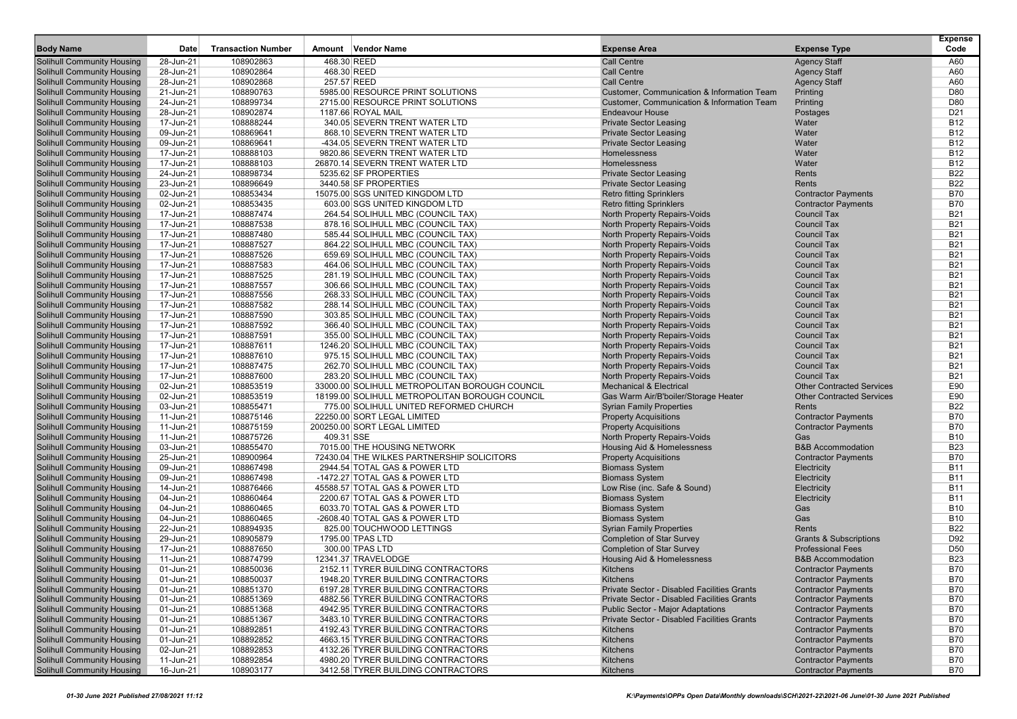| <b>Body Name</b>                                                       | Date                   | <b>Transaction Number</b> | Amount Vendor Name                                                      | <b>Expense Area</b>                                                 |                                                          | <b>Expense</b><br>Code        |
|------------------------------------------------------------------------|------------------------|---------------------------|-------------------------------------------------------------------------|---------------------------------------------------------------------|----------------------------------------------------------|-------------------------------|
|                                                                        |                        |                           |                                                                         |                                                                     | <b>Expense Type</b>                                      |                               |
| <b>Solihull Community Housing</b>                                      | 28-Jun-21              | 108902863                 | 468.30 REED                                                             | <b>Call Centre</b>                                                  | <b>Agency Staff</b>                                      | A60                           |
| <b>Solihull Community Housing</b>                                      | 28-Jun-21              | 108902864                 | 468.30 REED<br>257.57 REED                                              | <b>Call Centre</b><br><b>Call Centre</b>                            | <b>Agency Staff</b>                                      | A60<br>A60                    |
| <b>Solihull Community Housing</b><br><b>Solihull Community Housing</b> | 28-Jun-21<br>21-Jun-21 | 108902868<br>108890763    | 5985.00 RESOURCE PRINT SOLUTIONS                                        | Customer, Communication & Information Team                          | <b>Agency Staff</b><br>Printing                          | D80                           |
| <b>Solihull Community Housing</b>                                      | 24-Jun-21              | 108899734                 | 2715.00 RESOURCE PRINT SOLUTIONS                                        | Customer, Communication & Information Team                          | Printing                                                 | D80                           |
| <b>Solihull Community Housing</b>                                      | 28-Jun-21              | 108902874                 | 1187.66 ROYAL MAIL                                                      | <b>Endeavour House</b>                                              | Postages                                                 | D <sub>21</sub>               |
| <b>Solihull Community Housing</b>                                      | 17-Jun-21              | 108888244                 | 340.05 SEVERN TRENT WATER LTD                                           | <b>Private Sector Leasing</b>                                       | Water                                                    | <b>B12</b>                    |
| <b>Solihull Community Housing</b>                                      | 09-Jun-21              | 108869641                 | 868.10 SEVERN TRENT WATER LTD                                           | <b>Private Sector Leasing</b>                                       | Water                                                    | <b>B12</b>                    |
| <b>Solihull Community Housing</b>                                      | 09-Jun-21              | 108869641                 | -434.05 SEVERN TRENT WATER LTD                                          | <b>Private Sector Leasing</b>                                       | Water                                                    | <b>B12</b>                    |
| <b>Solihull Community Housing</b>                                      | 17-Jun-21              | 108888103                 | 9820.86 SEVERN TRENT WATER LTD                                          | Homelessness                                                        | Water                                                    | <b>B12</b>                    |
| <b>Solihull Community Housing</b>                                      | 17-Jun-21              | 108888103                 | 26870.14 SEVERN TRENT WATER LTD                                         | Homelessness                                                        | Water                                                    | <b>B12</b>                    |
| <b>Solihull Community Housing</b>                                      | 24-Jun-21              | 108898734                 | 5235.62 SF PROPERTIES                                                   | <b>Private Sector Leasing</b>                                       | Rents                                                    | <b>B22</b>                    |
| <b>Solihull Community Housing</b>                                      | 23-Jun-21              | 108896649                 | 3440.58 SF PROPERTIES                                                   | <b>Private Sector Leasing</b>                                       | Rents                                                    | <b>B22</b>                    |
| <b>Solihull Community Housing</b>                                      | 02-Jun-21              | 108853434                 | 15075.00 SGS UNITED KINGDOM LTD                                         | <b>Retro fitting Sprinklers</b>                                     | <b>Contractor Payments</b>                               | <b>B70</b>                    |
| <b>Solihull Community Housing</b>                                      | 02-Jun-21              | 108853435                 | 603.00 SGS UNITED KINGDOM LTD                                           | <b>Retro fitting Sprinklers</b>                                     | <b>Contractor Payments</b>                               | <b>B70</b>                    |
| <b>Solihull Community Housing</b>                                      | 17-Jun-21              | 108887474                 | 264.54 SOLIHULL MBC (COUNCIL TAX)                                       | North Property Repairs-Voids                                        | <b>Council Tax</b>                                       | <b>B21</b>                    |
| <b>Solihull Community Housing</b>                                      | 17-Jun-21              | 108887538                 | 878.16 SOLIHULL MBC (COUNCIL TAX)                                       | North Property Repairs-Voids                                        | <b>Council Tax</b>                                       | <b>B21</b>                    |
| <b>Solihull Community Housing</b>                                      | 17-Jun-21              | 108887480                 | 585.44 SOLIHULL MBC (COUNCIL TAX)                                       | North Property Repairs-Voids                                        | <b>Council Tax</b>                                       | <b>B21</b>                    |
| <b>Solihull Community Housing</b>                                      | 17-Jun-21              | 108887527                 | 864.22 SOLIHULL MBC (COUNCIL TAX)                                       | North Property Repairs-Voids                                        | <b>Council Tax</b>                                       | <b>B21</b>                    |
| <b>Solihull Community Housing</b>                                      | 17-Jun-21              | 108887526                 | 659.69 SOLIHULL MBC (COUNCIL TAX)                                       | North Property Repairs-Voids                                        | <b>Council Tax</b>                                       | <b>B21</b>                    |
| <b>Solihull Community Housing</b>                                      | 17-Jun-21              | 108887583                 | 464.06 SOLIHULL MBC (COUNCIL TAX)                                       | North Property Repairs-Voids                                        | <b>Council Tax</b>                                       | <b>B21</b>                    |
| <b>Solihull Community Housing</b>                                      | 17-Jun-21              | 108887525                 | 281.19 SOLIHULL MBC (COUNCIL TAX)                                       | North Property Repairs-Voids                                        | <b>Council Tax</b>                                       | <b>B21</b>                    |
| <b>Solihull Community Housing</b>                                      | 17-Jun-21              | 108887557                 | 306.66 SOLIHULL MBC (COUNCIL TAX)                                       | <b>North Property Repairs-Voids</b>                                 | <b>Council Tax</b>                                       | <b>B21</b>                    |
| <b>Solihull Community Housing</b>                                      | 17-Jun-21              | 108887556                 | 268.33 SOLIHULL MBC (COUNCIL TAX)                                       | North Property Repairs-Voids                                        | <b>Council Tax</b>                                       | <b>B21</b>                    |
| <b>Solihull Community Housing</b>                                      | 17-Jun-21              | 108887582                 | 288.14 SOLIHULL MBC (COUNCIL TAX)                                       | North Property Repairs-Voids                                        | <b>Council Tax</b>                                       | <b>B21</b>                    |
| <b>Solihull Community Housing</b>                                      | 17-Jun-21              | 108887590                 | 303.85 SOLIHULL MBC (COUNCIL TAX)                                       | <b>North Property Repairs-Voids</b>                                 | <b>Council Tax</b><br><b>Council Tax</b>                 | <b>B21</b>                    |
| <b>Solihull Community Housing</b><br><b>Solihull Community Housing</b> | 17-Jun-21              | 108887592                 | 366.40 SOLIHULL MBC (COUNCIL TAX)                                       | North Property Repairs-Voids                                        | <b>Council Tax</b>                                       | <b>B21</b><br><b>B21</b>      |
| <b>Solihull Community Housing</b>                                      | 17-Jun-21              | 108887591<br>108887611    | 355.00 SOLIHULL MBC (COUNCIL TAX)                                       | North Property Repairs-Voids                                        | <b>Council Tax</b>                                       | <b>B21</b>                    |
| <b>Solihull Community Housing</b>                                      | 17-Jun-21<br>17-Jun-21 | 108887610                 | 1246.20 SOLIHULL MBC (COUNCIL TAX)<br>975.15 SOLIHULL MBC (COUNCIL TAX) | North Property Repairs-Voids<br><b>North Property Repairs-Voids</b> | <b>Council Tax</b>                                       | <b>B21</b>                    |
| <b>Solihull Community Housing</b>                                      | 17-Jun-21              | 108887475                 | 262.70 SOLIHULL MBC (COUNCIL TAX)                                       | North Property Repairs-Voids                                        | <b>Council Tax</b>                                       | <b>B21</b>                    |
| <b>Solihull Community Housing</b>                                      | 17-Jun-21              | 108887600                 | 283.20 SOLIHULL MBC (COUNCIL TAX)                                       | North Property Repairs-Voids                                        | <b>Council Tax</b>                                       | <b>B21</b>                    |
| <b>Solihull Community Housing</b>                                      | 02-Jun-21              | 108853519                 | 33000.00 SOLIHULL METROPOLITAN BOROUGH COUNCIL                          | <b>Mechanical &amp; Electrical</b>                                  | <b>Other Contracted Services</b>                         | E90                           |
| <b>Solihull Community Housing</b>                                      | 02-Jun-21              | 108853519                 | 18199.00 SOLIHULL METROPOLITAN BOROUGH COUNCIL                          | Gas Warm Air/B'boiler/Storage Heater                                | <b>Other Contracted Services</b>                         | E90                           |
| <b>Solihull Community Housing</b>                                      | 03-Jun-21              | 108855471                 | 775.00 SOLIHULL UNITED REFORMED CHURCH                                  | <b>Syrian Family Properties</b>                                     | Rents                                                    | <b>B22</b>                    |
| <b>Solihull Community Housing</b>                                      | 11-Jun-21              | 108875146                 | 22250.00 SORT LEGAL LIMITED                                             | <b>Property Acquisitions</b>                                        | <b>Contractor Payments</b>                               | <b>B70</b>                    |
| <b>Solihull Community Housing</b>                                      | 11-Jun-21              | 108875159                 | 200250.00 SORT LEGAL LIMITED                                            | <b>Property Acquisitions</b>                                        | <b>Contractor Payments</b>                               | <b>B70</b>                    |
| <b>Solihull Community Housing</b>                                      | 11-Jun-21              | 108875726                 | 409.31 SSE                                                              | North Property Repairs-Voids                                        | Gas                                                      | <b>B10</b>                    |
| <b>Solihull Community Housing</b>                                      | 03-Jun-21              | 108855470                 | 7015.00 THE HOUSING NETWORK                                             | Housing Aid & Homelessness                                          | <b>B&amp;B Accommodation</b>                             | <b>B23</b>                    |
| <b>Solihull Community Housing</b>                                      | 25-Jun-21              | 108900964                 | 72430.04 THE WILKES PARTNERSHIP SOLICITORS                              | <b>Property Acquisitions</b>                                        | <b>Contractor Payments</b>                               | <b>B70</b>                    |
| <b>Solihull Community Housing</b>                                      | 09-Jun-21              | 108867498                 | 2944.54 TOTAL GAS & POWER LTD                                           | <b>Biomass System</b>                                               | Electricity                                              | <b>B11</b>                    |
| <b>Solihull Community Housing</b>                                      | 09-Jun-21              | 108867498                 | -1472.27 TOTAL GAS & POWER LTD                                          | <b>Biomass System</b>                                               | Electricity                                              | <b>B11</b>                    |
| <b>Solihull Community Housing</b>                                      | 14-Jun-21              | 108876466                 | 45588.57 TOTAL GAS & POWER LTD                                          | Low Rise (inc. Safe & Sound)                                        | Electricity                                              | <b>B11</b>                    |
| <b>Solihull Community Housing</b>                                      | 04-Jun-21              | 108860464                 | 2200.67 TOTAL GAS & POWER LTD                                           | <b>Biomass System</b>                                               | Electricity                                              | <b>B11</b>                    |
| <b>Solihull Community Housing</b>                                      | 04-Jun-21              | 108860465                 | 6033.70 TOTAL GAS & POWER LTD                                           | <b>Biomass System</b>                                               | Gas                                                      | <b>B10</b>                    |
| <b>Solihull Community Housing</b>                                      | 04-Jun-21              | 108860465                 | -2608.40 TOTAL GAS & POWER LTD                                          | <b>Biomass System</b>                                               | Gas                                                      | <b>B10</b>                    |
| <b>Solihull Community Housing</b>                                      | 22-Jun-21              | 108894935                 | 825.00 TOUCHWOOD LETTINGS                                               | <b>Syrian Family Properties</b>                                     | Rents                                                    | <b>B22</b>                    |
| <b>Solihull Community Housing</b>                                      | 29-Jun-21              | 108905879<br>108887650    | 1795.00 TPAS LTD                                                        | <b>Completion of Star Survey</b>                                    | <b>Grants &amp; Subscriptions</b>                        | D92                           |
| <b>Solihull Community Housing</b><br><b>Solihull Community Housing</b> | 17-Jun-21<br>11-Jun-21 | 108874799                 | 300.00 TPAS LTD<br>12341.37 TRAVELODGE                                  | <b>Completion of Star Survey</b><br>Housing Aid & Homelessness      | <b>Professional Fees</b><br><b>B&amp;B Accommodation</b> | D <sub>50</sub><br><b>B23</b> |
| <b>Solihull Community Housing</b>                                      | 01-Jun-21              | 108850036                 | 2152.11 TYRER BUILDING CONTRACTORS                                      | Kitchens                                                            | <b>Contractor Payments</b>                               | <b>B70</b>                    |
| <b>Solihull Community Housing</b>                                      | 01-Jun-21              | 108850037                 | 1948.20 TYRER BUILDING CONTRACTORS                                      | Kitchens                                                            | <b>Contractor Payments</b>                               | <b>B70</b>                    |
| <b>Solihull Community Housing</b>                                      | 01-Jun-21              | 108851370                 | 6197.28 TYRER BUILDING CONTRACTORS                                      | Private Sector - Disabled Facilities Grants                         | <b>Contractor Payments</b>                               | <b>B70</b>                    |
| <b>Solihull Community Housing</b>                                      | 01-Jun-21              | 108851369                 | 4882.56 TYRER BUILDING CONTRACTORS                                      | Private Sector - Disabled Facilities Grants                         | <b>Contractor Payments</b>                               | <b>B70</b>                    |
| <b>Solihull Community Housing</b>                                      | 01-Jun-21              | 108851368                 | 4942.95 TYRER BUILDING CONTRACTORS                                      | <b>Public Sector - Major Adaptations</b>                            | <b>Contractor Payments</b>                               | <b>B70</b>                    |
| <b>Solihull Community Housing</b>                                      | 01-Jun-21              | 108851367                 | 3483.10 TYRER BUILDING CONTRACTORS                                      | Private Sector - Disabled Facilities Grants                         | <b>Contractor Payments</b>                               | <b>B70</b>                    |
| <b>Solihull Community Housing</b>                                      | 01-Jun-21              | 108892851                 | 4192.43 TYRER BUILDING CONTRACTORS                                      | Kitchens                                                            | <b>Contractor Payments</b>                               | <b>B70</b>                    |
| <b>Solihull Community Housing</b>                                      | 01-Jun-21              | 108892852                 | 4663.15 TYRER BUILDING CONTRACTORS                                      | Kitchens                                                            | <b>Contractor Payments</b>                               | B70                           |
| <b>Solihull Community Housing</b>                                      | 02-Jun-21              | 108892853                 | 4132.26 TYRER BUILDING CONTRACTORS                                      | Kitchens                                                            | <b>Contractor Payments</b>                               | <b>B70</b>                    |
| <b>Solihull Community Housing</b>                                      | 11-Jun-21              | 108892854                 | 4980.20 TYRER BUILDING CONTRACTORS                                      | Kitchens                                                            | <b>Contractor Payments</b>                               | <b>B70</b>                    |
| <b>Solihull Community Housing</b>                                      | 16-Jun-21              | 108903177                 | 3412.58 TYRER BUILDING CONTRACTORS                                      | Kitchens                                                            | <b>Contractor Payments</b>                               | B70                           |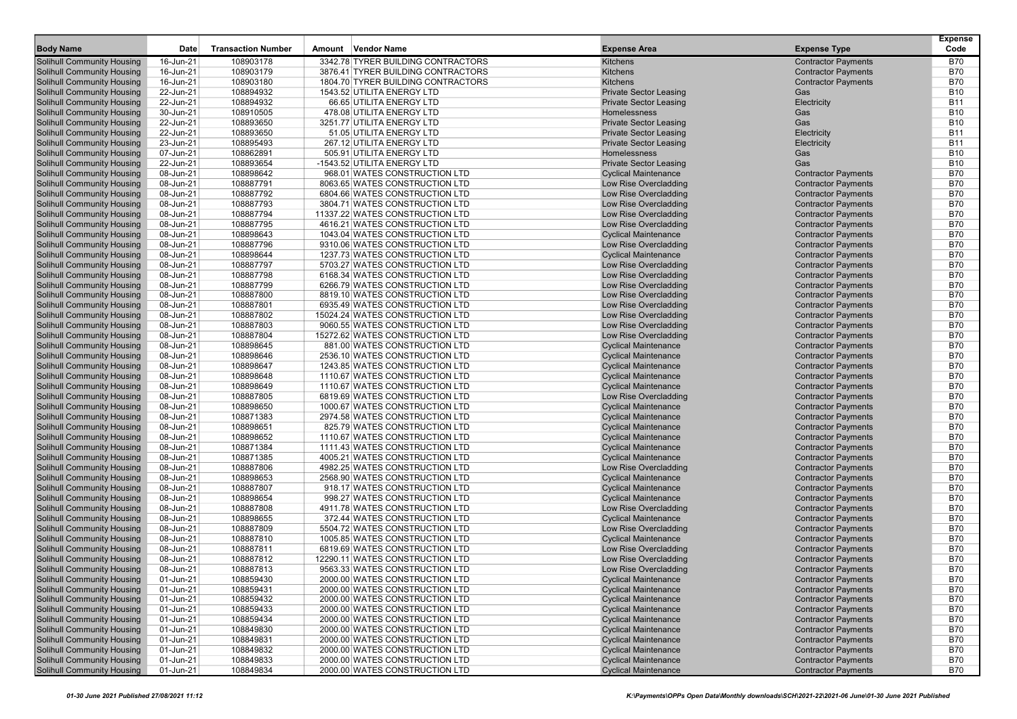| <b>Body Name</b>                  | Date         | <b>Transaction Number</b> | Amount Vendor Name                 | <b>Expense Area</b>           | <b>Expense Type</b>        | <b>Expense</b><br>Code |
|-----------------------------------|--------------|---------------------------|------------------------------------|-------------------------------|----------------------------|------------------------|
| Solihull Community Housing        | 16-Jun-21    | 108903178                 | 3342.78 TYRER BUILDING CONTRACTORS | Kitchens                      | <b>Contractor Payments</b> | B70                    |
| Solihull Community Housing        | 16-Jun-21    | 108903179                 | 3876.41 TYRER BUILDING CONTRACTORS | Kitchens                      | <b>Contractor Payments</b> | <b>B70</b>             |
| <b>Solihull Community Housing</b> | 16-Jun-21    | 108903180                 | 1804.70 TYRER BUILDING CONTRACTORS | Kitchens                      | <b>Contractor Payments</b> | <b>B70</b>             |
| <b>Solihull Community Housing</b> | 22-Jun-21    | 108894932                 | 1543.52 UTILITA ENERGY LTD         | <b>Private Sector Leasing</b> | Gas                        | <b>B10</b>             |
| <b>Solihull Community Housing</b> | 22-Jun-21    | 108894932                 | 66.65 UTILITA ENERGY LTD           | <b>Private Sector Leasing</b> | Electricity                | <b>B11</b>             |
| <b>Solihull Community Housing</b> | 30-Jun-21    | 108910505                 | 478.08 UTILITA ENERGY LTD          | Homelessness                  | Gas                        | <b>B10</b>             |
| <b>Solihull Community Housing</b> | 22-Jun-21    | 108893650                 | 3251.77 UTILITA ENERGY LTD         | <b>Private Sector Leasing</b> | Gas                        | <b>B10</b>             |
| <b>Solihull Community Housing</b> | 22-Jun-21    | 108893650                 | 51.05 UTILITA ENERGY LTD           | <b>Private Sector Leasing</b> | Electricity                | <b>B11</b>             |
| <b>Solihull Community Housing</b> | 23-Jun-21    | 108895493                 | 267.12 UTILITA ENERGY LTD          | <b>Private Sector Leasing</b> | Electricity                | <b>B11</b>             |
| <b>Solihull Community Housing</b> | 07-Jun-21    | 108862891                 | 505.91 UTILITA ENERGY LTD          | Homelessness                  | Gas                        | <b>B10</b>             |
| <b>Solihull Community Housing</b> | 22-Jun-21    | 108893654                 | -1543.52 UTILITA ENERGY LTD        | <b>Private Sector Leasing</b> | Gas                        | <b>B10</b>             |
| <b>Solihull Community Housing</b> | 08-Jun-21    | 108898642                 | 968.01 WATES CONSTRUCTION LTD      | <b>Cyclical Maintenance</b>   | <b>Contractor Payments</b> | <b>B70</b>             |
| <b>Solihull Community Housing</b> | 08-Jun-21    | 108887791                 | 8063.65 WATES CONSTRUCTION LTD     | Low Rise Overcladding         | <b>Contractor Payments</b> | <b>B70</b>             |
| <b>Solihull Community Housing</b> | 08-Jun-21    | 108887792                 | 6804.66 WATES CONSTRUCTION LTD     | Low Rise Overcladding         | <b>Contractor Payments</b> | <b>B70</b>             |
| <b>Solihull Community Housing</b> | 08-Jun-21    | 108887793                 | 3804.71 WATES CONSTRUCTION LTD     | Low Rise Overcladding         | <b>Contractor Payments</b> | <b>B70</b>             |
| <b>Solihull Community Housing</b> | 08-Jun-21    | 108887794                 | 11337.22 WATES CONSTRUCTION LTD    | Low Rise Overcladding         | <b>Contractor Payments</b> | <b>B70</b>             |
| Solihull Community Housing        | 08-Jun-21    | 108887795                 | 4616.21 WATES CONSTRUCTION LTD     | Low Rise Overcladding         | <b>Contractor Payments</b> | <b>B70</b>             |
| <b>Solihull Community Housing</b> | 08-Jun-21    | 108898643                 | 1043.04 WATES CONSTRUCTION LTD     | <b>Cyclical Maintenance</b>   | <b>Contractor Payments</b> | <b>B70</b>             |
| <b>Solihull Community Housing</b> | 08-Jun-21    | 108887796                 | 9310.06 WATES CONSTRUCTION LTD     | Low Rise Overcladding         | <b>Contractor Payments</b> | <b>B70</b>             |
| <b>Solihull Community Housing</b> | 08-Jun-21    | 108898644                 | 1237.73 WATES CONSTRUCTION LTD     | <b>Cyclical Maintenance</b>   | <b>Contractor Payments</b> | <b>B70</b>             |
| <b>Solihull Community Housing</b> | 08-Jun-21    | 108887797                 | 5703.27 WATES CONSTRUCTION LTD     | Low Rise Overcladding         | <b>Contractor Payments</b> | <b>B70</b>             |
| Solihull Community Housing        | 08-Jun-21    | 108887798                 | 6168.34 WATES CONSTRUCTION LTD     | Low Rise Overcladding         | <b>Contractor Payments</b> | <b>B70</b>             |
| <b>Solihull Community Housing</b> | 08-Jun-21    | 108887799                 | 6266.79 WATES CONSTRUCTION LTD     | Low Rise Overcladding         | <b>Contractor Payments</b> | <b>B70</b>             |
| <b>Solihull Community Housing</b> | 08-Jun-21    | 108887800                 | 8819.10 WATES CONSTRUCTION LTD     | Low Rise Overcladding         | <b>Contractor Payments</b> | <b>B70</b>             |
| <b>Solihull Community Housing</b> | 08-Jun-21    | 108887801                 | 6935.49 WATES CONSTRUCTION LTD     | Low Rise Overcladding         | <b>Contractor Payments</b> | <b>B70</b>             |
| <b>Solihull Community Housing</b> | 08-Jun-21    | 108887802                 | 15024.24 WATES CONSTRUCTION LTD    | Low Rise Overcladding         | <b>Contractor Payments</b> | <b>B70</b>             |
| Solihull Community Housing        | 08-Jun-21    | 108887803                 | 9060.55 WATES CONSTRUCTION LTD     | Low Rise Overcladding         | <b>Contractor Payments</b> | <b>B70</b>             |
| <b>Solihull Community Housing</b> | 08-Jun-21    | 108887804                 | 15272.62 WATES CONSTRUCTION LTD    | Low Rise Overcladding         | <b>Contractor Payments</b> | <b>B70</b>             |
| <b>Solihull Community Housing</b> | 08-Jun-21    | 108898645                 | 881.00 WATES CONSTRUCTION LTD      | <b>Cyclical Maintenance</b>   | <b>Contractor Payments</b> | <b>B70</b>             |
| <b>Solihull Community Housing</b> | 08-Jun-21    | 108898646                 | 2536.10 WATES CONSTRUCTION LTD     | <b>Cyclical Maintenance</b>   | <b>Contractor Payments</b> | <b>B70</b>             |
| <b>Solihull Community Housing</b> | 08-Jun-21    | 108898647                 | 1243.85 WATES CONSTRUCTION LTD     | <b>Cyclical Maintenance</b>   | <b>Contractor Payments</b> | <b>B70</b>             |
| Solihull Community Housing        | 08-Jun-21    | 108898648                 | 1110.67 WATES CONSTRUCTION LTD     | <b>Cyclical Maintenance</b>   | <b>Contractor Payments</b> | <b>B70</b>             |
| <b>Solihull Community Housing</b> | 08-Jun-21    | 108898649                 | 1110.67 WATES CONSTRUCTION LTD     | <b>Cyclical Maintenance</b>   | <b>Contractor Payments</b> | <b>B70</b>             |
| <b>Solihull Community Housing</b> | 08-Jun-21    | 108887805                 | 6819.69 WATES CONSTRUCTION LTD     | Low Rise Overcladding         | <b>Contractor Payments</b> | <b>B70</b>             |
| <b>Solihull Community Housing</b> | 08-Jun-21    | 108898650                 | 1000.67 WATES CONSTRUCTION LTD     | <b>Cyclical Maintenance</b>   | <b>Contractor Payments</b> | <b>B70</b>             |
| <b>Solihull Community Housing</b> | 08-Jun-21    | 108871383                 | 2974.58 WATES CONSTRUCTION LTD     | <b>Cyclical Maintenance</b>   | <b>Contractor Payments</b> | <b>B70</b>             |
| Solihull Community Housing        | 08-Jun-21    | 108898651                 | 825.79 WATES CONSTRUCTION LTD      | <b>Cyclical Maintenance</b>   | <b>Contractor Payments</b> | <b>B70</b>             |
| <b>Solihull Community Housing</b> | 08-Jun-21    | 108898652                 | 1110.67 WATES CONSTRUCTION LTD     | <b>Cyclical Maintenance</b>   | <b>Contractor Payments</b> | <b>B70</b>             |
| <b>Solihull Community Housing</b> | 08-Jun-21    | 108871384                 | 1111.43 WATES CONSTRUCTION LTD     | <b>Cyclical Maintenance</b>   | <b>Contractor Payments</b> | <b>B70</b>             |
| <b>Solihull Community Housing</b> | 08-Jun-21    | 108871385                 | 4005.21 WATES CONSTRUCTION LTD     | <b>Cyclical Maintenance</b>   | <b>Contractor Payments</b> | <b>B70</b>             |
| <b>Solihull Community Housing</b> | 08-Jun-21    | 108887806                 | 4982.25 WATES CONSTRUCTION LTD     | Low Rise Overcladding         | <b>Contractor Payments</b> | <b>B70</b>             |
| Solihull Community Housing        | 08-Jun-21    | 108898653                 | 2568.90 WATES CONSTRUCTION LTD     | <b>Cyclical Maintenance</b>   | <b>Contractor Payments</b> | <b>B70</b>             |
| <b>Solihull Community Housing</b> | 08-Jun-21    | 108887807                 | 918.17 WATES CONSTRUCTION LTD      | <b>Cyclical Maintenance</b>   | <b>Contractor Payments</b> | <b>B70</b>             |
| <b>Solihull Community Housing</b> | 08-Jun-21    | 108898654                 | 998.27 WATES CONSTRUCTION LTD      | <b>Cyclical Maintenance</b>   | <b>Contractor Payments</b> | <b>B70</b>             |
| <b>Solihull Community Housing</b> | 08-Jun-21    | 108887808                 | 4911.78 WATES CONSTRUCTION LTD     | Low Rise Overcladding         | <b>Contractor Payments</b> | <b>B70</b>             |
| <b>Solihull Community Housing</b> | 08-Jun-21    | 108898655                 | 372.44 WATES CONSTRUCTION LTD      | <b>Cyclical Maintenance</b>   | <b>Contractor Payments</b> | <b>B70</b>             |
| <b>Solihull Community Housing</b> | 08-Jun-21    | 108887809                 | 5504.72 WATES CONSTRUCTION LTD     | Low Rise Overcladding         | <b>Contractor Payments</b> | <b>B70</b>             |
| <b>Solihull Community Housing</b> | 08-Jun-21    | 108887810                 | 1005.85 WATES CONSTRUCTION LTD     | <b>Cyclical Maintenance</b>   | <b>Contractor Payments</b> | <b>B70</b>             |
| <b>Solihull Community Housing</b> | 08-Jun-21    | 108887811                 | 6819.69 WATES CONSTRUCTION LTD     | Low Rise Overcladding         | <b>Contractor Payments</b> | <b>B70</b>             |
| <b>Solihull Community Housing</b> | 08-Jun-21    | 108887812                 | 12290.11 WATES CONSTRUCTION LTD    | Low Rise Overcladding         | <b>Contractor Payments</b> | <b>B70</b>             |
| <b>Solihull Community Housing</b> | 08-Jun-21    | 108887813                 | 9563.33 WATES CONSTRUCTION LTD     | Low Rise Overcladding         | <b>Contractor Payments</b> | <b>B70</b>             |
| <b>Solihull Community Housing</b> | 01-Jun-21    | 108859430                 | 2000.00 WATES CONSTRUCTION LTD     | <b>Cyclical Maintenance</b>   | <b>Contractor Payments</b> | <b>B70</b>             |
| <b>Solihull Community Housing</b> | 01-Jun-21    | 108859431                 | 2000.00 WATES CONSTRUCTION LTD     | <b>Cyclical Maintenance</b>   | <b>Contractor Payments</b> | <b>B70</b>             |
| <b>Solihull Community Housing</b> | 01-Jun-21    | 108859432                 | 2000.00 WATES CONSTRUCTION LTD     | <b>Cyclical Maintenance</b>   | <b>Contractor Payments</b> | B70                    |
| <b>Solihull Community Housing</b> | 01-Jun-21    | 108859433                 | 2000.00 WATES CONSTRUCTION LTD     | <b>Cyclical Maintenance</b>   | <b>Contractor Payments</b> | <b>B70</b>             |
| <b>Solihull Community Housing</b> | 01-Jun-21    | 108859434                 | 2000.00 WATES CONSTRUCTION LTD     | <b>Cyclical Maintenance</b>   | <b>Contractor Payments</b> | <b>B70</b>             |
| <b>Solihull Community Housing</b> | 01-Jun-21    | 108849830                 | 2000.00 WATES CONSTRUCTION LTD     | <b>Cyclical Maintenance</b>   | <b>Contractor Payments</b> | <b>B70</b>             |
| <b>Solihull Community Housing</b> | 01-Jun-21    | 108849831                 | 2000.00 WATES CONSTRUCTION LTD     | <b>Cyclical Maintenance</b>   | <b>Contractor Payments</b> | <b>B70</b>             |
| <b>Solihull Community Housing</b> | 01-Jun-21    | 108849832                 | 2000.00 WATES CONSTRUCTION LTD     | <b>Cyclical Maintenance</b>   | <b>Contractor Payments</b> | B70                    |
| <b>Solihull Community Housing</b> | 01-Jun-21    | 108849833                 | 2000.00 WATES CONSTRUCTION LTD     | <b>Cyclical Maintenance</b>   | <b>Contractor Payments</b> | <b>B70</b>             |
| <b>Solihull Community Housing</b> | $01$ -Jun-21 | 108849834                 | 2000.00 WATES CONSTRUCTION LTD     | <b>Cyclical Maintenance</b>   | <b>Contractor Payments</b> | <b>B70</b>             |